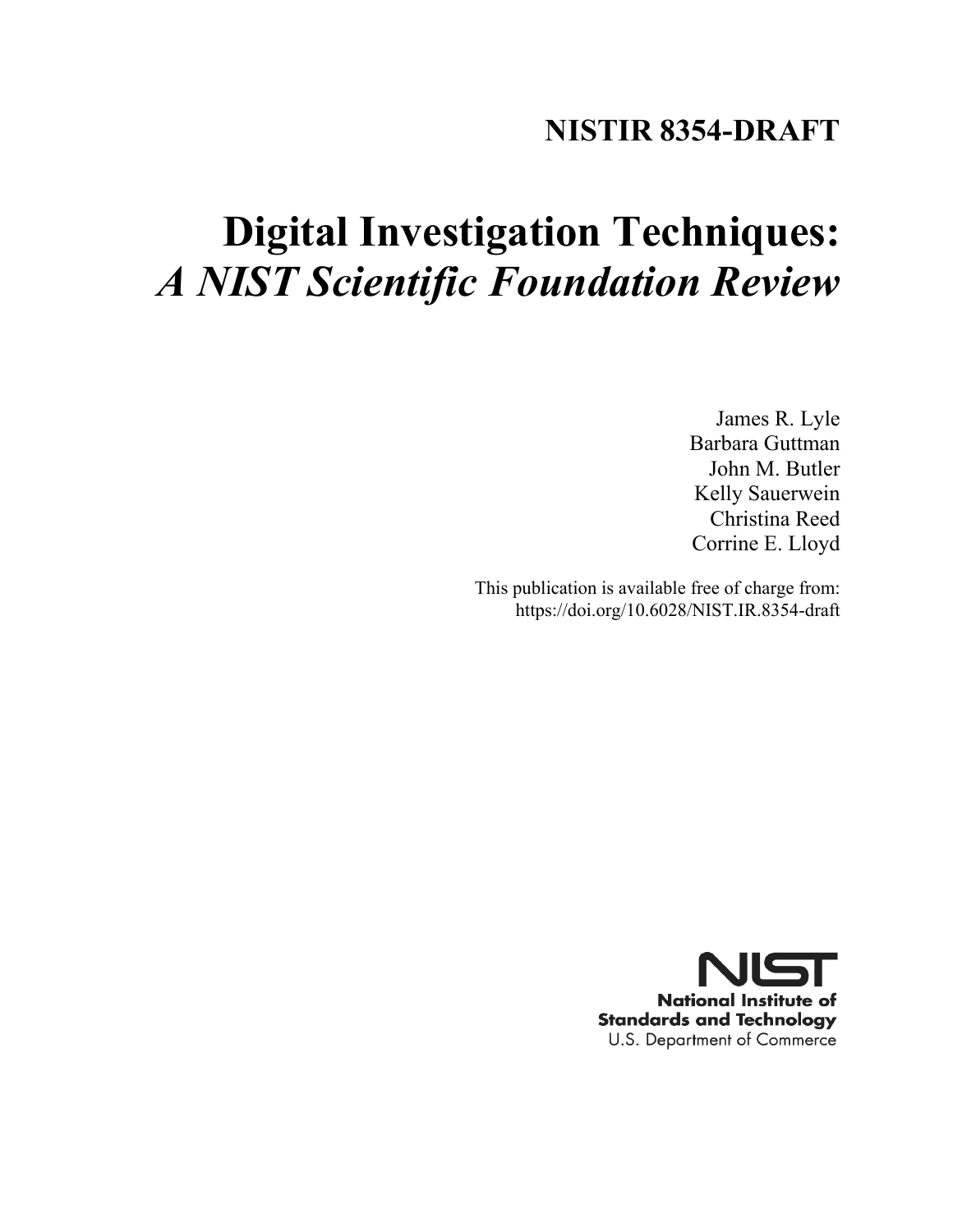# **NISTIR 8354-DRAFT**

# **Digital Investigation Techniques:** *A NIST Scientific Foundation Review*

James R. Lyle Barbara Guttman John M. Butler Kelly Sauerwein Christina Reed Corrine E. Lloyd

This publication is available free of charge from: https://doi.org/10.6028/NIST.IR.8354-draft

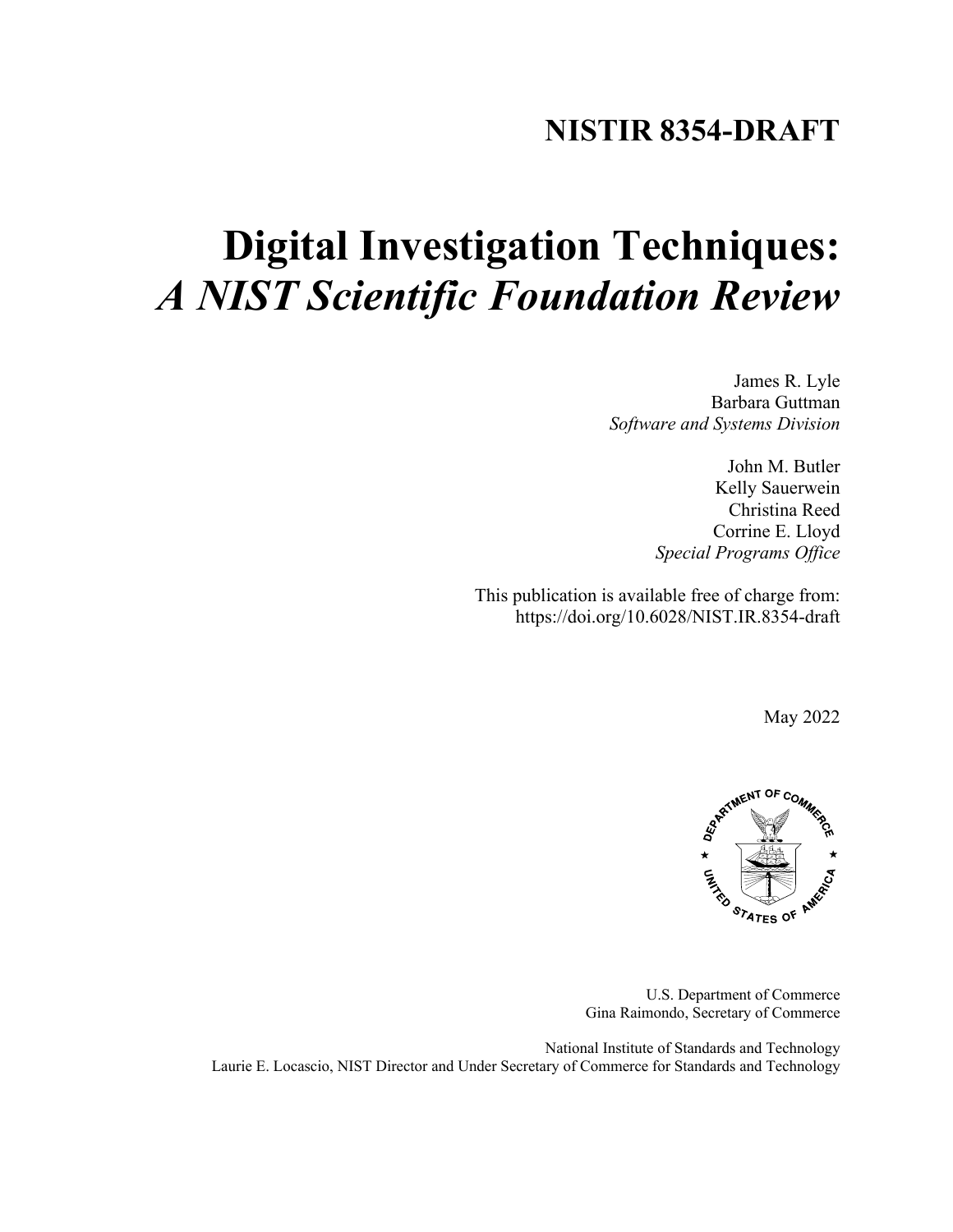# **NISTIR 8354-DRAFT**

# **Digital Investigation Techniques:** *A NIST Scientific Foundation Review*

James R. Lyle Barbara Guttman *Software and Systems Division*

> John M. Butler Kelly Sauerwein Christina Reed Corrine E. Lloyd *Special Programs Office*

This publication is available free of charge from: https://doi.org/10.6028/NIST.IR.8354-draft

May 2022



U.S. Department of Commerce Gina Raimondo, Secretary of Commerce

National Institute of Standards and Technology Laurie E. Locascio, NIST Director and Under Secretary of Commerce for Standards and Technology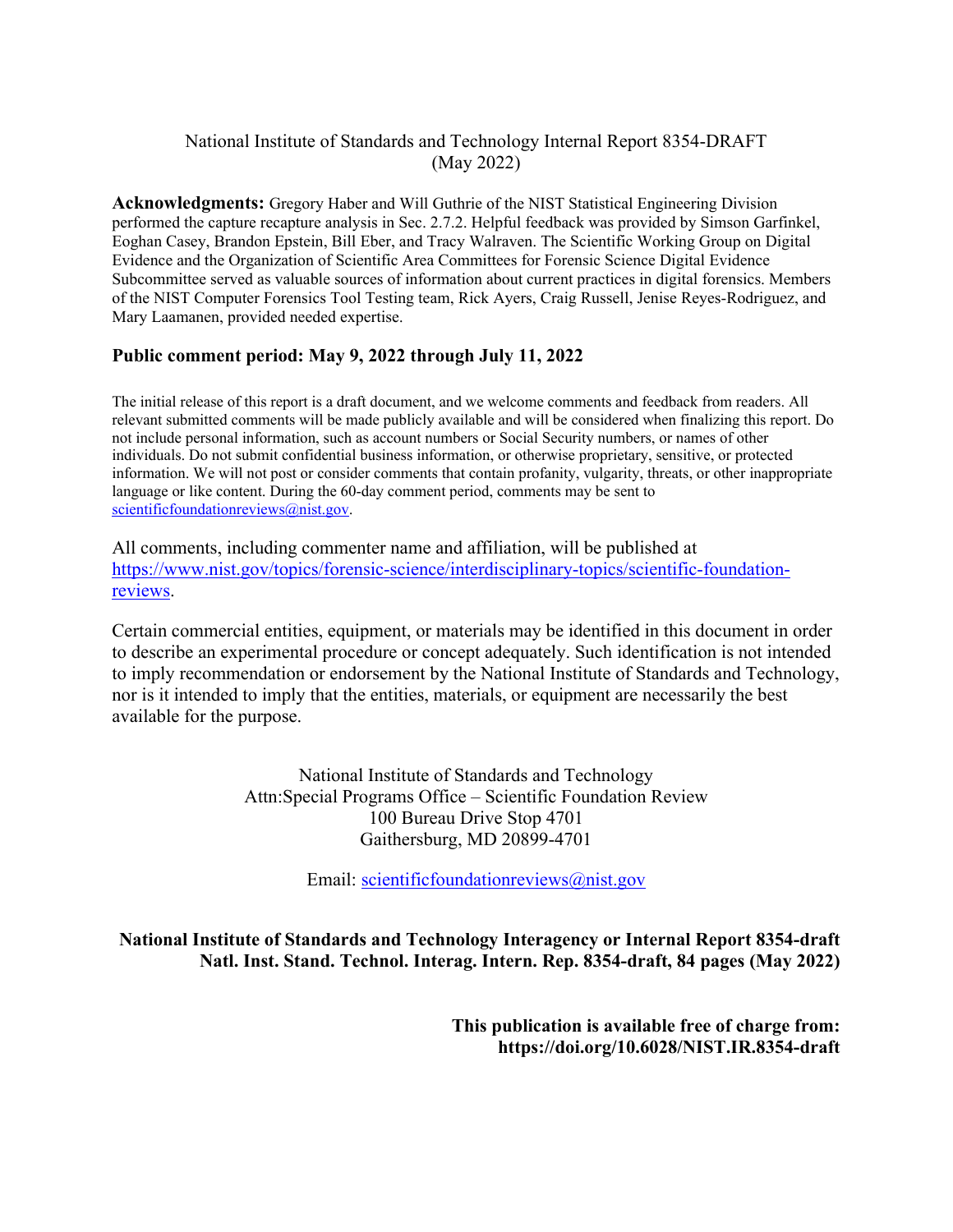# National Institute of Standards and Technology Internal Report 8354-DRAFT (May 2022)

**Acknowledgments:** Gregory Haber and Will Guthrie of the NIST Statistical Engineering Division performed the capture recapture analysis in Sec[. 2.7.2.](#page-34-0) Helpful feedback was provided by Simson Garfinkel, Eoghan Casey, Brandon Epstein, Bill Eber, and Tracy Walraven. The Scientific Working Group on Digital Evidence and the Organization of Scientific Area Committees for Forensic Science Digital Evidence Subcommittee served as valuable sources of information about current practices in digital forensics. Members of the NIST Computer Forensics Tool Testing team, Rick Ayers, Craig Russell, Jenise Reyes-Rodriguez, and Mary Laamanen, provided needed expertise.

## **Public comment period: May 9, 2022 through July 11, 2022**

The initial release of this report is a draft document, and we welcome comments and feedback from readers. All relevant submitted comments will be made publicly available and will be considered when finalizing this report. Do not include personal information, such as account numbers or Social Security numbers, or names of other individuals. Do not submit confidential business information, or otherwise proprietary, sensitive, or protected information. We will not post or consider comments that contain profanity, vulgarity, threats, or other inappropriate language or like content. During the 60-day comment period, comments may be sent to [scientificfoundationreviews@nist.gov.](http://scientificfoundationreviews@nist.gov)

All comments, including commenter name and affiliation, will be published at [https://www.nist.gov/topics/forensic-science/interdisciplinary-topics/scientific-foundation](https://www.nist.gov/topics/forensic-science/interdisciplinary-topics/scientific-foundation-reviews)[reviews.](https://www.nist.gov/topics/forensic-science/interdisciplinary-topics/scientific-foundation-reviews)

Certain commercial entities, equipment, or materials may be identified in this document in order to describe an experimental procedure or concept adequately. Such identification is not intended to imply recommendation or endorsement by the National Institute of Standards and Technology, nor is it intended to imply that the entities, materials, or equipment are necessarily the best available for the purpose.

> National Institute of Standards and Technology Attn:Special Programs Office – Scientific Foundation Review 100 Bureau Drive Stop 4701 Gaithersburg, MD 20899-4701

> > Email: [scientificfoundationreviews@nist.gov](mailto:scientificfoundationreviews@nist.gov)

**National Institute of Standards and Technology Interagency or Internal Report 8354-draft Natl. Inst. Stand. Technol. Interag. Intern. Rep. 8354-draft, 84 pages (May 2022)** 

> **This publication is available free of charge from: https://doi.org/10.6028/NIST.IR.8354-draft**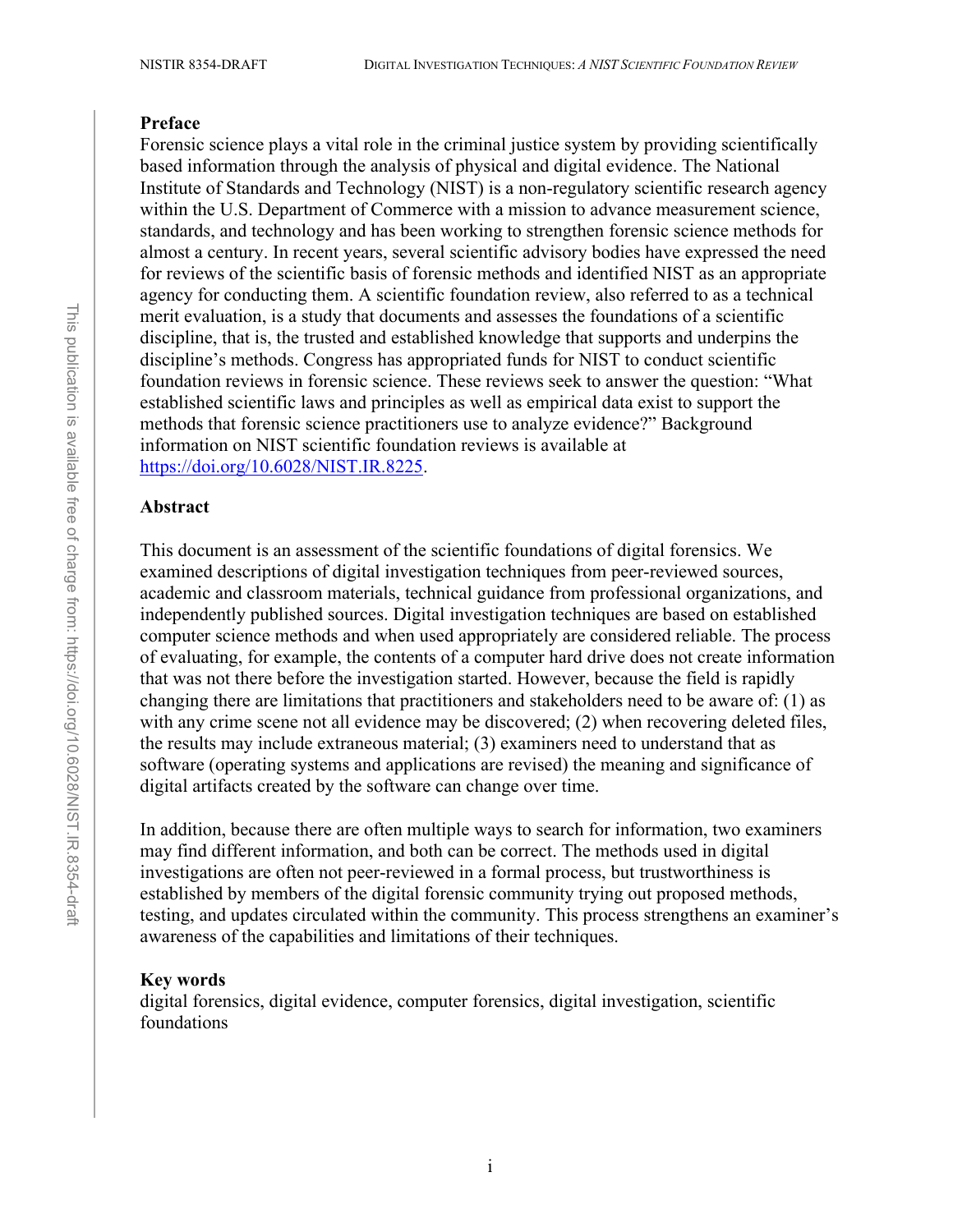#### **Preface**

Forensic science plays a vital role in the criminal justice system by providing scientifically based information through the analysis of physical and digital evidence. The National Institute of Standards and Technology (NIST) is a non-regulatory scientific research agency within the U.S. Department of Commerce with a mission to advance measurement science, standards, and technology and has been working to strengthen forensic science methods for almost a century. In recent years, several scientific advisory bodies have expressed the need for reviews of the scientific basis of forensic methods and identified NIST as an appropriate agency for conducting them. A scientific foundation review, also referred to as a technical merit evaluation, is a study that documents and assesses the foundations of a scientific discipline, that is, the trusted and established knowledge that supports and underpins the discipline's methods. Congress has appropriated funds for NIST to conduct scientific foundation reviews in forensic science. These reviews seek to answer the question: "What established scientific laws and principles as well as empirical data exist to support the methods that forensic science practitioners use to analyze evidence?" Background information on NIST scientific foundation reviews is available at [https://doi.org/10.6028/NIST.IR.8225.](https://doi.org/10.6028/NIST.IR.8225)

#### **Abstract**

This document is an assessment of the scientific foundations of digital forensics. We examined descriptions of digital investigation techniques from peer-reviewed sources, academic and classroom materials, technical guidance from professional organizations, and independently published sources. Digital investigation techniques are based on established computer science methods and when used appropriately are considered reliable. The process of evaluating, for example, the contents of a computer hard drive does not create information that was not there before the investigation started. However, because the field is rapidly changing there are limitations that practitioners and stakeholders need to be aware of: (1) as with any crime scene not all evidence may be discovered; (2) when recovering deleted files, the results may include extraneous material; (3) examiners need to understand that as software (operating systems and applications are revised) the meaning and significance of digital artifacts created by the software can change over time.

In addition, because there are often multiple ways to search for information, two examiners may find different information, and both can be correct. The methods used in digital investigations are often not peer-reviewed in a formal process, but trustworthiness is established by members of the digital forensic community trying out proposed methods, testing, and updates circulated within the community. This process strengthens an examiner's awareness of the capabilities and limitations of their techniques.

#### **Key words**

digital forensics, digital evidence, computer forensics, digital investigation, scientific foundations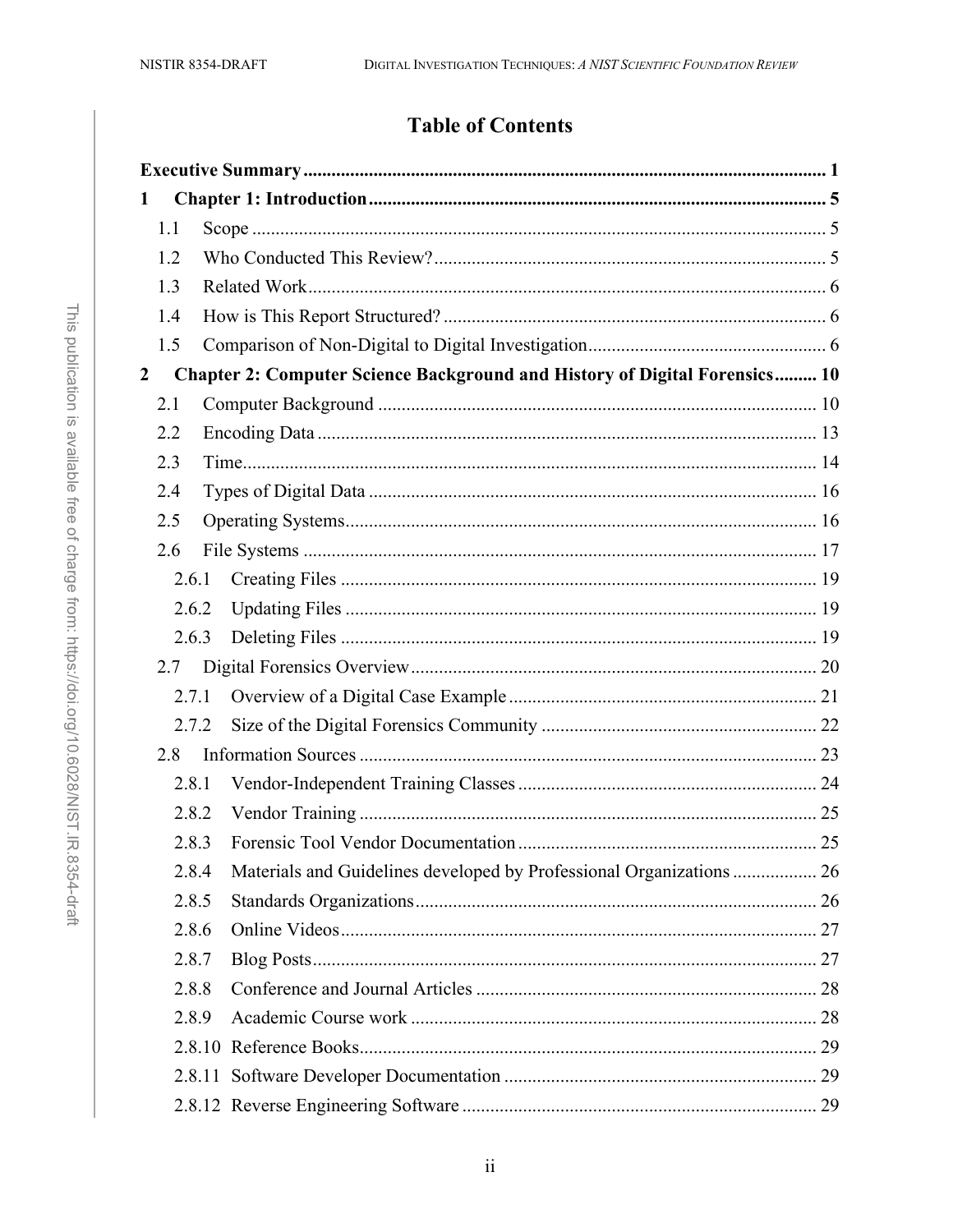# **Table of Contents**

| 1                |       |                                                                                   |  |  |
|------------------|-------|-----------------------------------------------------------------------------------|--|--|
|                  | 1.1   |                                                                                   |  |  |
|                  | 1.2   |                                                                                   |  |  |
|                  | 1.3   |                                                                                   |  |  |
|                  | 1.4   |                                                                                   |  |  |
|                  | 1.5   |                                                                                   |  |  |
| $\boldsymbol{2}$ |       | <b>Chapter 2: Computer Science Background and History of Digital Forensics 10</b> |  |  |
|                  | 2.1   |                                                                                   |  |  |
|                  | 2.2   |                                                                                   |  |  |
|                  | 2.3   |                                                                                   |  |  |
|                  | 2.4   |                                                                                   |  |  |
|                  | 2.5   |                                                                                   |  |  |
|                  | 2.6   |                                                                                   |  |  |
|                  | 2.6.1 |                                                                                   |  |  |
|                  | 2.6.2 |                                                                                   |  |  |
|                  | 2.6.3 |                                                                                   |  |  |
|                  | 2.7   |                                                                                   |  |  |
|                  | 2.7.1 |                                                                                   |  |  |
|                  | 2.7.2 |                                                                                   |  |  |
|                  | 2.8   |                                                                                   |  |  |
|                  | 2.8.1 |                                                                                   |  |  |
|                  | 2.8.2 |                                                                                   |  |  |
|                  | 2.8.3 |                                                                                   |  |  |
|                  | 2.8.4 | Materials and Guidelines developed by Professional Organizations  26              |  |  |
|                  | 2.8.5 |                                                                                   |  |  |
|                  | 2.8.6 |                                                                                   |  |  |
|                  | 2.8.7 |                                                                                   |  |  |
|                  | 2.8.8 |                                                                                   |  |  |
|                  | 2.8.9 |                                                                                   |  |  |
|                  |       |                                                                                   |  |  |
|                  |       |                                                                                   |  |  |
|                  |       |                                                                                   |  |  |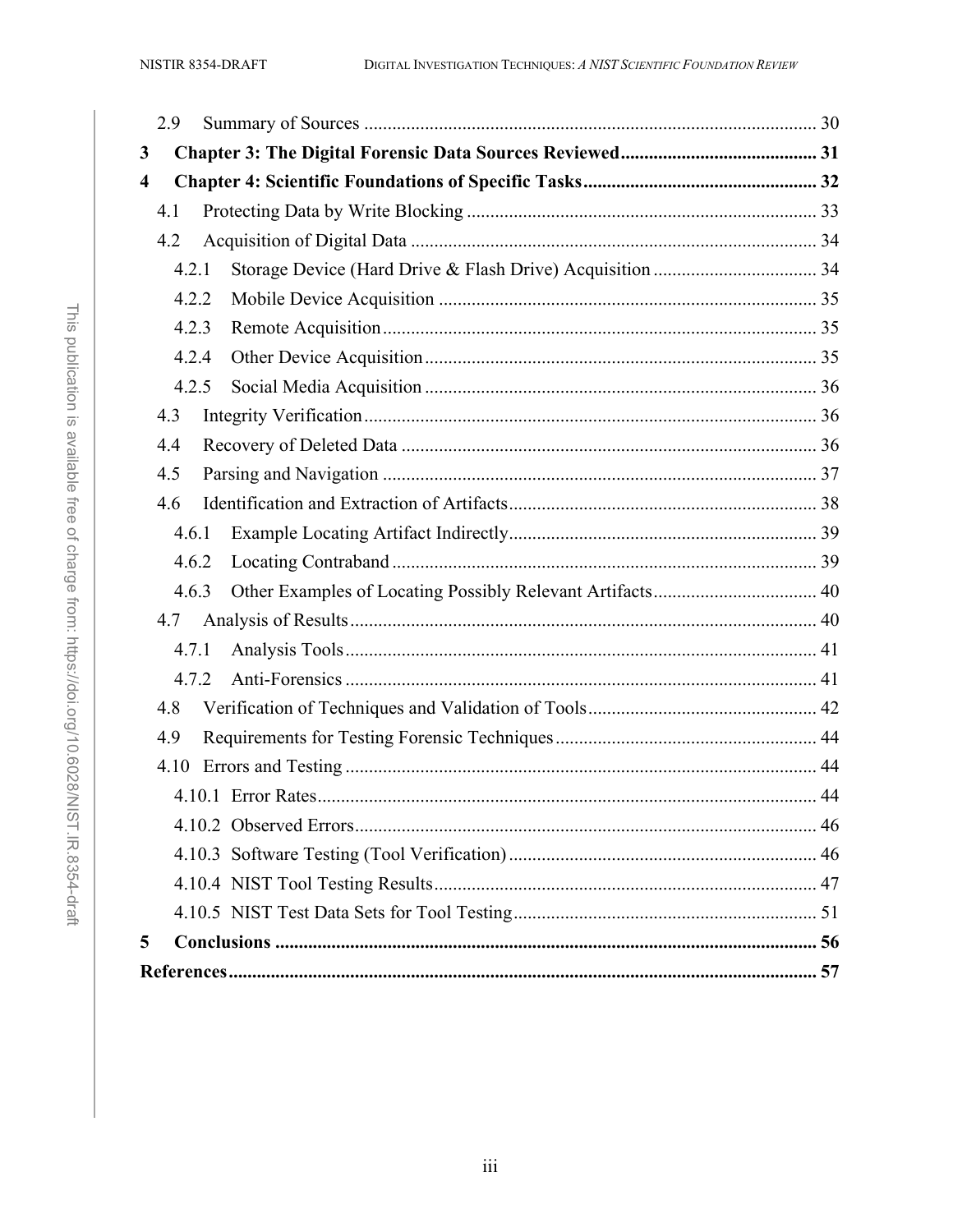|                         | 2.9   |  |  |
|-------------------------|-------|--|--|
| 3                       |       |  |  |
| $\overline{\mathbf{4}}$ |       |  |  |
|                         | 4.1   |  |  |
|                         | 4.2   |  |  |
|                         | 4.2.1 |  |  |
|                         | 4.2.2 |  |  |
|                         | 4.2.3 |  |  |
|                         | 4.2.4 |  |  |
|                         | 4.2.5 |  |  |
|                         | 4.3   |  |  |
|                         | 4.4   |  |  |
|                         | 4.5   |  |  |
|                         | 4.6   |  |  |
|                         | 4.6.1 |  |  |
|                         | 4.6.2 |  |  |
|                         | 4.6.3 |  |  |
|                         | 4.7   |  |  |
|                         | 4.7.1 |  |  |
|                         | 4.7.2 |  |  |
|                         | 4.8   |  |  |
|                         | 4.9   |  |  |
|                         | 4.10  |  |  |
|                         |       |  |  |
|                         |       |  |  |
|                         |       |  |  |
|                         |       |  |  |
|                         |       |  |  |
| 5                       |       |  |  |
|                         |       |  |  |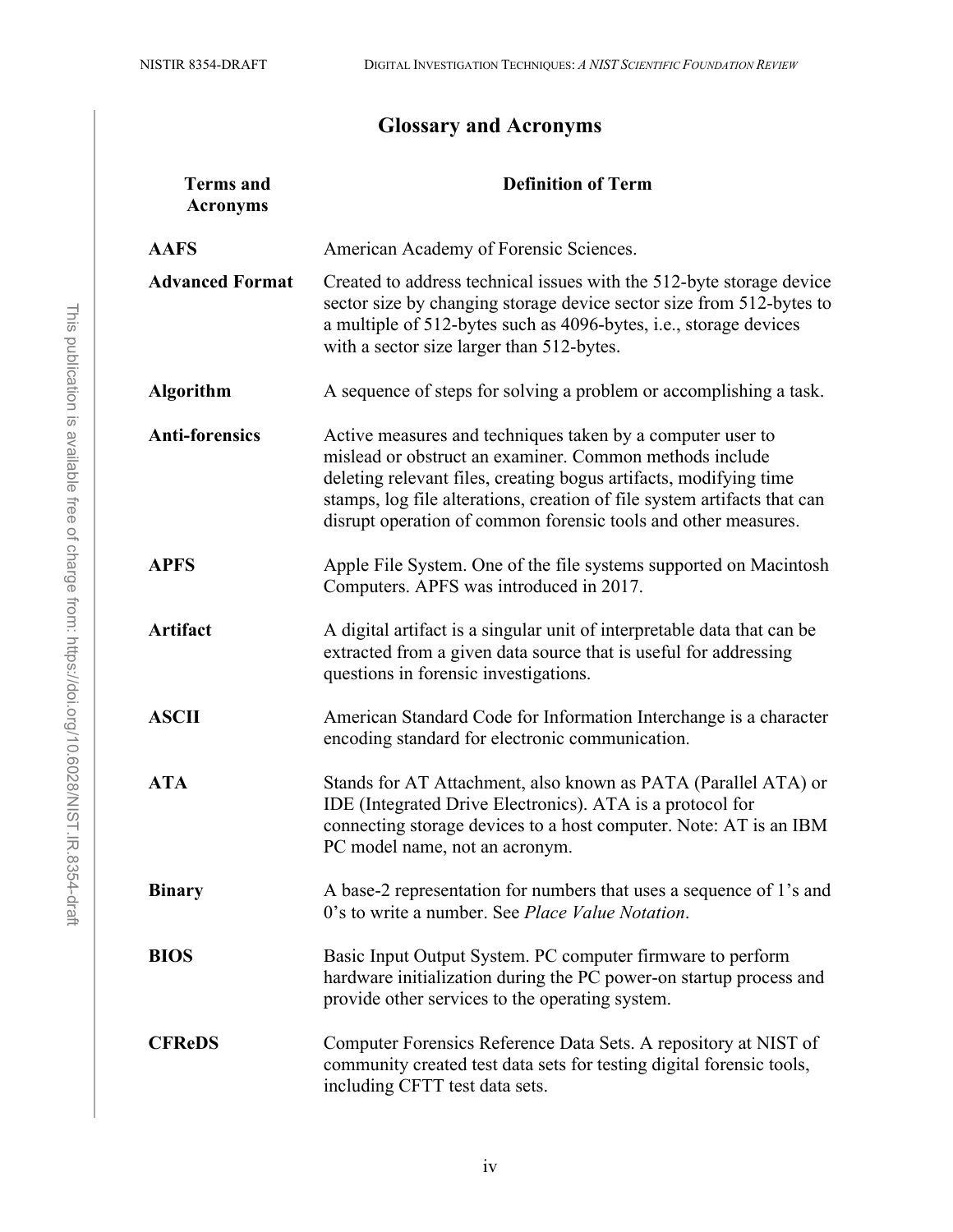# **Glossary and Acronyms**

| <b>Terms</b> and<br><b>Acronyms</b> | <b>Definition of Term</b>                                                                                                                                                                                                                                                                                                                |
|-------------------------------------|------------------------------------------------------------------------------------------------------------------------------------------------------------------------------------------------------------------------------------------------------------------------------------------------------------------------------------------|
| <b>AAFS</b>                         | American Academy of Forensic Sciences.                                                                                                                                                                                                                                                                                                   |
| <b>Advanced Format</b>              | Created to address technical issues with the 512-byte storage device<br>sector size by changing storage device sector size from 512-bytes to<br>a multiple of 512-bytes such as 4096-bytes, i.e., storage devices<br>with a sector size larger than 512-bytes.                                                                           |
| <b>Algorithm</b>                    | A sequence of steps for solving a problem or accomplishing a task.                                                                                                                                                                                                                                                                       |
| <b>Anti-forensics</b>               | Active measures and techniques taken by a computer user to<br>mislead or obstruct an examiner. Common methods include<br>deleting relevant files, creating bogus artifacts, modifying time<br>stamps, log file alterations, creation of file system artifacts that can<br>disrupt operation of common forensic tools and other measures. |
| <b>APFS</b>                         | Apple File System. One of the file systems supported on Macintosh<br>Computers. APFS was introduced in 2017.                                                                                                                                                                                                                             |
| <b>Artifact</b>                     | A digital artifact is a singular unit of interpretable data that can be<br>extracted from a given data source that is useful for addressing<br>questions in forensic investigations.                                                                                                                                                     |
| <b>ASCII</b>                        | American Standard Code for Information Interchange is a character<br>encoding standard for electronic communication.                                                                                                                                                                                                                     |
| <b>ATA</b>                          | Stands for AT Attachment, also known as PATA (Parallel ATA) or<br>IDE (Integrated Drive Electronics). ATA is a protocol for<br>connecting storage devices to a host computer. Note: AT is an IBM<br>PC model name, not an acronym.                                                                                                       |
| <b>Binary</b>                       | A base-2 representation for numbers that uses a sequence of 1's and<br>0's to write a number. See <i>Place Value Notation</i> .                                                                                                                                                                                                          |
| <b>BIOS</b>                         | Basic Input Output System. PC computer firmware to perform<br>hardware initialization during the PC power-on startup process and<br>provide other services to the operating system.                                                                                                                                                      |
| <b>CFReDS</b>                       | Computer Forensics Reference Data Sets. A repository at NIST of<br>community created test data sets for testing digital forensic tools,<br>including CFTT test data sets.                                                                                                                                                                |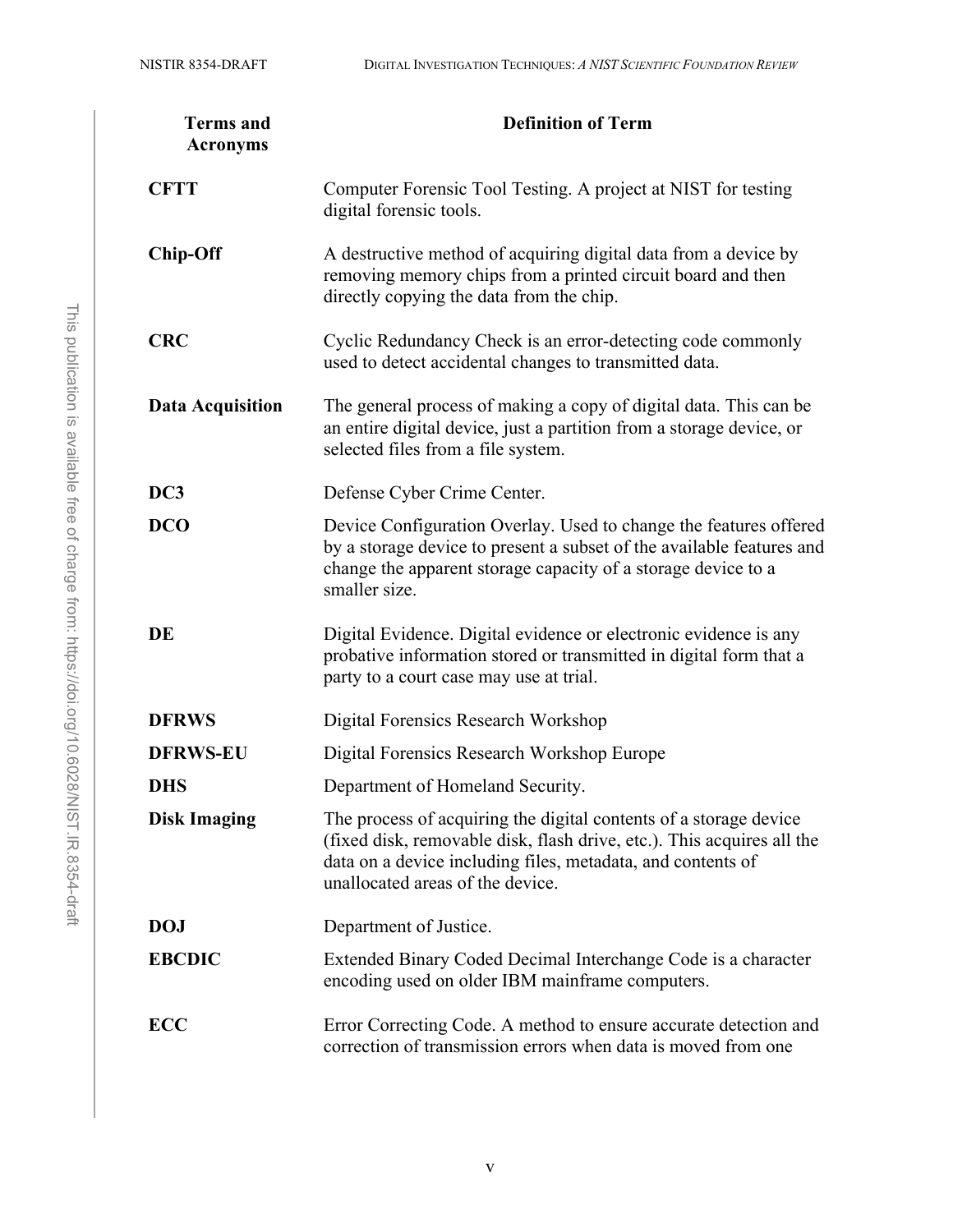| <b>Terms</b> and<br><b>Acronyms</b> | <b>Definition of Term</b>                                                                                                                                                                                                                      |  |
|-------------------------------------|------------------------------------------------------------------------------------------------------------------------------------------------------------------------------------------------------------------------------------------------|--|
| <b>CFTT</b>                         | Computer Forensic Tool Testing. A project at NIST for testing<br>digital forensic tools.                                                                                                                                                       |  |
| <b>Chip-Off</b>                     | A destructive method of acquiring digital data from a device by<br>removing memory chips from a printed circuit board and then<br>directly copying the data from the chip.                                                                     |  |
| <b>CRC</b>                          | Cyclic Redundancy Check is an error-detecting code commonly<br>used to detect accidental changes to transmitted data.                                                                                                                          |  |
| <b>Data Acquisition</b>             | The general process of making a copy of digital data. This can be<br>an entire digital device, just a partition from a storage device, or<br>selected files from a file system.                                                                |  |
| DC3                                 | Defense Cyber Crime Center.                                                                                                                                                                                                                    |  |
| <b>DCO</b>                          | Device Configuration Overlay. Used to change the features offered<br>by a storage device to present a subset of the available features and<br>change the apparent storage capacity of a storage device to a<br>smaller size.                   |  |
| DE                                  | Digital Evidence. Digital evidence or electronic evidence is any<br>probative information stored or transmitted in digital form that a<br>party to a court case may use at trial.                                                              |  |
| <b>DFRWS</b>                        | Digital Forensics Research Workshop                                                                                                                                                                                                            |  |
| <b>DFRWS-EU</b>                     | Digital Forensics Research Workshop Europe                                                                                                                                                                                                     |  |
| <b>DHS</b>                          | Department of Homeland Security.                                                                                                                                                                                                               |  |
| <b>Disk Imaging</b>                 | The process of acquiring the digital contents of a storage device<br>(fixed disk, removable disk, flash drive, etc.). This acquires all the<br>data on a device including files, metadata, and contents of<br>unallocated areas of the device. |  |
| <b>DOJ</b>                          | Department of Justice.                                                                                                                                                                                                                         |  |
| <b>EBCDIC</b>                       | Extended Binary Coded Decimal Interchange Code is a character<br>encoding used on older IBM mainframe computers.                                                                                                                               |  |
| <b>ECC</b>                          | Error Correcting Code. A method to ensure accurate detection and<br>correction of transmission errors when data is moved from one                                                                                                              |  |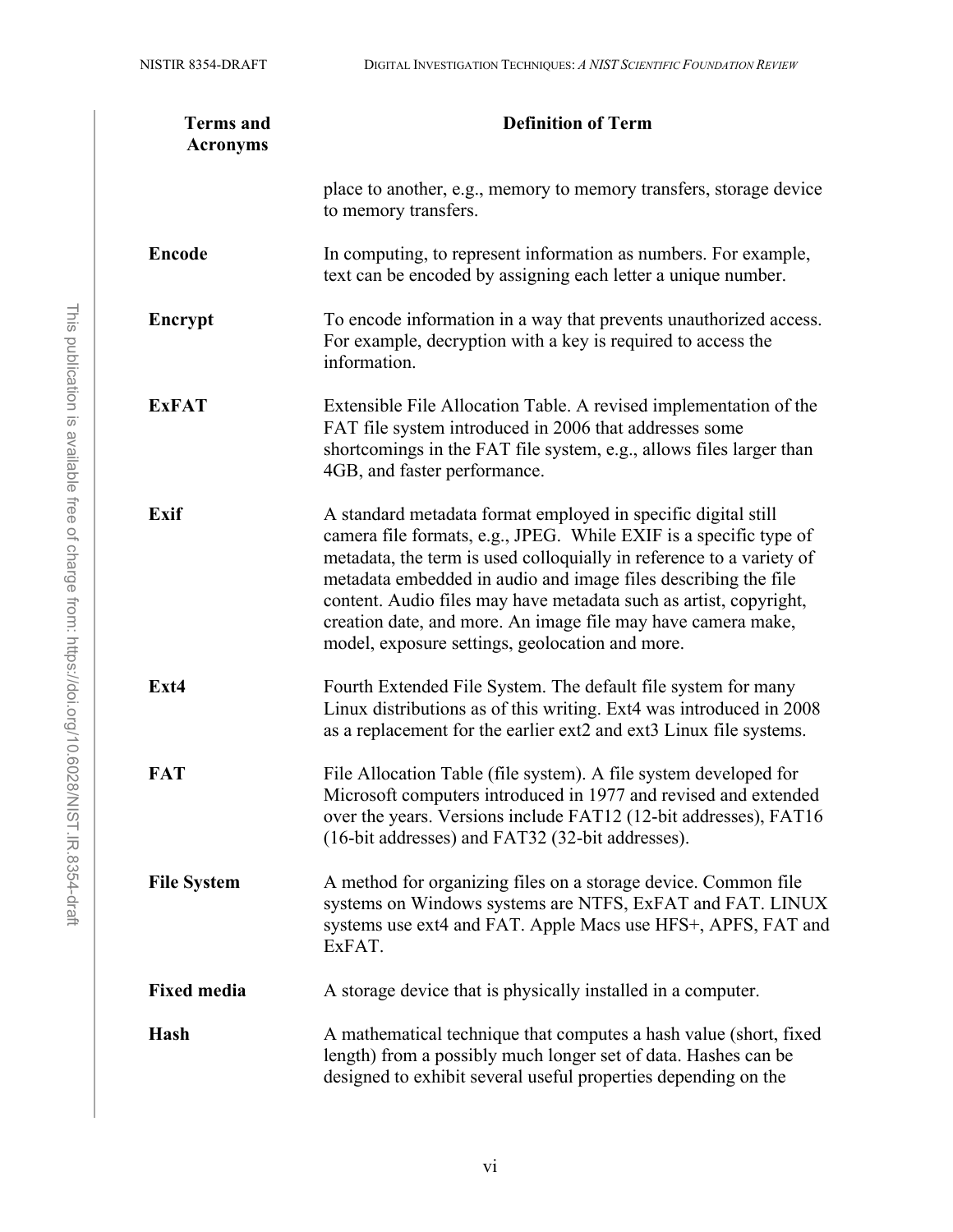| <b>Terms</b> and<br><b>Acronyms</b> | <b>Definition of Term</b>                                                                                                                                                                                                                                                                                                                                                                                                                                            |  |  |
|-------------------------------------|----------------------------------------------------------------------------------------------------------------------------------------------------------------------------------------------------------------------------------------------------------------------------------------------------------------------------------------------------------------------------------------------------------------------------------------------------------------------|--|--|
|                                     | place to another, e.g., memory to memory transfers, storage device<br>to memory transfers.                                                                                                                                                                                                                                                                                                                                                                           |  |  |
| <b>Encode</b>                       | In computing, to represent information as numbers. For example,<br>text can be encoded by assigning each letter a unique number.                                                                                                                                                                                                                                                                                                                                     |  |  |
| Encrypt                             | To encode information in a way that prevents unauthorized access.<br>For example, decryption with a key is required to access the<br>information.                                                                                                                                                                                                                                                                                                                    |  |  |
| <b>ExFAT</b>                        | Extensible File Allocation Table. A revised implementation of the<br>FAT file system introduced in 2006 that addresses some<br>shortcomings in the FAT file system, e.g., allows files larger than<br>4GB, and faster performance.                                                                                                                                                                                                                                   |  |  |
| Exif                                | A standard metadata format employed in specific digital still<br>camera file formats, e.g., JPEG. While EXIF is a specific type of<br>metadata, the term is used colloquially in reference to a variety of<br>metadata embedded in audio and image files describing the file<br>content. Audio files may have metadata such as artist, copyright,<br>creation date, and more. An image file may have camera make,<br>model, exposure settings, geolocation and more. |  |  |
| Ext4                                | Fourth Extended File System. The default file system for many<br>Linux distributions as of this writing. Ext4 was introduced in 2008<br>as a replacement for the earlier ext2 and ext3 Linux file systems.                                                                                                                                                                                                                                                           |  |  |
| <b>FAT</b>                          | File Allocation Table (file system). A file system developed for<br>Microsoft computers introduced in 1977 and revised and extended<br>over the years. Versions include FAT12 (12-bit addresses), FAT16<br>(16-bit addresses) and FAT32 (32-bit addresses).                                                                                                                                                                                                          |  |  |
| <b>File System</b>                  | A method for organizing files on a storage device. Common file<br>systems on Windows systems are NTFS, ExFAT and FAT. LINUX<br>systems use ext4 and FAT. Apple Macs use HFS+, APFS, FAT and<br>ExFAT.                                                                                                                                                                                                                                                                |  |  |
| <b>Fixed media</b>                  | A storage device that is physically installed in a computer.                                                                                                                                                                                                                                                                                                                                                                                                         |  |  |
| Hash                                | A mathematical technique that computes a hash value (short, fixed<br>length) from a possibly much longer set of data. Hashes can be<br>designed to exhibit several useful properties depending on the                                                                                                                                                                                                                                                                |  |  |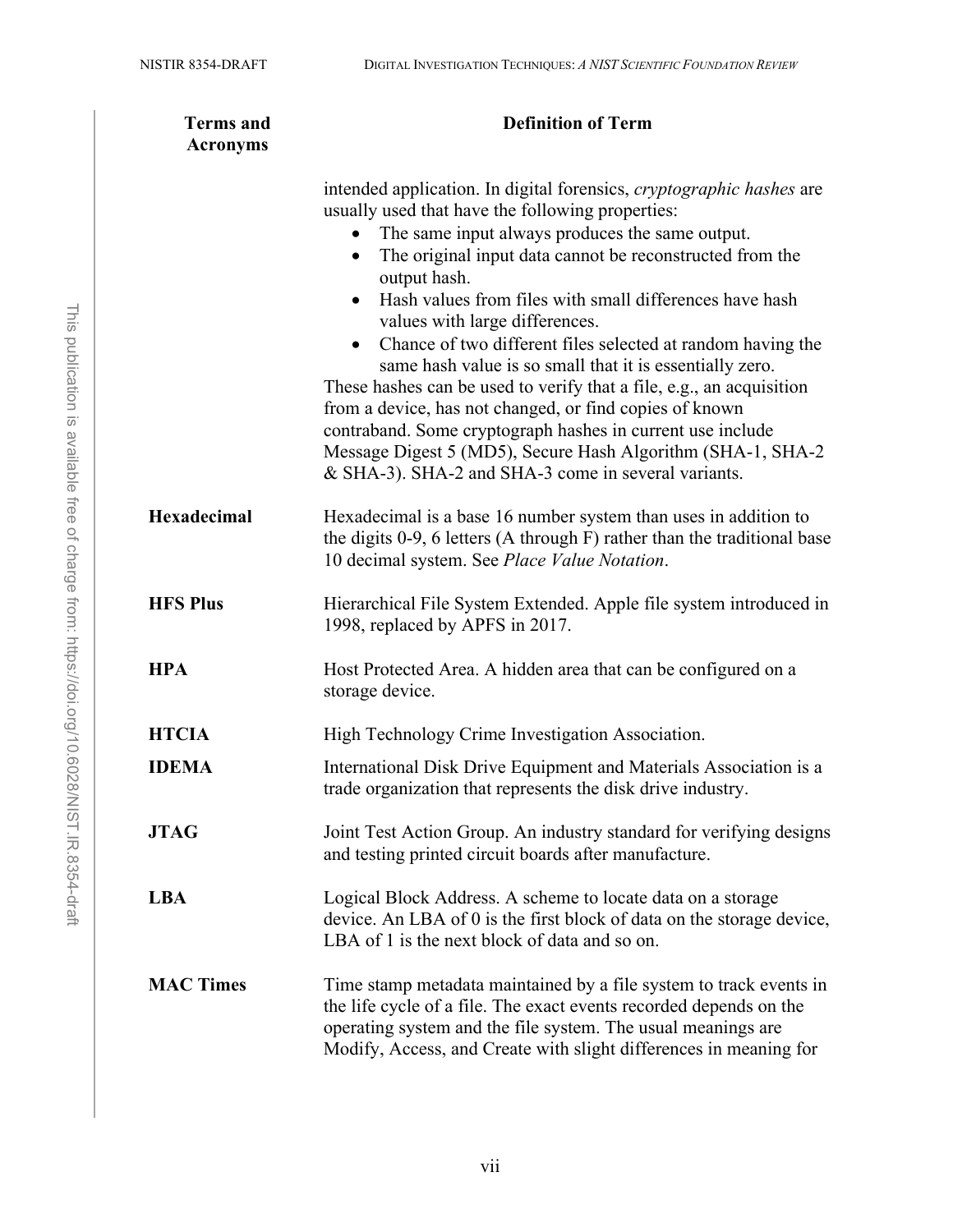| <b>Terms</b> and<br><b>Acronyms</b> | <b>Definition of Term</b>                                                                                                                                                                                                                                                                                                                                                                                                                                                                                                                                                                                                                                                                                                                                                                                       |  |  |
|-------------------------------------|-----------------------------------------------------------------------------------------------------------------------------------------------------------------------------------------------------------------------------------------------------------------------------------------------------------------------------------------------------------------------------------------------------------------------------------------------------------------------------------------------------------------------------------------------------------------------------------------------------------------------------------------------------------------------------------------------------------------------------------------------------------------------------------------------------------------|--|--|
|                                     | intended application. In digital forensics, <i>cryptographic hashes</i> are<br>usually used that have the following properties:<br>The same input always produces the same output.<br>The original input data cannot be reconstructed from the<br>output hash.<br>Hash values from files with small differences have hash<br>values with large differences.<br>• Chance of two different files selected at random having the<br>same hash value is so small that it is essentially zero.<br>These hashes can be used to verify that a file, e.g., an acquisition<br>from a device, has not changed, or find copies of known<br>contraband. Some cryptograph hashes in current use include<br>Message Digest 5 (MD5), Secure Hash Algorithm (SHA-1, SHA-2<br>& SHA-3). SHA-2 and SHA-3 come in several variants. |  |  |
| Hexadecimal                         | Hexadecimal is a base 16 number system than uses in addition to<br>the digits $0-9$ , 6 letters (A through F) rather than the traditional base<br>10 decimal system. See Place Value Notation.                                                                                                                                                                                                                                                                                                                                                                                                                                                                                                                                                                                                                  |  |  |
| <b>HFS Plus</b>                     | Hierarchical File System Extended. Apple file system introduced in<br>1998, replaced by APFS in 2017.                                                                                                                                                                                                                                                                                                                                                                                                                                                                                                                                                                                                                                                                                                           |  |  |
| <b>HPA</b>                          | Host Protected Area. A hidden area that can be configured on a<br>storage device.                                                                                                                                                                                                                                                                                                                                                                                                                                                                                                                                                                                                                                                                                                                               |  |  |
| <b>HTCIA</b>                        | High Technology Crime Investigation Association.                                                                                                                                                                                                                                                                                                                                                                                                                                                                                                                                                                                                                                                                                                                                                                |  |  |
| <b>IDEMA</b>                        | International Disk Drive Equipment and Materials Association is a<br>trade organization that represents the disk drive industry.                                                                                                                                                                                                                                                                                                                                                                                                                                                                                                                                                                                                                                                                                |  |  |
| <b>JTAG</b>                         | Joint Test Action Group. An industry standard for verifying designs<br>and testing printed circuit boards after manufacture.                                                                                                                                                                                                                                                                                                                                                                                                                                                                                                                                                                                                                                                                                    |  |  |
| <b>LBA</b>                          | Logical Block Address. A scheme to locate data on a storage<br>device. An LBA of 0 is the first block of data on the storage device,<br>LBA of 1 is the next block of data and so on.                                                                                                                                                                                                                                                                                                                                                                                                                                                                                                                                                                                                                           |  |  |
| <b>MAC Times</b>                    | Time stamp metadata maintained by a file system to track events in<br>the life cycle of a file. The exact events recorded depends on the<br>operating system and the file system. The usual meanings are<br>Modify, Access, and Create with slight differences in meaning for                                                                                                                                                                                                                                                                                                                                                                                                                                                                                                                                   |  |  |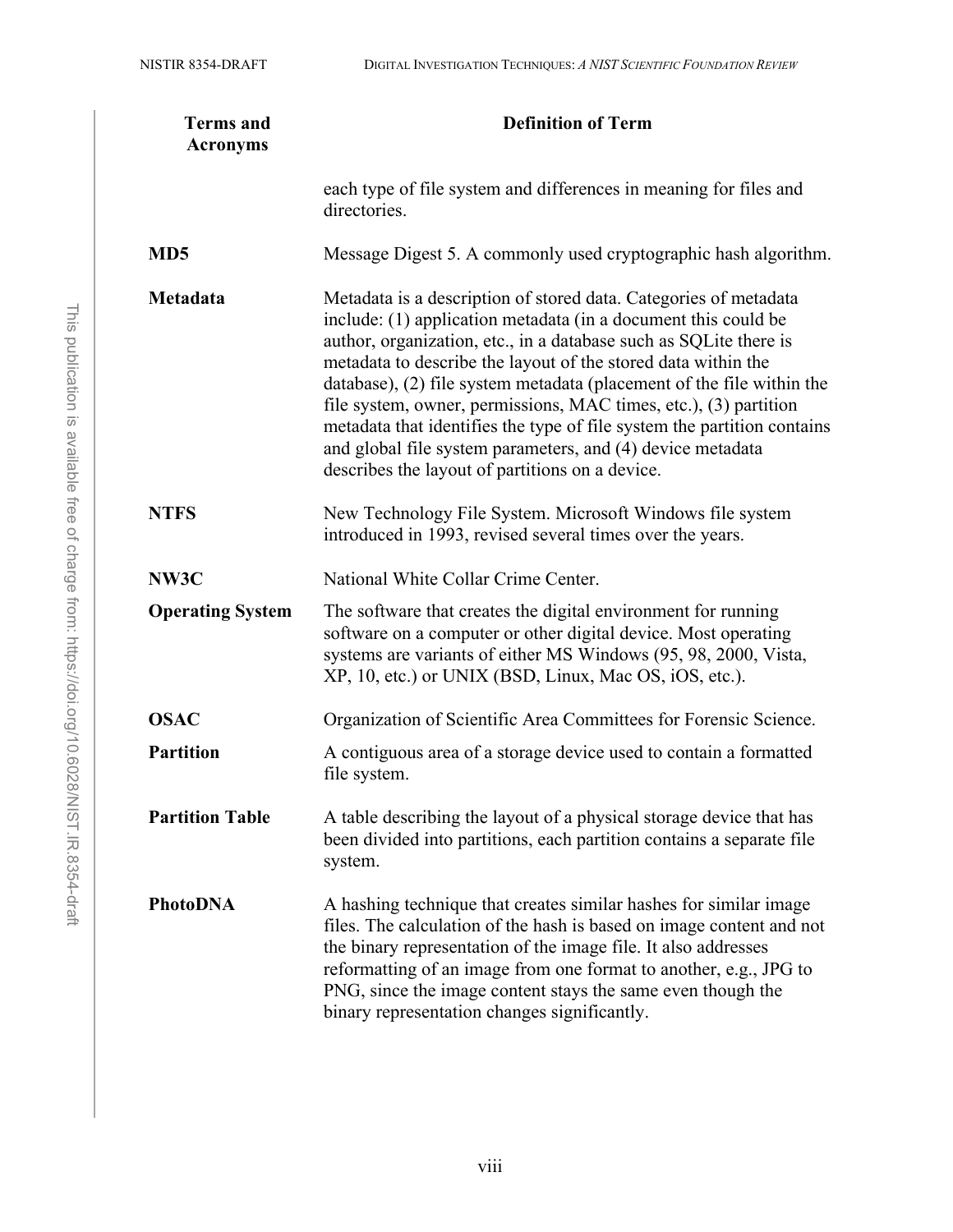| <b>Terms</b> and<br><b>Acronyms</b> | <b>Definition of Term</b>                                                                                                                                                                                                                                                                                                                                                                                                                                                                                                                                                                                         |  |
|-------------------------------------|-------------------------------------------------------------------------------------------------------------------------------------------------------------------------------------------------------------------------------------------------------------------------------------------------------------------------------------------------------------------------------------------------------------------------------------------------------------------------------------------------------------------------------------------------------------------------------------------------------------------|--|
|                                     | each type of file system and differences in meaning for files and<br>directories.                                                                                                                                                                                                                                                                                                                                                                                                                                                                                                                                 |  |
| MD <sub>5</sub>                     | Message Digest 5. A commonly used cryptographic hash algorithm.                                                                                                                                                                                                                                                                                                                                                                                                                                                                                                                                                   |  |
| Metadata                            | Metadata is a description of stored data. Categories of metadata<br>include: (1) application metadata (in a document this could be<br>author, organization, etc., in a database such as SQLite there is<br>metadata to describe the layout of the stored data within the<br>database), (2) file system metadata (placement of the file within the<br>file system, owner, permissions, MAC times, etc.), (3) partition<br>metadata that identifies the type of file system the partition contains<br>and global file system parameters, and (4) device metadata<br>describes the layout of partitions on a device. |  |
| <b>NTFS</b>                         | New Technology File System. Microsoft Windows file system<br>introduced in 1993, revised several times over the years.                                                                                                                                                                                                                                                                                                                                                                                                                                                                                            |  |
| NW3C                                | National White Collar Crime Center.                                                                                                                                                                                                                                                                                                                                                                                                                                                                                                                                                                               |  |
| <b>Operating System</b>             | The software that creates the digital environment for running<br>software on a computer or other digital device. Most operating<br>systems are variants of either MS Windows (95, 98, 2000, Vista,<br>XP, 10, etc.) or UNIX (BSD, Linux, Mac OS, iOS, etc.).                                                                                                                                                                                                                                                                                                                                                      |  |
| <b>OSAC</b>                         | Organization of Scientific Area Committees for Forensic Science.                                                                                                                                                                                                                                                                                                                                                                                                                                                                                                                                                  |  |
| <b>Partition</b>                    | A contiguous area of a storage device used to contain a formatted<br>file system.                                                                                                                                                                                                                                                                                                                                                                                                                                                                                                                                 |  |
| <b>Partition Table</b>              | A table describing the layout of a physical storage device that has<br>been divided into partitions, each partition contains a separate file<br>system.                                                                                                                                                                                                                                                                                                                                                                                                                                                           |  |
| <b>PhotoDNA</b>                     | A hashing technique that creates similar hashes for similar image<br>files. The calculation of the hash is based on image content and not<br>the binary representation of the image file. It also addresses<br>reformatting of an image from one format to another, e.g., JPG to<br>PNG, since the image content stays the same even though the<br>binary representation changes significantly.                                                                                                                                                                                                                   |  |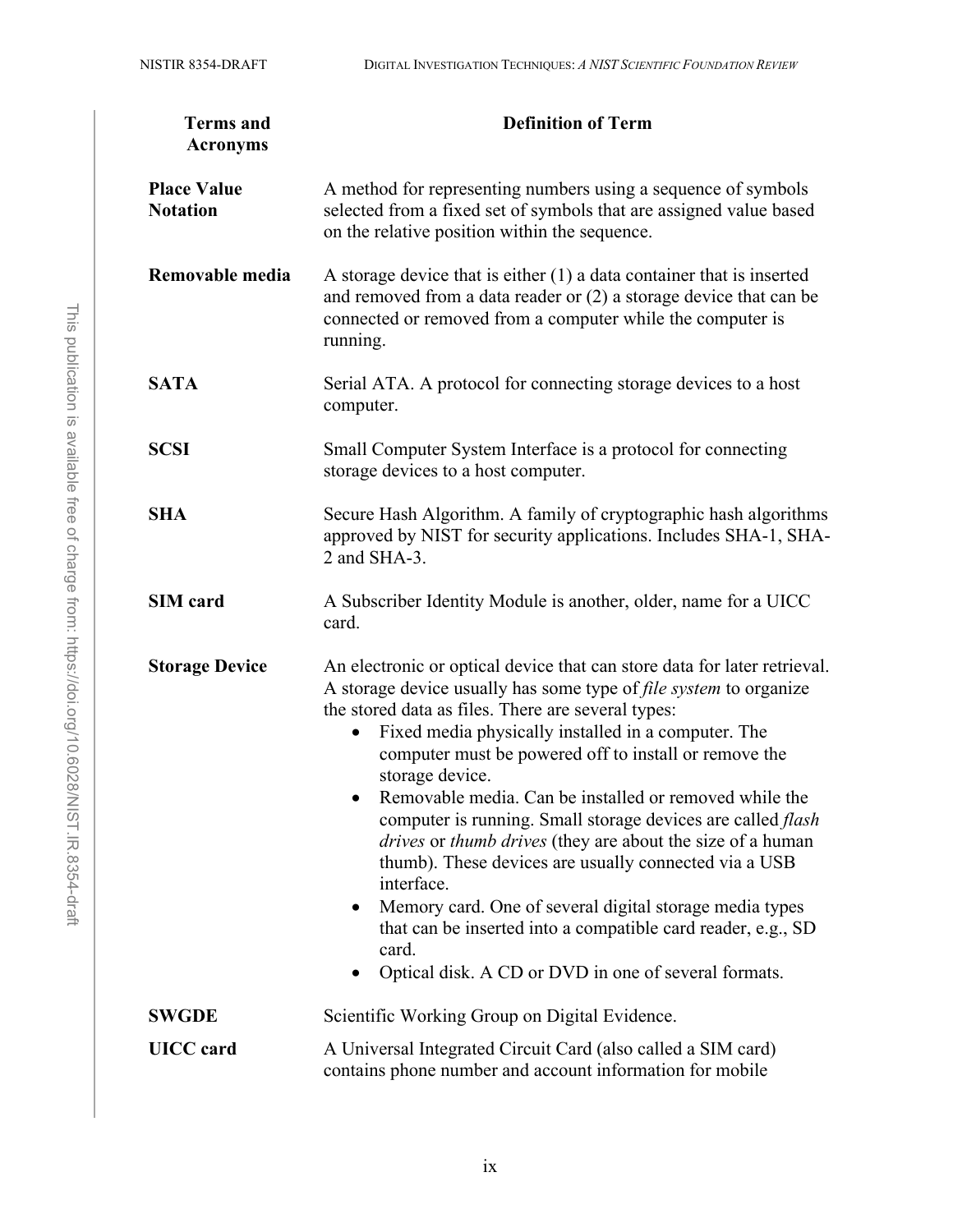| <b>Terms</b> and<br><b>Acronyms</b>   | <b>Definition of Term</b>                                                                                                                                                                                                                                                                                                                                                                                                                                                                                                                                                                                                                                                                                                                                                                                                         |  |  |
|---------------------------------------|-----------------------------------------------------------------------------------------------------------------------------------------------------------------------------------------------------------------------------------------------------------------------------------------------------------------------------------------------------------------------------------------------------------------------------------------------------------------------------------------------------------------------------------------------------------------------------------------------------------------------------------------------------------------------------------------------------------------------------------------------------------------------------------------------------------------------------------|--|--|
| <b>Place Value</b><br><b>Notation</b> | A method for representing numbers using a sequence of symbols<br>selected from a fixed set of symbols that are assigned value based<br>on the relative position within the sequence.                                                                                                                                                                                                                                                                                                                                                                                                                                                                                                                                                                                                                                              |  |  |
| Removable media                       | A storage device that is either $(1)$ a data container that is inserted<br>and removed from a data reader or $(2)$ a storage device that can be<br>connected or removed from a computer while the computer is<br>running.                                                                                                                                                                                                                                                                                                                                                                                                                                                                                                                                                                                                         |  |  |
| <b>SATA</b>                           | Serial ATA. A protocol for connecting storage devices to a host<br>computer.                                                                                                                                                                                                                                                                                                                                                                                                                                                                                                                                                                                                                                                                                                                                                      |  |  |
| <b>SCSI</b>                           | Small Computer System Interface is a protocol for connecting<br>storage devices to a host computer.                                                                                                                                                                                                                                                                                                                                                                                                                                                                                                                                                                                                                                                                                                                               |  |  |
| <b>SHA</b>                            | Secure Hash Algorithm. A family of cryptographic hash algorithms<br>approved by NIST for security applications. Includes SHA-1, SHA-<br>2 and $SHA-3$ .                                                                                                                                                                                                                                                                                                                                                                                                                                                                                                                                                                                                                                                                           |  |  |
| <b>SIM</b> card                       | A Subscriber Identity Module is another, older, name for a UICC<br>card.                                                                                                                                                                                                                                                                                                                                                                                                                                                                                                                                                                                                                                                                                                                                                          |  |  |
| <b>Storage Device</b>                 | An electronic or optical device that can store data for later retrieval.<br>A storage device usually has some type of file system to organize<br>the stored data as files. There are several types:<br>Fixed media physically installed in a computer. The<br>computer must be powered off to install or remove the<br>storage device.<br>Removable media. Can be installed or removed while the<br>$\bullet$<br>computer is running. Small storage devices are called <i>flash</i><br>drives or thumb drives (they are about the size of a human<br>thumb). These devices are usually connected via a USB<br>interface.<br>Memory card. One of several digital storage media types<br>$\bullet$<br>that can be inserted into a compatible card reader, e.g., SD<br>card.<br>Optical disk. A CD or DVD in one of several formats. |  |  |
| <b>SWGDE</b>                          | Scientific Working Group on Digital Evidence.                                                                                                                                                                                                                                                                                                                                                                                                                                                                                                                                                                                                                                                                                                                                                                                     |  |  |
| <b>UICC</b> card                      | A Universal Integrated Circuit Card (also called a SIM card)<br>contains phone number and account information for mobile                                                                                                                                                                                                                                                                                                                                                                                                                                                                                                                                                                                                                                                                                                          |  |  |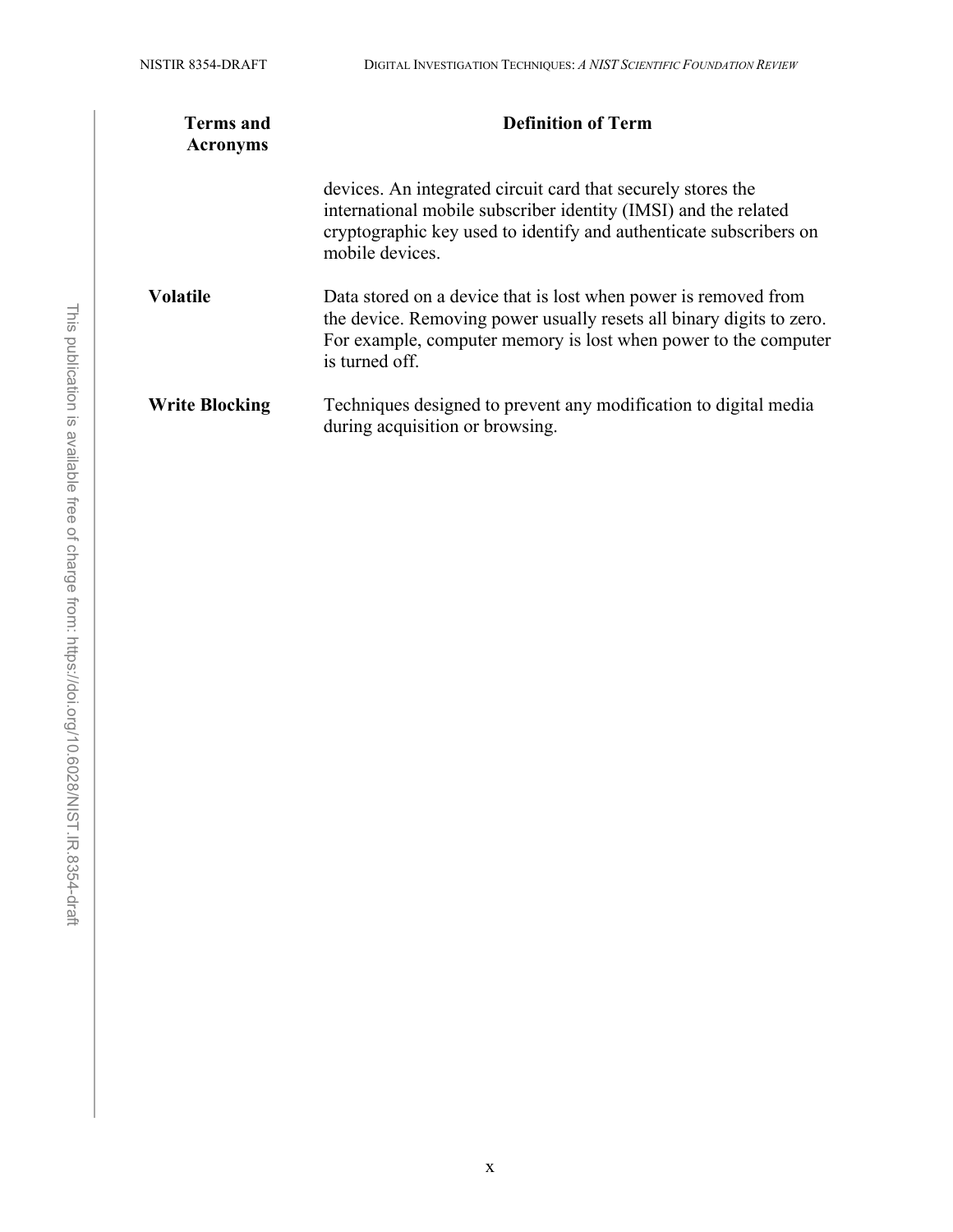| <b>Terms and</b><br><b>Acronyms</b> | <b>Definition of Term</b>                                                                                                                                                                                                    |  |  |
|-------------------------------------|------------------------------------------------------------------------------------------------------------------------------------------------------------------------------------------------------------------------------|--|--|
|                                     | devices. An integrated circuit card that securely stores the<br>international mobile subscriber identity (IMSI) and the related<br>cryptographic key used to identify and authenticate subscribers on<br>mobile devices.     |  |  |
| <b>Volatile</b>                     | Data stored on a device that is lost when power is removed from<br>the device. Removing power usually resets all binary digits to zero.<br>For example, computer memory is lost when power to the computer<br>is turned off. |  |  |
| <b>Write Blocking</b>               | Techniques designed to prevent any modification to digital media<br>during acquisition or browsing.                                                                                                                          |  |  |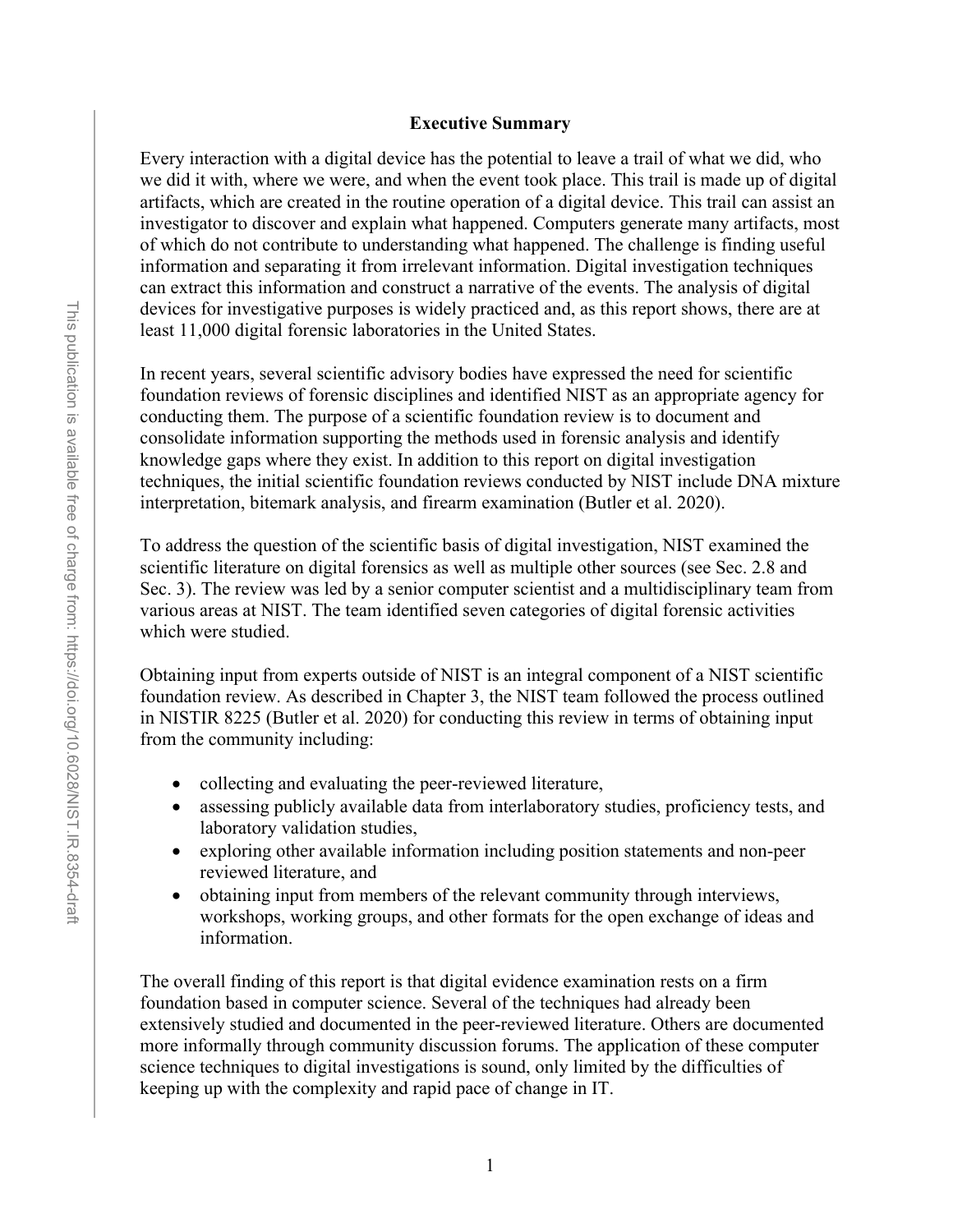#### **Executive Summary**

<span id="page-13-0"></span>Every interaction with a digital device has the potential to leave a trail of what we did, who we did it with, where we were, and when the event took place. This trail is made up of digital artifacts, which are created in the routine operation of a digital device. This trail can assist an investigator to discover and explain what happened. Computers generate many artifacts, most of which do not contribute to understanding what happened. The challenge is finding useful information and separating it from irrelevant information. Digital investigation techniques can extract this information and construct a narrative of the events. The analysis of digital devices for investigative purposes is widely practiced and, as this report shows, there are at least 11,000 digital forensic laboratories in the United States.

In recent years, several scientific advisory bodies have expressed the need for scientific foundation reviews of forensic disciplines and identified NIST as an appropriate agency for conducting them. The purpose of a scientific foundation review is to document and consolidate information supporting the methods used in forensic analysis and identify knowledge gaps where they exist. In addition to this report on digital investigation techniques, the initial scientific foundation reviews conducted by NIST include DNA mixture interpretation, bitemark analysis, and firearm examination (Butler et al. 2020).

To address the question of the scientific basis of digital investigation, NIST examined the scientific literature on digital forensics as well as multiple other sources (see Sec. 2.8 and Sec. 3). The review was led by a senior computer scientist and a multidisciplinary team from various areas at NIST. The team identified seven categories of digital forensic activities which were studied.

Obtaining input from experts outside of NIST is an integral component of a NIST scientific foundation review. As described in Chapter 3, the NIST team followed the process outlined in NISTIR 8225 (Butler et al. 2020) for conducting this review in terms of obtaining input from the community including:

- collecting and evaluating the peer-reviewed literature,
- assessing publicly available data from interlaboratory studies, proficiency tests, and laboratory validation studies,
- exploring other available information including position statements and non-peer reviewed literature, and
- obtaining input from members of the relevant community through interviews, workshops, working groups, and other formats for the open exchange of ideas and information.

The overall finding of this report is that digital evidence examination rests on a firm foundation based in computer science. Several of the techniques had already been extensively studied and documented in the peer-reviewed literature. Others are documented more informally through community discussion forums. The application of these computer science techniques to digital investigations is sound, only limited by the difficulties of keeping up with the complexity and rapid pace of change in IT.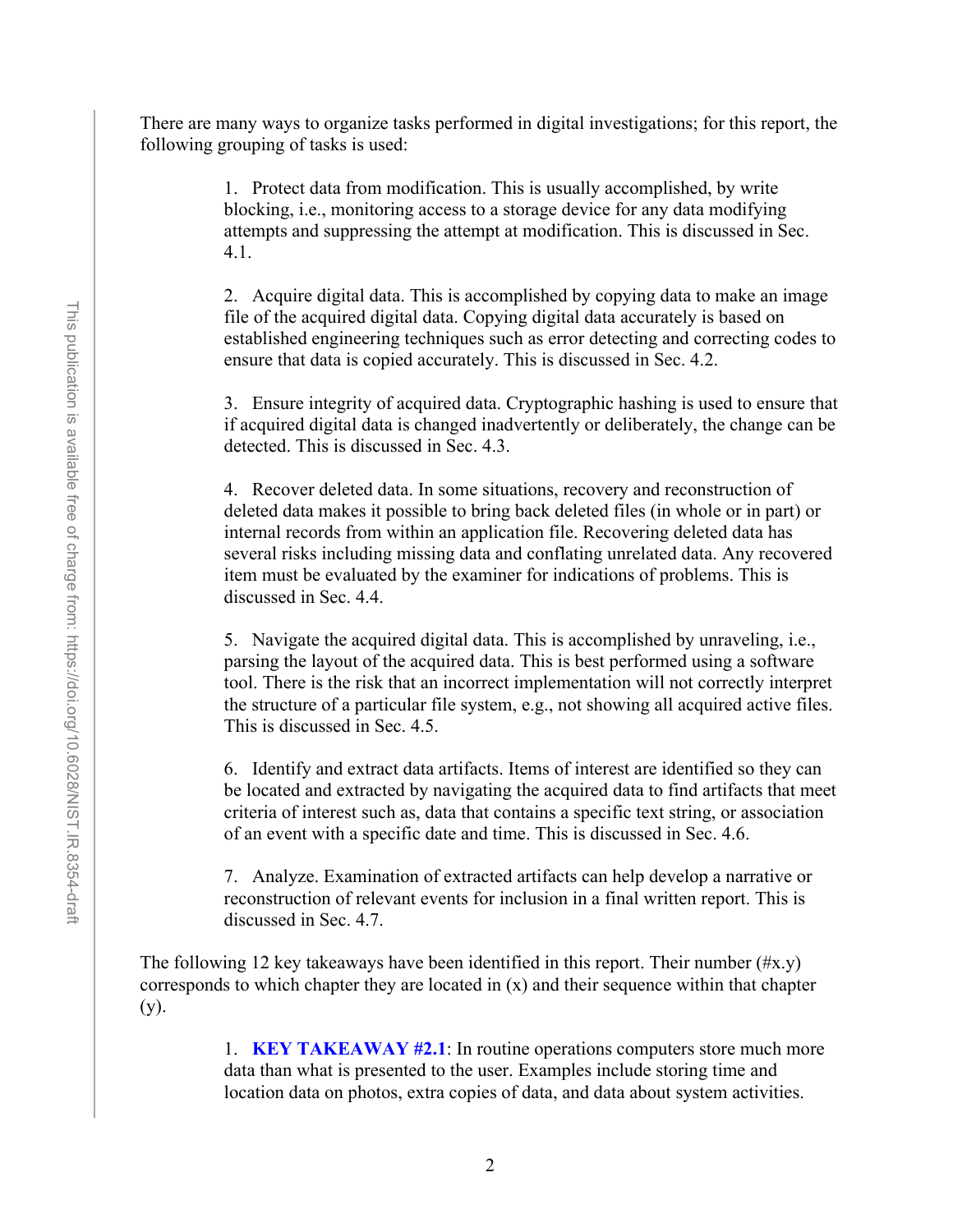There are many ways to organize tasks performed in digital investigations; for this report, the following grouping of tasks is used:

> 1. Protect data from modification. This is usually accomplished, by write blocking, i.e., monitoring access to a storage device for any data modifying attempts and suppressing the attempt at modification. This is discussed in Sec. 4.1.

2. Acquire digital data. This is accomplished by copying data to make an image file of the acquired digital data. Copying digital data accurately is based on established engineering techniques such as error detecting and correcting codes to ensure that data is copied accurately. This is discussed in Sec. 4.2.

3. Ensure integrity of acquired data. Cryptographic hashing is used to ensure that if acquired digital data is changed inadvertently or deliberately, the change can be detected. This is discussed in Sec. 4.3.

4. Recover deleted data. In some situations, recovery and reconstruction of deleted data makes it possible to bring back deleted files (in whole or in part) or internal records from within an application file. Recovering deleted data has several risks including missing data and conflating unrelated data. Any recovered item must be evaluated by the examiner for indications of problems. This is discussed in Sec. 4.4.

5. Navigate the acquired digital data. This is accomplished by unraveling, i.e., parsing the layout of the acquired data. This is best performed using a software tool. There is the risk that an incorrect implementation will not correctly interpret the structure of a particular file system, e.g., not showing all acquired active files. This is discussed in Sec. 4.5.

6. Identify and extract data artifacts. Items of interest are identified so they can be located and extracted by navigating the acquired data to find artifacts that meet criteria of interest such as, data that contains a specific text string, or association of an event with a specific date and time. This is discussed in Sec. 4.6.

7. Analyze. Examination of extracted artifacts can help develop a narrative or reconstruction of relevant events for inclusion in a final written report. This is discussed in Sec. 4.7.

The following 12 key takeaways have been identified in this report. Their number  $(\#x,y)$ corresponds to which chapter they are located in (x) and their sequence within that chapter (y).

> 1. **KEY TAKEAWAY #2.1**: In routine operations computers store much more data than what is presented to the user. Examples include storing time and location data on photos, extra copies of data, and data about system activities.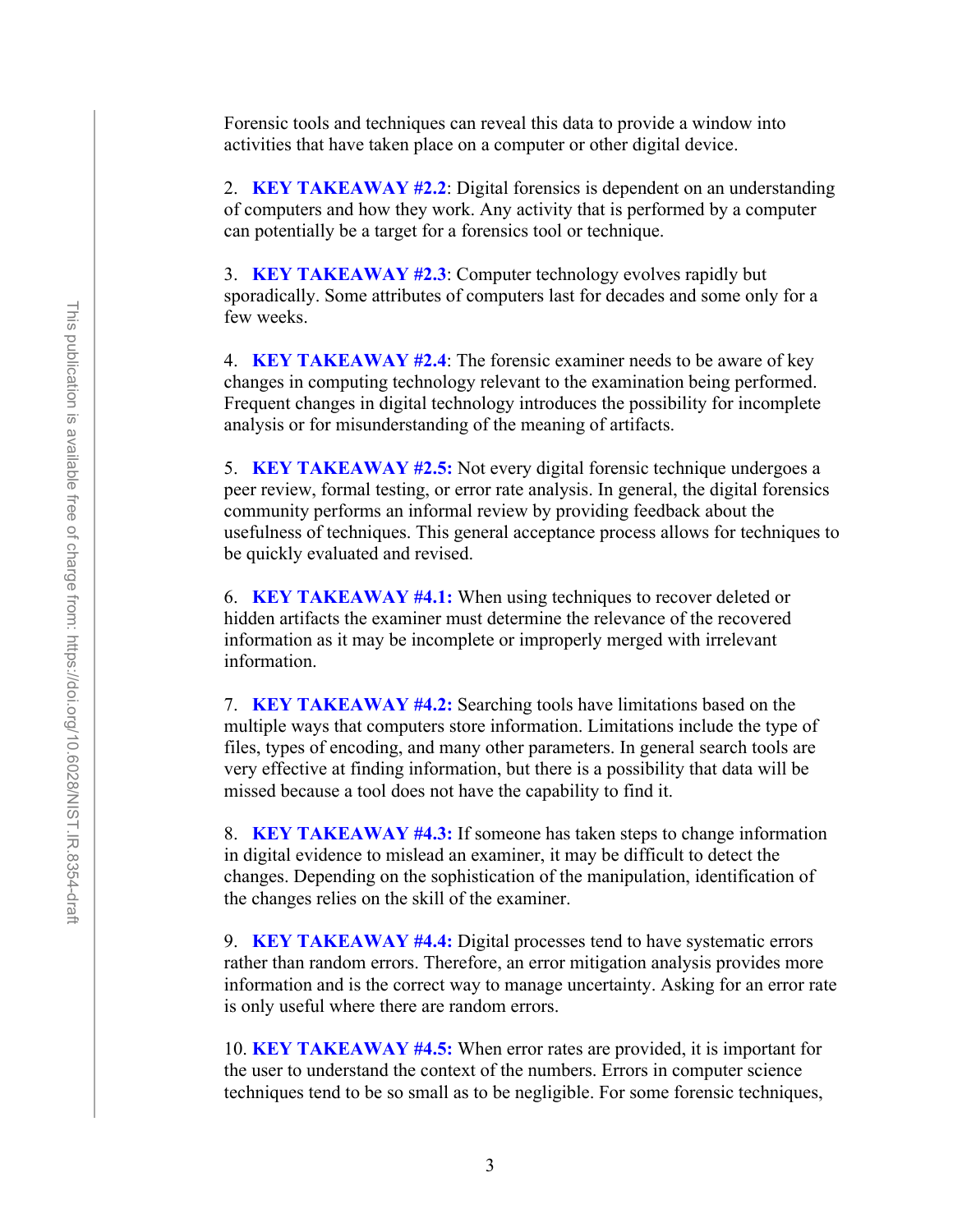Forensic tools and techniques can reveal this data to provide a window into activities that have taken place on a computer or other digital device.

2. **KEY TAKEAWAY #2.2**: Digital forensics is dependent on an understanding of computers and how they work. Any activity that is performed by a computer can potentially be a target for a forensics tool or technique.

3. **KEY TAKEAWAY #2.3**: Computer technology evolves rapidly but sporadically. Some attributes of computers last for decades and some only for a few weeks.

4. **KEY TAKEAWAY #2.4**: The forensic examiner needs to be aware of key changes in computing technology relevant to the examination being performed. Frequent changes in digital technology introduces the possibility for incomplete analysis or for misunderstanding of the meaning of artifacts.

5. **KEY TAKEAWAY #2.5:** Not every digital forensic technique undergoes a peer review, formal testing, or error rate analysis. In general, the digital forensics community performs an informal review by providing feedback about the usefulness of techniques. This general acceptance process allows for techniques to be quickly evaluated and revised.

6. **KEY TAKEAWAY #4.1:** When using techniques to recover deleted or hidden artifacts the examiner must determine the relevance of the recovered information as it may be incomplete or improperly merged with irrelevant information.

7. **KEY TAKEAWAY #4.2:** Searching tools have limitations based on the multiple ways that computers store information. Limitations include the type of files, types of encoding, and many other parameters. In general search tools are very effective at finding information, but there is a possibility that data will be missed because a tool does not have the capability to find it.

8. **KEY TAKEAWAY #4.3:** If someone has taken steps to change information in digital evidence to mislead an examiner, it may be difficult to detect the changes. Depending on the sophistication of the manipulation, identification of the changes relies on the skill of the examiner.

9. **KEY TAKEAWAY #4.4:** Digital processes tend to have systematic errors rather than random errors. Therefore, an error mitigation analysis provides more information and is the correct way to manage uncertainty. Asking for an error rate is only useful where there are random errors.

10. **KEY TAKEAWAY #4.5:** When error rates are provided, it is important for the user to understand the context of the numbers. Errors in computer science techniques tend to be so small as to be negligible. For some forensic techniques,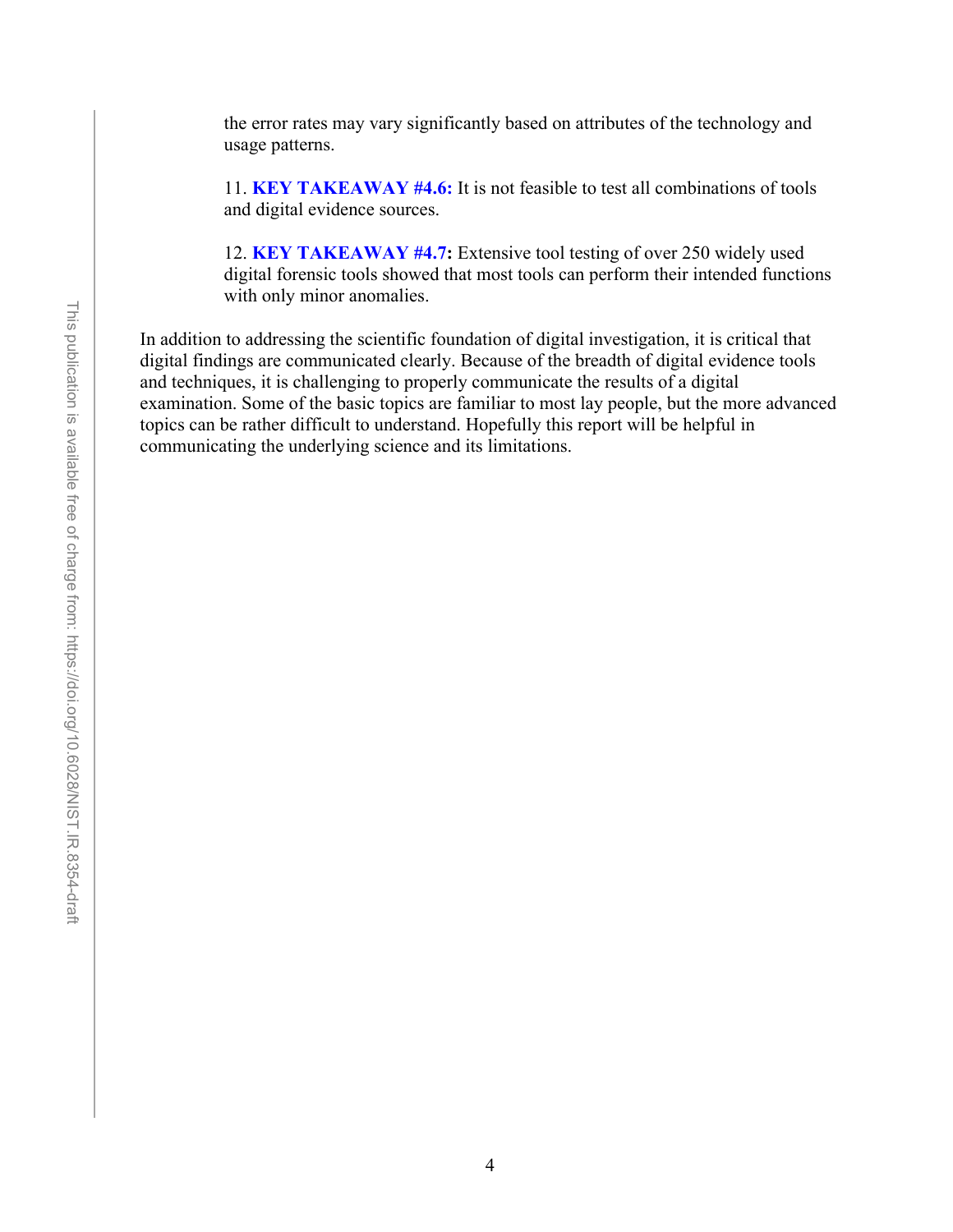the error rates may vary significantly based on attributes of the technology and usage patterns.

11. **KEY TAKEAWAY #4.6:** It is not feasible to test all combinations of tools and digital evidence sources.

12. **KEY TAKEAWAY #4.7:** Extensive tool testing of over 250 widely used digital forensic tools showed that most tools can perform their intended functions with only minor anomalies.

In addition to addressing the scientific foundation of digital investigation, it is critical that digital findings are communicated clearly. Because of the breadth of digital evidence tools and techniques, it is challenging to properly communicate the results of a digital examination. Some of the basic topics are familiar to most lay people, but the more advanced topics can be rather difficult to understand. Hopefully this report will be helpful in communicating the underlying science and its limitations.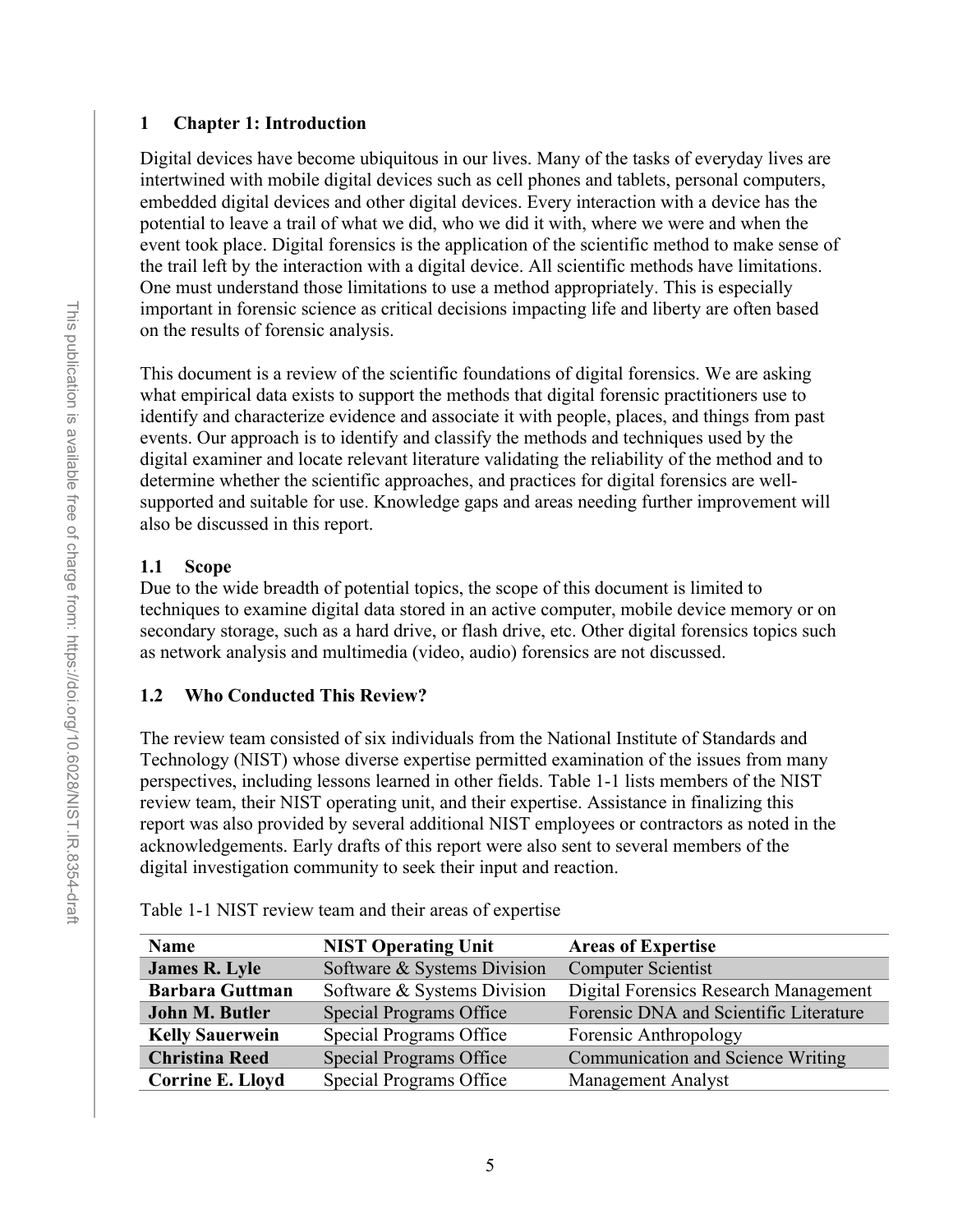#### <span id="page-17-0"></span>**1 Chapter 1: Introduction**

Digital devices have become ubiquitous in our lives. Many of the tasks of everyday lives are intertwined with mobile digital devices such as cell phones and tablets, personal computers, embedded digital devices and other digital devices. Every interaction with a device has the potential to leave a trail of what we did, who we did it with, where we were and when the event took place. Digital forensics is the application of the scientific method to make sense of the trail left by the interaction with a digital device. All scientific methods have limitations. One must understand those limitations to use a method appropriately. This is especially important in forensic science as critical decisions impacting life and liberty are often based on the results of forensic analysis.

This document is a review of the scientific foundations of digital forensics. We are asking what empirical data exists to support the methods that digital forensic practitioners use to identify and characterize evidence and associate it with people, places, and things from past events. Our approach is to identify and classify the methods and techniques used by the digital examiner and locate relevant literature validating the reliability of the method and to determine whether the scientific approaches, and practices for digital forensics are wellsupported and suitable for use. Knowledge gaps and areas needing further improvement will also be discussed in this report.

# <span id="page-17-1"></span>**1.1 Scope**

Due to the wide breadth of potential topics, the scope of this document is limited to techniques to examine digital data stored in an active computer, mobile device memory or on secondary storage, such as a hard drive, or flash drive, etc. Other digital forensics topics such as network analysis and multimedia (video, audio) forensics are not discussed.

# <span id="page-17-2"></span>**1.2 Who Conducted This Review?**

The review team consisted of six individuals from the National Institute of Standards and Technology (NIST) whose diverse expertise permitted examination of the issues from many perspectives, including lessons learned in other fields. [Table 1-1](#page-17-3) lists members of the NIST review team, their NIST operating unit, and their expertise. Assistance in finalizing this report was also provided by several additional NIST employees or contractors as noted in the acknowledgements. Early drafts of this report were also sent to several members of the digital investigation community to seek their input and reaction.

| <b>NIST Operating Unit</b>     | <b>Areas of Expertise</b>              |
|--------------------------------|----------------------------------------|
| Software & Systems Division    | <b>Computer Scientist</b>              |
| Software & Systems Division    | Digital Forensics Research Management  |
| <b>Special Programs Office</b> | Forensic DNA and Scientific Literature |
| Special Programs Office        | Forensic Anthropology                  |
| <b>Special Programs Office</b> | Communication and Science Writing      |
| <b>Special Programs Office</b> | <b>Management Analyst</b>              |
|                                |                                        |

<span id="page-17-3"></span>

|  | Table 1-1 NIST review team and their areas of expertise |  |  |
|--|---------------------------------------------------------|--|--|
|  |                                                         |  |  |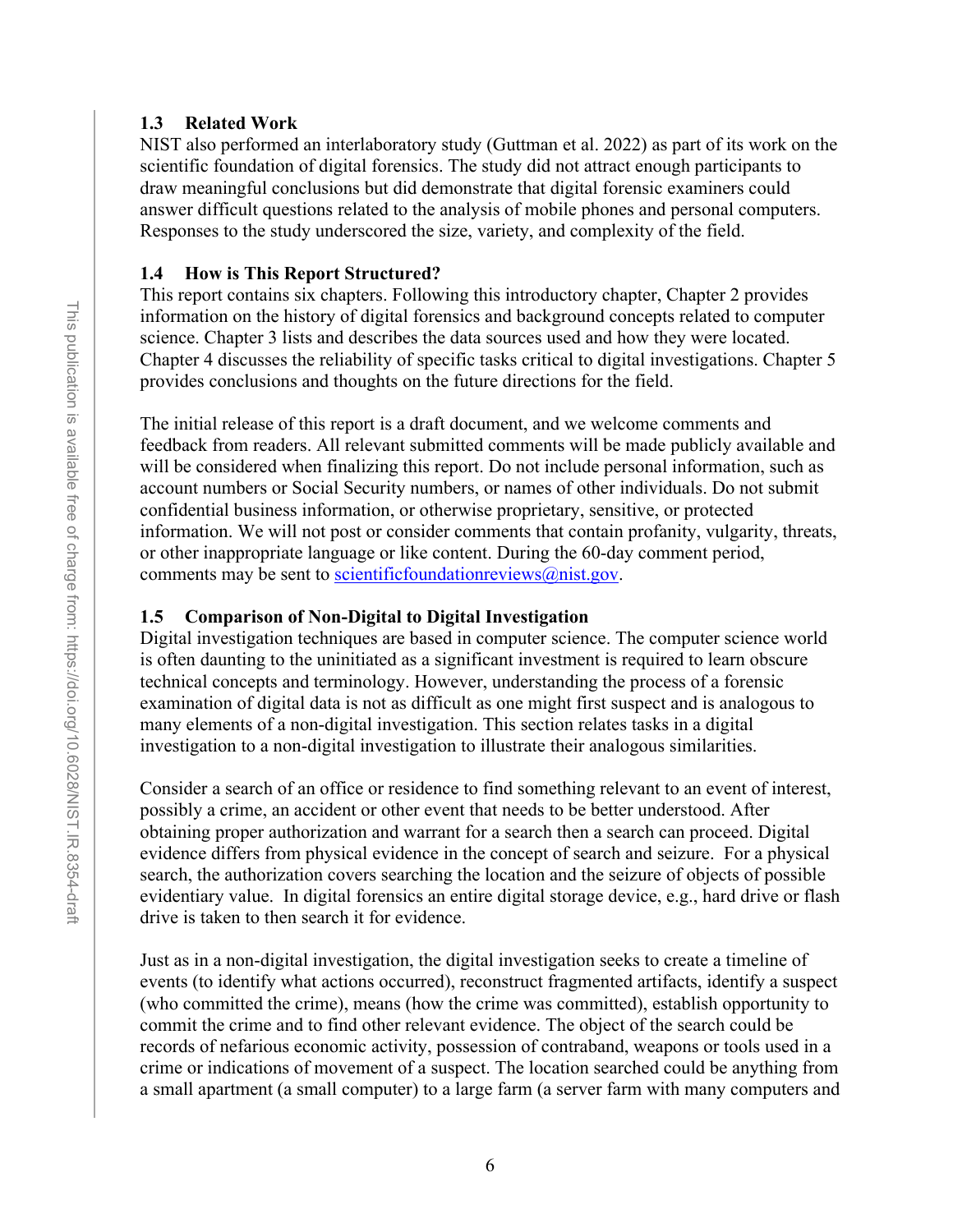#### <span id="page-18-0"></span>**1.3 Related Work**

NIST also performed an interlaboratory study (Guttman et al. 2022) as part of its work on the scientific foundation of digital forensics. The study did not attract enough participants to draw meaningful conclusions but did demonstrate that digital forensic examiners could answer difficult questions related to the analysis of mobile phones and personal computers. Responses to the study underscored the size, variety, and complexity of the field.

#### <span id="page-18-1"></span>**1.4 How is This Report Structured?**

This report contains six chapters. Following this introductory chapter, Chapter 2 provides information on the history of digital forensics and background concepts related to computer science. Chapter 3 lists and describes the data sources used and how they were located. Chapter 4 discusses the reliability of specific tasks critical to digital investigations. Chapter 5 provides conclusions and thoughts on the future directions for the field.

The initial release of this report is a draft document, and we welcome comments and feedback from readers. All relevant submitted comments will be made publicly available and will be considered when finalizing this report. Do not include personal information, such as account numbers or Social Security numbers, or names of other individuals. Do not submit confidential business information, or otherwise proprietary, sensitive, or protected information. We will not post or consider comments that contain profanity, vulgarity, threats, or other inappropriate language or like content. During the 60-day comment period, comments may be sent to scientific foundation reviews  $(a)$  nist.gov.

### <span id="page-18-2"></span>**1.5 Comparison of Non-Digital to Digital Investigation**

Digital investigation techniques are based in computer science. The computer science world is often daunting to the uninitiated as a significant investment is required to learn obscure technical concepts and terminology. However, understanding the process of a forensic examination of digital data is not as difficult as one might first suspect and is analogous to many elements of a non-digital investigation. This section relates tasks in a digital investigation to a non-digital investigation to illustrate their analogous similarities.

Consider a search of an office or residence to find something relevant to an event of interest, possibly a crime, an accident or other event that needs to be better understood. After obtaining proper authorization and warrant for a search then a search can proceed. Digital evidence differs from physical evidence in the concept of search and seizure. For a physical search, the authorization covers searching the location and the seizure of objects of possible evidentiary value. In digital forensics an entire digital storage device, e.g., hard drive or flash drive is taken to then search it for evidence.

Just as in a non-digital investigation, the digital investigation seeks to create a timeline of events (to identify what actions occurred), reconstruct fragmented artifacts, identify a suspect (who committed the crime), means (how the crime was committed), establish opportunity to commit the crime and to find other relevant evidence. The object of the search could be records of nefarious economic activity, possession of contraband, weapons or tools used in a crime or indications of movement of a suspect. The location searched could be anything from a small apartment (a small computer) to a large farm (a server farm with many computers and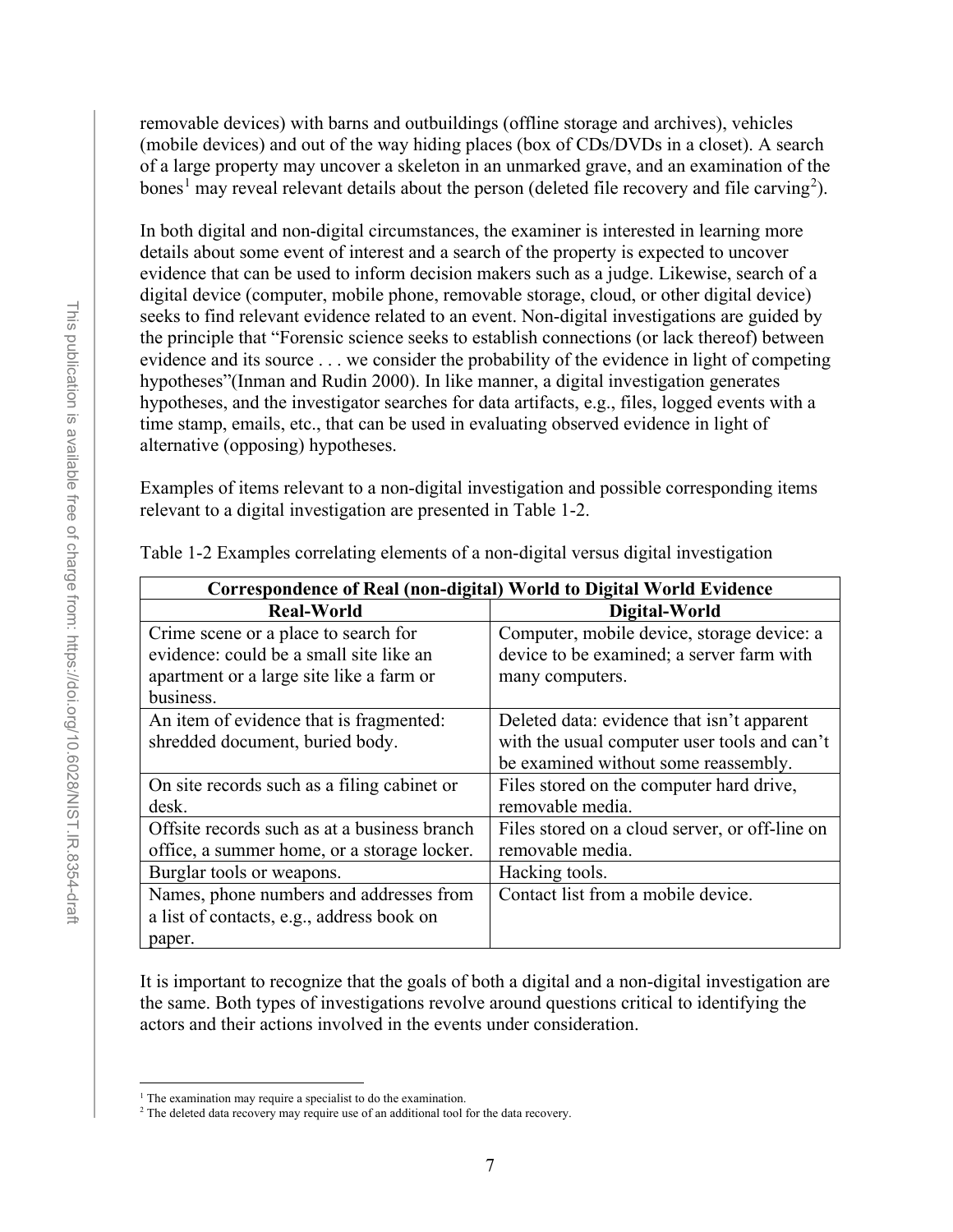removable devices) with barns and outbuildings (offline storage and archives), vehicles (mobile devices) and out of the way hiding places (box of CDs/DVDs in a closet). A search of a large property may uncover a skeleton in an unmarked grave, and an examination of the bones<sup>[1](#page-19-1)</sup> may reveal relevant details about the person (deleted file recovery and file carving<sup>[2](#page-19-2)</sup>).

In both digital and non-digital circumstances, the examiner is interested in learning more details about some event of interest and a search of the property is expected to uncover evidence that can be used to inform decision makers such as a judge. Likewise, search of a digital device (computer, mobile phone, removable storage, cloud, or other digital device) seeks to find relevant evidence related to an event. Non-digital investigations are guided by the principle that "Forensic science seeks to establish connections (or lack thereof) between evidence and its source . . . we consider the probability of the evidence in light of competing hypotheses"(Inman and Rudin 2000). In like manner, a digital investigation generates hypotheses, and the investigator searches for data artifacts, e.g., files, logged events with a time stamp, emails, etc., that can be used in evaluating observed evidence in light of alternative (opposing) hypotheses.

Examples of items relevant to a non-digital investigation and possible corresponding items relevant to a digital investigation are presented in [Table 1-2.](#page-19-0)

| Correspondence of Real (non-digital) World to Digital World Evidence |                                                |  |
|----------------------------------------------------------------------|------------------------------------------------|--|
| <b>Real-World</b>                                                    | Digital-World                                  |  |
| Crime scene or a place to search for                                 | Computer, mobile device, storage device: a     |  |
| evidence: could be a small site like an                              | device to be examined; a server farm with      |  |
| apartment or a large site like a farm or                             | many computers.                                |  |
| business.                                                            |                                                |  |
| An item of evidence that is fragmented:                              | Deleted data: evidence that isn't apparent     |  |
| shredded document, buried body.                                      | with the usual computer user tools and can't   |  |
|                                                                      | be examined without some reassembly.           |  |
| On site records such as a filing cabinet or                          | Files stored on the computer hard drive,       |  |
| desk.                                                                | removable media.                               |  |
| Offsite records such as at a business branch                         | Files stored on a cloud server, or off-line on |  |
| office, a summer home, or a storage locker.                          | removable media.                               |  |
| Burglar tools or weapons.                                            | Hacking tools.                                 |  |
| Names, phone numbers and addresses from                              | Contact list from a mobile device.             |  |
| a list of contacts, e.g., address book on                            |                                                |  |
| paper.                                                               |                                                |  |

<span id="page-19-0"></span>Table 1-2 Examples correlating elements of a non-digital versus digital investigation

It is important to recognize that the goals of both a digital and a non-digital investigation are the same. Both types of investigations revolve around questions critical to identifying the actors and their actions involved in the events under consideration.

<sup>&</sup>lt;sup>1</sup> The examination may require a specialist to do the examination.

<span id="page-19-2"></span><span id="page-19-1"></span><sup>&</sup>lt;sup>2</sup> The deleted data recovery may require use of an additional tool for the data recovery.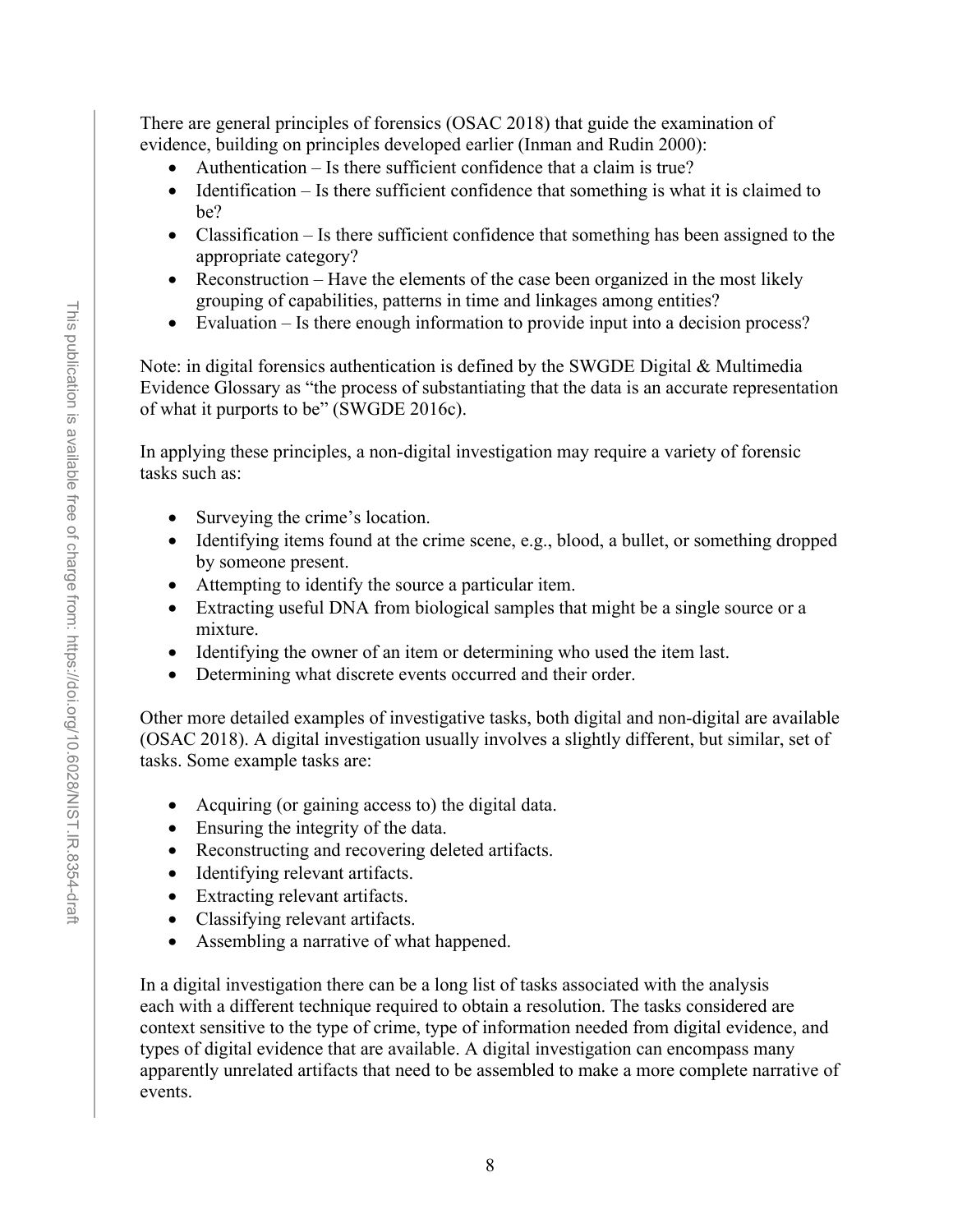There are general principles of forensics (OSAC 2018) that guide the examination of evidence, building on principles developed earlier (Inman and Rudin 2000):

- Authentication Is there sufficient confidence that a claim is true?
- Identification Is there sufficient confidence that something is what it is claimed to be?
- Classification Is there sufficient confidence that something has been assigned to the appropriate category?
- Reconstruction Have the elements of the case been organized in the most likely grouping of capabilities, patterns in time and linkages among entities?
- Evaluation Is there enough information to provide input into a decision process?

Note: in digital forensics authentication is defined by the SWGDE Digital & Multimedia Evidence Glossary as "the process of substantiating that the data is an accurate representation of what it purports to be" (SWGDE 2016c).

In applying these principles, a non-digital investigation may require a variety of forensic tasks such as:

- Surveying the crime's location.
- Identifying items found at the crime scene, e.g., blood, a bullet, or something dropped by someone present.
- Attempting to identify the source a particular item.
- Extracting useful DNA from biological samples that might be a single source or a mixture.
- Identifying the owner of an item or determining who used the item last.
- Determining what discrete events occurred and their order.

Other more detailed examples of investigative tasks, both digital and non-digital are available (OSAC 2018). A digital investigation usually involves a slightly different, but similar, set of tasks. Some example tasks are:

- Acquiring (or gaining access to) the digital data.
- Ensuring the integrity of the data.
- Reconstructing and recovering deleted artifacts.
- Identifying relevant artifacts.
- Extracting relevant artifacts.
- Classifying relevant artifacts.
- Assembling a narrative of what happened.

In a digital investigation there can be a long list of tasks associated with the analysis each with a different technique required to obtain a resolution. The tasks considered are context sensitive to the type of crime, type of information needed from digital evidence, and types of digital evidence that are available. A digital investigation can encompass many apparently unrelated artifacts that need to be assembled to make a more complete narrative of events.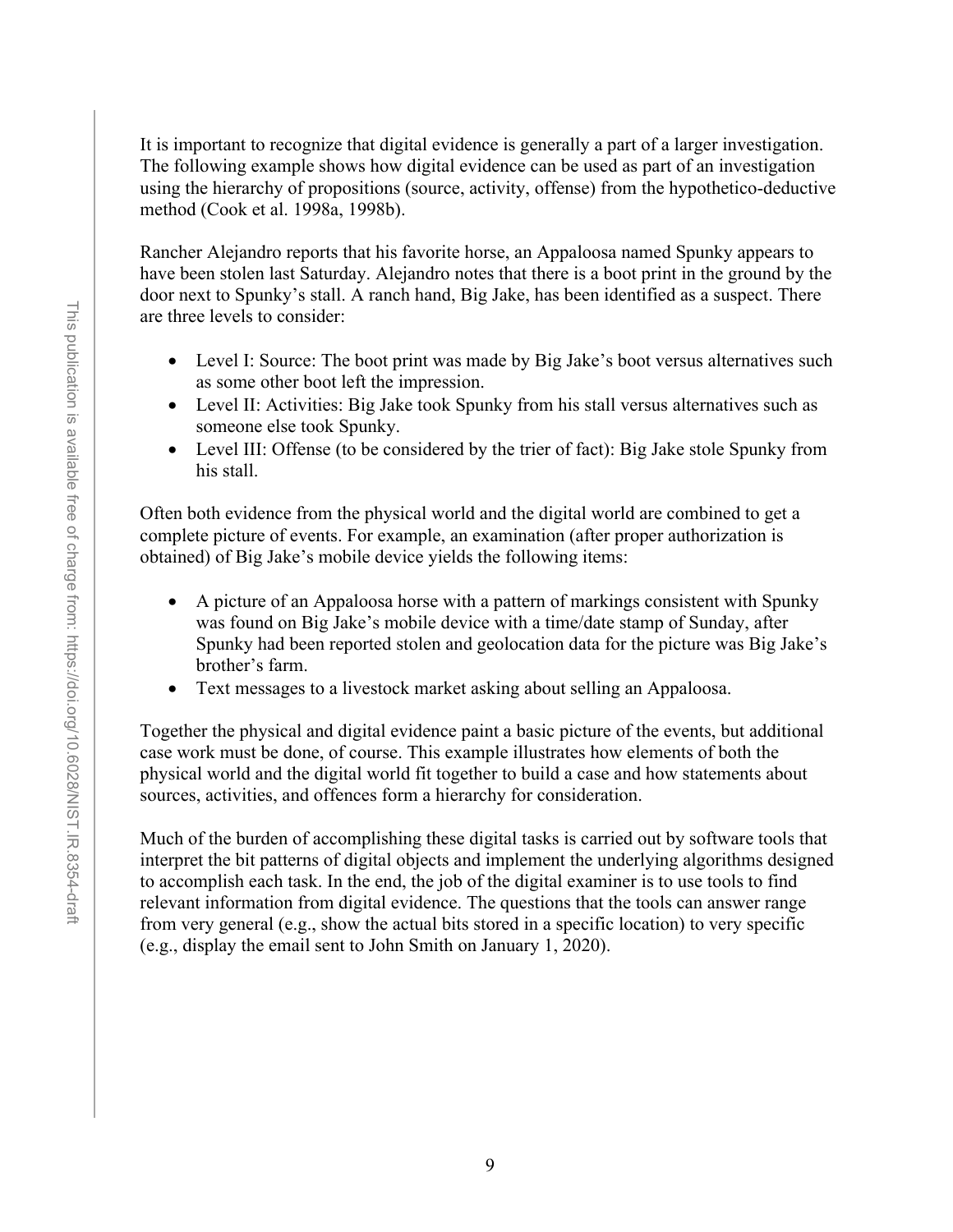It is important to recognize that digital evidence is generally a part of a larger investigation. The following example shows how digital evidence can be used as part of an investigation using the hierarchy of propositions (source, activity, offense) from the hypothetico-deductive method (Cook et al. 1998a, 1998b).

Rancher Alejandro reports that his favorite horse, an Appaloosa named Spunky appears to have been stolen last Saturday. Alejandro notes that there is a boot print in the ground by the door next to Spunky's stall. A ranch hand, Big Jake, has been identified as a suspect. There are three levels to consider:

- Level I: Source: The boot print was made by Big Jake's boot versus alternatives such as some other boot left the impression.
- Level II: Activities: Big Jake took Spunky from his stall versus alternatives such as someone else took Spunky.
- Level III: Offense (to be considered by the trier of fact): Big Jake stole Spunky from his stall.

Often both evidence from the physical world and the digital world are combined to get a complete picture of events. For example, an examination (after proper authorization is obtained) of Big Jake's mobile device yields the following items:

- A picture of an Appaloosa horse with a pattern of markings consistent with Spunky was found on Big Jake's mobile device with a time/date stamp of Sunday, after Spunky had been reported stolen and geolocation data for the picture was Big Jake's brother's farm.
- Text messages to a livestock market asking about selling an Appaloosa.

Together the physical and digital evidence paint a basic picture of the events, but additional case work must be done, of course. This example illustrates how elements of both the physical world and the digital world fit together to build a case and how statements about sources, activities, and offences form a hierarchy for consideration.

Much of the burden of accomplishing these digital tasks is carried out by software tools that interpret the bit patterns of digital objects and implement the underlying algorithms designed to accomplish each task. In the end, the job of the digital examiner is to use tools to find relevant information from digital evidence. The questions that the tools can answer range from very general (e.g., show the actual bits stored in a specific location) to very specific (e.g., display the email sent to John Smith on January 1, 2020).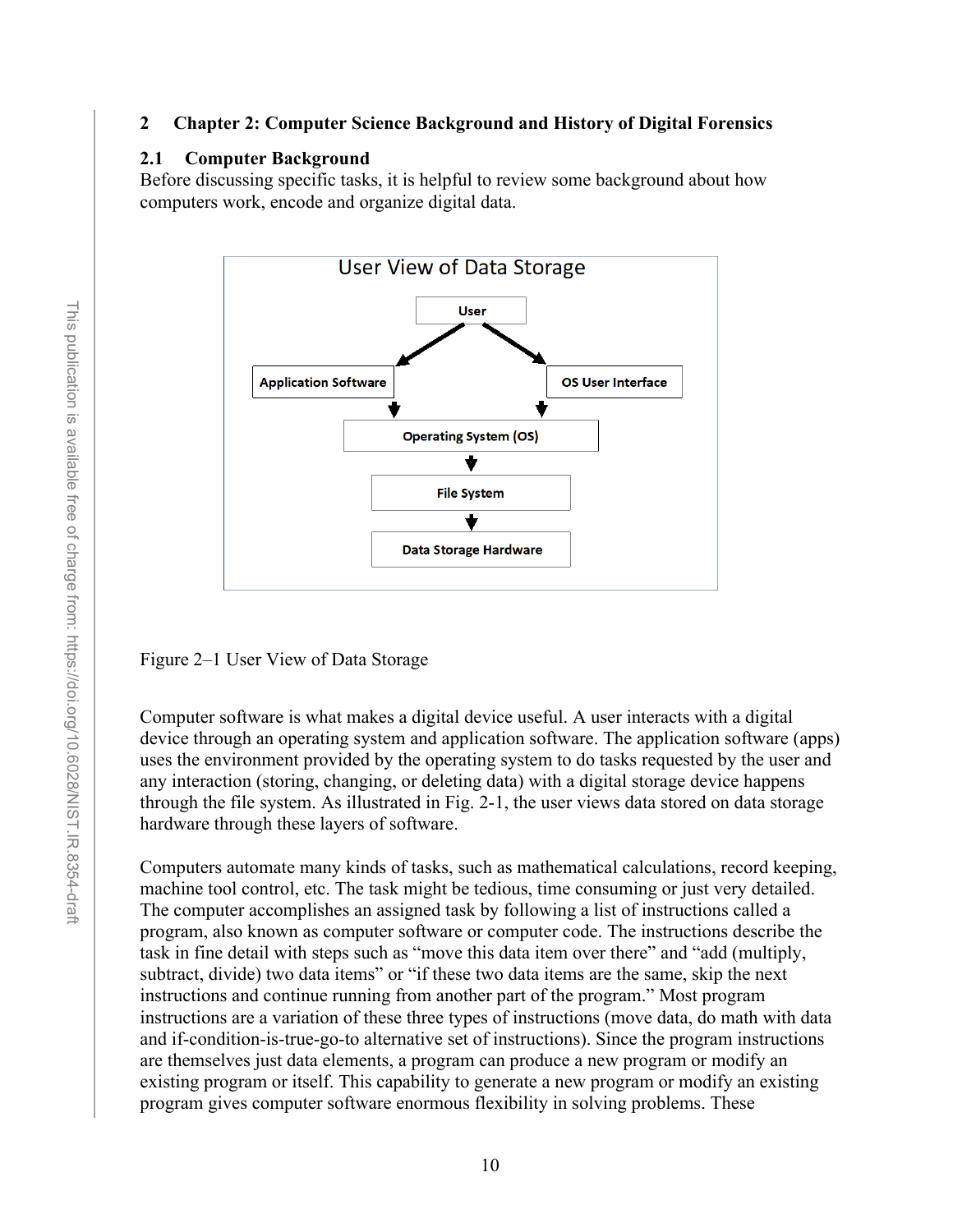#### <span id="page-22-0"></span>**2 Chapter 2: Computer Science Background and History of Digital Forensics**

#### <span id="page-22-1"></span>**2.1 Computer Background**

Before discussing specific tasks, it is helpful to review some background about how computers work, encode and organize digital data.



Figure 2–1 User View of Data Storage

Computer software is what makes a digital device useful. A user interacts with a digital device through an operating system and application software. The application software (apps) uses the environment provided by the operating system to do tasks requested by the user and any interaction (storing, changing, or deleting data) with a digital storage device happens through the file system. As illustrated in Fig. 2-1, the user views data stored on data storage hardware through these layers of software.

Computers automate many kinds of tasks, such as mathematical calculations, record keeping, machine tool control, etc. The task might be tedious, time consuming or just very detailed. The computer accomplishes an assigned task by following a list of instructions called a program, also known as computer software or computer code. The instructions describe the task in fine detail with steps such as "move this data item over there" and "add (multiply, subtract, divide) two data items" or "if these two data items are the same, skip the next instructions and continue running from another part of the program." Most program instructions are a variation of these three types of instructions (move data, do math with data and if-condition-is-true-go-to alternative set of instructions). Since the program instructions are themselves just data elements, a program can produce a new program or modify an existing program or itself. This capability to generate a new program or modify an existing program gives computer software enormous flexibility in solving problems. These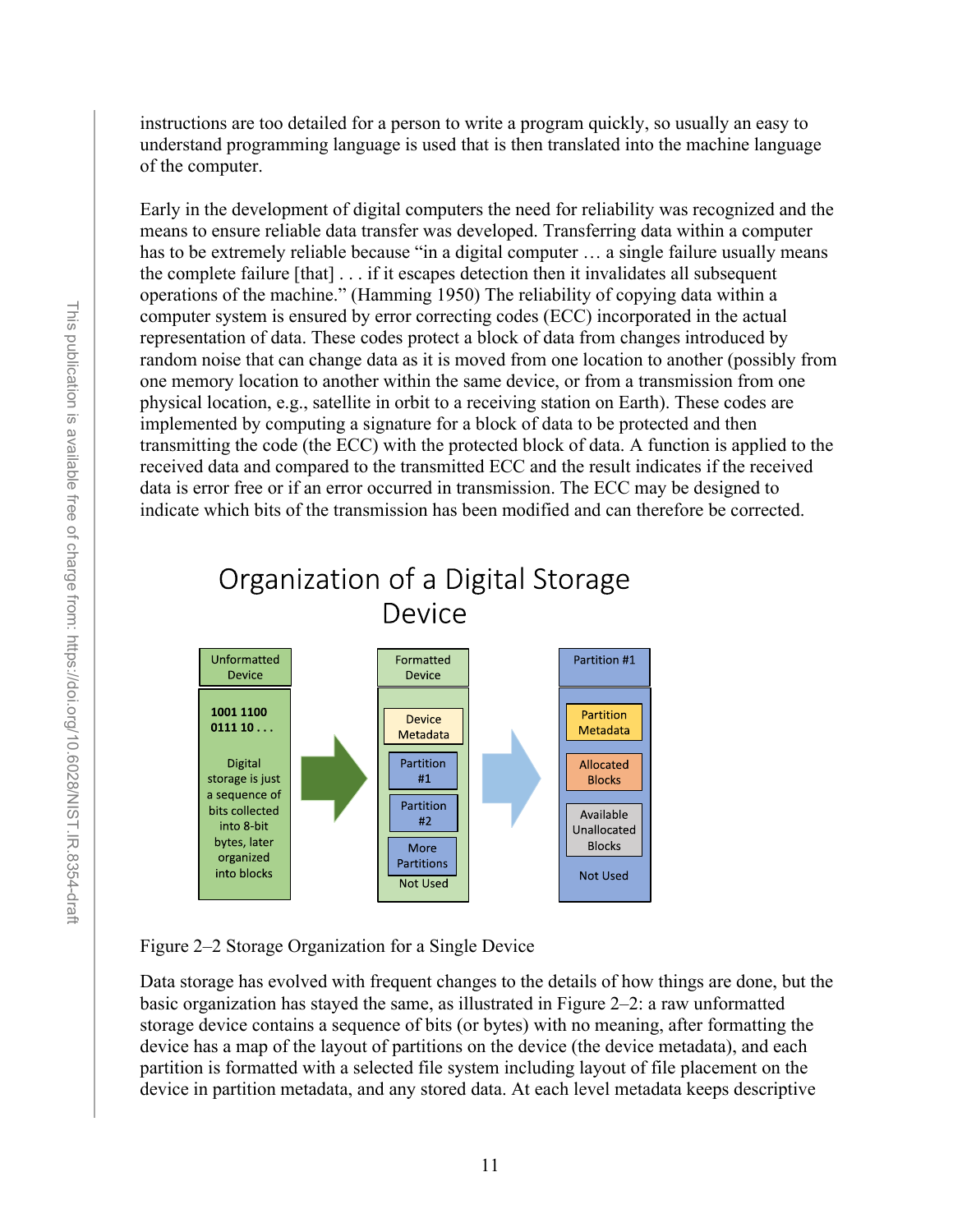instructions are too detailed for a person to write a program quickly, so usually an easy to understand programming language is used that is then translated into the machine language of the computer.

Early in the development of digital computers the need for reliability was recognized and the means to ensure reliable data transfer was developed. Transferring data within a computer has to be extremely reliable because "in a digital computer ... a single failure usually means the complete failure [that] . . . if it escapes detection then it invalidates all subsequent operations of the machine." (Hamming 1950) The reliability of copying data within a computer system is ensured by error correcting codes (ECC) incorporated in the actual representation of data. These codes protect a block of data from changes introduced by random noise that can change data as it is moved from one location to another (possibly from one memory location to another within the same device, or from a transmission from one physical location, e.g., satellite in orbit to a receiving station on Earth). These codes are implemented by computing a signature for a block of data to be protected and then transmitting the code (the ECC) with the protected block of data. A function is applied to the received data and compared to the transmitted ECC and the result indicates if the received data is error free or if an error occurred in transmission. The ECC may be designed to indicate which bits of the transmission has been modified and can therefore be corrected.



Organization of a Digital Storage

Figure 2–2 Storage Organization for a Single Device

Data storage has evolved with frequent changes to the details of how things are done, but the basic organization has stayed the same, as illustrated in Figure 2–2: a raw unformatted storage device contains a sequence of bits (or bytes) with no meaning, after formatting the device has a map of the layout of partitions on the device (the device metadata), and each partition is formatted with a selected file system including layout of file placement on the device in partition metadata, and any stored data. At each level metadata keeps descriptive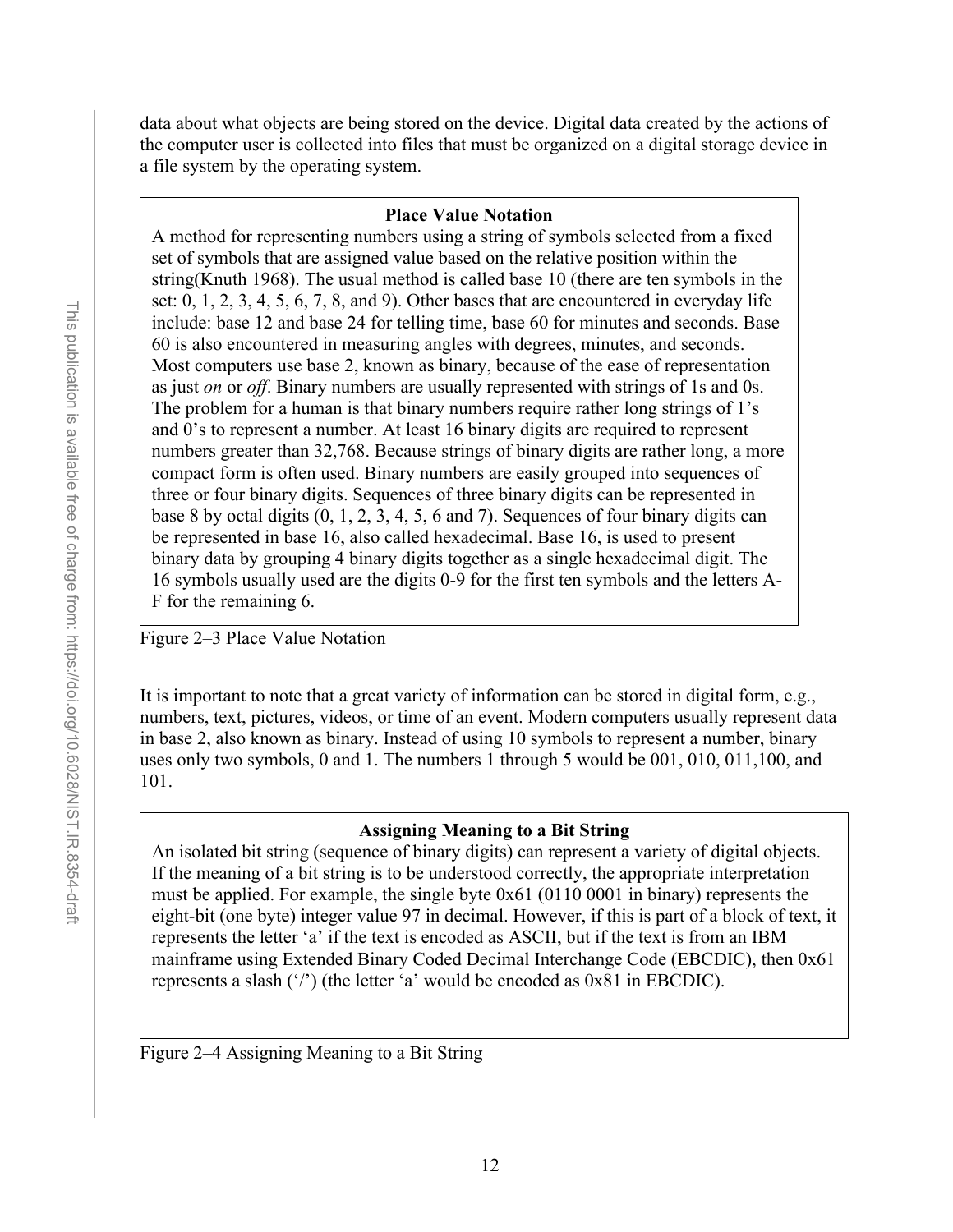data about what objects are being stored on the device. Digital data created by the actions of the computer user is collected into files that must be organized on a digital storage device in a file system by the operating system.

#### **Place Value Notation**

A method for representing numbers using a string of symbols selected from a fixed set of symbols that are assigned value based on the relative position within the string(Knuth 1968). The usual method is called base 10 (there are ten symbols in the set:  $0, 1, 2, 3, 4, 5, 6, 7, 8,$  and 9). Other bases that are encountered in everyday life include: base 12 and base 24 for telling time, base 60 for minutes and seconds. Base 60 is also encountered in measuring angles with degrees, minutes, and seconds. Most computers use base 2, known as binary, because of the ease of representation as just *on* or *off*. Binary numbers are usually represented with strings of 1s and 0s. The problem for a human is that binary numbers require rather long strings of 1's and 0's to represent a number. At least 16 binary digits are required to represent numbers greater than 32,768. Because strings of binary digits are rather long, a more compact form is often used. Binary numbers are easily grouped into sequences of three or four binary digits. Sequences of three binary digits can be represented in base 8 by octal digits  $(0, 1, 2, 3, 4, 5, 6, \text{ and } 7)$ . Sequences of four binary digits can be represented in base 16, also called hexadecimal. Base 16, is used to present binary data by grouping 4 binary digits together as a single hexadecimal digit. The 16 symbols usually used are the digits 0-9 for the first ten symbols and the letters A-F for the remaining 6.

Figure 2–3 Place Value Notation

It is important to note that a great variety of information can be stored in digital form, e.g., numbers, text, pictures, videos, or time of an event. Modern computers usually represent data in base 2, also known as binary. Instead of using 10 symbols to represent a number, binary uses only two symbols, 0 and 1. The numbers 1 through 5 would be 001, 010, 011,100, and 101.

#### **Assigning Meaning to a Bit String**

An isolated bit string (sequence of binary digits) can represent a variety of digital objects. If the meaning of a bit string is to be understood correctly, the appropriate interpretation must be applied. For example, the single byte 0x61 (0110 0001 in binary) represents the eight-bit (one byte) integer value 97 in decimal. However, if this is part of a block of text, it represents the letter 'a' if the text is encoded as ASCII, but if the text is from an IBM mainframe using Extended Binary Coded Decimal Interchange Code (EBCDIC), then 0x61 represents a slash ('/') (the letter 'a' would be encoded as 0x81 in EBCDIC).

Figure 2–4 Assigning Meaning to a Bit String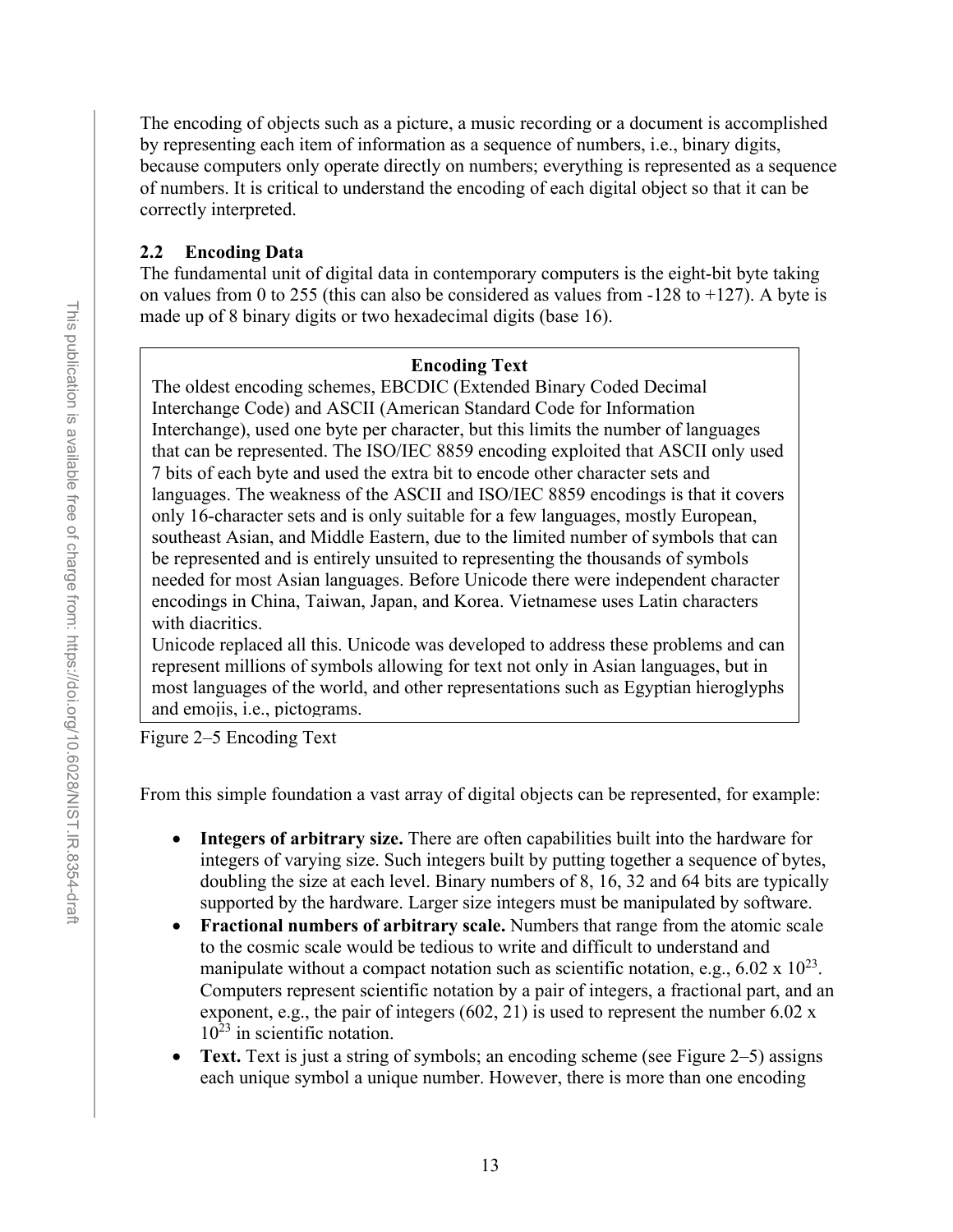The encoding of objects such as a picture, a music recording or a document is accomplished by representing each item of information as a sequence of numbers, i.e., binary digits, because computers only operate directly on numbers; everything is represented as a sequence of numbers. It is critical to understand the encoding of each digital object so that it can be correctly interpreted.

#### <span id="page-25-0"></span>**2.2 Encoding Data**

The fundamental unit of digital data in contemporary computers is the eight-bit byte taking on values from 0 to 255 (this can also be considered as values from -128 to +127). A byte is made up of 8 binary digits or two hexadecimal digits (base 16).

#### **Encoding Text**

The oldest encoding schemes, EBCDIC (Extended Binary Coded Decimal Interchange Code) and ASCII (American Standard Code for Information Interchange), used one byte per character, but this limits the number of languages that can be represented. The ISO/IEC 8859 encoding exploited that ASCII only used 7 bits of each byte and used the extra bit to encode other character sets and languages. The weakness of the ASCII and ISO/IEC 8859 encodings is that it covers only 16-character sets and is only suitable for a few languages, mostly European, southeast Asian, and Middle Eastern, due to the limited number of symbols that can be represented and is entirely unsuited to representing the thousands of symbols needed for most Asian languages. Before Unicode there were independent character encodings in China, Taiwan, Japan, and Korea. Vietnamese uses Latin characters with diacritics.

Unicode replaced all this. Unicode was developed to address these problems and can represent millions of symbols allowing for text not only in Asian languages, but in most languages of the world, and other representations such as Egyptian hieroglyphs and emojis, i.e., pictograms.

Figure 2–5 Encoding Text

From this simple foundation a vast array of digital objects can be represented, for example:

- **Integers of arbitrary size.** There are often capabilities built into the hardware for integers of varying size. Such integers built by putting together a sequence of bytes, doubling the size at each level. Binary numbers of 8, 16, 32 and 64 bits are typically supported by the hardware. Larger size integers must be manipulated by software.
- **Fractional numbers of arbitrary scale.** Numbers that range from the atomic scale to the cosmic scale would be tedious to write and difficult to understand and manipulate without a compact notation such as scientific notation, e.g.,  $6.02 \times 10^{23}$ . Computers represent scientific notation by a pair of integers, a fractional part, and an exponent, e.g., the pair of integers  $(602, 21)$  is used to represent the number 6.02 x  $10^{23}$  in scientific notation.
- **Text.** Text is just a string of symbols; an encoding scheme (see Figure 2–5) assigns each unique symbol a unique number. However, there is more than one encoding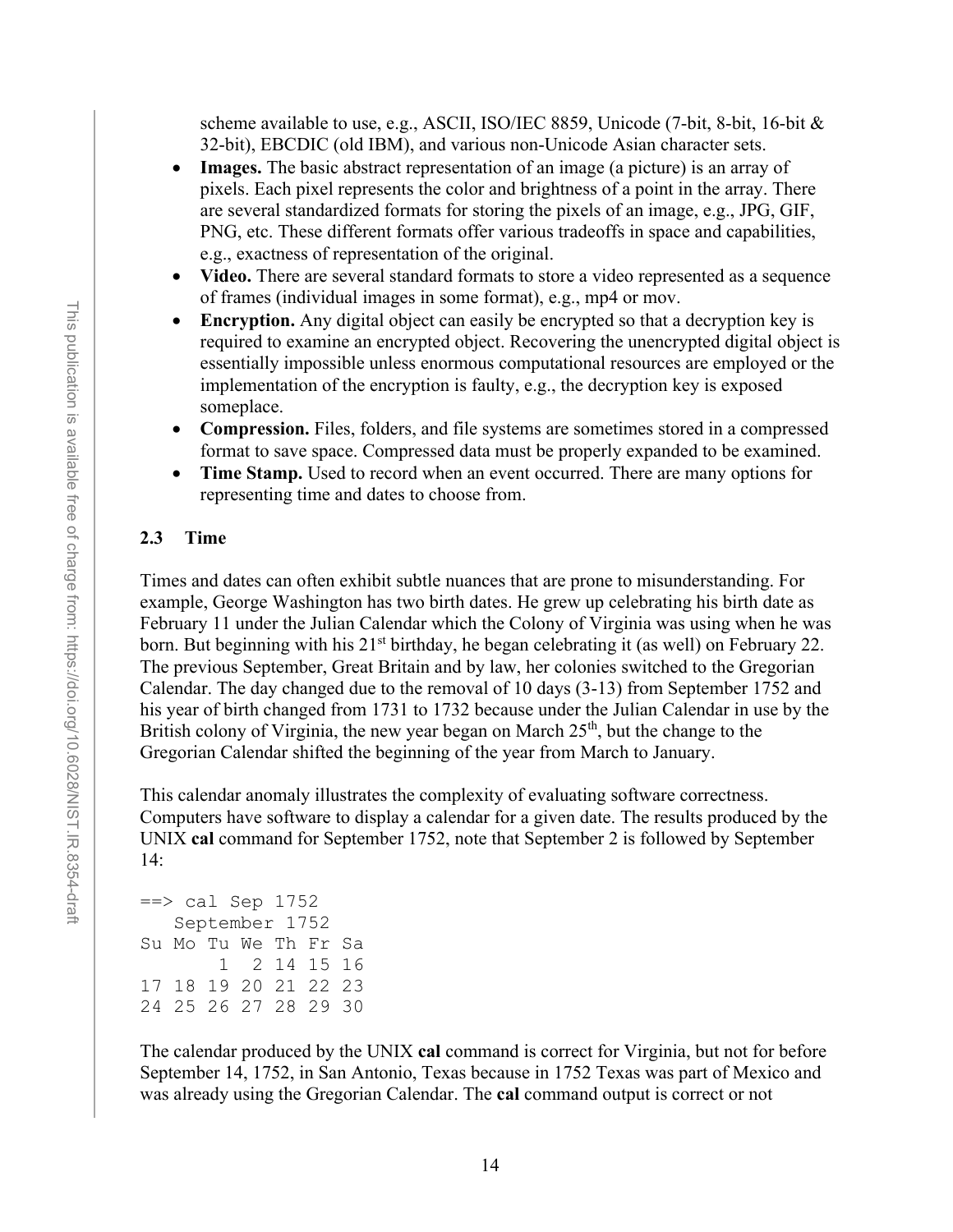scheme available to use, e.g., ASCII, ISO/IEC 8859, Unicode (7-bit, 8-bit, 16-bit & 32-bit), EBCDIC (old IBM), and various non-Unicode Asian character sets.

- **Images.** The basic abstract representation of an image (a picture) is an array of pixels. Each pixel represents the color and brightness of a point in the array. There are several standardized formats for storing the pixels of an image, e.g., JPG, GIF, PNG, etc. These different formats offer various tradeoffs in space and capabilities, e.g., exactness of representation of the original.
- **Video.** There are several standard formats to store a video represented as a sequence of frames (individual images in some format), e.g., mp4 or mov.
- **Encryption.** Any digital object can easily be encrypted so that a decryption key is required to examine an encrypted object. Recovering the unencrypted digital object is essentially impossible unless enormous computational resources are employed or the implementation of the encryption is faulty, e.g., the decryption key is exposed someplace.
- **Compression.** Files, folders, and file systems are sometimes stored in a compressed format to save space. Compressed data must be properly expanded to be examined.
- **Time Stamp.** Used to record when an event occurred. There are many options for representing time and dates to choose from.

#### <span id="page-26-0"></span>**2.3 Time**

Times and dates can often exhibit subtle nuances that are prone to misunderstanding. For example, George Washington has two birth dates. He grew up celebrating his birth date as February 11 under the Julian Calendar which the Colony of Virginia was using when he was born. But beginning with his 21<sup>st</sup> birthday, he began celebrating it (as well) on February 22. The previous September, Great Britain and by law, her colonies switched to the Gregorian Calendar. The day changed due to the removal of 10 days (3-13) from September 1752 and his year of birth changed from 1731 to 1732 because under the Julian Calendar in use by the British colony of Virginia, the new year began on March  $25<sup>th</sup>$ , but the change to the Gregorian Calendar shifted the beginning of the year from March to January.

This calendar anomaly illustrates the complexity of evaluating software correctness. Computers have software to display a calendar for a given date. The results produced by the UNIX **cal** command for September 1752, note that September 2 is followed by September 14:

```
\Rightarrow cal Sep 1752
    September 1752 
Su Mo Tu We Th Fr Sa 
           2 14 15 16
17 18 19 20 21 22 23 
24 25 26 27 28 29 30
```
The calendar produced by the UNIX **cal** command is correct for Virginia, but not for before September 14, 1752, in San Antonio, Texas because in 1752 Texas was part of Mexico and was already using the Gregorian Calendar. The **cal** command output is correct or not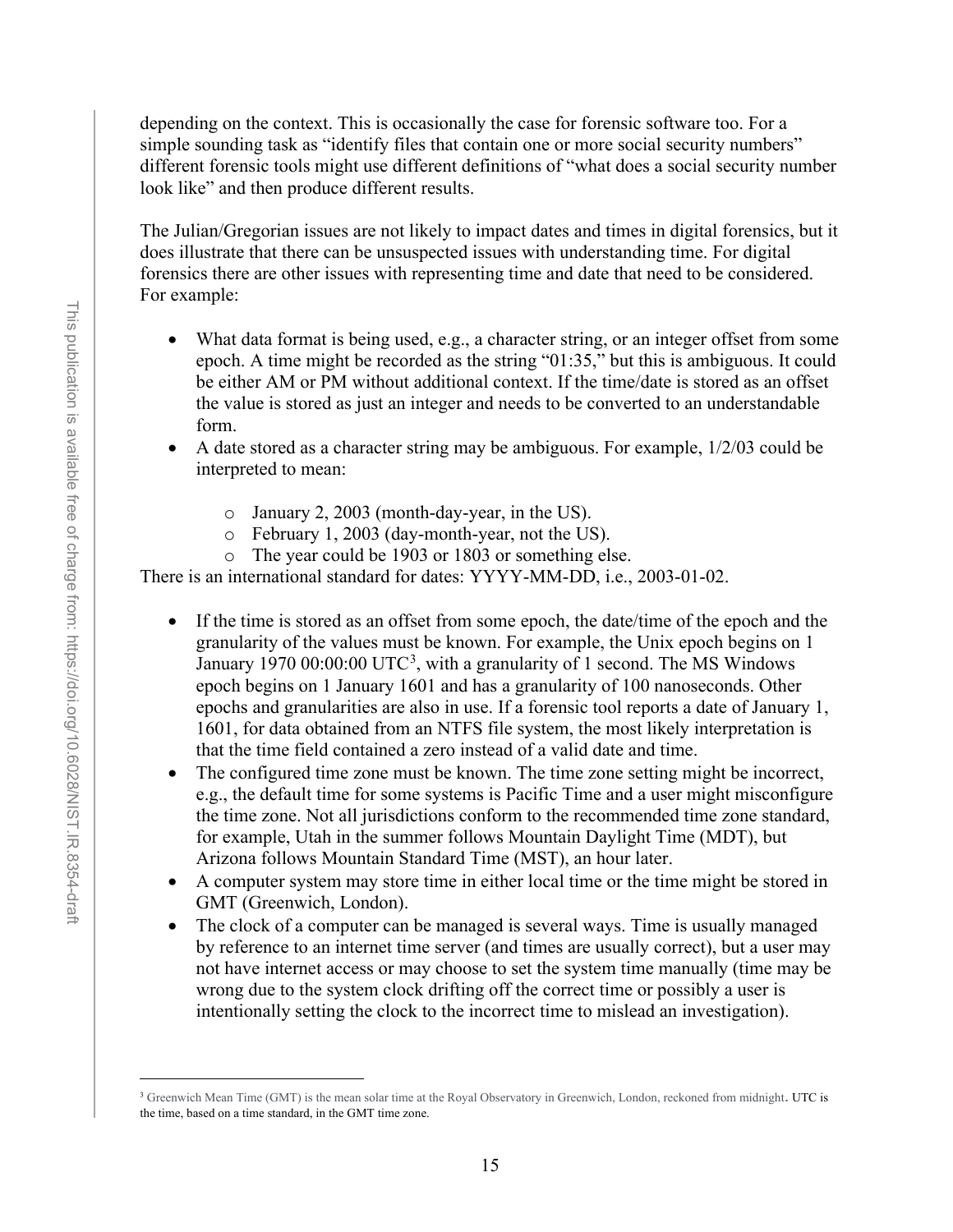depending on the context. This is occasionally the case for forensic software too. For a simple sounding task as "identify files that contain one or more social security numbers" different forensic tools might use different definitions of "what does a social security number look like" and then produce different results.

The Julian/Gregorian issues are not likely to impact dates and times in digital forensics, but it does illustrate that there can be unsuspected issues with understanding time. For digital forensics there are other issues with representing time and date that need to be considered. For example:

- What data format is being used, e.g., a character string, or an integer offset from some epoch. A time might be recorded as the string "01:35," but this is ambiguous. It could be either AM or PM without additional context. If the time/date is stored as an offset the value is stored as just an integer and needs to be converted to an understandable form.
- A date stored as a character string may be ambiguous. For example, 1/2/03 could be interpreted to mean:
	- o January 2, 2003 (month-day-year, in the US).
	- o February 1, 2003 (day-month-year, not the US).
	- o The year could be 1903 or 1803 or something else.

There is an international standard for dates: YYYY-MM-DD, i.e., 2003-01-02.

- If the time is stored as an offset from some epoch, the date/time of the epoch and the granularity of the values must be known. For example, the [Unix epoch](https://en.wikipedia.org/wiki/Unix_epoch) begins on 1 January 1970 00:00:00 UTC<sup>[3](#page-27-0)</sup>, with a granularity of 1 second. The MS Windows epoch begins on 1 January 1601 and has a granularity of 100 nanoseconds. Other epochs and granularities are also in use. If a forensic tool reports a date of January 1, 1601, for data obtained from an NTFS file system, the most likely interpretation is that the time field contained a zero instead of a valid date and time.
- The configured time zone must be known. The time zone setting might be incorrect, e.g., the default time for some systems is Pacific Time and a user might misconfigure the time zone. Not all jurisdictions conform to the recommended time zone standard, for example, Utah in the summer follows Mountain Daylight Time (MDT), but Arizona follows Mountain Standard Time (MST), an hour later.
- A computer system may store time in either local time or the time might be stored in GMT (Greenwich, London).
- The clock of a computer can be managed is several ways. Time is usually managed by reference to an internet time server (and times are usually correct), but a user may not have internet access or may choose to set the system time manually (time may be wrong due to the system clock drifting off the correct time or possibly a user is intentionally setting the clock to the incorrect time to mislead an investigation).

<span id="page-27-0"></span><sup>&</sup>lt;sup>3</sup> Greenwich Mean Time (GMT) is the mean solar time at the Royal Observatory in Greenwich, London, reckoned from midnight. UTC is the time, based on a time standard, in the GMT time zone.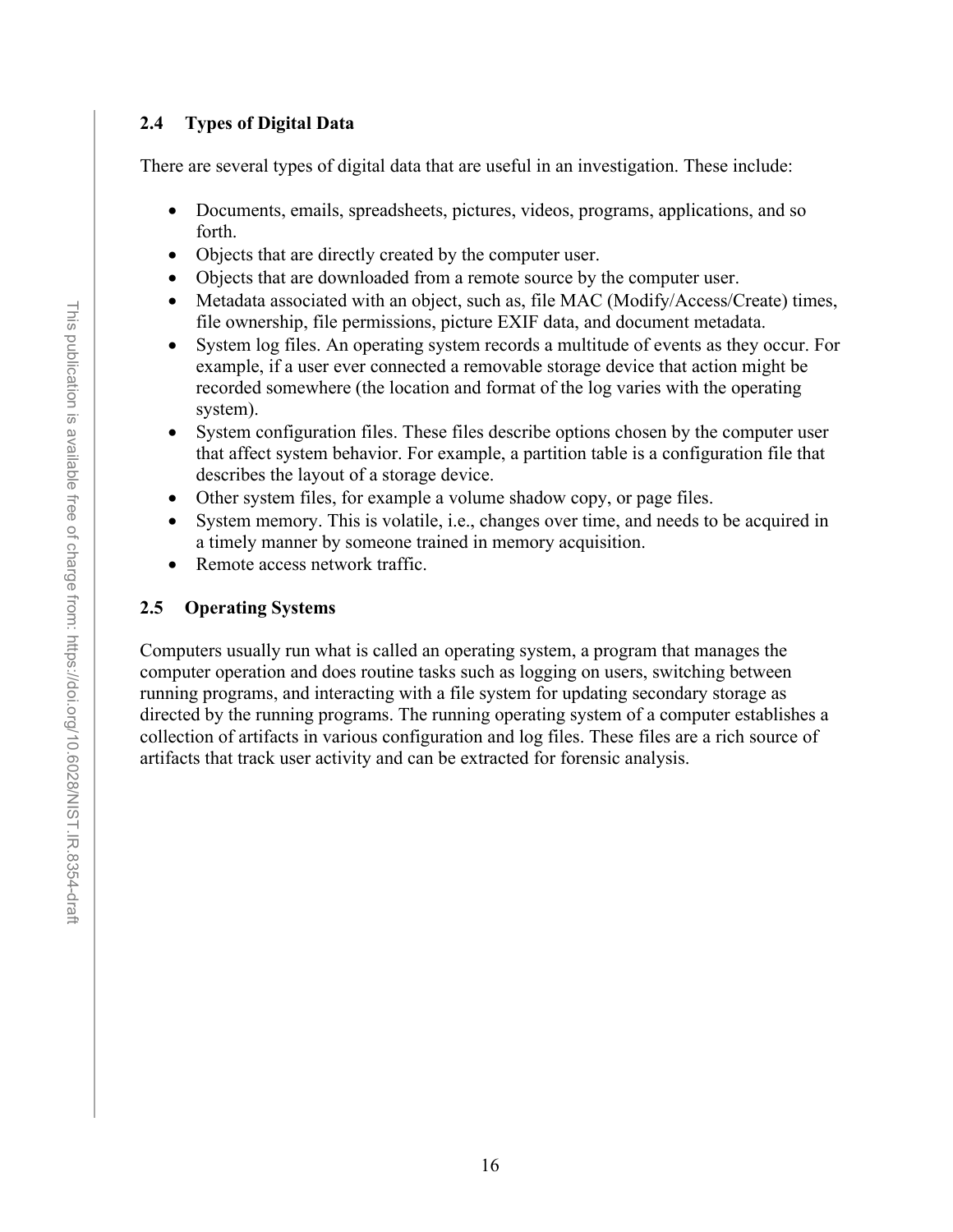# <span id="page-28-0"></span>**2.4 Types of Digital Data**

There are several types of digital data that are useful in an investigation. These include:

- Documents, emails, spreadsheets, pictures, videos, programs, applications, and so forth.
- Objects that are directly created by the computer user.
- Objects that are downloaded from a remote source by the computer user.
- Metadata associated with an object, such as, file MAC (Modify/Access/Create) times, file ownership, file permissions, picture EXIF data, and document metadata.
- System log files. An operating system records a multitude of events as they occur. For example, if a user ever connected a removable storage device that action might be recorded somewhere (the location and format of the log varies with the operating system).
- System configuration files. These files describe options chosen by the computer user that affect system behavior. For example, a partition table is a configuration file that describes the layout of a storage device.
- Other system files, for example a volume shadow copy, or page files.
- System memory. This is volatile, i.e., changes over time, and needs to be acquired in a timely manner by someone trained in memory acquisition.
- Remote access network traffic.

# <span id="page-28-1"></span>**2.5 Operating Systems**

Computers usually run what is called an operating system, a program that manages the computer operation and does routine tasks such as logging on users, switching between running programs, and interacting with a file system for updating secondary storage as directed by the running programs. The running operating system of a computer establishes a collection of artifacts in various configuration and log files. These files are a rich source of artifacts that track user activity and can be extracted for forensic analysis.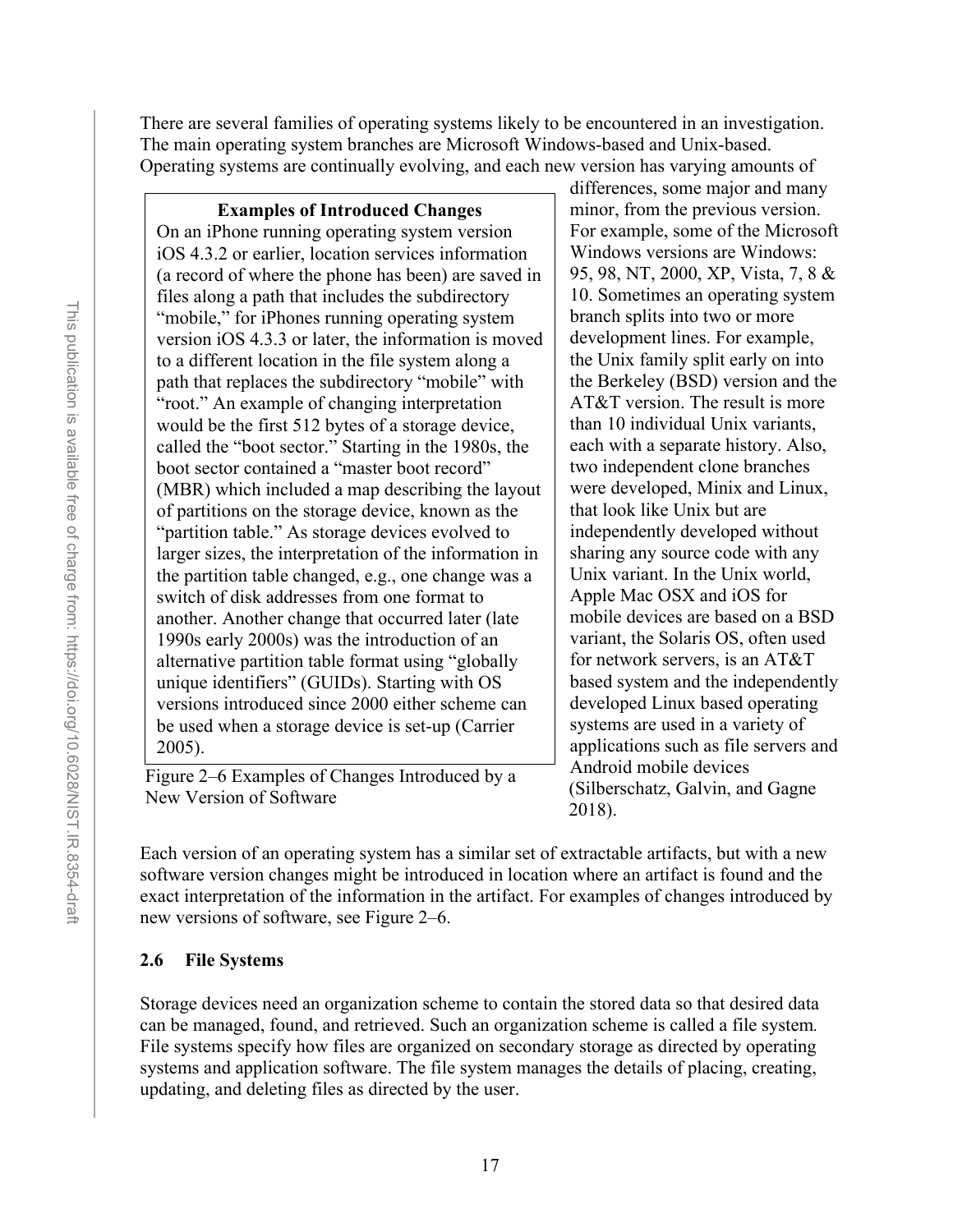There are several families of operating systems likely to be encountered in an investigation. The main operating system branches are Microsoft Windows-based and Unix-based. Operating systems are continually evolving, and each new version has varying amounts of

**Examples of Introduced Changes** On an iPhone running operating system version iOS 4.3.2 or earlier, location services information (a record of where the phone has been) are saved in files along a path that includes the subdirectory "mobile," for iPhones running operating system version iOS 4.3.3 or later, the information is moved to a different location in the file system along a path that replaces the subdirectory "mobile" with "root." An example of changing interpretation would be the first 512 bytes of a storage device, called the "boot sector." Starting in the 1980s, the boot sector contained a "master boot record" (MBR) which included a map describing the layout of partitions on the storage device, known as the "partition table." As storage devices evolved to larger sizes, the interpretation of the information in the partition table changed, e.g., one change was a switch of disk addresses from one format to another. Another change that occurred later (late 1990s early 2000s) was the introduction of an alternative partition table format using "globally unique identifiers" (GUIDs). Starting with OS versions introduced since 2000 either scheme can be used when a storage device is set-up (Carrier 2005).

Figure 2–6 Examples of Changes Introduced by a New Version of Software

differences, some major and many minor, from the previous version. For example, some of the Microsoft Windows versions are Windows: 95, 98, NT, 2000, XP, Vista, 7, 8 & 10. Sometimes an operating system branch splits into two or more development lines. For example, the Unix family split early on into the Berkeley (BSD) version and the AT&T version. The result is more than 10 individual Unix variants, each with a separate history. Also, two independent clone branches were developed, Minix and Linux, that look like Unix but are independently developed without sharing any source code with any Unix variant. In the Unix world, Apple Mac OSX and iOS for mobile devices are based on a BSD variant, the Solaris OS, often used for network servers, is an AT&T based system and the independently developed Linux based operating systems are used in a variety of applications such as file servers and Android mobile devices (Silberschatz, Galvin, and Gagne 2018).

Each version of an operating system has a similar set of extractable artifacts, but with a new software version changes might be introduced in location where an artifact is found and the exact interpretation of the information in the artifact. For examples of changes introduced by new versions of software, see Figure 2–6.

# <span id="page-29-0"></span>**2.6 File Systems**

Storage devices need an organization scheme to contain the stored data so that desired data can be managed, found, and retrieved. Such an organization scheme is called a file system*.*  File systems specify how files are organized on secondary storage as directed by operating systems and application software. The file system manages the details of placing, creating, updating, and deleting files as directed by the user.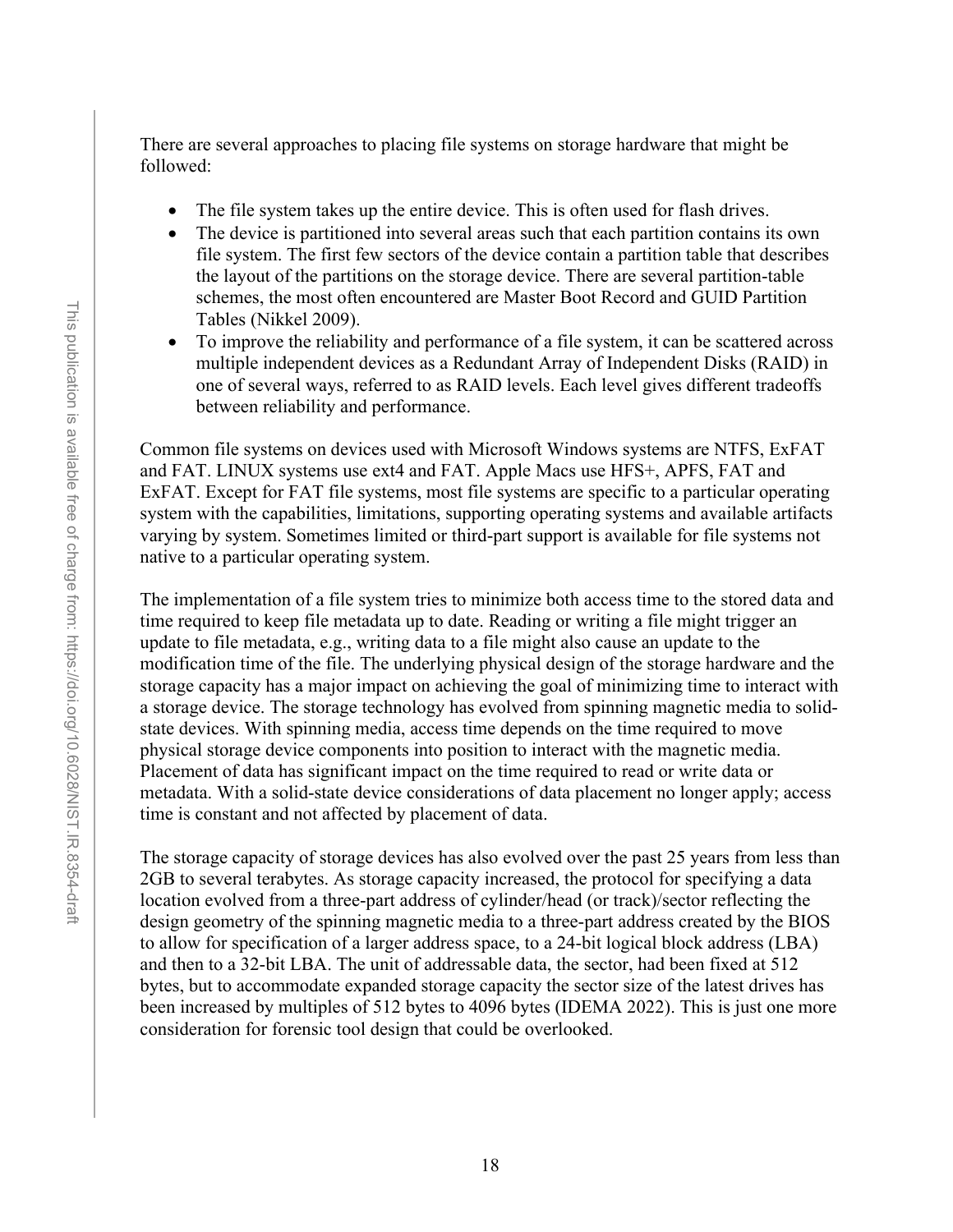There are several approaches to placing file systems on storage hardware that might be followed:

- The file system takes up the entire device. This is often used for flash drives.
- The device is partitioned into several areas such that each partition contains its own file system. The first few sectors of the device contain a partition table that describes the layout of the partitions on the storage device. There are several partition-table schemes, the most often encountered are Master Boot Record and GUID Partition Tables (Nikkel 2009).
- To improve the reliability and performance of a file system, it can be scattered across multiple independent devices as a Redundant Array of Independent Disks (RAID) in one of several ways, referred to as RAID levels. Each level gives different tradeoffs between reliability and performance.

Common file systems on devices used with Microsoft Windows systems are NTFS, ExFAT and FAT. LINUX systems use ext4 and FAT. Apple Macs use HFS+, APFS, FAT and ExFAT. Except for FAT file systems, most file systems are specific to a particular operating system with the capabilities, limitations, supporting operating systems and available artifacts varying by system. Sometimes limited or third-part support is available for file systems not native to a particular operating system.

The implementation of a file system tries to minimize both access time to the stored data and time required to keep file metadata up to date. Reading or writing a file might trigger an update to file metadata, e.g., writing data to a file might also cause an update to the modification time of the file. The underlying physical design of the storage hardware and the storage capacity has a major impact on achieving the goal of minimizing time to interact with a storage device. The storage technology has evolved from spinning magnetic media to solidstate devices. With spinning media, access time depends on the time required to move physical storage device components into position to interact with the magnetic media. Placement of data has significant impact on the time required to read or write data or metadata. With a solid-state device considerations of data placement no longer apply; access time is constant and not affected by placement of data.

The storage capacity of storage devices has also evolved over the past 25 years from less than 2GB to several terabytes. As storage capacity increased, the protocol for specifying a data location evolved from a three-part address of cylinder/head (or track)/sector reflecting the design geometry of the spinning magnetic media to a three-part address created by the BIOS to allow for specification of a larger address space, to a 24-bit logical block address (LBA) and then to a 32-bit LBA. The unit of addressable data, the sector, had been fixed at 512 bytes, but to accommodate expanded storage capacity the sector size of the latest drives has been increased by multiples of 512 bytes to 4096 bytes (IDEMA 2022). This is just one more consideration for forensic tool design that could be overlooked.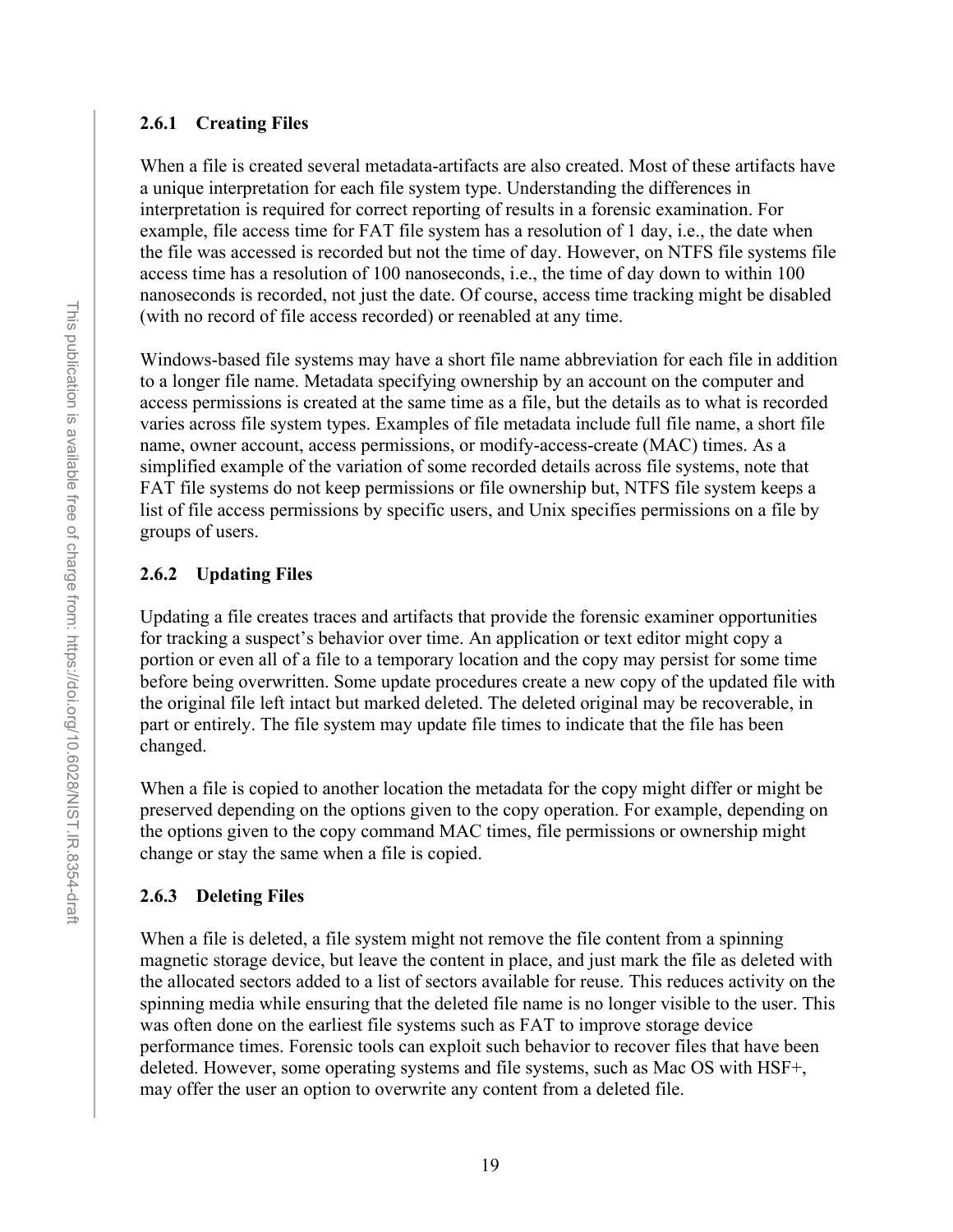#### <span id="page-31-0"></span>**2.6.1 Creating Files**

When a file is created several metadata-artifacts are also created. Most of these artifacts have a unique interpretation for each file system type. Understanding the differences in interpretation is required for correct reporting of results in a forensic examination. For example, file access time for FAT file system has a resolution of 1 day, i.e., the date when the file was accessed is recorded but not the time of day. However, on NTFS file systems file access time has a resolution of 100 nanoseconds, i.e., the time of day down to within 100 nanoseconds is recorded, not just the date. Of course, access time tracking might be disabled (with no record of file access recorded) or reenabled at any time.

Windows-based file systems may have a short file name abbreviation for each file in addition to a longer file name. Metadata specifying ownership by an account on the computer and access permissions is created at the same time as a file, but the details as to what is recorded varies across file system types. Examples of file metadata include full file name, a short file name, owner account, access permissions, or modify-access-create (MAC) times. As a simplified example of the variation of some recorded details across file systems, note that FAT file systems do not keep permissions or file ownership but, NTFS file system keeps a list of file access permissions by specific users, and Unix specifies permissions on a file by groups of users.

## <span id="page-31-1"></span>**2.6.2 Updating Files**

Updating a file creates traces and artifacts that provide the forensic examiner opportunities for tracking a suspect's behavior over time. An application or text editor might copy a portion or even all of a file to a temporary location and the copy may persist for some time before being overwritten. Some update procedures create a new copy of the updated file with the original file left intact but marked deleted. The deleted original may be recoverable, in part or entirely. The file system may update file times to indicate that the file has been changed.

When a file is copied to another location the metadata for the copy might differ or might be preserved depending on the options given to the copy operation. For example, depending on the options given to the copy command MAC times, file permissions or ownership might change or stay the same when a file is copied.

## <span id="page-31-2"></span>**2.6.3 Deleting Files**

When a file is deleted, a file system might not remove the file content from a spinning magnetic storage device, but leave the content in place, and just mark the file as deleted with the allocated sectors added to a list of sectors available for reuse. This reduces activity on the spinning media while ensuring that the deleted file name is no longer visible to the user. This was often done on the earliest file systems such as FAT to improve storage device performance times. Forensic tools can exploit such behavior to recover files that have been deleted. However, some operating systems and file systems, such as Mac OS with HSF+, may offer the user an option to overwrite any content from a deleted file.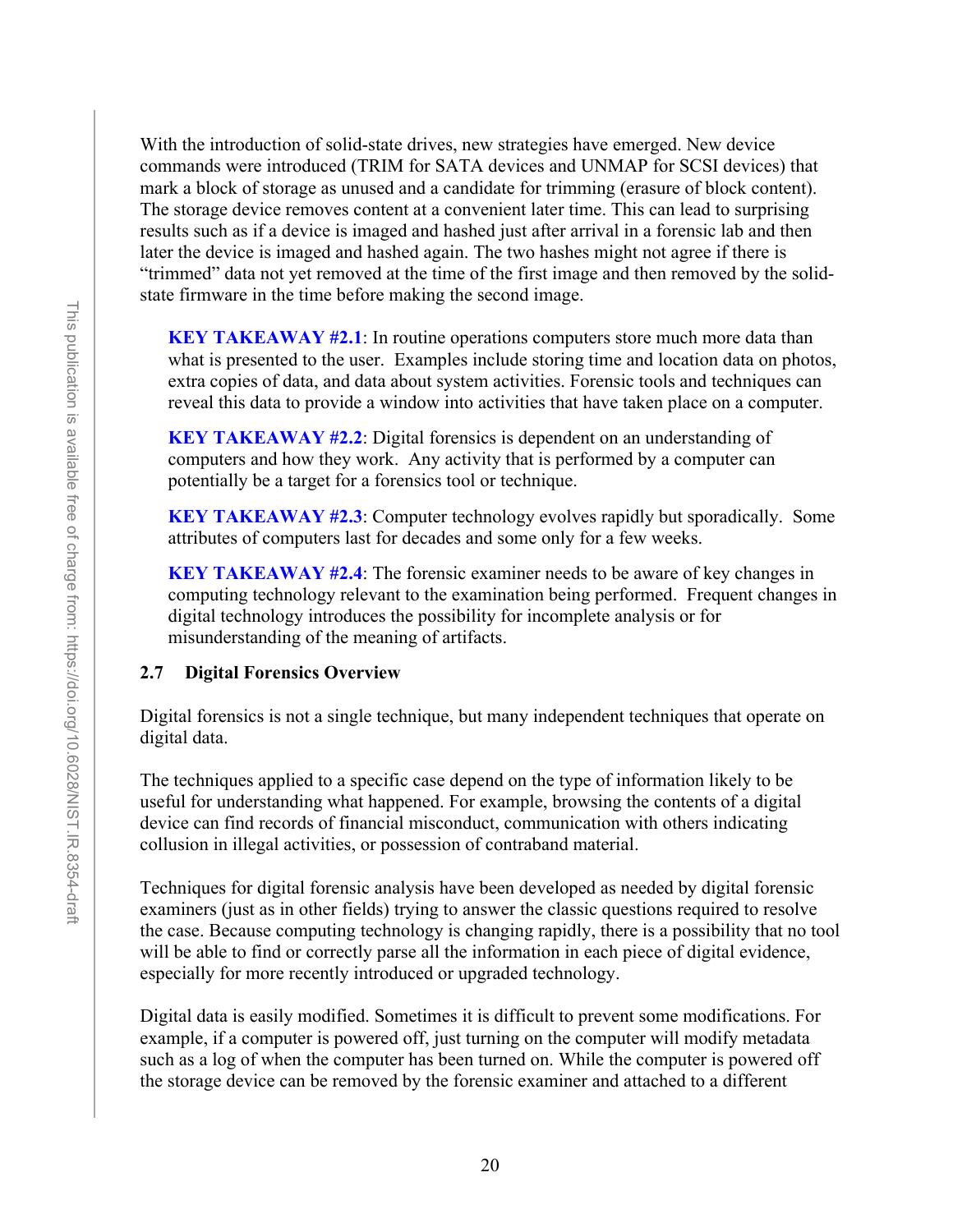With the introduction of solid-state drives, new strategies have emerged. New device commands were introduced (TRIM for SATA devices and UNMAP for SCSI devices) that mark a block of storage as unused and a candidate for trimming (erasure of block content). The storage device removes content at a convenient later time. This can lead to surprising results such as if a device is imaged and hashed just after arrival in a forensic lab and then later the device is imaged and hashed again. The two hashes might not agree if there is "trimmed" data not yet removed at the time of the first image and then removed by the solidstate firmware in the time before making the second image.

**KEY TAKEAWAY #2.1:** In routine operations computers store much more data than what is presented to the user. Examples include storing time and location data on photos, extra copies of data, and data about system activities. Forensic tools and techniques can reveal this data to provide a window into activities that have taken place on a computer.

**KEY TAKEAWAY #2.2**: Digital forensics is dependent on an understanding of computers and how they work. Any activity that is performed by a computer can potentially be a target for a forensics tool or technique.

**KEY TAKEAWAY #2.3**: Computer technology evolves rapidly but sporadically. Some attributes of computers last for decades and some only for a few weeks.

**KEY TAKEAWAY #2.4**: The forensic examiner needs to be aware of key changes in computing technology relevant to the examination being performed. Frequent changes in digital technology introduces the possibility for incomplete analysis or for misunderstanding of the meaning of artifacts.

## <span id="page-32-0"></span>**2.7 Digital Forensics Overview**

Digital forensics is not a single technique, but many independent techniques that operate on digital data.

The techniques applied to a specific case depend on the type of information likely to be useful for understanding what happened. For example, browsing the contents of a digital device can find records of financial misconduct, communication with others indicating collusion in illegal activities, or possession of contraband material.

Techniques for digital forensic analysis have been developed as needed by digital forensic examiners (just as in other fields) trying to answer the classic questions required to resolve the case. Because computing technology is changing rapidly, there is a possibility that no tool will be able to find or correctly parse all the information in each piece of digital evidence, especially for more recently introduced or upgraded technology.

Digital data is easily modified. Sometimes it is difficult to prevent some modifications. For example, if a computer is powered off, just turning on the computer will modify metadata such as a log of when the computer has been turned on. While the computer is powered off the storage device can be removed by the forensic examiner and attached to a different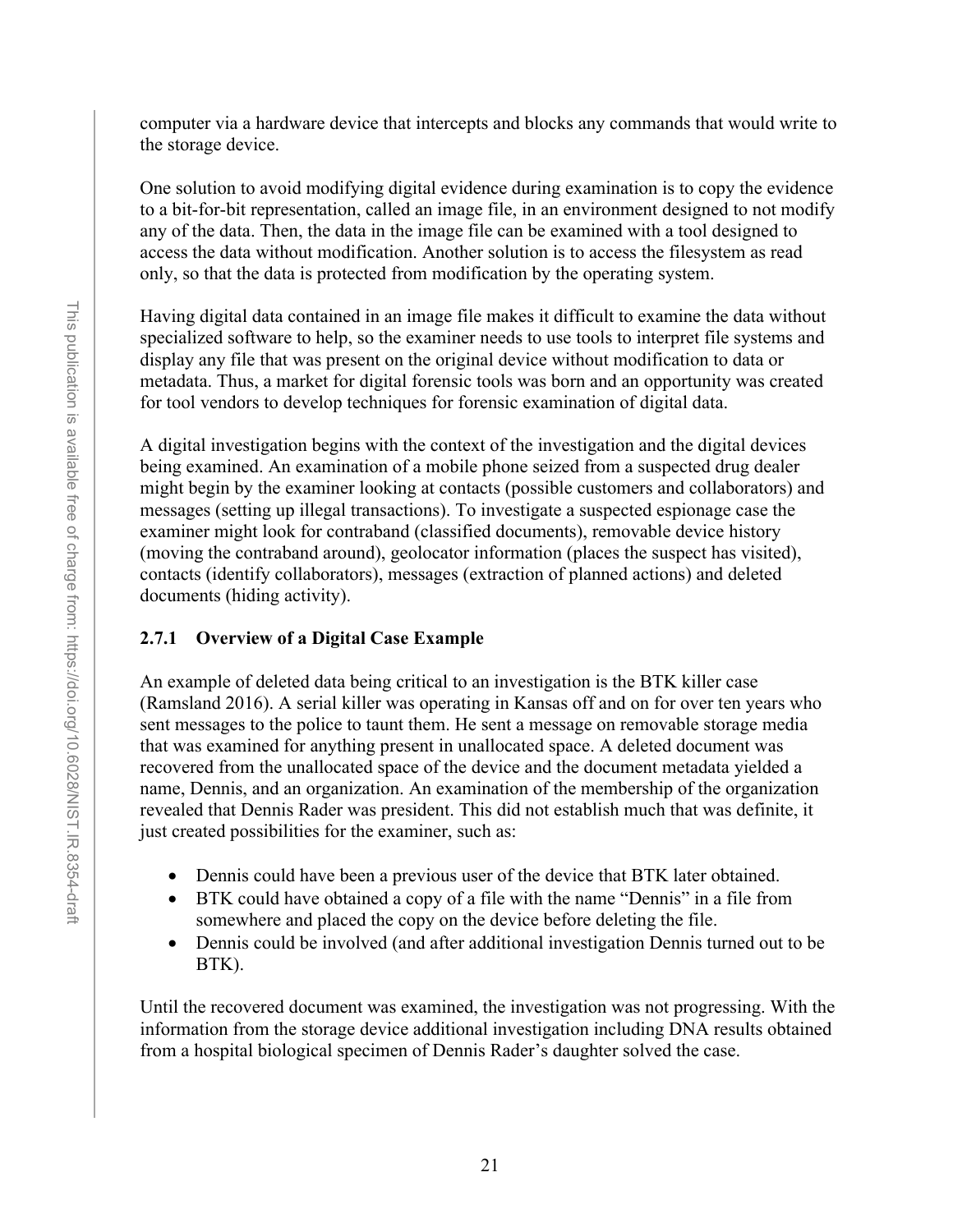computer via a hardware device that intercepts and blocks any commands that would write to the storage device.

One solution to avoid modifying digital evidence during examination is to copy the evidence to a bit-for-bit representation, called an image file, in an environment designed to not modify any of the data. Then, the data in the image file can be examined with a tool designed to access the data without modification. Another solution is to access the filesystem as read only, so that the data is protected from modification by the operating system.

Having digital data contained in an image file makes it difficult to examine the data without specialized software to help, so the examiner needs to use tools to interpret file systems and display any file that was present on the original device without modification to data or metadata. Thus, a market for digital forensic tools was born and an opportunity was created for tool vendors to develop techniques for forensic examination of digital data.

A digital investigation begins with the context of the investigation and the digital devices being examined. An examination of a mobile phone seized from a suspected drug dealer might begin by the examiner looking at contacts (possible customers and collaborators) and messages (setting up illegal transactions). To investigate a suspected espionage case the examiner might look for contraband (classified documents), removable device history (moving the contraband around), geolocator information (places the suspect has visited), contacts (identify collaborators), messages (extraction of planned actions) and deleted documents (hiding activity).

# <span id="page-33-0"></span>**2.7.1 Overview of a Digital Case Example**

An example of deleted data being critical to an investigation is the BTK killer case (Ramsland 2016). A serial killer was operating in Kansas off and on for over ten years who sent messages to the police to taunt them. He sent a message on removable storage media that was examined for anything present in unallocated space. A deleted document was recovered from the unallocated space of the device and the document metadata yielded a name, Dennis, and an organization. An examination of the membership of the organization revealed that Dennis Rader was president. This did not establish much that was definite, it just created possibilities for the examiner, such as:

- Dennis could have been a previous user of the device that BTK later obtained.
- BTK could have obtained a copy of a file with the name "Dennis" in a file from somewhere and placed the copy on the device before deleting the file.
- Dennis could be involved (and after additional investigation Dennis turned out to be BTK).

Until the recovered document was examined, the investigation was not progressing. With the information from the storage device additional investigation including DNA results obtained from a hospital biological specimen of Dennis Rader's daughter solved the case.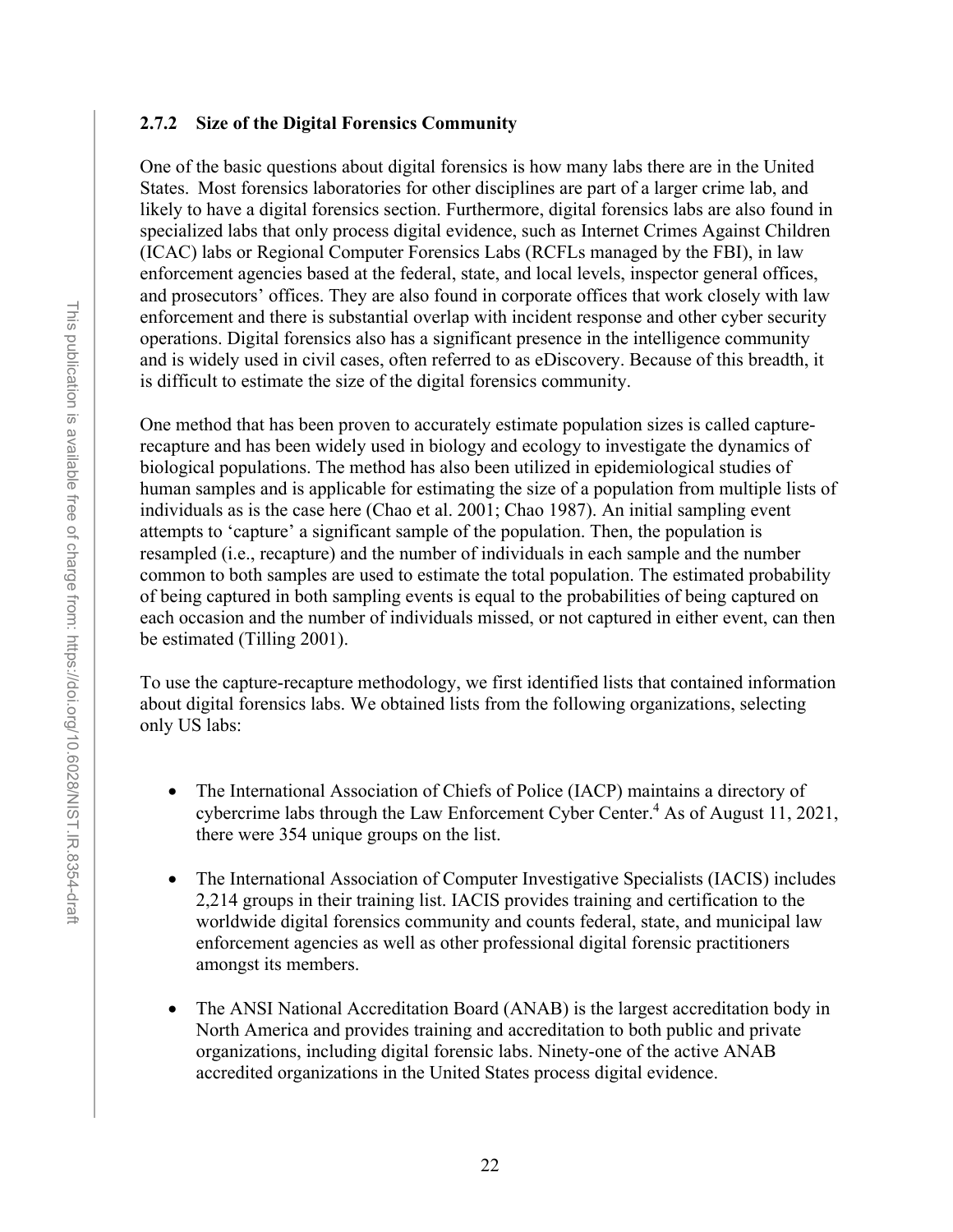#### <span id="page-34-0"></span>**2.7.2 Size of the Digital Forensics Community**

One of the basic questions about digital forensics is how many labs there are in the United States.  Most forensics laboratories for other disciplines are part of a larger crime lab, and likely to have a digital forensics section. Furthermore, digital forensics labs are also found in specialized labs that only process digital evidence, such as Internet Crimes Against Children (ICAC) labs or Regional Computer Forensics Labs (RCFLs managed by the FBI), in law enforcement agencies based at the federal, state, and local levels, inspector general offices, and prosecutors' offices. They are also found in corporate offices that work closely with law enforcement and there is substantial overlap with incident response and other cyber security operations. Digital forensics also has a significant presence in the intelligence community and is widely used in civil cases, often referred to as eDiscovery. Because of this breadth, it is difficult to estimate the size of the digital forensics community.

One method that has been proven to accurately estimate population sizes is called capturerecapture and has been widely used in biology and ecology to investigate the dynamics of biological populations. The method has also been utilized in epidemiological studies of human samples and is applicable for estimating the size of a population from multiple lists of individuals as is the case here (Chao et al. 2001; Chao 1987). An initial sampling event attempts to 'capture' a significant sample of the population. Then, the population is resampled (i.e., recapture) and the number of individuals in each sample and the number common to both samples are used to estimate the total population. The estimated probability of being captured in both sampling events is equal to the probabilities of being captured on each occasion and the number of individuals missed, or not captured in either event, can then be estimated (Tilling 2001). 

To use the capture-recapture methodology, we first identified lists that contained information about digital forensics labs. We obtained lists from the following organizations, selecting only US labs:

- The International Association of Chiefs of Police (IACP) maintains a directory of cybercrime labs through the Law Enforcement Cyber Center.<sup>4</sup> As of August 11, 2021, there were 354 unique groups on the list.
- The International Association of Computer Investigative Specialists (IACIS) includes 2,214 groups in their training list. IACIS provides training and certification to the worldwide digital forensics community and counts federal, state, and municipal law enforcement agencies as well as other professional digital forensic practitioners amongst its members.
- The ANSI National Accreditation Board (ANAB) is the largest accreditation body in North America and provides training and accreditation to both public and private organizations, including digital forensic labs. Ninety-one of the active ANAB accredited organizations in the United States process digital evidence.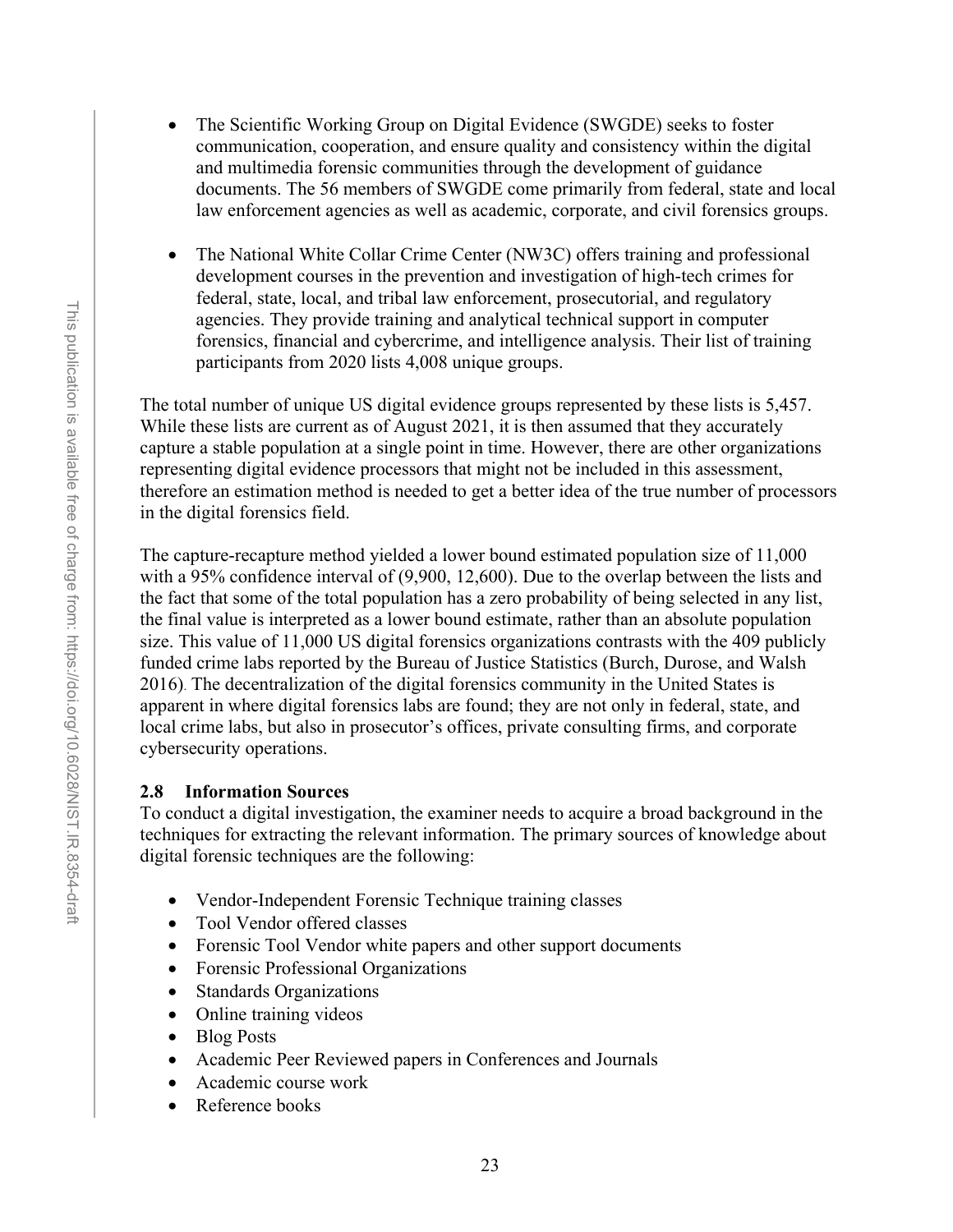- The Scientific Working Group on Digital Evidence (SWGDE) seeks to foster communication, cooperation, and ensure quality and consistency within the digital and multimedia forensic communities through the development of guidance documents. The 56 members of SWGDE come primarily from federal, state and local law enforcement agencies as well as academic, corporate, and civil forensics groups.
- The National White Collar Crime Center (NW3C) offers training and professional development courses in the prevention and investigation of high-tech crimes for federal, state, local, and tribal law enforcement, prosecutorial, and regulatory agencies. They provide training and analytical technical support in computer forensics, financial and cybercrime, and intelligence analysis. Their list of training participants from 2020 lists 4,008 unique groups.

The total number of unique US digital evidence groups represented by these lists is 5,457. While these lists are current as of August 2021, it is then assumed that they accurately capture a stable population at a single point in time. However, there are other organizations representing digital evidence processors that might not be included in this assessment, therefore an estimation method is needed to get a better idea of the true number of processors in the digital forensics field.

The capture-recapture method yielded a lower bound estimated population size of 11,000 with a 95% confidence interval of (9,900, 12,600). Due to the overlap between the lists and the fact that some of the total population has a zero probability of being selected in any list, the final value is interpreted as a lower bound estimate, rather than an absolute population size. This value of 11,000 US digital forensics organizations contrasts with the 409 publicly funded crime labs reported by the Bureau of Justice Statistics (Burch, Durose, and Walsh 2016). The decentralization of the digital forensics community in the United States is apparent in where digital forensics labs are found; they are not only in federal, state, and local crime labs, but also in prosecutor's offices, private consulting firms, and corporate cybersecurity operations.

## <span id="page-35-0"></span>**2.8 Information Sources**

To conduct a digital investigation, the examiner needs to acquire a broad background in the techniques for extracting the relevant information. The primary sources of knowledge about digital forensic techniques are the following:

- Vendor-Independent Forensic Technique training classes
- Tool Vendor offered classes
- Forensic Tool Vendor white papers and other support documents
- Forensic Professional Organizations
- Standards Organizations
- Online training videos
- Blog Posts
- Academic Peer Reviewed papers in Conferences and Journals
- Academic course work
- Reference books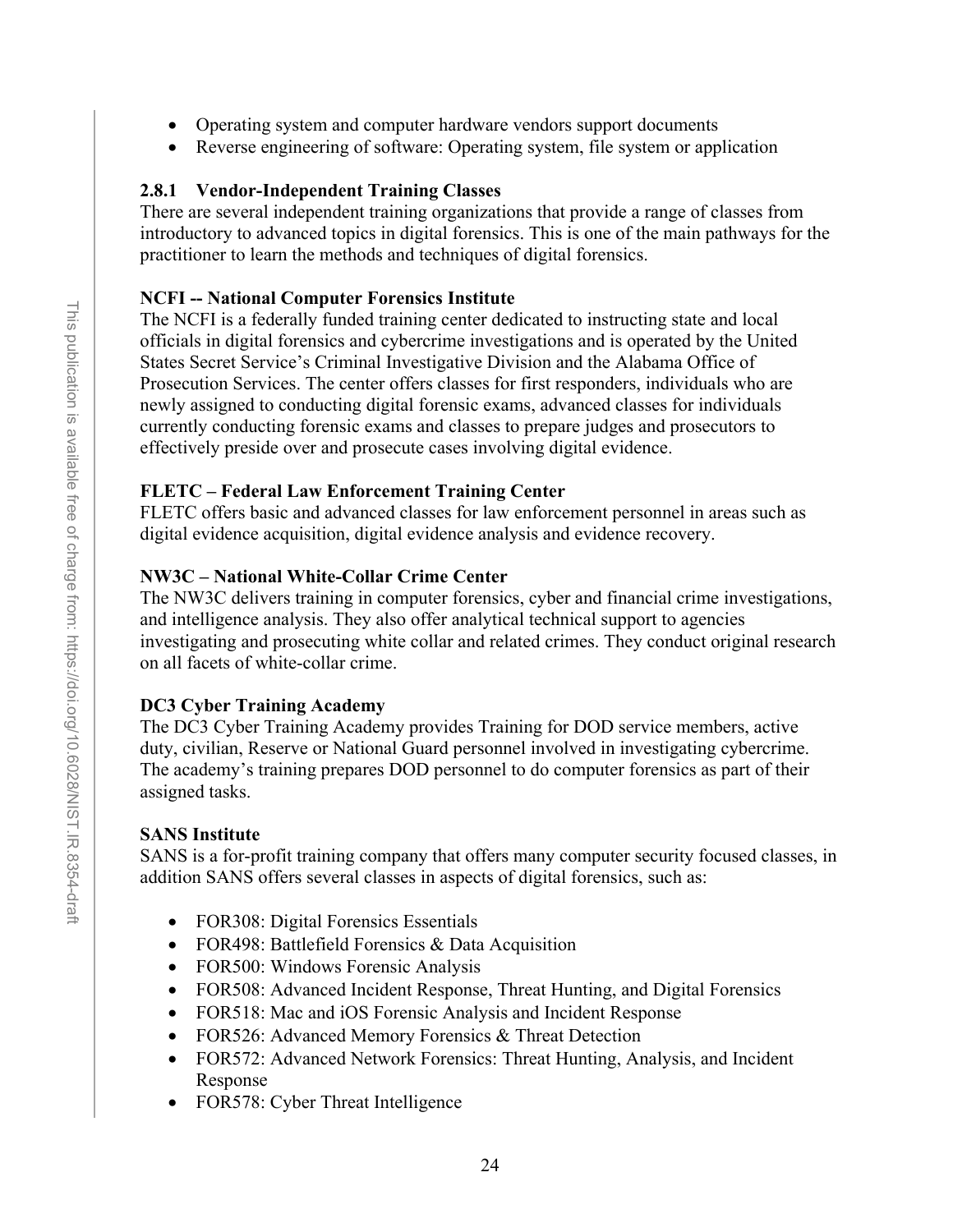- Operating system and computer hardware vendors support documents
- Reverse engineering of software: Operating system, file system or application

## **2.8.1 Vendor-Independent Training Classes**

There are several independent training organizations that provide a range of classes from introductory to advanced topics in digital forensics. This is one of the main pathways for the practitioner to learn the methods and techniques of digital forensics.

## **NCFI -- National Computer Forensics Institute**

The NCFI is a federally funded training center dedicated to instructing state and local officials in digital forensics and cybercrime investigations and is operated by the United States Secret Service's Criminal Investigative Division and the Alabama Office of Prosecution Services. The center offers classes for first responders, individuals who are newly assigned to conducting digital forensic exams, advanced classes for individuals currently conducting forensic exams and classes to prepare judges and prosecutors to effectively preside over and prosecute cases involving digital evidence.

## **FLETC – Federal Law Enforcement Training Center**

FLETC offers basic and advanced classes for law enforcement personnel in areas such as digital evidence acquisition, digital evidence analysis and evidence recovery.

# **NW3C – National White-Collar Crime Center**

The NW3C delivers training in computer forensics, cyber and financial crime investigations, and intelligence analysis. They also offer analytical technical support to agencies investigating and prosecuting white collar and related crimes. They conduct original research on all facets of white-collar crime.

# **DC3 Cyber Training Academy**

The DC3 Cyber Training Academy provides Training for DOD service members, active duty, civilian, Reserve or National Guard personnel involved in investigating cybercrime. The academy's training prepares DOD personnel to do computer forensics as part of their assigned tasks.

# **SANS Institute**

SANS is a for-profit training company that offers many computer security focused classes, in addition SANS offers several classes in aspects of digital forensics, such as:

- FOR308: Digital Forensics Essentials
- FOR498: Battlefield Forensics & Data Acquisition
- FOR500: Windows Forensic Analysis
- FOR508: Advanced Incident Response, Threat Hunting, and Digital Forensics
- FOR518: Mac and iOS Forensic Analysis and Incident Response
- FOR526: Advanced Memory Forensics & Threat Detection
- FOR572: Advanced Network Forensics: Threat Hunting, Analysis, and Incident Response
- FOR578: Cyber Threat Intelligence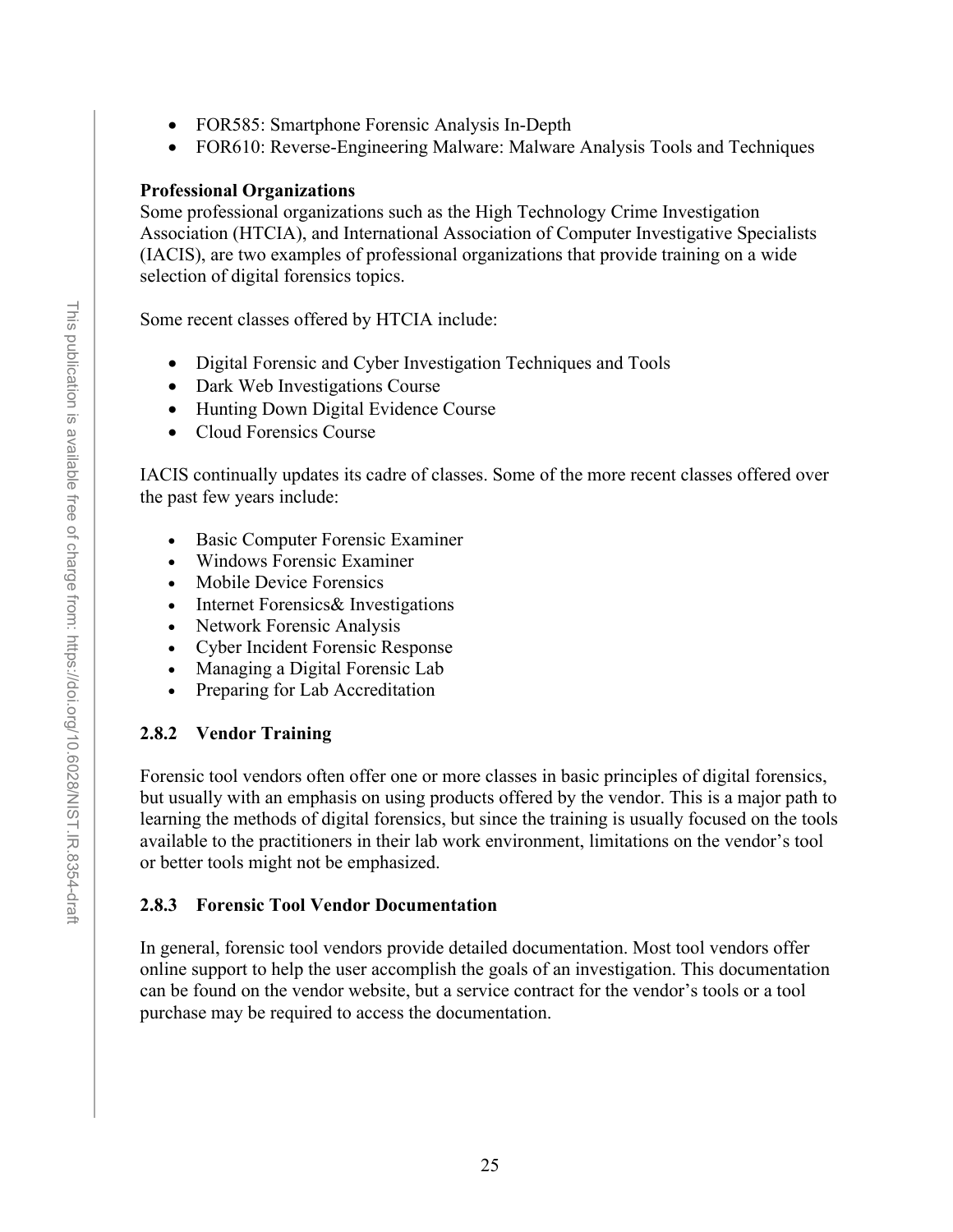- FOR585: Smartphone Forensic Analysis In-Depth
- FOR610: Reverse-Engineering Malware: Malware Analysis Tools and Techniques

### **Professional Organizations**

Some professional organizations such as the High Technology Crime Investigation Association (HTCIA), and International Association of Computer Investigative Specialists (IACIS), are two examples of professional organizations that provide training on a wide selection of digital forensics topics.

Some recent classes offered by HTCIA include:

- Digital Forensic and Cyber Investigation Techniques and Tools
- Dark Web Investigations Course
- Hunting Down Digital Evidence Course
- Cloud Forensics Course

IACIS continually updates its cadre of classes. Some of the more recent classes offered over the past few years include:

- Basic Computer Forensic Examiner
- Windows Forensic Examiner
- Mobile Device Forensics
- Internet Forensics& Investigations
- Network Forensic Analysis
- Cyber Incident Forensic Response
- Managing a Digital Forensic Lab
- Preparing for Lab Accreditation

### **2.8.2 Vendor Training**

Forensic tool vendors often offer one or more classes in basic principles of digital forensics, but usually with an emphasis on using products offered by the vendor. This is a major path to learning the methods of digital forensics, but since the training is usually focused on the tools available to the practitioners in their lab work environment, limitations on the vendor's tool or better tools might not be emphasized.

#### **2.8.3 Forensic Tool Vendor Documentation**

In general, forensic tool vendors provide detailed documentation. Most tool vendors offer online support to help the user accomplish the goals of an investigation. This documentation can be found on the vendor website, but a service contract for the vendor's tools or a tool purchase may be required to access the documentation.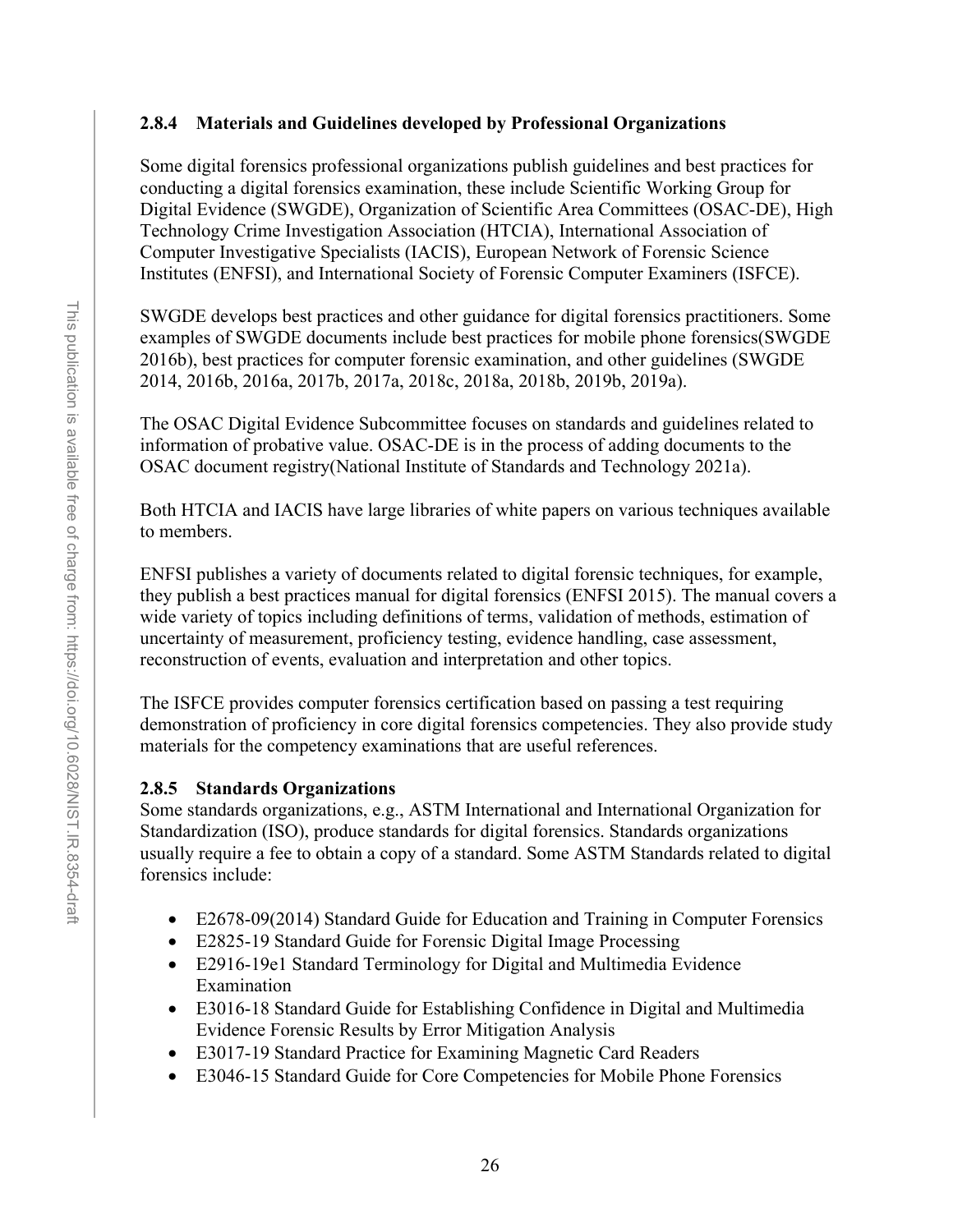## **2.8.4 Materials and Guidelines developed by Professional Organizations**

Some digital forensics professional organizations publish guidelines and best practices for conducting a digital forensics examination, these include Scientific Working Group for Digital Evidence (SWGDE), Organization of Scientific Area Committees (OSAC-DE), High Technology Crime Investigation Association (HTCIA), International Association of Computer Investigative Specialists (IACIS), European Network of Forensic Science Institutes (ENFSI), and International Society of Forensic Computer Examiners (ISFCE).

SWGDE develops best practices and other guidance for digital forensics practitioners. Some examples of SWGDE documents include best practices for mobile phone forensics(SWGDE 2016b), best practices for computer forensic examination, and other guidelines (SWGDE 2014, 2016b, 2016a, 2017b, 2017a, 2018c, 2018a, 2018b, 2019b, 2019a).

The OSAC Digital Evidence Subcommittee focuses on standards and guidelines related to information of probative value. OSAC-DE is in the process of adding documents to the OSAC document registry(National Institute of Standards and Technology 2021a).

Both HTCIA and IACIS have large libraries of white papers on various techniques available to members.

ENFSI publishes a variety of documents related to digital forensic techniques, for example, they publish a best practices manual for digital forensics (ENFSI 2015). The manual covers a wide variety of topics including definitions of terms, validation of methods, estimation of uncertainty of measurement, proficiency testing, evidence handling, case assessment, reconstruction of events, evaluation and interpretation and other topics.

The ISFCE provides computer forensics certification based on passing a test requiring demonstration of proficiency in core digital forensics competencies. They also provide study materials for the competency examinations that are useful references.

# **2.8.5 Standards Organizations**

Some standards organizations, e.g., ASTM International and International Organization for Standardization (ISO), produce standards for digital forensics. Standards organizations usually require a fee to obtain a copy of a standard. Some ASTM Standards related to digital forensics include:

- E2678-09(2014) Standard Guide for Education and Training in Computer Forensics
- E2825-19 Standard Guide for Forensic Digital Image Processing
- E2916-19e1 Standard Terminology for Digital and Multimedia Evidence Examination
- E3016-18 Standard Guide for Establishing Confidence in Digital and Multimedia Evidence Forensic Results by Error Mitigation Analysis
- E3017-19 Standard Practice for Examining Magnetic Card Readers
- E3046-15 Standard Guide for Core Competencies for Mobile Phone Forensics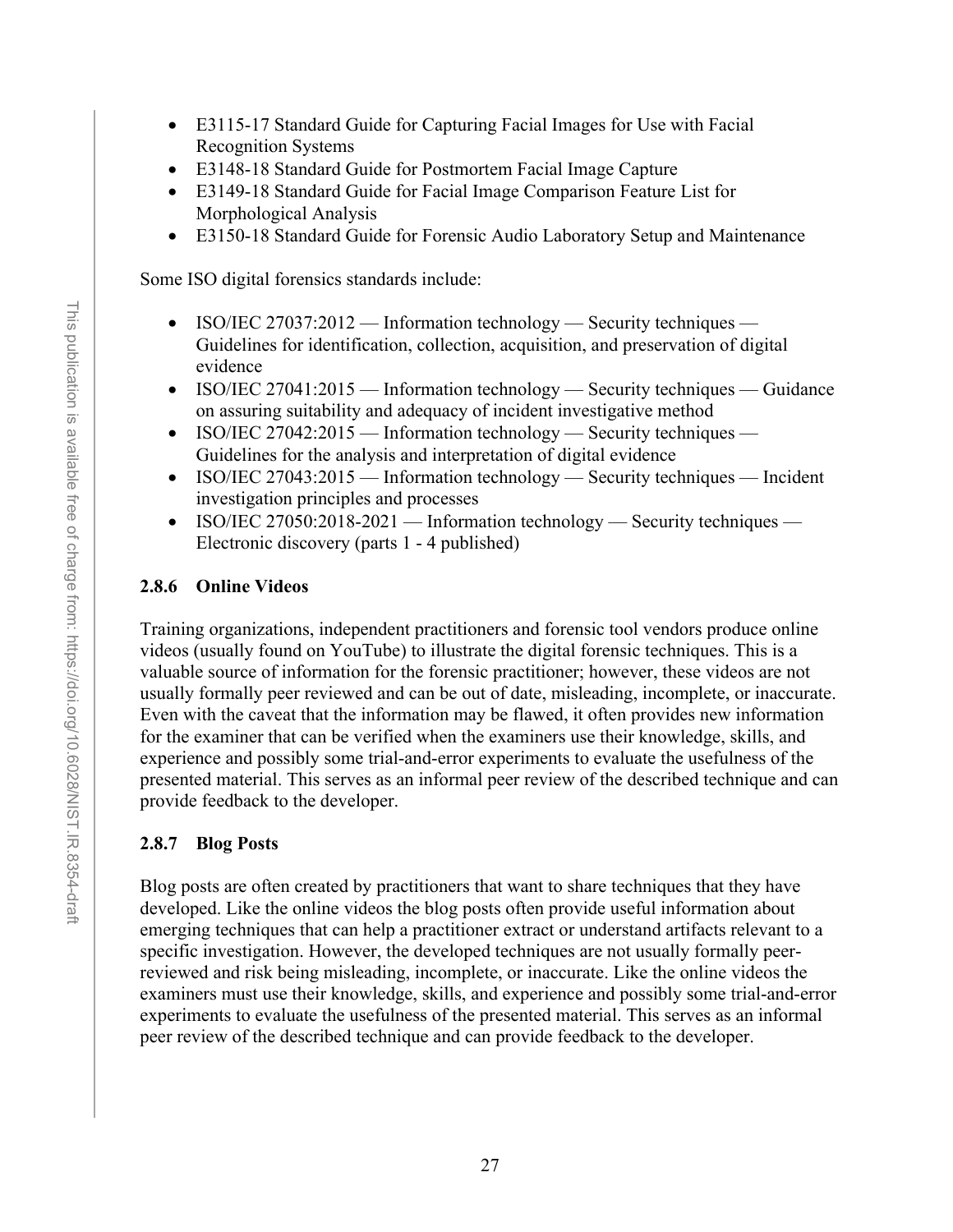- E3115-17 Standard Guide for Capturing Facial Images for Use with Facial Recognition Systems
- E3148-18 Standard Guide for Postmortem Facial Image Capture
- E3149-18 Standard Guide for Facial Image Comparison Feature List for Morphological Analysis
- E3150-18 Standard Guide for Forensic Audio Laboratory Setup and Maintenance

Some ISO digital forensics standards include:

- ISO/IEC 27037:2012 Information technology Security techniques Guidelines for identification, collection, acquisition, and preservation of digital evidence
- ISO/IEC 27041:2015 Information technology Security techniques Guidance on assuring suitability and adequacy of incident investigative method
- ISO/IEC 27042:2015 Information technology Security techniques Guidelines for the analysis and interpretation of digital evidence
- ISO/IEC 27043:2015 Information technology Security techniques Incident investigation principles and processes
- ISO/IEC 27050:2018-2021 Information technology Security techniques Electronic discovery (parts 1 - 4 published)

### **2.8.6 Online Videos**

Training organizations, independent practitioners and forensic tool vendors produce online videos (usually found on YouTube) to illustrate the digital forensic techniques. This is a valuable source of information for the forensic practitioner; however, these videos are not usually formally peer reviewed and can be out of date, misleading, incomplete, or inaccurate. Even with the caveat that the information may be flawed, it often provides new information for the examiner that can be verified when the examiners use their knowledge, skills, and experience and possibly some trial-and-error experiments to evaluate the usefulness of the presented material. This serves as an informal peer review of the described technique and can provide feedback to the developer.

### **2.8.7 Blog Posts**

Blog posts are often created by practitioners that want to share techniques that they have developed. Like the online videos the blog posts often provide useful information about emerging techniques that can help a practitioner extract or understand artifacts relevant to a specific investigation. However, the developed techniques are not usually formally peerreviewed and risk being misleading, incomplete, or inaccurate. Like the online videos the examiners must use their knowledge, skills, and experience and possibly some trial-and-error experiments to evaluate the usefulness of the presented material. This serves as an informal peer review of the described technique and can provide feedback to the developer.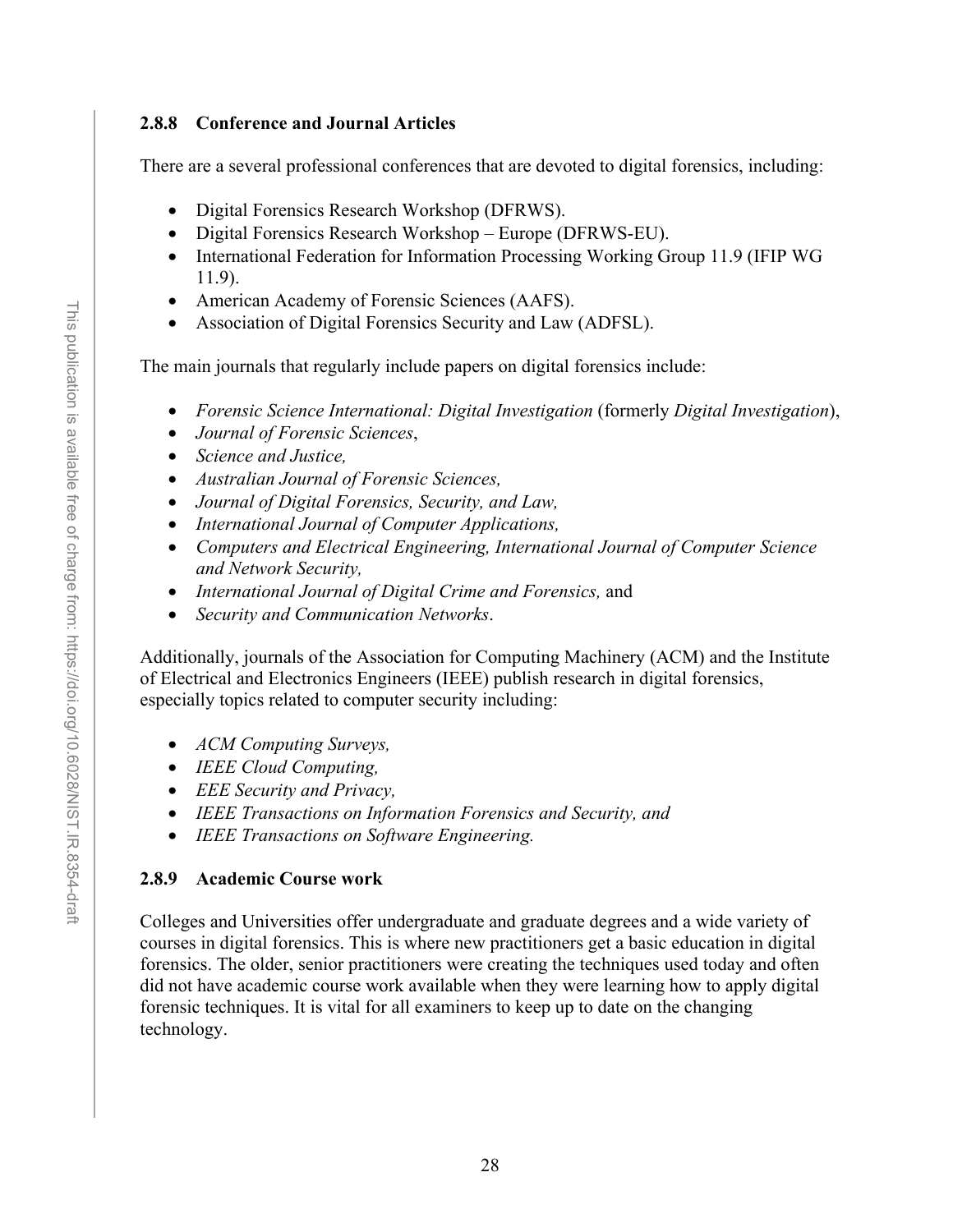### **2.8.8 Conference and Journal Articles**

There are a several professional conferences that are devoted to digital forensics, including:

- Digital Forensics Research Workshop (DFRWS).
- Digital Forensics Research Workshop Europe (DFRWS-EU).
- International Federation for Information Processing Working Group 11.9 (IFIP WG 11.9).
- American Academy of Forensic Sciences (AAFS).
- Association of Digital Forensics Security and Law (ADFSL).

The main journals that regularly include papers on digital forensics include:

- *Forensic Science International: Digital Investigation* (formerly *Digital Investigation*),
- *Journal of Forensic Sciences*,
- *Science and Justice,*
- *Australian Journal of Forensic Sciences,*
- *Journal of Digital Forensics, Security, and Law,*
- *International Journal of Computer Applications,*
- *Computers and Electrical Engineering, International Journal of Computer Science and Network Security,*
- *International Journal of Digital Crime and Forensics,* and
- *Security and Communication Networks*.

Additionally, journals of the Association for Computing Machinery (ACM) and the Institute of Electrical and Electronics Engineers (IEEE) publish research in digital forensics, especially topics related to computer security including:

- *ACM Computing Surveys,*
- *IEEE Cloud Computing,*
- *EEE Security and Privacy,*
- *IEEE Transactions on Information Forensics and Security, and*
- *IEEE Transactions on Software Engineering.*

#### **2.8.9 Academic Course work**

Colleges and Universities offer undergraduate and graduate degrees and a wide variety of courses in digital forensics. This is where new practitioners get a basic education in digital forensics. The older, senior practitioners were creating the techniques used today and often did not have academic course work available when they were learning how to apply digital forensic techniques. It is vital for all examiners to keep up to date on the changing technology.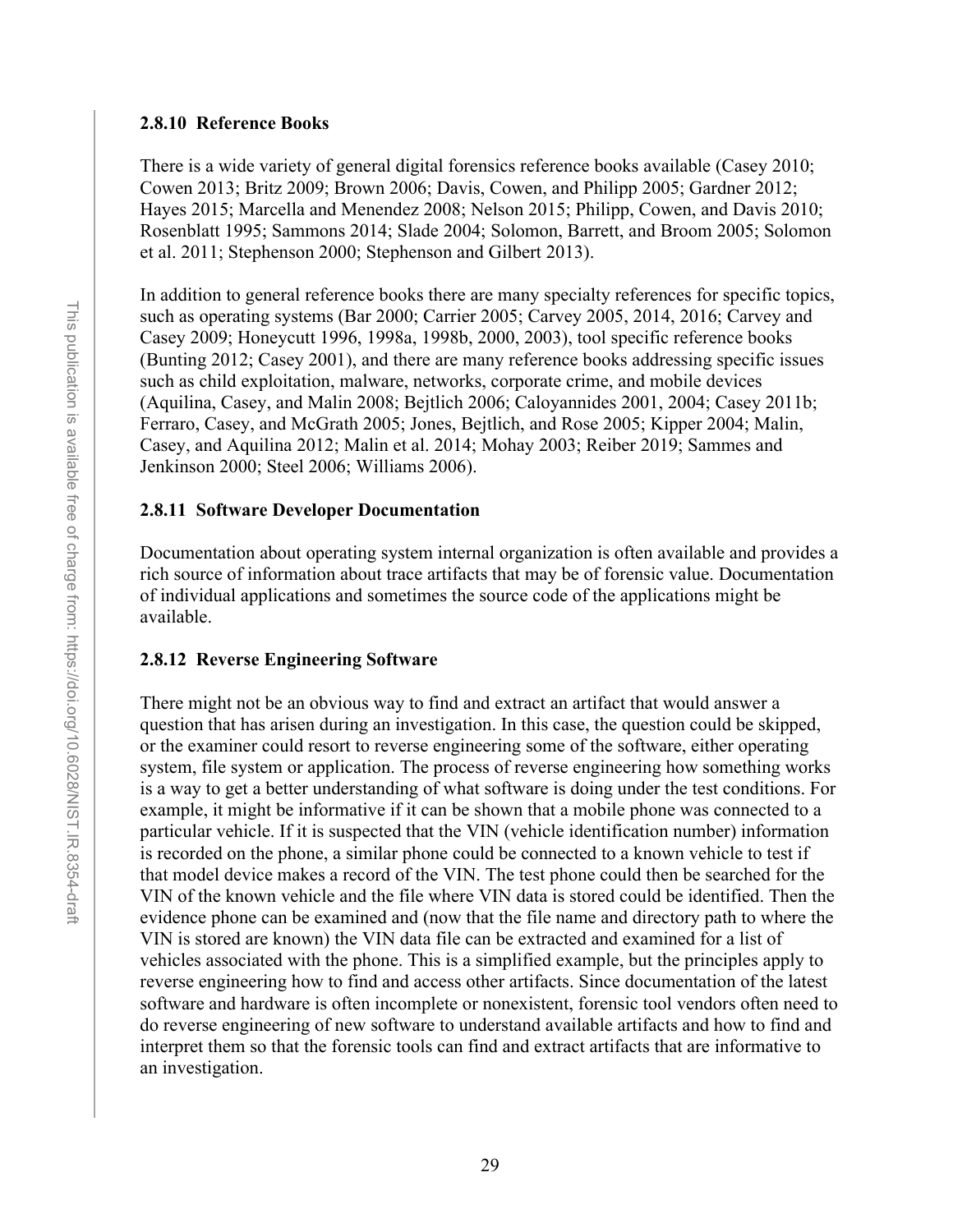### **2.8.10 Reference Books**

There is a wide variety of general digital forensics reference books available (Casey 2010; Cowen 2013; Britz 2009; Brown 2006; Davis, Cowen, and Philipp 2005; Gardner 2012; Hayes 2015; Marcella and Menendez 2008; Nelson 2015; Philipp, Cowen, and Davis 2010; Rosenblatt 1995; Sammons 2014; Slade 2004; Solomon, Barrett, and Broom 2005; Solomon et al. 2011; Stephenson 2000; Stephenson and Gilbert 2013).

In addition to general reference books there are many specialty references for specific topics, such as operating systems (Bar 2000; Carrier 2005; Carvey 2005, 2014, 2016; Carvey and Casey 2009; Honeycutt 1996, 1998a, 1998b, 2000, 2003), tool specific reference books (Bunting 2012; Casey 2001), and there are many reference books addressing specific issues such as child exploitation, malware, networks, corporate crime, and mobile devices (Aquilina, Casey, and Malin 2008; Bejtlich 2006; Caloyannides 2001, 2004; Casey 2011b; Ferraro, Casey, and McGrath 2005; Jones, Bejtlich, and Rose 2005; Kipper 2004; Malin, Casey, and Aquilina 2012; Malin et al. 2014; Mohay 2003; Reiber 2019; Sammes and Jenkinson 2000; Steel 2006; Williams 2006).

### **2.8.11 Software Developer Documentation**

Documentation about operating system internal organization is often available and provides a rich source of information about trace artifacts that may be of forensic value. Documentation of individual applications and sometimes the source code of the applications might be available.

### **2.8.12 Reverse Engineering Software**

There might not be an obvious way to find and extract an artifact that would answer a question that has arisen during an investigation. In this case, the question could be skipped, or the examiner could resort to reverse engineering some of the software, either operating system, file system or application. The process of reverse engineering how something works is a way to get a better understanding of what software is doing under the test conditions. For example, it might be informative if it can be shown that a mobile phone was connected to a particular vehicle. If it is suspected that the VIN (vehicle identification number) information is recorded on the phone, a similar phone could be connected to a known vehicle to test if that model device makes a record of the VIN. The test phone could then be searched for the VIN of the known vehicle and the file where VIN data is stored could be identified. Then the evidence phone can be examined and (now that the file name and directory path to where the VIN is stored are known) the VIN data file can be extracted and examined for a list of vehicles associated with the phone. This is a simplified example, but the principles apply to reverse engineering how to find and access other artifacts. Since documentation of the latest software and hardware is often incomplete or nonexistent, forensic tool vendors often need to do reverse engineering of new software to understand available artifacts and how to find and interpret them so that the forensic tools can find and extract artifacts that are informative to an investigation.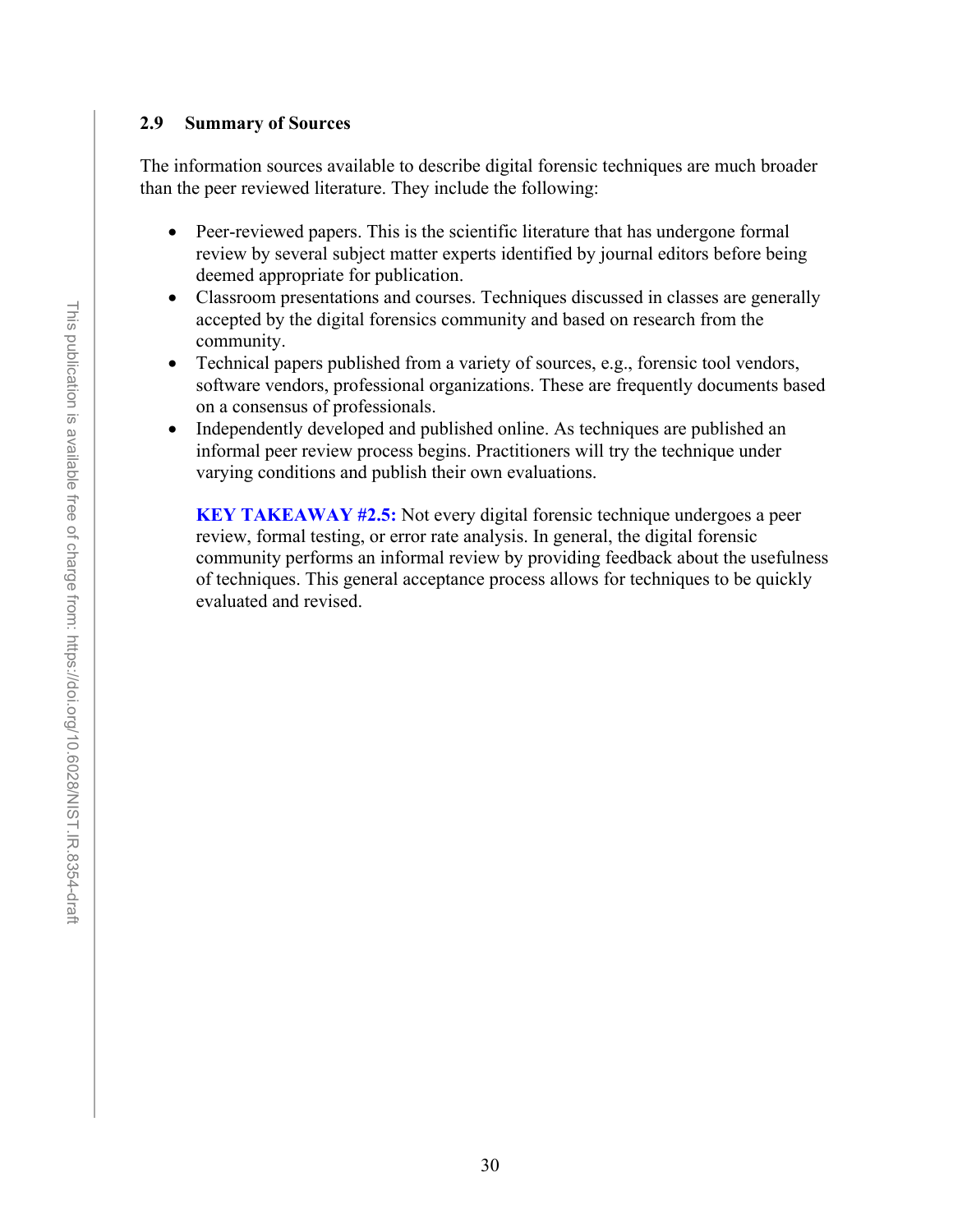### **2.9 Summary of Sources**

The information sources available to describe digital forensic techniques are much broader than the peer reviewed literature. They include the following:

- Peer-reviewed papers. This is the scientific literature that has undergone formal review by several subject matter experts identified by journal editors before being deemed appropriate for publication.
- Classroom presentations and courses. Techniques discussed in classes are generally accepted by the digital forensics community and based on research from the community.
- Technical papers published from a variety of sources, e.g., forensic tool vendors, software vendors, professional organizations. These are frequently documents based on a consensus of professionals.
- Independently developed and published online. As techniques are published an informal peer review process begins. Practitioners will try the technique under varying conditions and publish their own evaluations.

**KEY TAKEAWAY #2.5:** Not every digital forensic technique undergoes a peer review, formal testing, or error rate analysis. In general, the digital forensic community performs an informal review by providing feedback about the usefulness of techniques. This general acceptance process allows for techniques to be quickly evaluated and revised.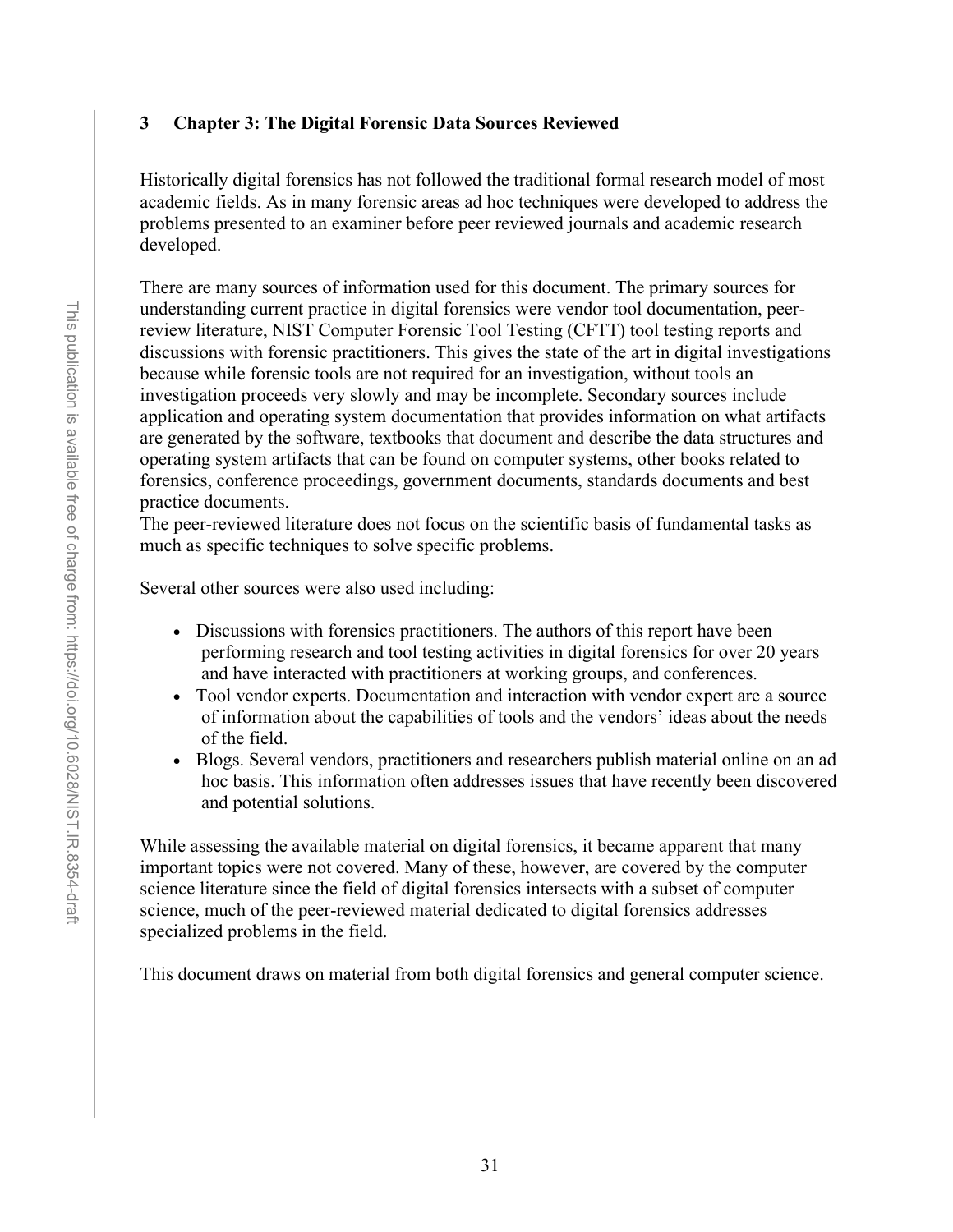### **3 Chapter 3: The Digital Forensic Data Sources Reviewed**

Historically digital forensics has not followed the traditional formal research model of most academic fields. As in many forensic areas ad hoc techniques were developed to address the problems presented to an examiner before peer reviewed journals and academic research developed.

There are many sources of information used for this document. The primary sources for understanding current practice in digital forensics were vendor tool documentation, peerreview literature, NIST Computer Forensic Tool Testing (CFTT) tool testing reports and discussions with forensic practitioners. This gives the state of the art in digital investigations because while forensic tools are not required for an investigation, without tools an investigation proceeds very slowly and may be incomplete. Secondary sources include application and operating system documentation that provides information on what artifacts are generated by the software, textbooks that document and describe the data structures and operating system artifacts that can be found on computer systems, other books related to forensics, conference proceedings, government documents, standards documents and best practice documents.

The peer-reviewed literature does not focus on the scientific basis of fundamental tasks as much as specific techniques to solve specific problems.

Several other sources were also used including:

- Discussions with forensics practitioners. The authors of this report have been performing research and tool testing activities in digital forensics for over 20 years and have interacted with practitioners at working groups, and conferences.
- Tool vendor experts. Documentation and interaction with vendor expert are a source of information about the capabilities of tools and the vendors' ideas about the needs of the field.
- Blogs. Several vendors, practitioners and researchers publish material online on an ad hoc basis. This information often addresses issues that have recently been discovered and potential solutions.

While assessing the available material on digital forensics, it became apparent that many important topics were not covered. Many of these, however, are covered by the computer science literature since the field of digital forensics intersects with a subset of computer science, much of the peer-reviewed material dedicated to digital forensics addresses specialized problems in the field.

This document draws on material from both digital forensics and general computer science.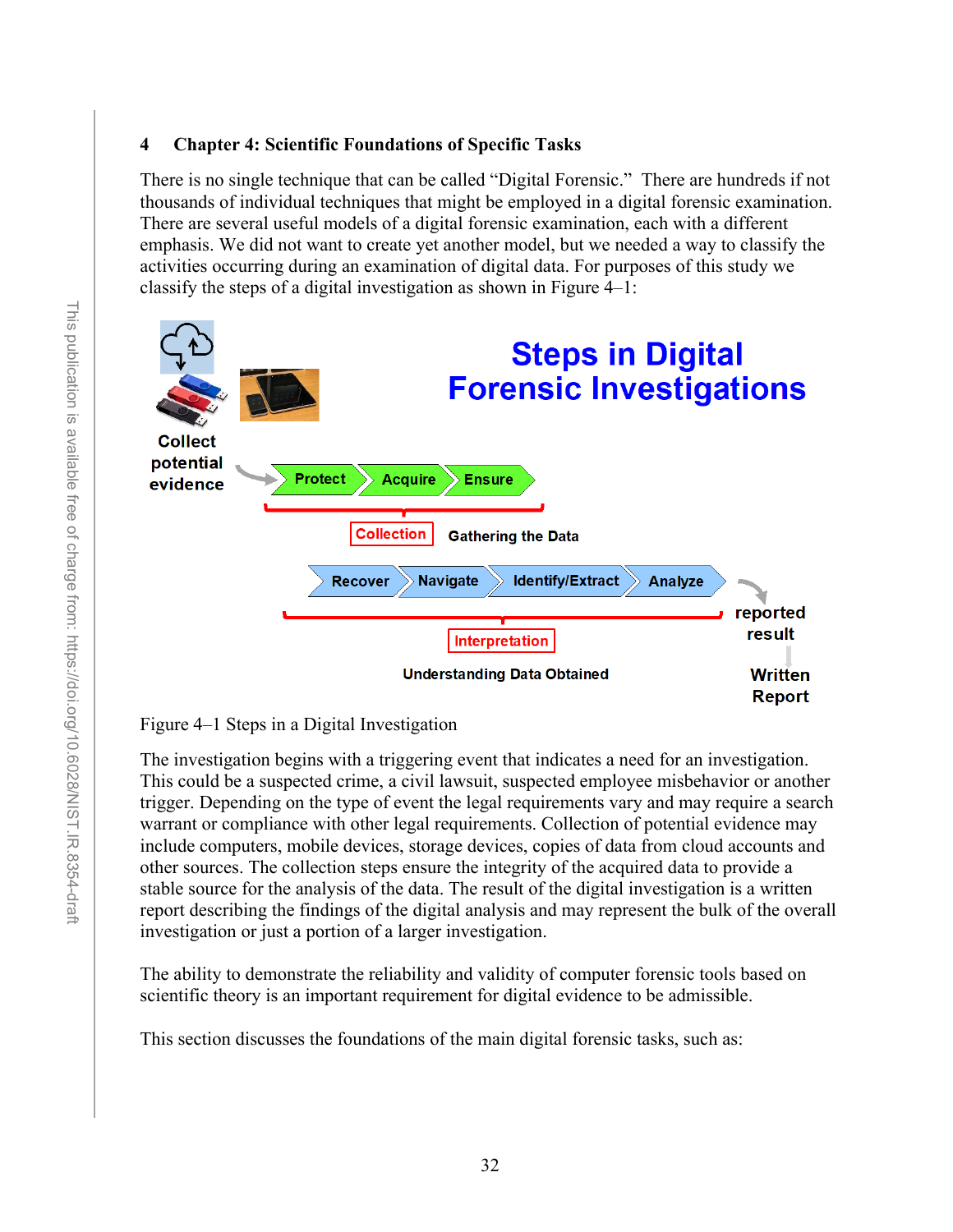### **4 Chapter 4: Scientific Foundations of Specific Tasks**

There is no single technique that can be called "Digital Forensic." There are hundreds if not thousands of individual techniques that might be employed in a digital forensic examination. There are several useful models of a digital forensic examination, each with a different emphasis. We did not want to create yet another model, but we needed a way to classify the activities occurring during an examination of digital data. For purposes of this study we classify the steps of a digital investigation as shown in Figure 4–1:



Figure 4–1 Steps in a Digital Investigation

The investigation begins with a triggering event that indicates a need for an investigation. This could be a suspected crime, a civil lawsuit, suspected employee misbehavior or another trigger. Depending on the type of event the legal requirements vary and may require a search warrant or compliance with other legal requirements. Collection of potential evidence may include computers, mobile devices, storage devices, copies of data from cloud accounts and other sources. The collection steps ensure the integrity of the acquired data to provide a stable source for the analysis of the data. The result of the digital investigation is a written report describing the findings of the digital analysis and may represent the bulk of the overall investigation or just a portion of a larger investigation.

The ability to demonstrate the reliability and validity of computer forensic tools based on scientific theory is an important requirement for digital evidence to be admissible.

This section discusses the foundations of the main digital forensic tasks, such as: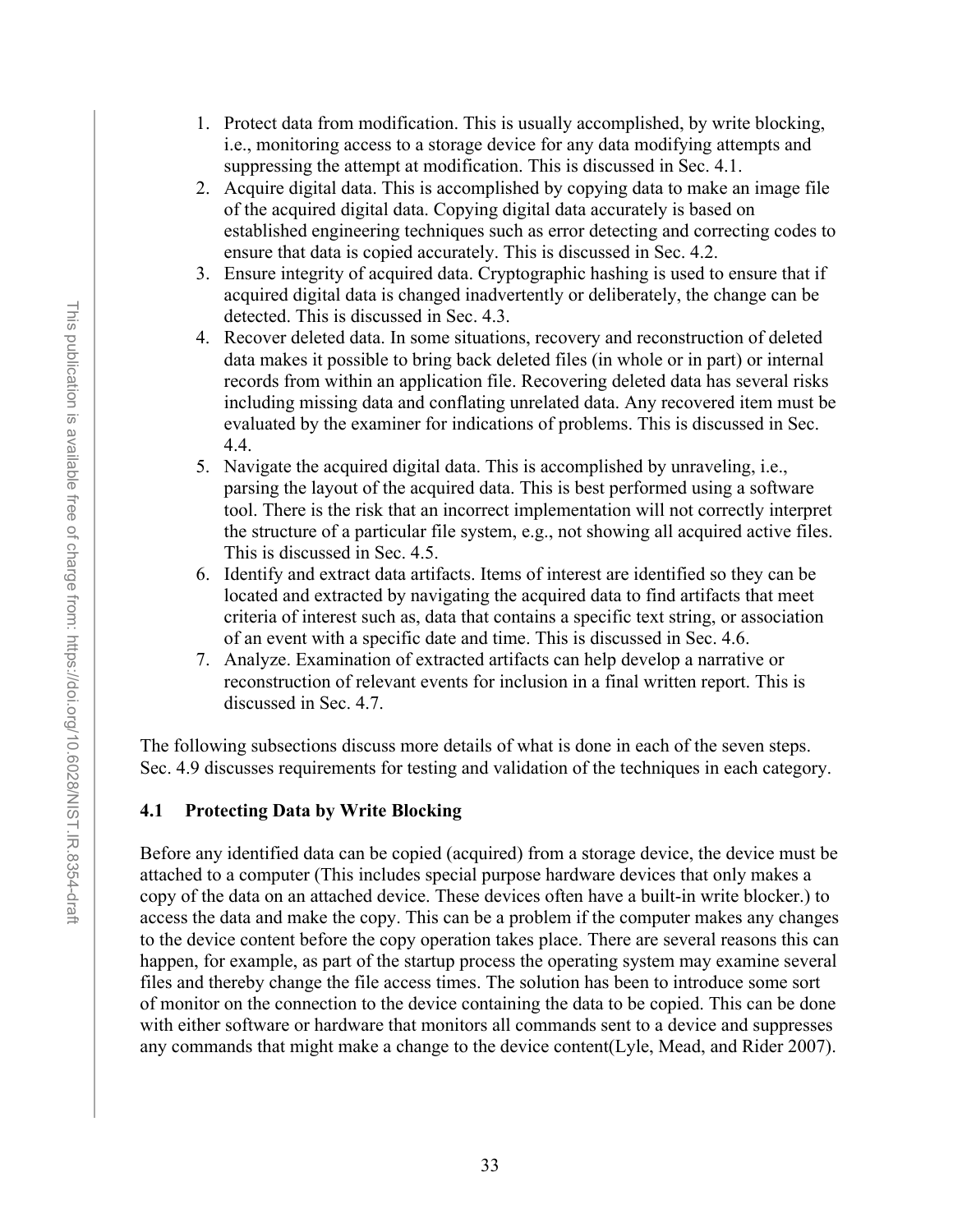- 1. Protect data from modification. This is usually accomplished, by write blocking, i.e., monitoring access to a storage device for any data modifying attempts and suppressing the attempt at modification. This is discussed in Sec. 4.1.
- 2. Acquire digital data. This is accomplished by copying data to make an image file of the acquired digital data. Copying digital data accurately is based on established engineering techniques such as error detecting and correcting codes to ensure that data is copied accurately. This is discussed in Sec. 4.2.
- 3. Ensure integrity of acquired data. Cryptographic hashing is used to ensure that if acquired digital data is changed inadvertently or deliberately, the change can be detected. This is discussed in Sec. 4.3.
- 4. Recover deleted data. In some situations, recovery and reconstruction of deleted data makes it possible to bring back deleted files (in whole or in part) or internal records from within an application file. Recovering deleted data has several risks including missing data and conflating unrelated data. Any recovered item must be evaluated by the examiner for indications of problems. This is discussed in Sec. 4.4.
- 5. Navigate the acquired digital data. This is accomplished by unraveling, i.e., parsing the layout of the acquired data. This is best performed using a software tool. There is the risk that an incorrect implementation will not correctly interpret the structure of a particular file system, e.g., not showing all acquired active files. This is discussed in Sec. 4.5.
- 6. Identify and extract data artifacts. Items of interest are identified so they can be located and extracted by navigating the acquired data to find artifacts that meet criteria of interest such as, data that contains a specific text string, or association of an event with a specific date and time. This is discussed in Sec. 4.6.
- 7. Analyze. Examination of extracted artifacts can help develop a narrative or reconstruction of relevant events for inclusion in a final written report. This is discussed in Sec. 4.7.

The following subsections discuss more details of what is done in each of the seven steps. Sec. [4.9](#page-56-0) discusses requirements for testing and validation of the techniques in each category.

#### **4.1 Protecting Data by Write Blocking**

Before any identified data can be copied (acquired) from a storage device, the device must be attached to a computer (This includes special purpose hardware devices that only makes a copy of the data on an attached device. These devices often have a built-in write blocker.) to access the data and make the copy. This can be a problem if the computer makes any changes to the device content before the copy operation takes place. There are several reasons this can happen, for example, as part of the startup process the operating system may examine several files and thereby change the file access times. The solution has been to introduce some sort of monitor on the connection to the device containing the data to be copied. This can be done with either software or hardware that monitors all commands sent to a device and suppresses any commands that might make a change to the device content(Lyle, Mead, and Rider 2007).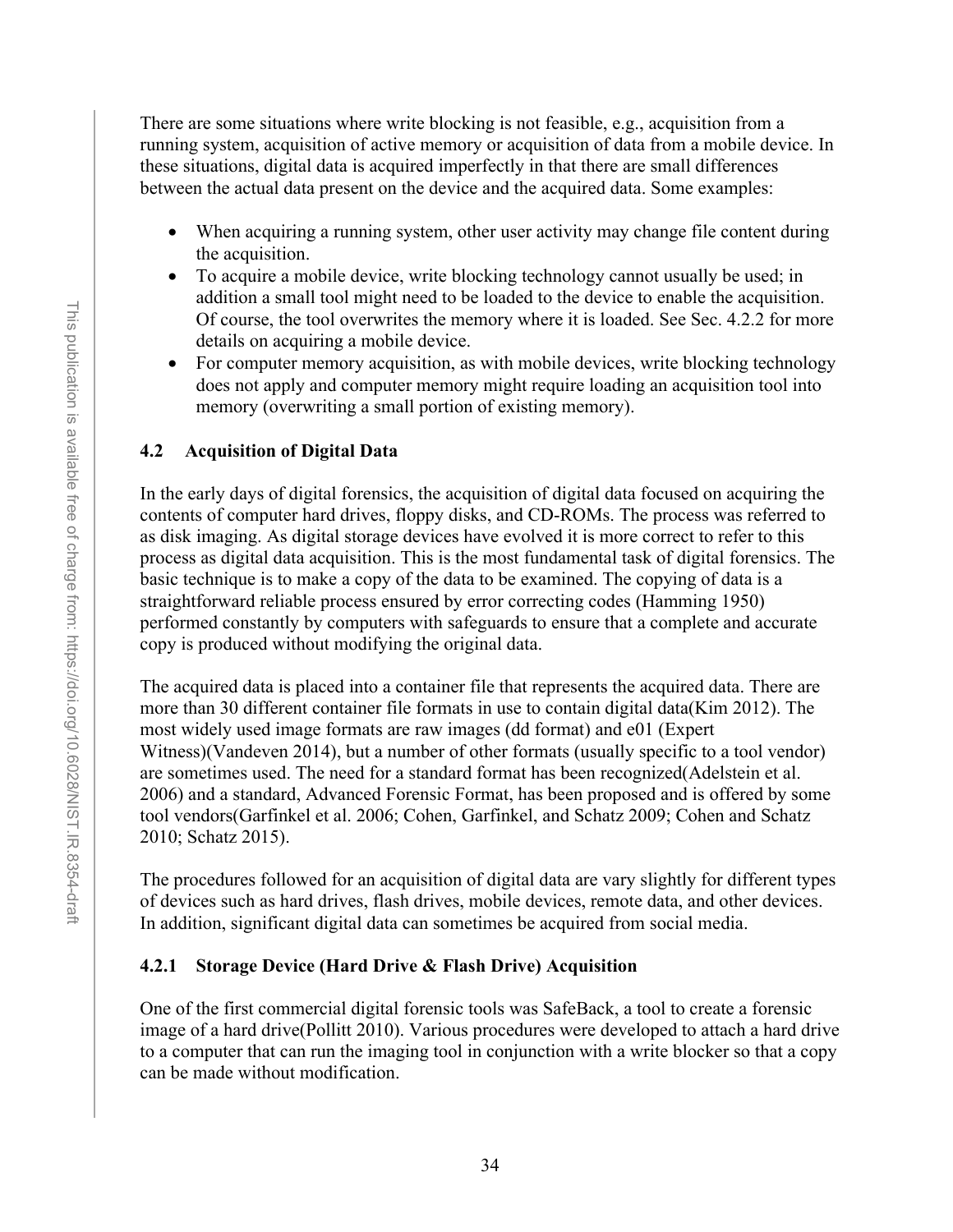There are some situations where write blocking is not feasible, e.g., acquisition from a running system, acquisition of active memory or acquisition of data from a mobile device. In these situations, digital data is acquired imperfectly in that there are small differences between the actual data present on the device and the acquired data. Some examples:

- When acquiring a running system, other user activity may change file content during the acquisition.
- To acquire a mobile device, write blocking technology cannot usually be used; in addition a small tool might need to be loaded to the device to enable the acquisition. Of course, the tool overwrites the memory where it is loaded. See Sec. [4.2.2](#page-47-0) for more details on acquiring a mobile device.
- For computer memory acquisition, as with mobile devices, write blocking technology does not apply and computer memory might require loading an acquisition tool into memory (overwriting a small portion of existing memory).

### **4.2 Acquisition of Digital Data**

In the early days of digital forensics, the acquisition of digital data focused on acquiring the contents of computer hard drives, floppy disks, and CD-ROMs. The process was referred to as disk imaging. As digital storage devices have evolved it is more correct to refer to this process as digital data acquisition. This is the most fundamental task of digital forensics. The basic technique is to make a copy of the data to be examined. The copying of data is a straightforward reliable process ensured by error correcting codes (Hamming 1950) performed constantly by computers with safeguards to ensure that a complete and accurate copy is produced without modifying the original data.

The acquired data is placed into a container file that represents the acquired data. There are more than 30 different container file formats in use to contain digital data(Kim 2012). The most widely used image formats are raw images (dd format) and e01 (Expert Witness)(Vandeven 2014), but a number of other formats (usually specific to a tool vendor) are sometimes used. The need for a standard format has been recognized(Adelstein et al. 2006) and a standard, Advanced Forensic Format, has been proposed and is offered by some tool vendors(Garfinkel et al. 2006; Cohen, Garfinkel, and Schatz 2009; Cohen and Schatz 2010; Schatz 2015).

The procedures followed for an acquisition of digital data are vary slightly for different types of devices such as hard drives, flash drives, mobile devices, remote data, and other devices. In addition, significant digital data can sometimes be acquired from social media.

#### **4.2.1 Storage Device (Hard Drive & Flash Drive) Acquisition**

One of the first commercial digital forensic tools was SafeBack, a tool to create a forensic image of a hard drive(Pollitt 2010). Various procedures were developed to attach a hard drive to a computer that can run the imaging tool in conjunction with a write blocker so that a copy can be made without modification.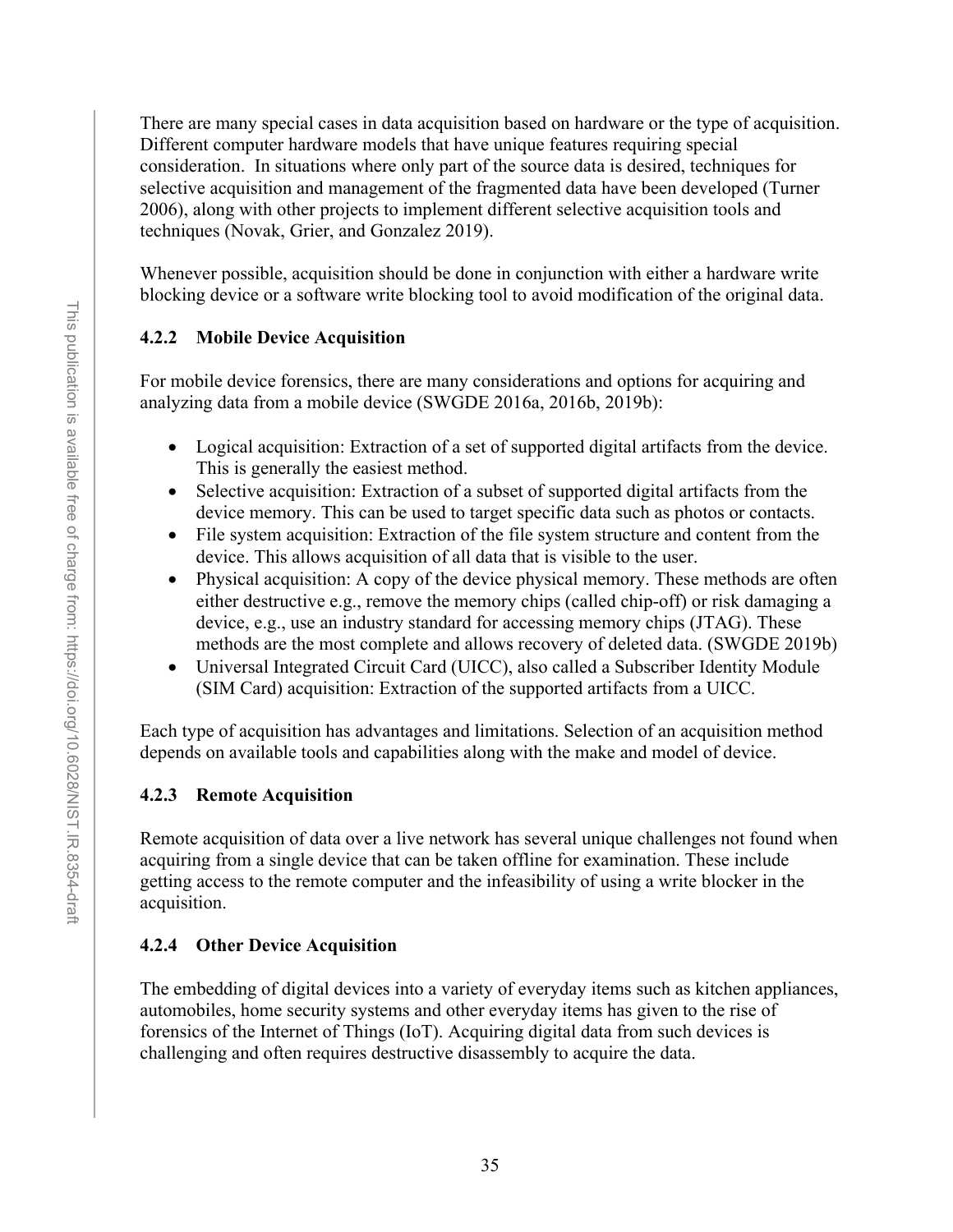There are many special cases in data acquisition based on hardware or the type of acquisition. Different computer hardware models that have unique features requiring special consideration. In situations where only part of the source data is desired, techniques for selective acquisition and management of the fragmented data have been developed (Turner 2006), along with other projects to implement different selective acquisition tools and techniques (Novak, Grier, and Gonzalez 2019).

Whenever possible, acquisition should be done in conjunction with either a hardware write blocking device or a software write blocking tool to avoid modification of the original data.

# <span id="page-47-0"></span>**4.2.2 Mobile Device Acquisition**

For mobile device forensics, there are many considerations and options for acquiring and analyzing data from a mobile device (SWGDE 2016a, 2016b, 2019b):

- Logical acquisition: Extraction of a set of supported digital artifacts from the device. This is generally the easiest method.
- Selective acquisition: Extraction of a subset of supported digital artifacts from the device memory. This can be used to target specific data such as photos or contacts.
- File system acquisition: Extraction of the file system structure and content from the device. This allows acquisition of all data that is visible to the user.
- Physical acquisition: A copy of the device physical memory. These methods are often either destructive e.g., remove the memory chips (called chip-off) or risk damaging a device, e.g., use an industry standard for accessing memory chips (JTAG). These methods are the most complete and allows recovery of deleted data. (SWGDE 2019b)
- Universal Integrated Circuit Card (UICC), also called a Subscriber Identity Module (SIM Card) acquisition: Extraction of the supported artifacts from a UICC.

Each type of acquisition has advantages and limitations. Selection of an acquisition method depends on available tools and capabilities along with the make and model of device.

# **4.2.3 Remote Acquisition**

Remote acquisition of data over a live network has several unique challenges not found when acquiring from a single device that can be taken offline for examination. These include getting access to the remote computer and the infeasibility of using a write blocker in the acquisition.

# **4.2.4 Other Device Acquisition**

The embedding of digital devices into a variety of everyday items such as kitchen appliances, automobiles, home security systems and other everyday items has given to the rise of forensics of the Internet of Things (IoT). Acquiring digital data from such devices is challenging and often requires destructive disassembly to acquire the data.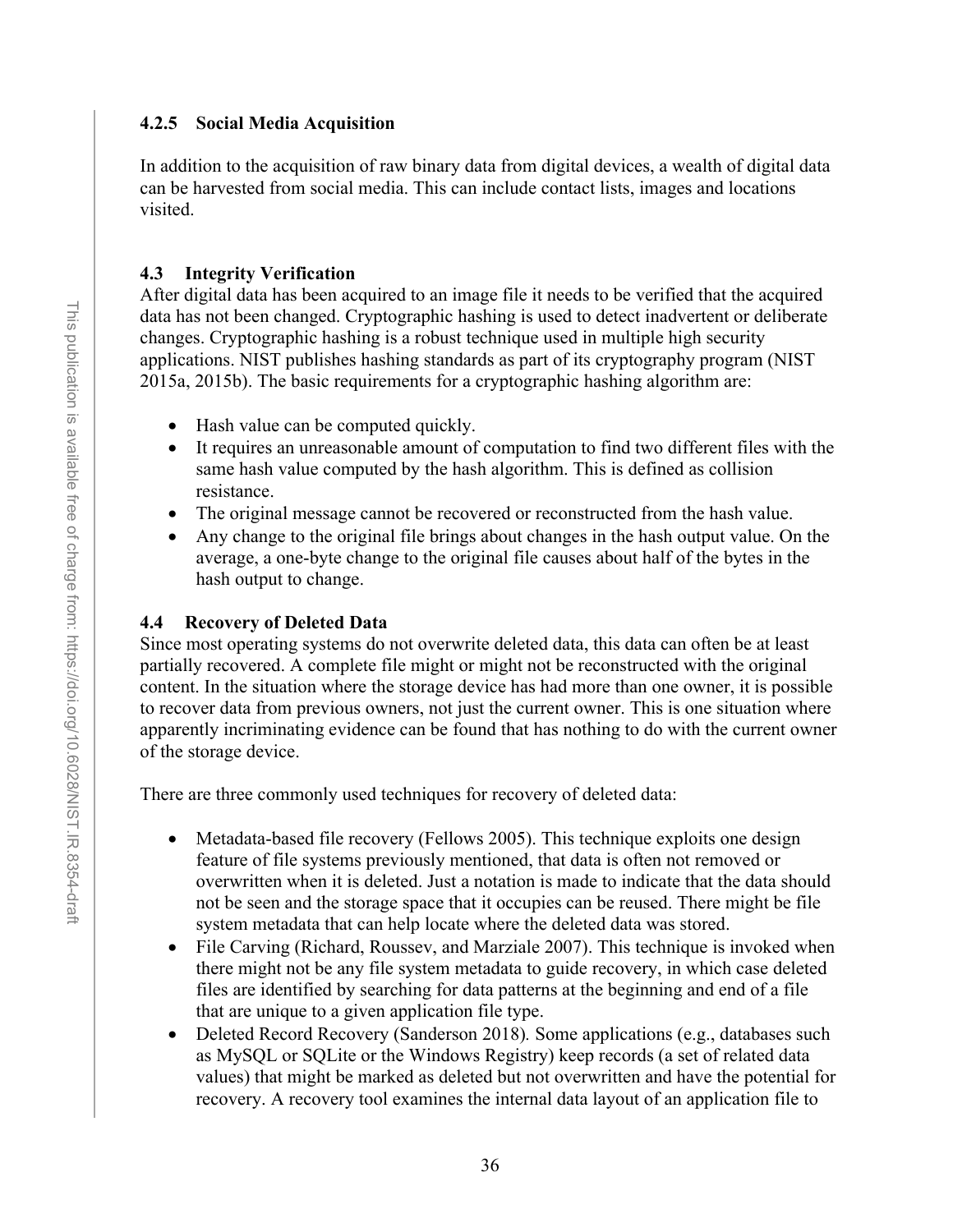### **4.2.5 Social Media Acquisition**

In addition to the acquisition of raw binary data from digital devices, a wealth of digital data can be harvested from social media. This can include contact lists, images and locations visited.

### **4.3 Integrity Verification**

After digital data has been acquired to an image file it needs to be verified that the acquired data has not been changed. Cryptographic hashing is used to detect inadvertent or deliberate changes. Cryptographic hashing is a robust technique used in multiple high security applications. NIST publishes hashing standards as part of its cryptography program (NIST 2015a, 2015b). The basic requirements for a cryptographic hashing algorithm are:

- Hash value can be computed quickly.
- It requires an unreasonable amount of computation to find two different files with the same hash value computed by the hash algorithm. This is defined as collision resistance.
- The original message cannot be recovered or reconstructed from the hash value.
- Any change to the original file brings about changes in the hash output value. On the average, a one-byte change to the original file causes about half of the bytes in the hash output to change.

### **4.4 Recovery of Deleted Data**

Since most operating systems do not overwrite deleted data, this data can often be at least partially recovered. A complete file might or might not be reconstructed with the original content. In the situation where the storage device has had more than one owner, it is possible to recover data from previous owners, not just the current owner. This is one situation where apparently incriminating evidence can be found that has nothing to do with the current owner of the storage device.

There are three commonly used techniques for recovery of deleted data:

- Metadata-based file recovery (Fellows 2005). This technique exploits one design feature of file systems previously mentioned, that data is often not removed or overwritten when it is deleted. Just a notation is made to indicate that the data should not be seen and the storage space that it occupies can be reused. There might be file system metadata that can help locate where the deleted data was stored.
- File Carving (Richard, Roussev, and Marziale 2007). This technique is invoked when there might not be any file system metadata to guide recovery, in which case deleted files are identified by searching for data patterns at the beginning and end of a file that are unique to a given application file type.
- Deleted Record Recovery (Sanderson 2018)*.* Some applications (e.g., databases such as MySQL or SQLite or the Windows Registry) keep records (a set of related data values) that might be marked as deleted but not overwritten and have the potential for recovery. A recovery tool examines the internal data layout of an application file to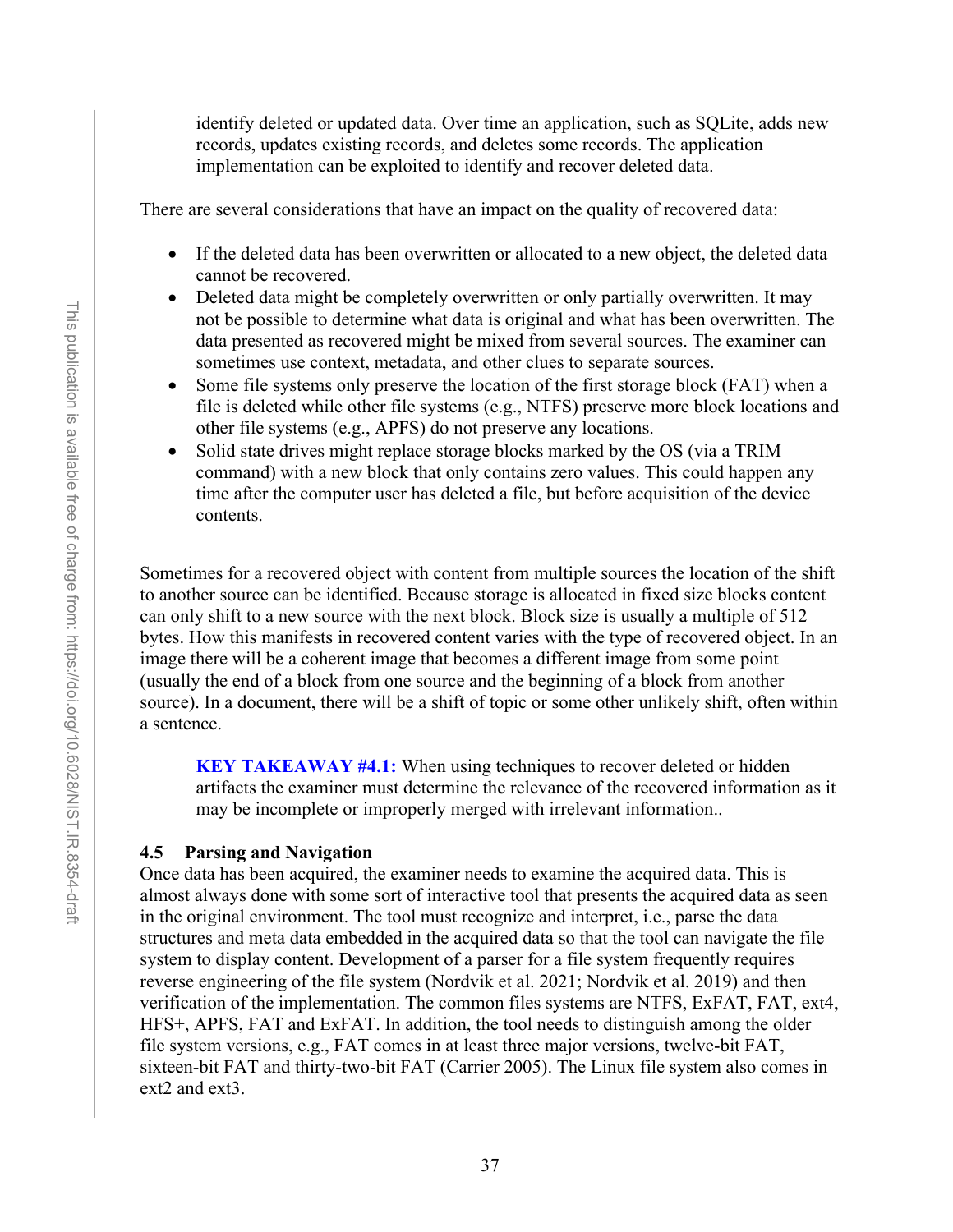identify deleted or updated data. Over time an application, such as SQLite, adds new records, updates existing records, and deletes some records. The application implementation can be exploited to identify and recover deleted data.

There are several considerations that have an impact on the quality of recovered data:

- If the deleted data has been overwritten or allocated to a new object, the deleted data cannot be recovered.
- Deleted data might be completely overwritten or only partially overwritten. It may not be possible to determine what data is original and what has been overwritten. The data presented as recovered might be mixed from several sources. The examiner can sometimes use context, metadata, and other clues to separate sources.
- Some file systems only preserve the location of the first storage block (FAT) when a file is deleted while other file systems (e.g., NTFS) preserve more block locations and other file systems (e.g., APFS) do not preserve any locations.
- Solid state drives might replace storage blocks marked by the OS (via a TRIM command) with a new block that only contains zero values. This could happen any time after the computer user has deleted a file, but before acquisition of the device contents.

Sometimes for a recovered object with content from multiple sources the location of the shift to another source can be identified. Because storage is allocated in fixed size blocks content can only shift to a new source with the next block. Block size is usually a multiple of 512 bytes. How this manifests in recovered content varies with the type of recovered object. In an image there will be a coherent image that becomes a different image from some point (usually the end of a block from one source and the beginning of a block from another source). In a document, there will be a shift of topic or some other unlikely shift, often within a sentence.

**KEY TAKEAWAY #4.1:** When using techniques to recover deleted or hidden artifacts the examiner must determine the relevance of the recovered information as it may be incomplete or improperly merged with irrelevant information..

#### **4.5 Parsing and Navigation**

Once data has been acquired, the examiner needs to examine the acquired data. This is almost always done with some sort of interactive tool that presents the acquired data as seen in the original environment. The tool must recognize and interpret, i.e., parse the data structures and meta data embedded in the acquired data so that the tool can navigate the file system to display content. Development of a parser for a file system frequently requires reverse engineering of the file system (Nordvik et al. 2021; Nordvik et al. 2019) and then verification of the implementation. The common files systems are NTFS, ExFAT, FAT, ext4, HFS+, APFS, FAT and ExFAT. In addition, the tool needs to distinguish among the older file system versions, e.g., FAT comes in at least three major versions, twelve-bit FAT, sixteen-bit FAT and thirty-two-bit FAT (Carrier 2005). The Linux file system also comes in ext2 and ext3.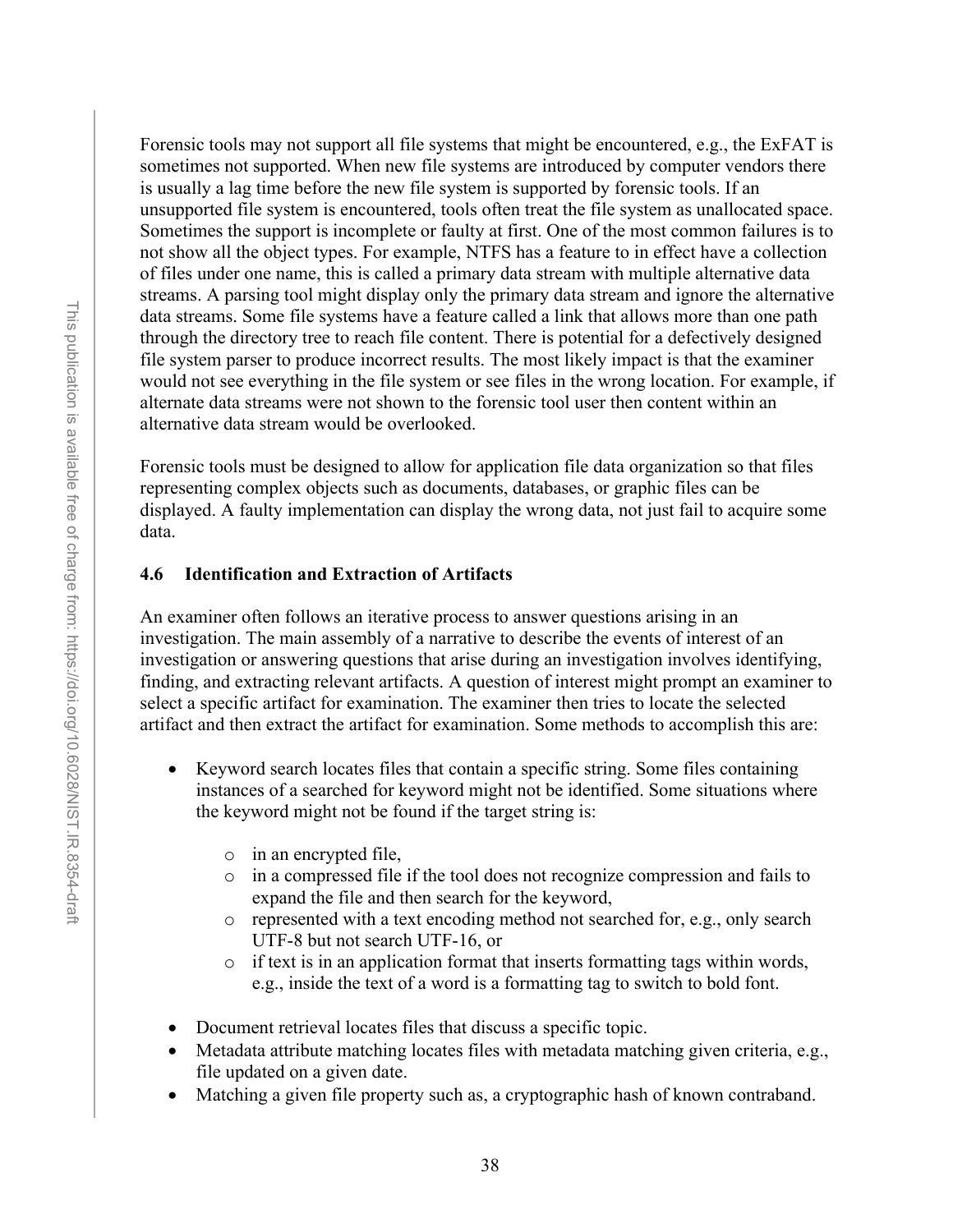Forensic tools may not support all file systems that might be encountered, e.g., the ExFAT is sometimes not supported. When new file systems are introduced by computer vendors there is usually a lag time before the new file system is supported by forensic tools. If an unsupported file system is encountered, tools often treat the file system as unallocated space. Sometimes the support is incomplete or faulty at first. One of the most common failures is to not show all the object types. For example, NTFS has a feature to in effect have a collection of files under one name, this is called a primary data stream with multiple alternative data streams. A parsing tool might display only the primary data stream and ignore the alternative data streams. Some file systems have a feature called a link that allows more than one path through the directory tree to reach file content. There is potential for a defectively designed file system parser to produce incorrect results. The most likely impact is that the examiner would not see everything in the file system or see files in the wrong location. For example, if alternate data streams were not shown to the forensic tool user then content within an alternative data stream would be overlooked.

Forensic tools must be designed to allow for application file data organization so that files representing complex objects such as documents, databases, or graphic files can be displayed. A faulty implementation can display the wrong data, not just fail to acquire some data.

### **4.6 Identification and Extraction of Artifacts**

An examiner often follows an iterative process to answer questions arising in an investigation. The main assembly of a narrative to describe the events of interest of an investigation or answering questions that arise during an investigation involves identifying, finding, and extracting relevant artifacts. A question of interest might prompt an examiner to select a specific artifact for examination. The examiner then tries to locate the selected artifact and then extract the artifact for examination. Some methods to accomplish this are:

- Keyword search locates files that contain a specific string. Some files containing instances of a searched for keyword might not be identified. Some situations where the keyword might not be found if the target string is:
	- o in an encrypted file,
	- o in a compressed file if the tool does not recognize compression and fails to expand the file and then search for the keyword,
	- o represented with a text encoding method not searched for, e.g., only search UTF-8 but not search UTF-16, or
	- o if text is in an application format that inserts formatting tags within words, e.g., inside the text of a word is a formatting tag to switch to bold font.
- Document retrieval locates files that discuss a specific topic.
- Metadata attribute matching locates files with metadata matching given criteria, e.g., file updated on a given date.
- Matching a given file property such as, a cryptographic hash of known contraband.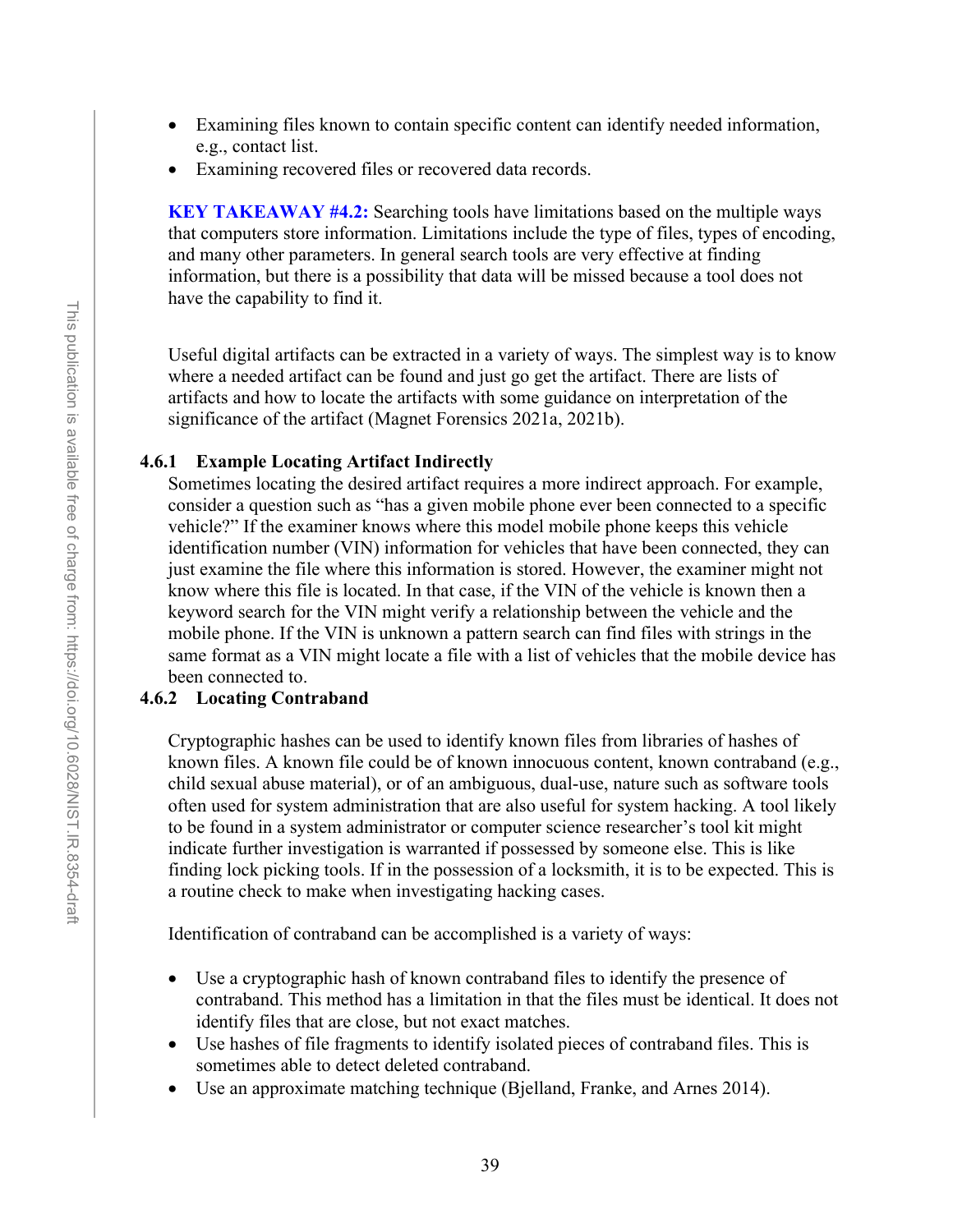- Examining files known to contain specific content can identify needed information, e.g., contact list.
- Examining recovered files or recovered data records.

**KEY TAKEAWAY #4.2:** Searching tools have limitations based on the multiple ways that computers store information. Limitations include the type of files, types of encoding, and many other parameters. In general search tools are very effective at finding information, but there is a possibility that data will be missed because a tool does not have the capability to find it.

Useful digital artifacts can be extracted in a variety of ways. The simplest way is to know where a needed artifact can be found and just go get the artifact. There are lists of artifacts and how to locate the artifacts with some guidance on interpretation of the significance of the artifact (Magnet Forensics 2021a, 2021b).

#### **4.6.1 Example Locating Artifact Indirectly**

Sometimes locating the desired artifact requires a more indirect approach. For example, consider a question such as "has a given mobile phone ever been connected to a specific vehicle?" If the examiner knows where this model mobile phone keeps this vehicle identification number (VIN) information for vehicles that have been connected, they can just examine the file where this information is stored. However, the examiner might not know where this file is located. In that case, if the VIN of the vehicle is known then a keyword search for the VIN might verify a relationship between the vehicle and the mobile phone. If the VIN is unknown a pattern search can find files with strings in the same format as a VIN might locate a file with a list of vehicles that the mobile device has been connected to.

### **4.6.2 Locating Contraband**

Cryptographic hashes can be used to identify known files from libraries of hashes of known files. A known file could be of known innocuous content, known contraband (e.g., child sexual abuse material), or of an ambiguous, dual-use, nature such as software tools often used for system administration that are also useful for system hacking. A tool likely to be found in a system administrator or computer science researcher's tool kit might indicate further investigation is warranted if possessed by someone else. This is like finding lock picking tools. If in the possession of a locksmith, it is to be expected. This is a routine check to make when investigating hacking cases.

Identification of contraband can be accomplished is a variety of ways:

- Use a cryptographic hash of known contraband files to identify the presence of contraband. This method has a limitation in that the files must be identical. It does not identify files that are close, but not exact matches.
- Use hashes of file fragments to identify isolated pieces of contraband files. This is sometimes able to detect deleted contraband.
- Use an approximate matching technique (Bjelland, Franke, and Arnes 2014).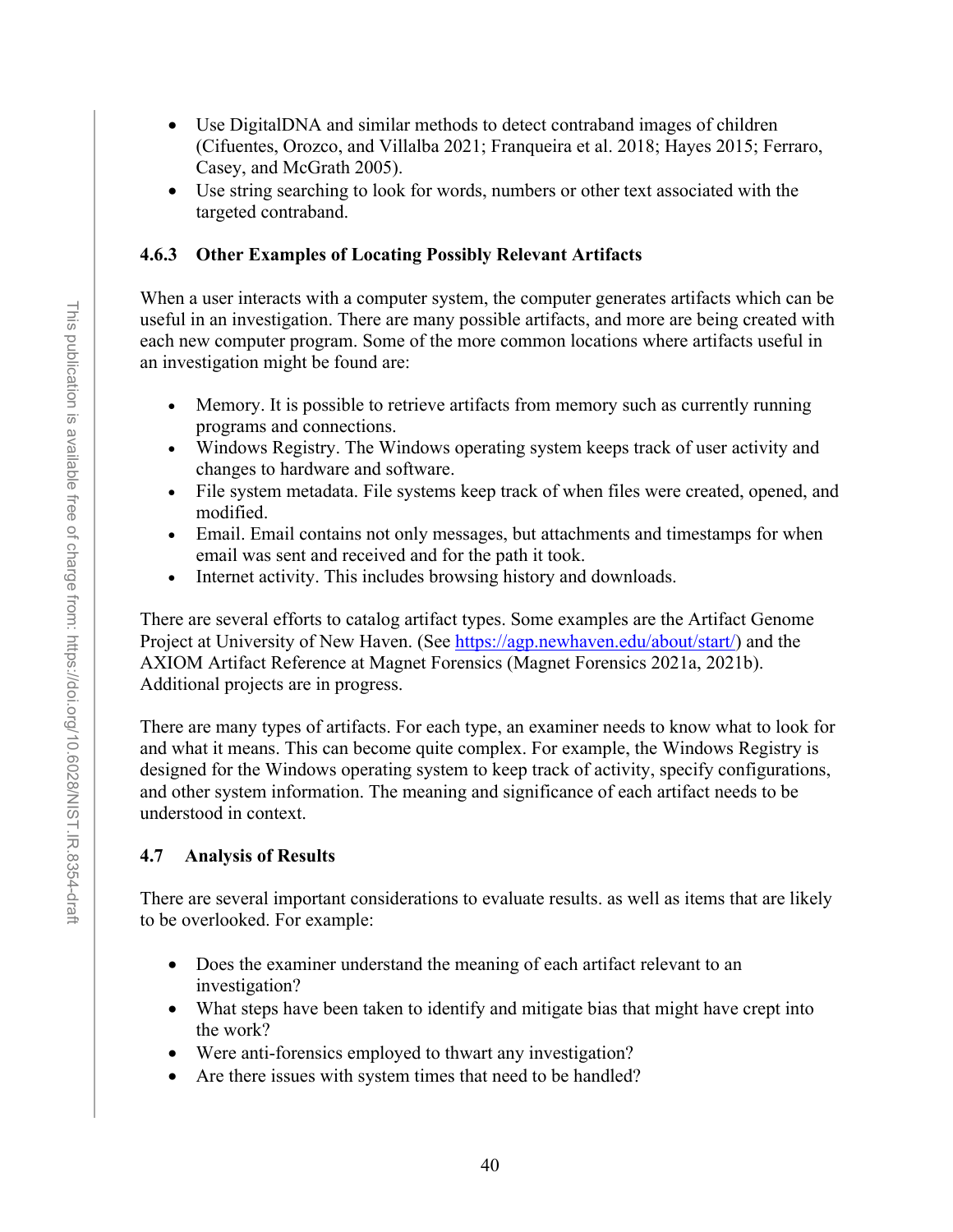- Use DigitalDNA and similar methods to detect contraband images of children (Cifuentes, Orozco, and Villalba 2021; Franqueira et al. 2018; Hayes 2015; Ferraro, Casey, and McGrath 2005).
- Use string searching to look for words, numbers or other text associated with the targeted contraband.

## **4.6.3 Other Examples of Locating Possibly Relevant Artifacts**

When a user interacts with a computer system, the computer generates artifacts which can be useful in an investigation. There are many possible artifacts, and more are being created with each new computer program. Some of the more common locations where artifacts useful in an investigation might be found are:

- Memory. It is possible to retrieve artifacts from memory such as currently running programs and connections.
- Windows Registry. The Windows operating system keeps track of user activity and changes to hardware and software.
- File system metadata. File systems keep track of when files were created, opened, and modified.
- Email. Email contains not only messages, but attachments and timestamps for when email was sent and received and for the path it took.
- Internet activity. This includes browsing history and downloads.

There are several efforts to catalog artifact types. Some examples are the Artifact Genome Project at University of New Haven. (See [https://agp.newhaven.edu/about/start/\)](https://agp.newhaven.edu/about/start/) and the AXIOM Artifact Reference at Magnet Forensics (Magnet Forensics 2021a, 2021b). Additional projects are in progress.

There are many types of artifacts. For each type, an examiner needs to know what to look for and what it means. This can become quite complex. For example, the Windows Registry is designed for the Windows operating system to keep track of activity, specify configurations, and other system information. The meaning and significance of each artifact needs to be understood in context.

# **4.7 Analysis of Results**

There are several important considerations to evaluate results. as well as items that are likely to be overlooked. For example:

- Does the examiner understand the meaning of each artifact relevant to an investigation?
- What steps have been taken to identify and mitigate bias that might have crept into the work?
- Were anti-forensics employed to thwart any investigation?
- Are there issues with system times that need to be handled?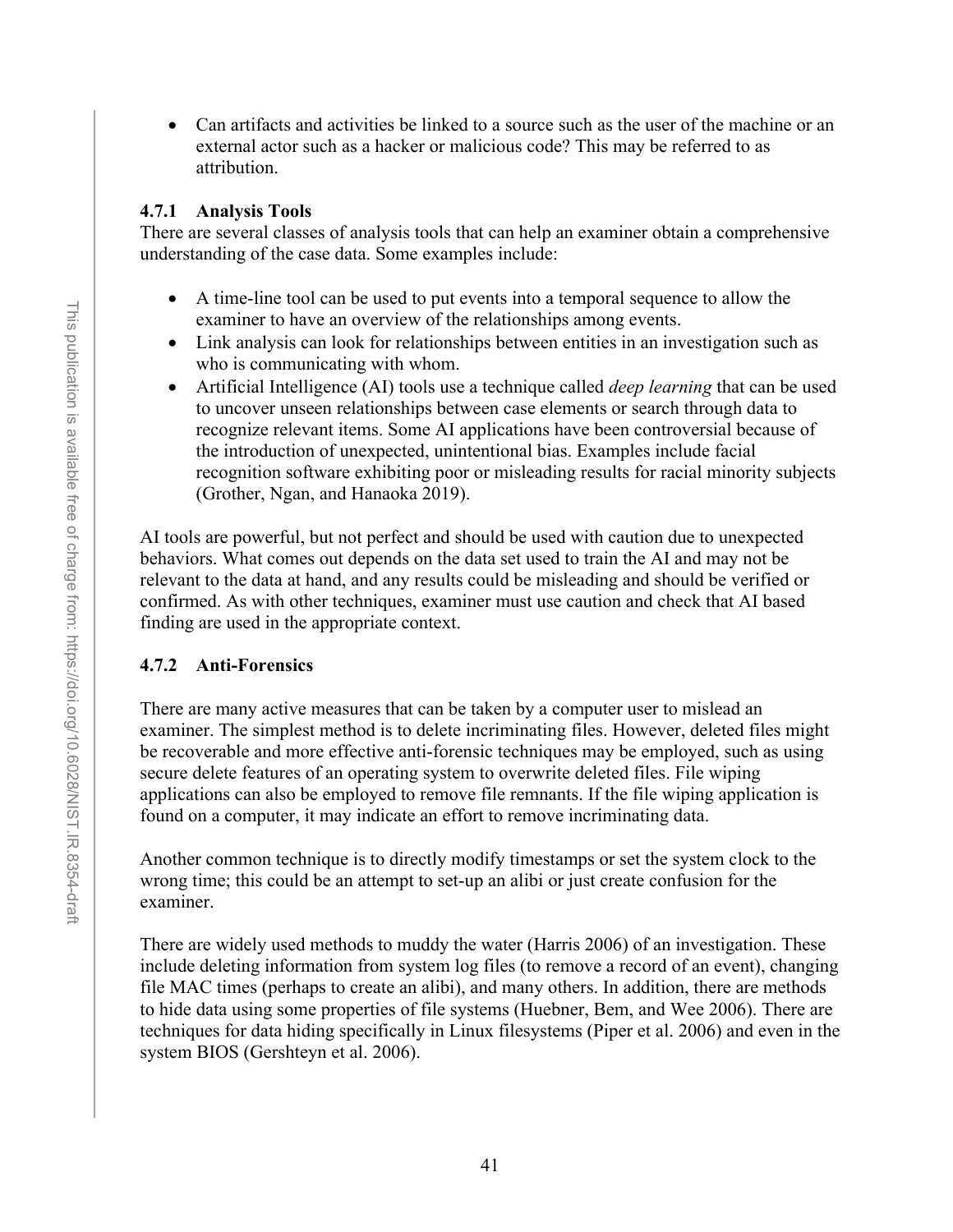• Can artifacts and activities be linked to a source such as the user of the machine or an external actor such as a hacker or malicious code? This may be referred to as attribution.

#### **4.7.1 Analysis Tools**

There are several classes of analysis tools that can help an examiner obtain a comprehensive understanding of the case data. Some examples include:

- A time-line tool can be used to put events into a temporal sequence to allow the examiner to have an overview of the relationships among events.
- Link analysis can look for relationships between entities in an investigation such as who is communicating with whom.
- Artificial Intelligence (AI) tools use a technique called *deep learning* that can be used to uncover unseen relationships between case elements or search through data to recognize relevant items. Some AI applications have been controversial because of the introduction of unexpected, unintentional bias. Examples include facial recognition software exhibiting poor or misleading results for racial minority subjects (Grother, Ngan, and Hanaoka 2019).

AI tools are powerful, but not perfect and should be used with caution due to unexpected behaviors. What comes out depends on the data set used to train the AI and may not be relevant to the data at hand, and any results could be misleading and should be verified or confirmed. As with other techniques, examiner must use caution and check that AI based finding are used in the appropriate context.

#### **4.7.2 Anti-Forensics**

There are many active measures that can be taken by a computer user to mislead an examiner. The simplest method is to delete incriminating files. However, deleted files might be recoverable and more effective anti-forensic techniques may be employed, such as using secure delete features of an operating system to overwrite deleted files. File wiping applications can also be employed to remove file remnants. If the file wiping application is found on a computer, it may indicate an effort to remove incriminating data.

Another common technique is to directly modify timestamps or set the system clock to the wrong time; this could be an attempt to set-up an alibi or just create confusion for the examiner.

There are widely used methods to muddy the water (Harris 2006) of an investigation. These include deleting information from system log files (to remove a record of an event), changing file MAC times (perhaps to create an alibi), and many others. In addition, there are methods to hide data using some properties of file systems (Huebner, Bem, and Wee 2006). There are techniques for data hiding specifically in Linux filesystems (Piper et al. 2006) and even in the system BIOS (Gershteyn et al. 2006).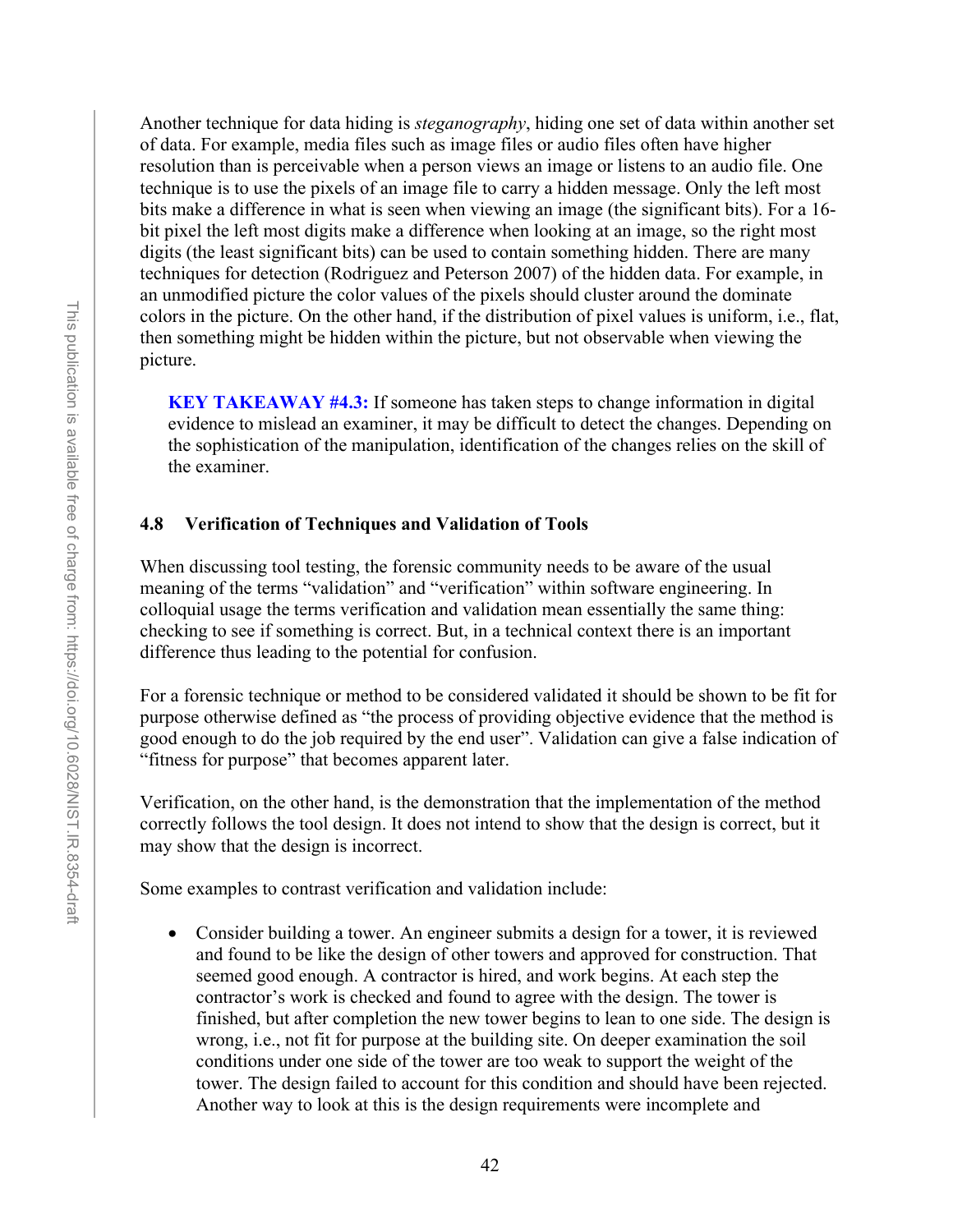Another technique for data hiding is *steganography*, hiding one set of data within another set of data. For example, media files such as image files or audio files often have higher resolution than is perceivable when a person views an image or listens to an audio file. One technique is to use the pixels of an image file to carry a hidden message. Only the left most bits make a difference in what is seen when viewing an image (the significant bits). For a 16 bit pixel the left most digits make a difference when looking at an image, so the right most digits (the least significant bits) can be used to contain something hidden. There are many techniques for detection (Rodriguez and Peterson 2007) of the hidden data. For example, in an unmodified picture the color values of the pixels should cluster around the dominate colors in the picture. On the other hand, if the distribution of pixel values is uniform, i.e., flat, then something might be hidden within the picture, but not observable when viewing the picture.

**KEY TAKEAWAY #4.3:** If someone has taken steps to change information in digital evidence to mislead an examiner, it may be difficult to detect the changes. Depending on the sophistication of the manipulation, identification of the changes relies on the skill of the examiner.

### **4.8 Verification of Techniques and Validation of Tools**

When discussing tool testing, the forensic community needs to be aware of the usual meaning of the terms "validation" and "verification" within software engineering. In colloquial usage the terms verification and validation mean essentially the same thing: checking to see if something is correct. But, in a technical context there is an important difference thus leading to the potential for confusion.

For a forensic technique or method to be considered validated it should be shown to be fit for purpose otherwise defined as "the process of providing objective evidence that the method is good enough to do the job required by the end user". Validation can give a false indication of "fitness for purpose" that becomes apparent later.

Verification, on the other hand, is the demonstration that the implementation of the method correctly follows the tool design. It does not intend to show that the design is correct, but it may show that the design is incorrect.

Some examples to contrast verification and validation include:

• Consider building a tower. An engineer submits a design for a tower, it is reviewed and found to be like the design of other towers and approved for construction. That seemed good enough. A contractor is hired, and work begins. At each step the contractor's work is checked and found to agree with the design. The tower is finished, but after completion the new tower begins to lean to one side. The design is wrong, i.e., not fit for purpose at the building site. On deeper examination the soil conditions under one side of the tower are too weak to support the weight of the tower. The design failed to account for this condition and should have been rejected. Another way to look at this is the design requirements were incomplete and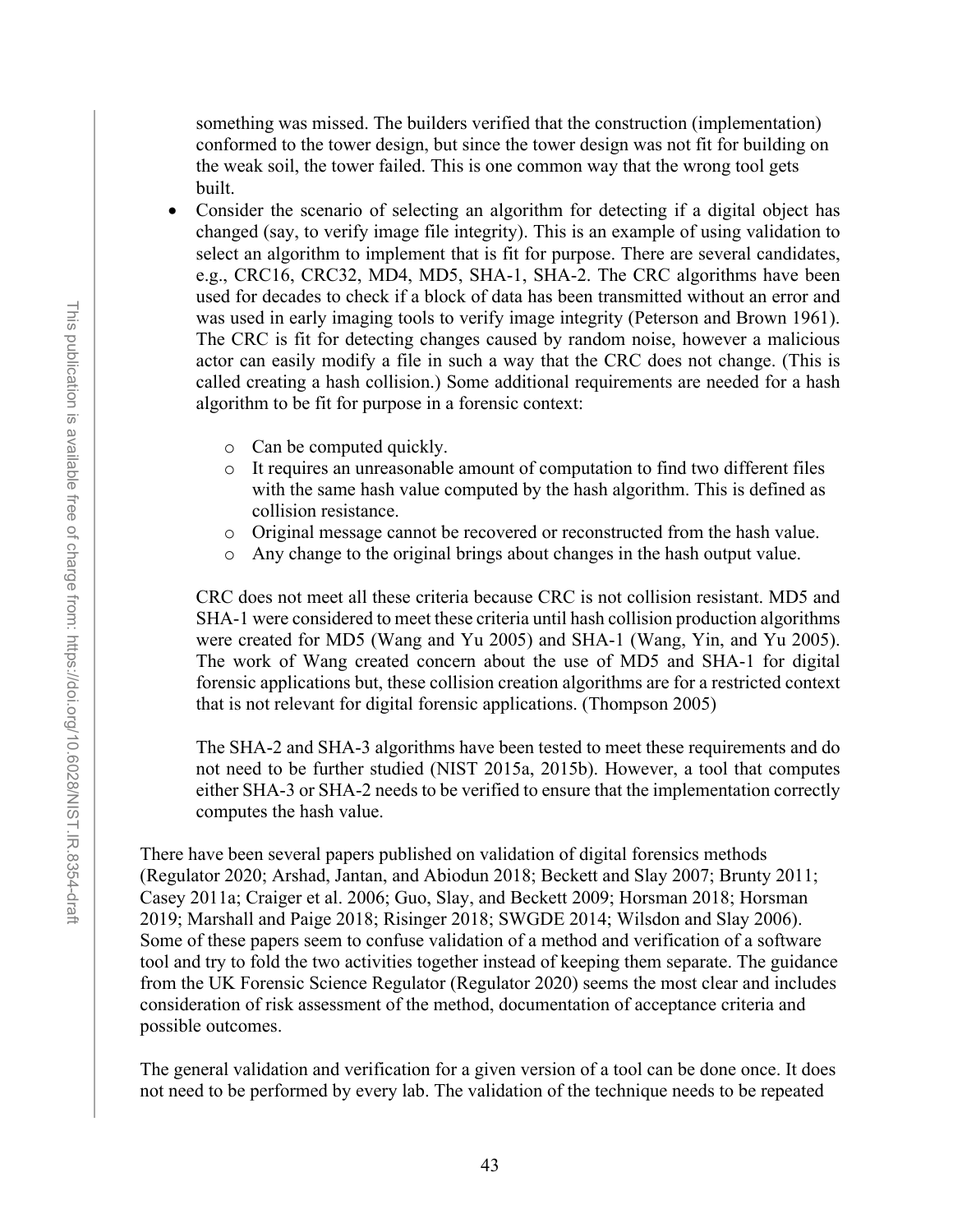something was missed. The builders verified that the construction (implementation) conformed to the tower design, but since the tower design was not fit for building on the weak soil, the tower failed. This is one common way that the wrong tool gets built.

- Consider the scenario of selecting an algorithm for detecting if a digital object has changed (say, to verify image file integrity). This is an example of using validation to select an algorithm to implement that is fit for purpose. There are several candidates, e.g., CRC16, CRC32, MD4, MD5, SHA-1, SHA-2. The CRC algorithms have been used for decades to check if a block of data has been transmitted without an error and was used in early imaging tools to verify image integrity (Peterson and Brown 1961). The CRC is fit for detecting changes caused by random noise, however a malicious actor can easily modify a file in such a way that the CRC does not change. (This is called creating a hash collision.) Some additional requirements are needed for a hash algorithm to be fit for purpose in a forensic context:
	- o Can be computed quickly.
	- o It requires an unreasonable amount of computation to find two different files with the same hash value computed by the hash algorithm. This is defined as collision resistance.
	- $\circ$  Original message cannot be recovered or reconstructed from the hash value.<br> $\circ$  Any change to the original brings about changes in the hash output value.
	- Any change to the original brings about changes in the hash output value.

CRC does not meet all these criteria because CRC is not collision resistant. MD5 and SHA-1 were considered to meet these criteria until hash collision production algorithms were created for MD5 (Wang and Yu 2005) and SHA-1 (Wang, Yin, and Yu 2005). The work of Wang created concern about the use of MD5 and SHA-1 for digital forensic applications but, these collision creation algorithms are for a restricted context that is not relevant for digital forensic applications. (Thompson 2005)

The SHA-2 and SHA-3 algorithms have been tested to meet these requirements and do not need to be further studied (NIST 2015a, 2015b). However, a tool that computes either SHA-3 or SHA-2 needs to be verified to ensure that the implementation correctly computes the hash value.

There have been several papers published on validation of digital forensics methods (Regulator 2020; Arshad, Jantan, and Abiodun 2018; Beckett and Slay 2007; Brunty 2011; Casey 2011a; Craiger et al. 2006; Guo, Slay, and Beckett 2009; Horsman 2018; Horsman 2019; Marshall and Paige 2018; Risinger 2018; SWGDE 2014; Wilsdon and Slay 2006). Some of these papers seem to confuse validation of a method and verification of a software tool and try to fold the two activities together instead of keeping them separate. The guidance from the UK Forensic Science Regulator (Regulator 2020) seems the most clear and includes consideration of risk assessment of the method, documentation of acceptance criteria and possible outcomes.

The general validation and verification for a given version of a tool can be done once. It does not need to be performed by every lab. The validation of the technique needs to be repeated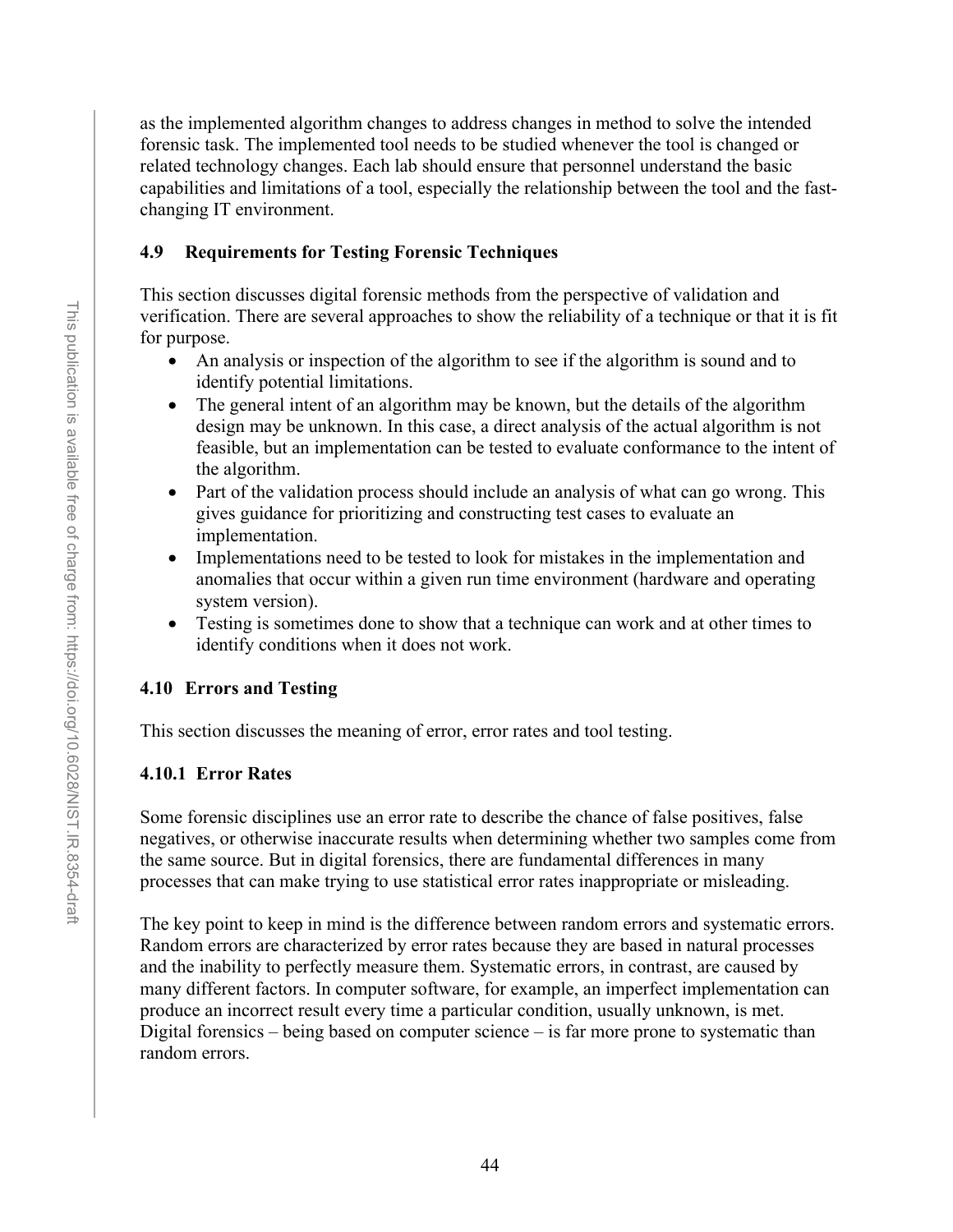as the implemented algorithm changes to address changes in method to solve the intended forensic task. The implemented tool needs to be studied whenever the tool is changed or related technology changes. Each lab should ensure that personnel understand the basic capabilities and limitations of a tool, especially the relationship between the tool and the fastchanging IT environment.

## <span id="page-56-0"></span>**4.9 Requirements for Testing Forensic Techniques**

This section discusses digital forensic methods from the perspective of validation and verification. There are several approaches to show the reliability of a technique or that it is fit for purpose.

- An analysis or inspection of the algorithm to see if the algorithm is sound and to identify potential limitations.
- The general intent of an algorithm may be known, but the details of the algorithm design may be unknown. In this case, a direct analysis of the actual algorithm is not feasible, but an implementation can be tested to evaluate conformance to the intent of the algorithm.
- Part of the validation process should include an analysis of what can go wrong. This gives guidance for prioritizing and constructing test cases to evaluate an implementation.
- Implementations need to be tested to look for mistakes in the implementation and anomalies that occur within a given run time environment (hardware and operating system version).
- Testing is sometimes done to show that a technique can work and at other times to identify conditions when it does not work.

# **4.10 Errors and Testing**

This section discusses the meaning of error, error rates and tool testing.

# **4.10.1 Error Rates**

Some forensic disciplines use an error rate to describe the chance of false positives, false negatives, or otherwise inaccurate results when determining whether two samples come from the same source. But in digital forensics, there are fundamental differences in many processes that can make trying to use statistical error rates inappropriate or misleading.

The key point to keep in mind is the difference between random errors and systematic errors. Random errors are characterized by error rates because they are based in natural processes and the inability to perfectly measure them. Systematic errors, in contrast, are caused by many different factors. In computer software, for example, an imperfect implementation can produce an incorrect result every time a particular condition, usually unknown, is met. Digital forensics – being based on computer science – is far more prone to systematic than random errors.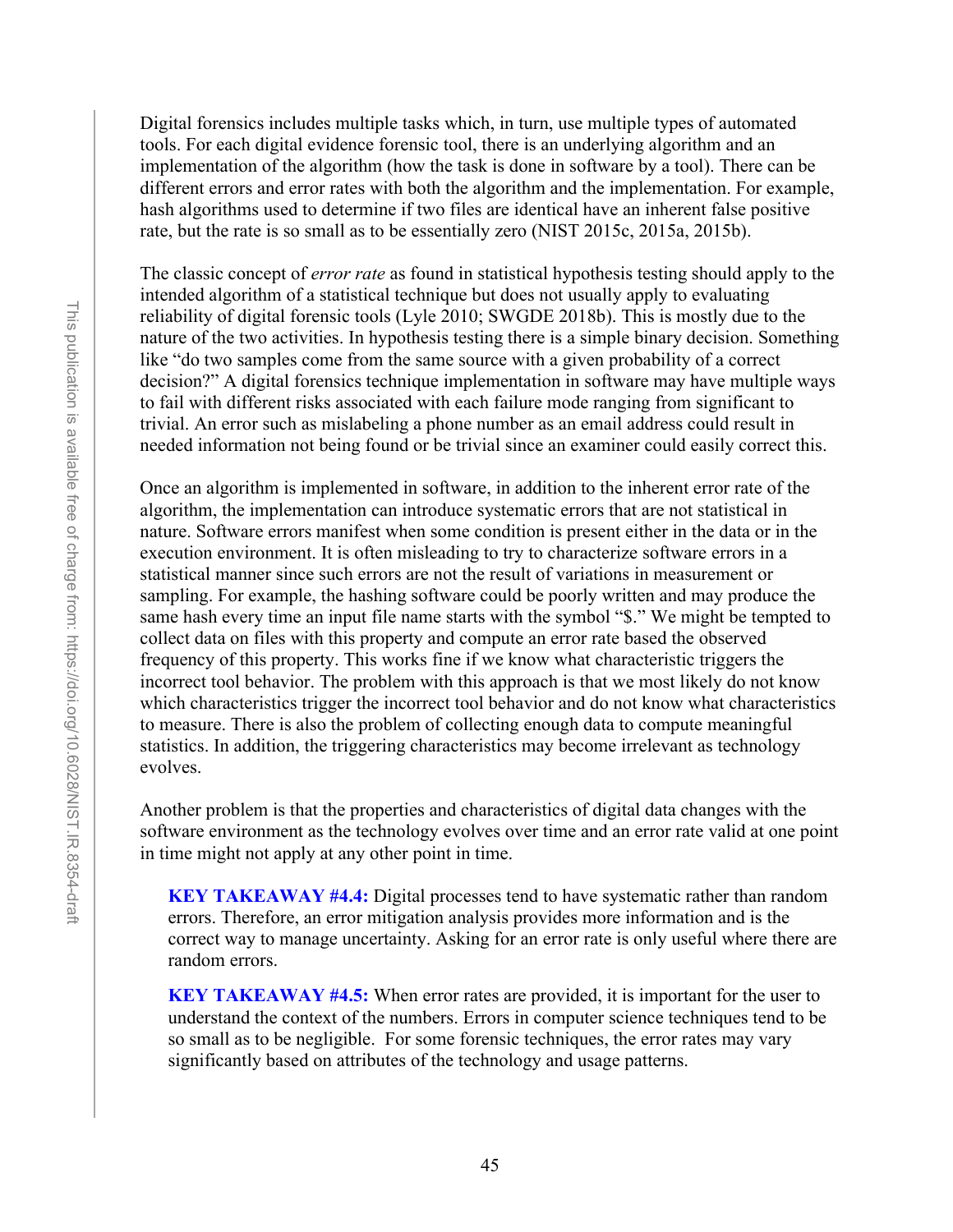Digital forensics includes multiple tasks which, in turn, use multiple types of automated tools. For each digital evidence forensic tool, there is an underlying algorithm and an implementation of the algorithm (how the task is done in software by a tool). There can be different errors and error rates with both the algorithm and the implementation. For example, hash algorithms used to determine if two files are identical have an inherent false positive rate, but the rate is so small as to be essentially zero (NIST 2015c, 2015a, 2015b).

The classic concept of *error rate* as found in statistical hypothesis testing should apply to the intended algorithm of a statistical technique but does not usually apply to evaluating reliability of digital forensic tools (Lyle 2010; SWGDE 2018b). This is mostly due to the nature of the two activities. In hypothesis testing there is a simple binary decision. Something like "do two samples come from the same source with a given probability of a correct decision?" A digital forensics technique implementation in software may have multiple ways to fail with different risks associated with each failure mode ranging from significant to trivial. An error such as mislabeling a phone number as an email address could result in needed information not being found or be trivial since an examiner could easily correct this.

Once an algorithm is implemented in software, in addition to the inherent error rate of the algorithm, the implementation can introduce systematic errors that are not statistical in nature. Software errors manifest when some condition is present either in the data or in the execution environment. It is often misleading to try to characterize software errors in a statistical manner since such errors are not the result of variations in measurement or sampling. For example, the hashing software could be poorly written and may produce the same hash every time an input file name starts with the symbol "\$." We might be tempted to collect data on files with this property and compute an error rate based the observed frequency of this property. This works fine if we know what characteristic triggers the incorrect tool behavior. The problem with this approach is that we most likely do not know which characteristics trigger the incorrect tool behavior and do not know what characteristics to measure. There is also the problem of collecting enough data to compute meaningful statistics. In addition, the triggering characteristics may become irrelevant as technology evolves.

Another problem is that the properties and characteristics of digital data changes with the software environment as the technology evolves over time and an error rate valid at one point in time might not apply at any other point in time.

**KEY TAKEAWAY #4.4:** Digital processes tend to have systematic rather than random errors. Therefore, an error mitigation analysis provides more information and is the correct way to manage uncertainty. Asking for an error rate is only useful where there are random errors.

**KEY TAKEAWAY #4.5:** When error rates are provided, it is important for the user to understand the context of the numbers. Errors in computer science techniques tend to be so small as to be negligible. For some forensic techniques, the error rates may vary significantly based on attributes of the technology and usage patterns.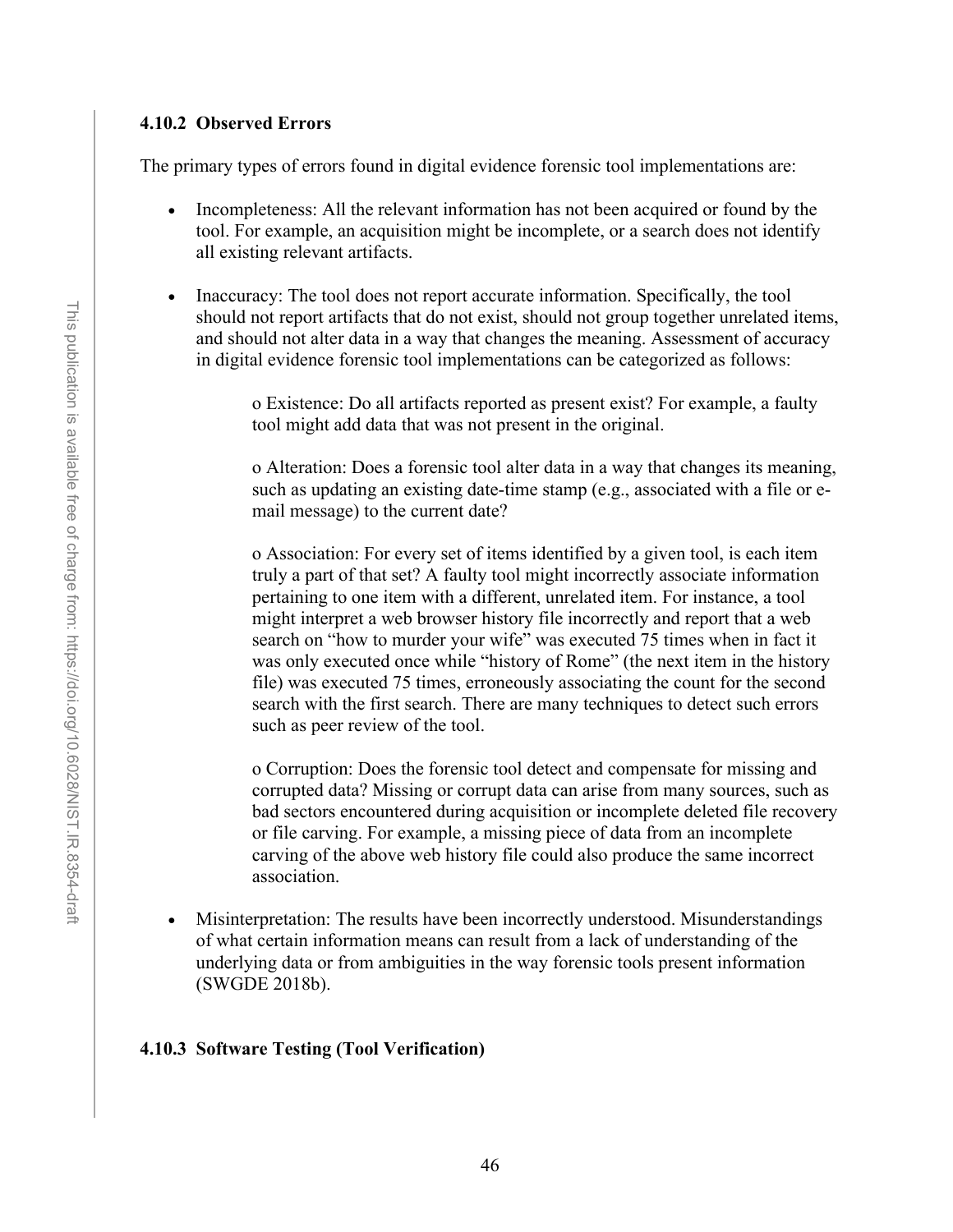#### **4.10.2 Observed Errors**

The primary types of errors found in digital evidence forensic tool implementations are:

- Incompleteness: All the relevant information has not been acquired or found by the tool. For example, an acquisition might be incomplete, or a search does not identify all existing relevant artifacts.
- Inaccuracy: The tool does not report accurate information. Specifically, the tool should not report artifacts that do not exist, should not group together unrelated items, and should not alter data in a way that changes the meaning. Assessment of accuracy in digital evidence forensic tool implementations can be categorized as follows:

o Existence: Do all artifacts reported as present exist? For example, a faulty tool might add data that was not present in the original.

o Alteration: Does a forensic tool alter data in a way that changes its meaning, such as updating an existing date-time stamp (e.g., associated with a file or email message) to the current date?

o Association: For every set of items identified by a given tool, is each item truly a part of that set? A faulty tool might incorrectly associate information pertaining to one item with a different, unrelated item. For instance, a tool might interpret a web browser history file incorrectly and report that a web search on "how to murder your wife" was executed 75 times when in fact it was only executed once while "history of Rome" (the next item in the history file) was executed 75 times, erroneously associating the count for the second search with the first search. There are many techniques to detect such errors such as peer review of the tool.

o Corruption: Does the forensic tool detect and compensate for missing and corrupted data? Missing or corrupt data can arise from many sources, such as bad sectors encountered during acquisition or incomplete deleted file recovery or file carving. For example, a missing piece of data from an incomplete carving of the above web history file could also produce the same incorrect association.

• Misinterpretation: The results have been incorrectly understood. Misunderstandings of what certain information means can result from a lack of understanding of the underlying data or from ambiguities in the way forensic tools present information (SWGDE 2018b).

#### **4.10.3 Software Testing (Tool Verification)**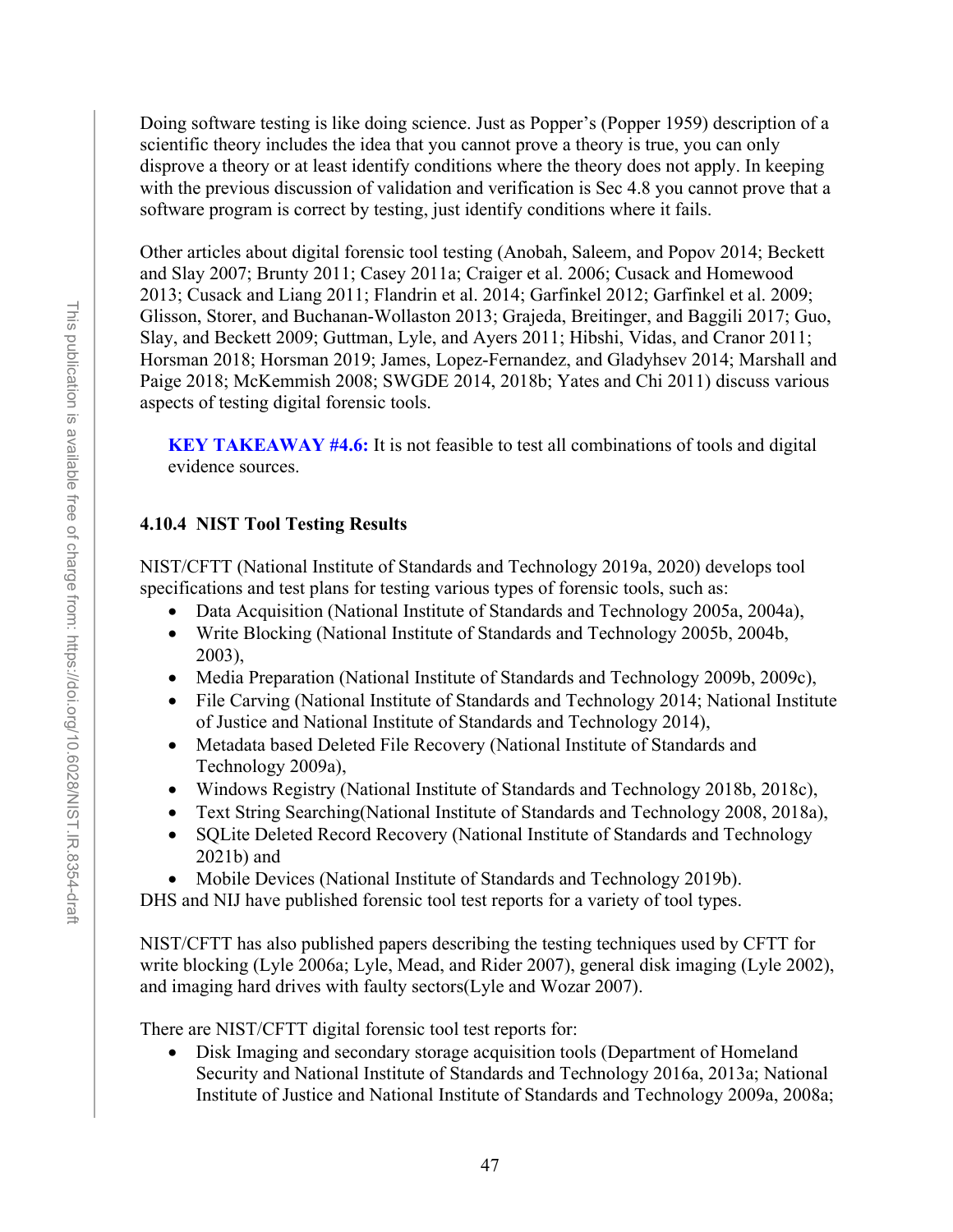Doing software testing is like doing science. Just as Popper's (Popper 1959) description of a scientific theory includes the idea that you cannot prove a theory is true, you can only disprove a theory or at least identify conditions where the theory does not apply. In keeping with the previous discussion of validation and verification is Sec 4.8 you cannot prove that a software program is correct by testing, just identify conditions where it fails.

Other articles about digital forensic tool testing (Anobah, Saleem, and Popov 2014; Beckett and Slay 2007; Brunty 2011; Casey 2011a; Craiger et al. 2006; Cusack and Homewood 2013; Cusack and Liang 2011; Flandrin et al. 2014; Garfinkel 2012; Garfinkel et al. 2009; Glisson, Storer, and Buchanan-Wollaston 2013; Grajeda, Breitinger, and Baggili 2017; Guo, Slay, and Beckett 2009; Guttman, Lyle, and Ayers 2011; Hibshi, Vidas, and Cranor 2011; Horsman 2018; Horsman 2019; James, Lopez-Fernandez, and Gladyhsev 2014; Marshall and Paige 2018; McKemmish 2008; SWGDE 2014, 2018b; Yates and Chi 2011) discuss various aspects of testing digital forensic tools.

**KEY TAKEAWAY #4.6:** It is not feasible to test all combinations of tools and digital evidence sources.

# **4.10.4 NIST Tool Testing Results**

NIST/CFTT (National Institute of Standards and Technology 2019a, 2020) develops tool specifications and test plans for testing various types of forensic tools, such as:

- Data Acquisition (National Institute of Standards and Technology 2005a, 2004a),
- Write Blocking (National Institute of Standards and Technology 2005b, 2004b, 2003),
- Media Preparation (National Institute of Standards and Technology 2009b, 2009c),
- File Carving (National Institute of Standards and Technology 2014; National Institute of Justice and National Institute of Standards and Technology 2014),
- Metadata based Deleted File Recovery (National Institute of Standards and Technology 2009a),
- Windows Registry (National Institute of Standards and Technology 2018b, 2018c),
- Text String Searching(National Institute of Standards and Technology 2008, 2018a),
- SQLite Deleted Record Recovery (National Institute of Standards and Technology 2021b) and
- Mobile Devices (National Institute of Standards and Technology 2019b).

DHS and NIJ have published forensic tool test reports for a variety of tool types.

NIST/CFTT has also published papers describing the testing techniques used by CFTT for write blocking (Lyle 2006a; Lyle, Mead, and Rider 2007), general disk imaging (Lyle 2002), and imaging hard drives with faulty sectors(Lyle and Wozar 2007).

There are NIST/CFTT digital forensic tool test reports for:

• Disk Imaging and secondary storage acquisition tools (Department of Homeland Security and National Institute of Standards and Technology 2016a, 2013a; National Institute of Justice and National Institute of Standards and Technology 2009a, 2008a;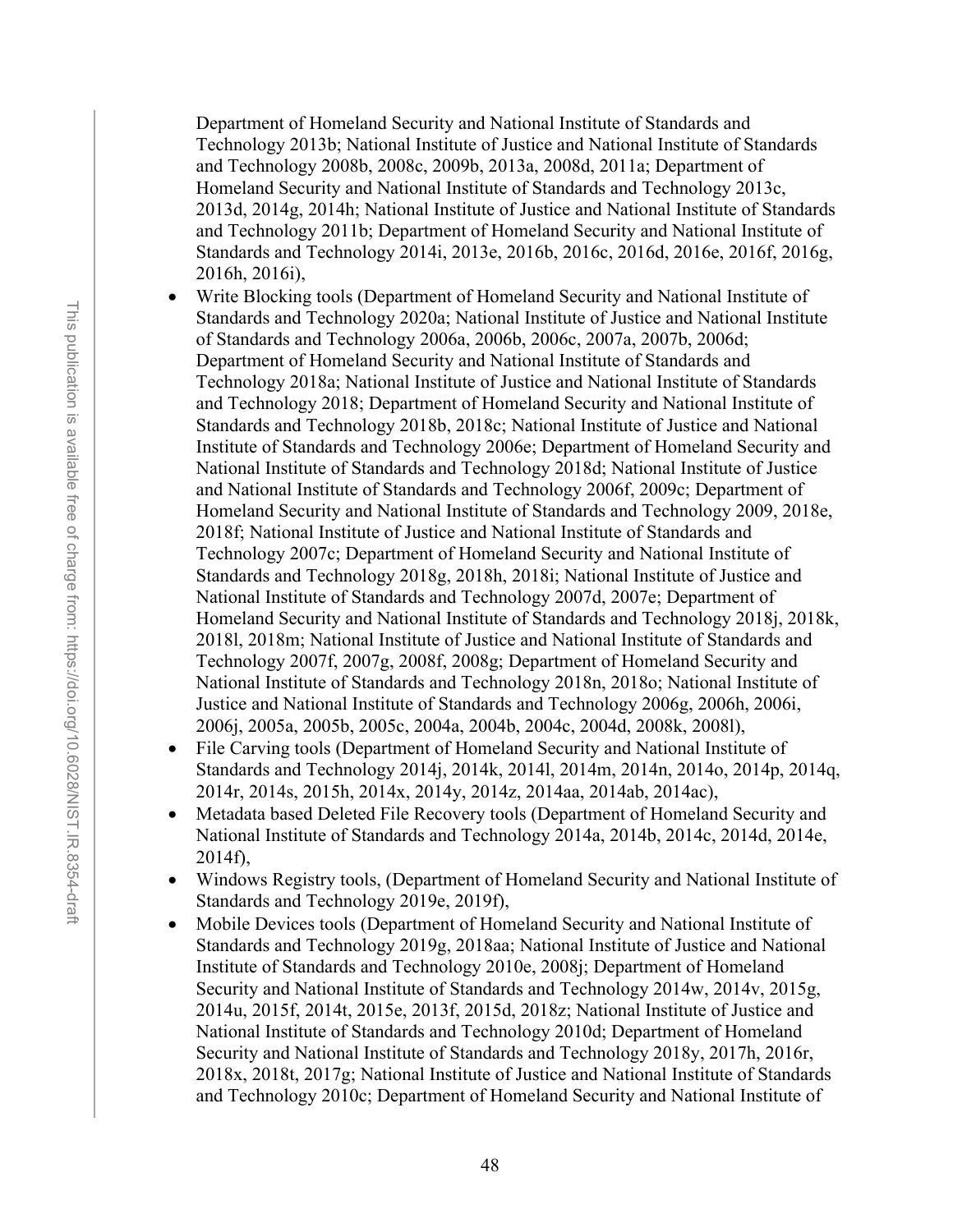Department of Homeland Security and National Institute of Standards and Technology 2013b; National Institute of Justice and National Institute of Standards and Technology 2008b, 2008c, 2009b, 2013a, 2008d, 2011a; Department of Homeland Security and National Institute of Standards and Technology 2013c, 2013d, 2014g, 2014h; National Institute of Justice and National Institute of Standards and Technology 2011b; Department of Homeland Security and National Institute of Standards and Technology 2014i, 2013e, 2016b, 2016c, 2016d, 2016e, 2016f, 2016g, 2016h, 2016i),

- Write Blocking tools (Department of Homeland Security and National Institute of Standards and Technology 2020a; National Institute of Justice and National Institute of Standards and Technology 2006a, 2006b, 2006c, 2007a, 2007b, 2006d; Department of Homeland Security and National Institute of Standards and Technology 2018a; National Institute of Justice and National Institute of Standards and Technology 2018; Department of Homeland Security and National Institute of Standards and Technology 2018b, 2018c; National Institute of Justice and National Institute of Standards and Technology 2006e; Department of Homeland Security and National Institute of Standards and Technology 2018d; National Institute of Justice and National Institute of Standards and Technology 2006f, 2009c; Department of Homeland Security and National Institute of Standards and Technology 2009, 2018e, 2018f; National Institute of Justice and National Institute of Standards and Technology 2007c; Department of Homeland Security and National Institute of Standards and Technology 2018g, 2018h, 2018i; National Institute of Justice and National Institute of Standards and Technology 2007d, 2007e; Department of Homeland Security and National Institute of Standards and Technology 2018j, 2018k, 2018l, 2018m; National Institute of Justice and National Institute of Standards and Technology 2007f, 2007g, 2008f, 2008g; Department of Homeland Security and National Institute of Standards and Technology 2018n, 2018o; National Institute of Justice and National Institute of Standards and Technology 2006g, 2006h, 2006i, 2006j, 2005a, 2005b, 2005c, 2004a, 2004b, 2004c, 2004d, 2008k, 2008l),
- File Carving tools (Department of Homeland Security and National Institute of Standards and Technology 2014j, 2014k, 2014l, 2014m, 2014n, 2014o, 2014p, 2014q, 2014r, 2014s, 2015h, 2014x, 2014y, 2014z, 2014aa, 2014ab, 2014ac),
- Metadata based Deleted File Recovery tools (Department of Homeland Security and National Institute of Standards and Technology 2014a, 2014b, 2014c, 2014d, 2014e, 2014f),
- Windows Registry tools, (Department of Homeland Security and National Institute of Standards and Technology 2019e, 2019f),
- Mobile Devices tools (Department of Homeland Security and National Institute of Standards and Technology 2019g, 2018aa; National Institute of Justice and National Institute of Standards and Technology 2010e, 2008j; Department of Homeland Security and National Institute of Standards and Technology 2014w, 2014v, 2015g, 2014u, 2015f, 2014t, 2015e, 2013f, 2015d, 2018z; National Institute of Justice and National Institute of Standards and Technology 2010d; Department of Homeland Security and National Institute of Standards and Technology 2018y, 2017h, 2016r, 2018x, 2018t, 2017g; National Institute of Justice and National Institute of Standards and Technology 2010c; Department of Homeland Security and National Institute of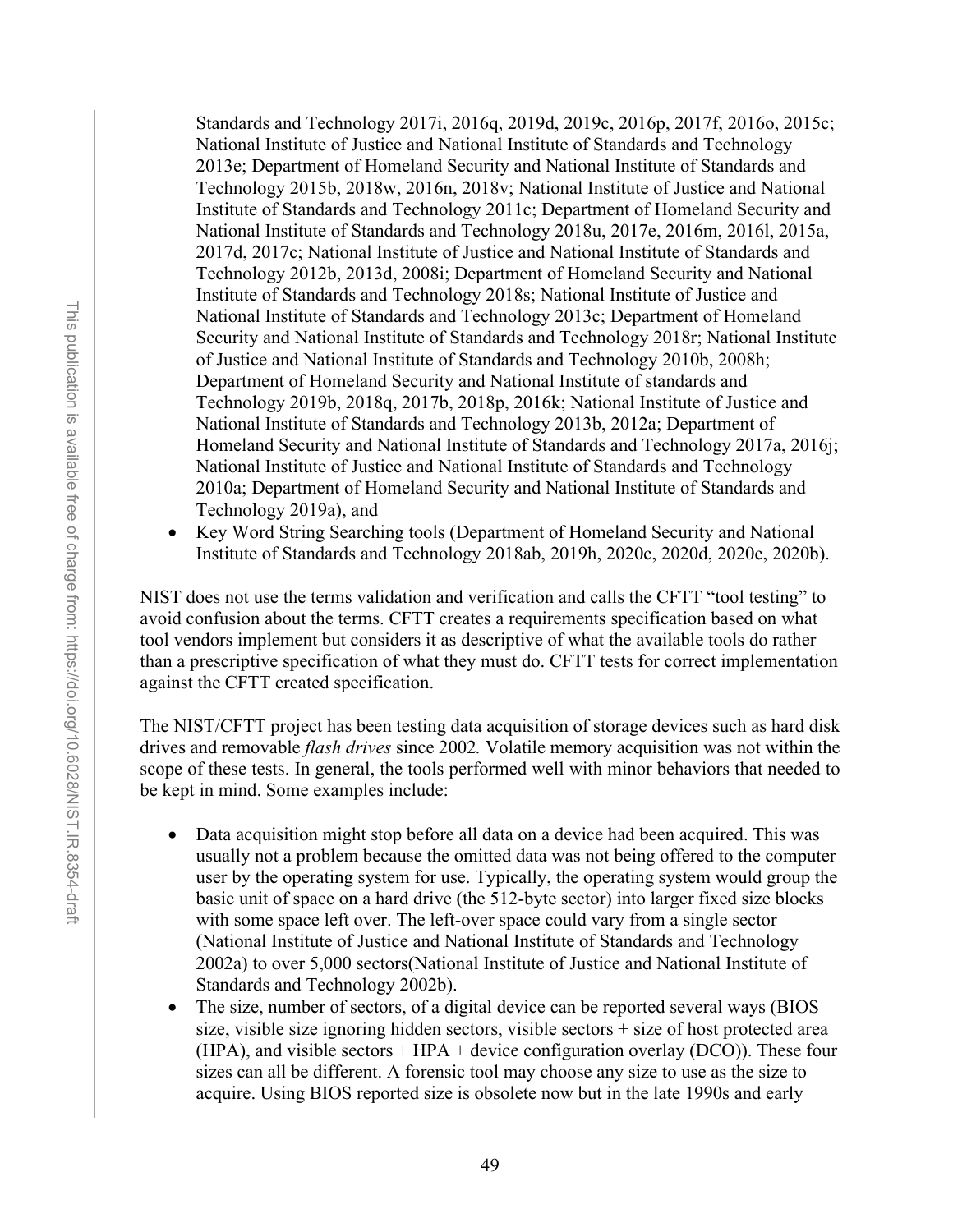Standards and Technology 2017i, 2016q, 2019d, 2019c, 2016p, 2017f, 2016o, 2015c; National Institute of Justice and National Institute of Standards and Technology 2013e; Department of Homeland Security and National Institute of Standards and Technology 2015b, 2018w, 2016n, 2018v; National Institute of Justice and National Institute of Standards and Technology 2011c; Department of Homeland Security and National Institute of Standards and Technology 2018u, 2017e, 2016m, 2016l, 2015a, 2017d, 2017c; National Institute of Justice and National Institute of Standards and Technology 2012b, 2013d, 2008i; Department of Homeland Security and National Institute of Standards and Technology 2018s; National Institute of Justice and National Institute of Standards and Technology 2013c; Department of Homeland Security and National Institute of Standards and Technology 2018r; National Institute of Justice and National Institute of Standards and Technology 2010b, 2008h; Department of Homeland Security and National Institute of standards and Technology 2019b, 2018q, 2017b, 2018p, 2016k; National Institute of Justice and National Institute of Standards and Technology 2013b, 2012a; Department of Homeland Security and National Institute of Standards and Technology 2017a, 2016j; National Institute of Justice and National Institute of Standards and Technology 2010a; Department of Homeland Security and National Institute of Standards and Technology 2019a), and

• Key Word String Searching tools (Department of Homeland Security and National Institute of Standards and Technology 2018ab, 2019h, 2020c, 2020d, 2020e, 2020b).

NIST does not use the terms validation and verification and calls the CFTT "tool testing" to avoid confusion about the terms. CFTT creates a requirements specification based on what tool vendors implement but considers it as descriptive of what the available tools do rather than a prescriptive specification of what they must do. CFTT tests for correct implementation against the CFTT created specification.

The NIST/CFTT project has been testing data acquisition of storage devices such as hard disk drives and removable *flash drives* since 2002*.* Volatile memory acquisition was not within the scope of these tests. In general, the tools performed well with minor behaviors that needed to be kept in mind. Some examples include:

- Data acquisition might stop before all data on a device had been acquired. This was usually not a problem because the omitted data was not being offered to the computer user by the operating system for use. Typically, the operating system would group the basic unit of space on a hard drive (the 512-byte sector) into larger fixed size blocks with some space left over. The left-over space could vary from a single sector (National Institute of Justice and National Institute of Standards and Technology 2002a) to over 5,000 sectors(National Institute of Justice and National Institute of Standards and Technology 2002b).
- The size, number of sectors, of a digital device can be reported several ways (BIOS size, visible size ignoring hidden sectors, visible sectors  $+$  size of host protected area (HPA), and visible sectors  $+$  HPA  $+$  device configuration overlay (DCO)). These four sizes can all be different. A forensic tool may choose any size to use as the size to acquire. Using BIOS reported size is obsolete now but in the late 1990s and early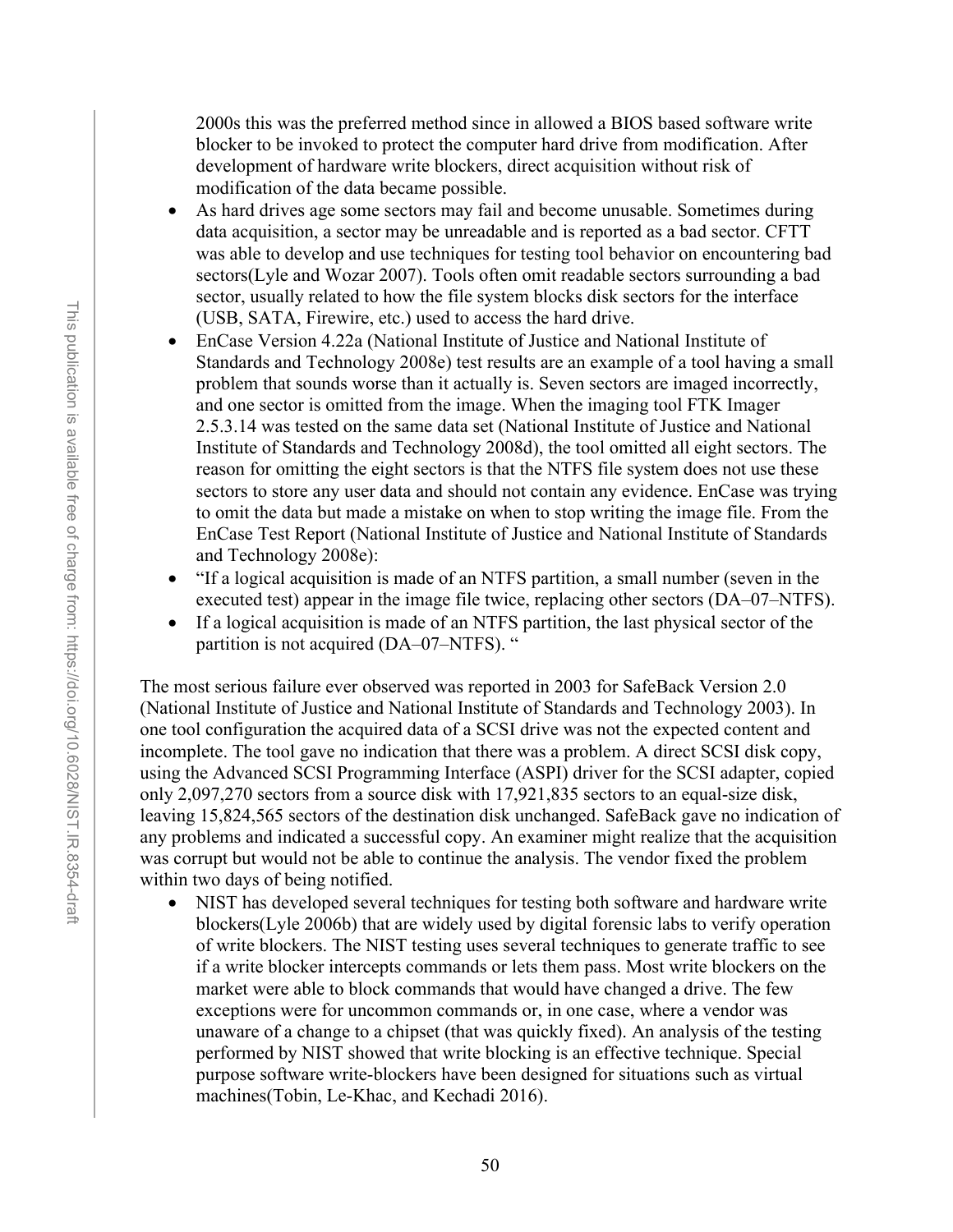2000s this was the preferred method since in allowed a BIOS based software write blocker to be invoked to protect the computer hard drive from modification. After development of hardware write blockers, direct acquisition without risk of modification of the data became possible.

- As hard drives age some sectors may fail and become unusable. Sometimes during data acquisition, a sector may be unreadable and is reported as a bad sector. CFTT was able to develop and use techniques for testing tool behavior on encountering bad sectors(Lyle and Wozar 2007). Tools often omit readable sectors surrounding a bad sector, usually related to how the file system blocks disk sectors for the interface (USB, SATA, Firewire, etc.) used to access the hard drive.
- EnCase Version 4.22a (National Institute of Justice and National Institute of Standards and Technology 2008e) test results are an example of a tool having a small problem that sounds worse than it actually is. Seven sectors are imaged incorrectly, and one sector is omitted from the image. When the imaging tool FTK Imager 2.5.3.14 was tested on the same data set (National Institute of Justice and National Institute of Standards and Technology 2008d), the tool omitted all eight sectors. The reason for omitting the eight sectors is that the NTFS file system does not use these sectors to store any user data and should not contain any evidence. EnCase was trying to omit the data but made a mistake on when to stop writing the image file. From the EnCase Test Report (National Institute of Justice and National Institute of Standards and Technology 2008e):
- "If a logical acquisition is made of an NTFS partition, a small number (seven in the executed test) appear in the image file twice, replacing other sectors (DA–07–NTFS).
- If a logical acquisition is made of an NTFS partition, the last physical sector of the partition is not acquired (DA–07–NTFS). "

The most serious failure ever observed was reported in 2003 for SafeBack Version 2.0 (National Institute of Justice and National Institute of Standards and Technology 2003). In one tool configuration the acquired data of a SCSI drive was not the expected content and incomplete. The tool gave no indication that there was a problem. A direct SCSI disk copy, using the Advanced SCSI Programming Interface (ASPI) driver for the SCSI adapter, copied only 2,097,270 sectors from a source disk with 17,921,835 sectors to an equal-size disk, leaving 15,824,565 sectors of the destination disk unchanged. SafeBack gave no indication of any problems and indicated a successful copy. An examiner might realize that the acquisition was corrupt but would not be able to continue the analysis. The vendor fixed the problem within two days of being notified.

NIST has developed several techniques for testing both software and hardware write blockers(Lyle 2006b) that are widely used by digital forensic labs to verify operation of write blockers. The NIST testing uses several techniques to generate traffic to see if a write blocker intercepts commands or lets them pass. Most write blockers on the market were able to block commands that would have changed a drive. The few exceptions were for uncommon commands or, in one case, where a vendor was unaware of a change to a chipset (that was quickly fixed). An analysis of the testing performed by NIST showed that write blocking is an effective technique. Special purpose software write-blockers have been designed for situations such as virtual machines(Tobin, Le-Khac, and Kechadi 2016).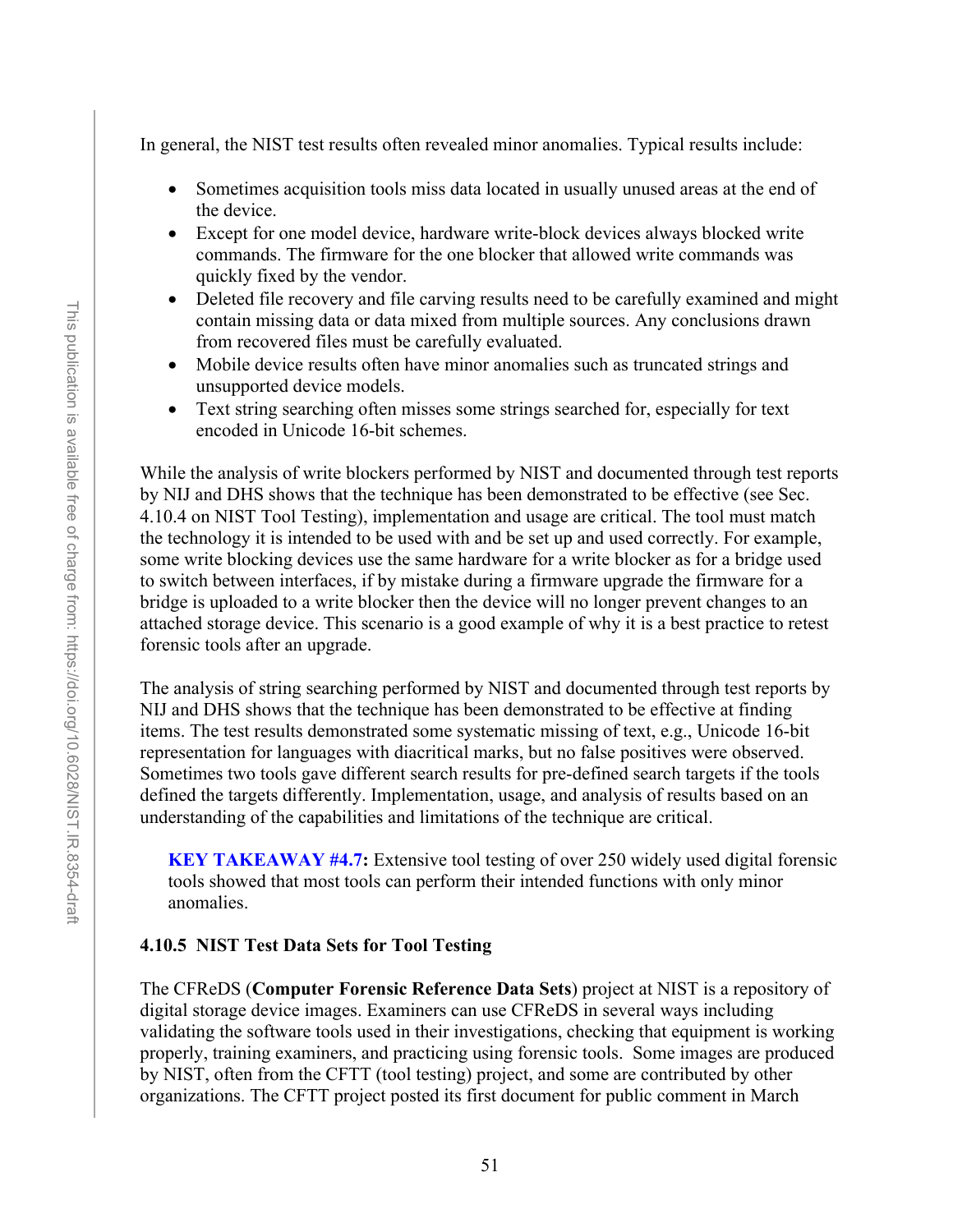In general, the NIST test results often revealed minor anomalies. Typical results include:

- Sometimes acquisition tools miss data located in usually unused areas at the end of the device.
- Except for one model device, hardware write-block devices always blocked write commands. The firmware for the one blocker that allowed write commands was quickly fixed by the vendor.
- Deleted file recovery and file carving results need to be carefully examined and might contain missing data or data mixed from multiple sources. Any conclusions drawn from recovered files must be carefully evaluated.
- Mobile device results often have minor anomalies such as truncated strings and unsupported device models.
- Text string searching often misses some strings searched for, especially for text encoded in Unicode 16-bit schemes.

While the analysis of write blockers performed by NIST and documented through test reports by NIJ and DHS shows that the technique has been demonstrated to be effective (see Sec. 4.10.4 on NIST Tool Testing), implementation and usage are critical. The tool must match the technology it is intended to be used with and be set up and used correctly. For example, some write blocking devices use the same hardware for a write blocker as for a bridge used to switch between interfaces, if by mistake during a firmware upgrade the firmware for a bridge is uploaded to a write blocker then the device will no longer prevent changes to an attached storage device. This scenario is a good example of why it is a best practice to retest forensic tools after an upgrade.

The analysis of string searching performed by NIST and documented through test reports by NIJ and DHS shows that the technique has been demonstrated to be effective at finding items. The test results demonstrated some systematic missing of text, e.g., Unicode 16-bit representation for languages with diacritical marks, but no false positives were observed. Sometimes two tools gave different search results for pre-defined search targets if the tools defined the targets differently. Implementation, usage, and analysis of results based on an understanding of the capabilities and limitations of the technique are critical.

**KEY TAKEAWAY #4.7:** Extensive tool testing of over 250 widely used digital forensic tools showed that most tools can perform their intended functions with only minor anomalies.

#### **4.10.5 NIST Test Data Sets for Tool Testing**

The CFReDS (**Computer Forensic Reference Data Sets**) project at NIST is a repository of digital storage device images. Examiners can use CFReDS in several ways including validating the software tools used in their investigations, checking that equipment is working properly, training examiners, and practicing using forensic tools. Some images are produced by NIST, often from the CFTT (tool testing) project, and some are contributed by other organizations. The CFTT project posted its first document for public comment in March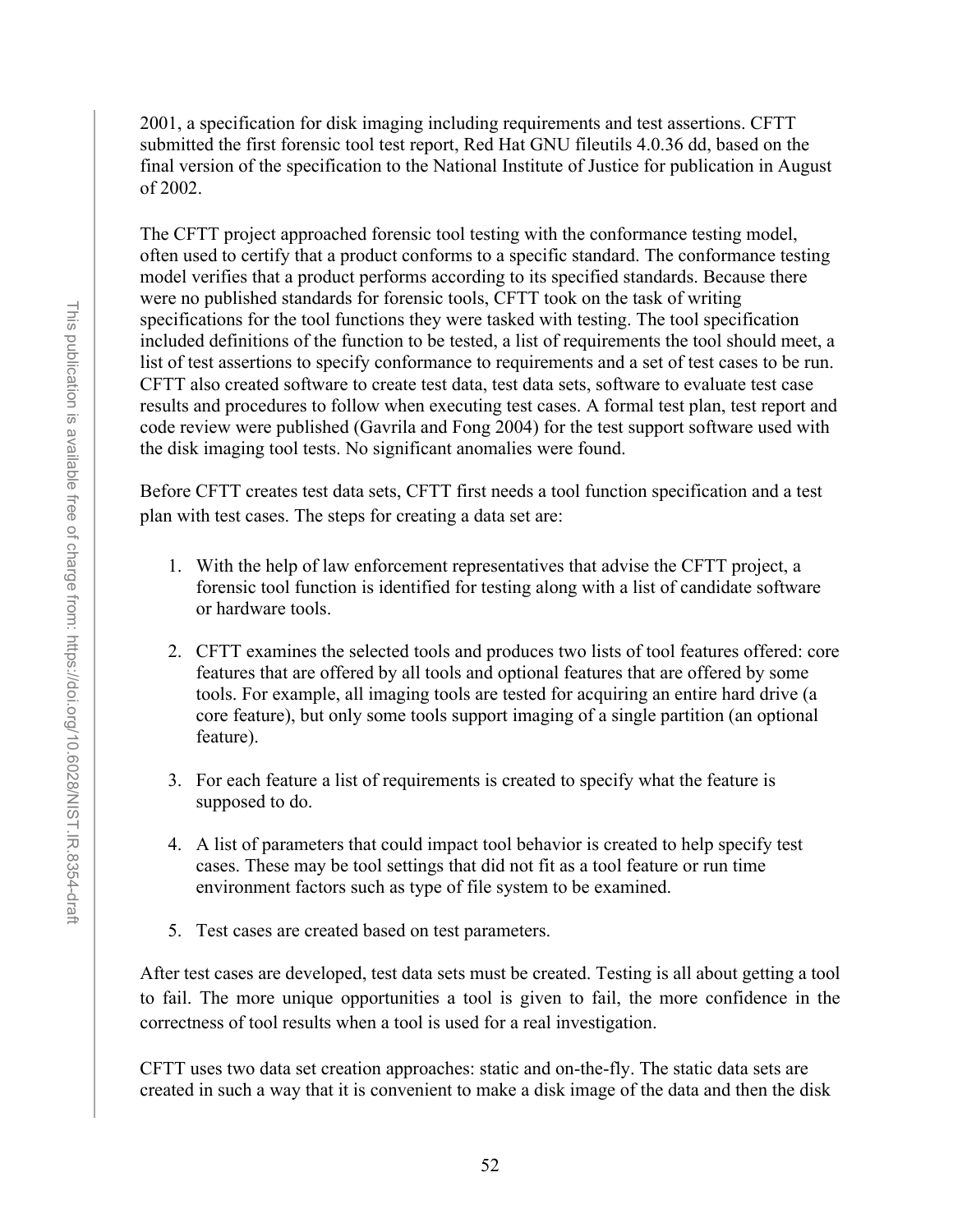2001, a specification for disk imaging including requirements and test assertions. CFTT submitted the first forensic tool test report, Red Hat GNU fileutils 4.0.36 dd, based on the final version of the specification to the National Institute of Justice for publication in August of 2002.

The CFTT project approached forensic tool testing with the conformance testing model, often used to certify that a product conforms to a specific standard. The conformance testing model verifies that a product performs according to its specified standards. Because there were no published standards for forensic tools, CFTT took on the task of writing specifications for the tool functions they were tasked with testing. The tool specification included definitions of the function to be tested, a list of requirements the tool should meet, a list of test assertions to specify conformance to requirements and a set of test cases to be run. CFTT also created software to create test data, test data sets, software to evaluate test case results and procedures to follow when executing test cases. A formal test plan, test report and code review were published (Gavrila and Fong 2004) for the test support software used with the disk imaging tool tests. No significant anomalies were found.

Before CFTT creates test data sets, CFTT first needs a tool function specification and a test plan with test cases. The steps for creating a data set are:

- 1. With the help of law enforcement representatives that advise the CFTT project, a forensic tool function is identified for testing along with a list of candidate software or hardware tools.
- 2. CFTT examines the selected tools and produces two lists of tool features offered: core features that are offered by all tools and optional features that are offered by some tools. For example, all imaging tools are tested for acquiring an entire hard drive (a core feature), but only some tools support imaging of a single partition (an optional feature).
- 3. For each feature a list of requirements is created to specify what the feature is supposed to do.
- 4. A list of parameters that could impact tool behavior is created to help specify test cases. These may be tool settings that did not fit as a tool feature or run time environment factors such as type of file system to be examined.
- 5. Test cases are created based on test parameters.

After test cases are developed, test data sets must be created. Testing is all about getting a tool to fail. The more unique opportunities a tool is given to fail, the more confidence in the correctness of tool results when a tool is used for a real investigation.

CFTT uses two data set creation approaches: static and on-the-fly. The static data sets are created in such a way that it is convenient to make a disk image of the data and then the disk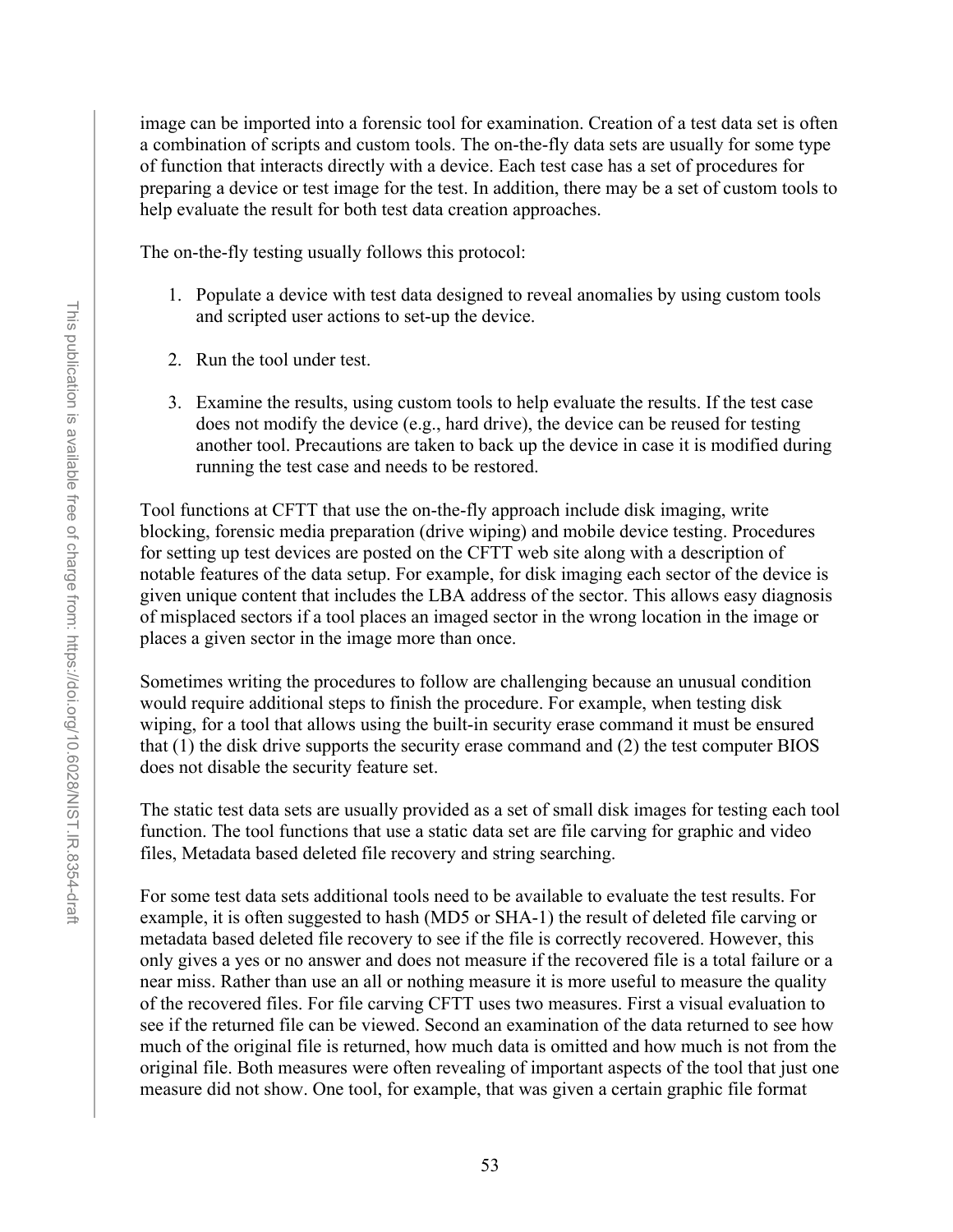image can be imported into a forensic tool for examination. Creation of a test data set is often a combination of scripts and custom tools. The on-the-fly data sets are usually for some type of function that interacts directly with a device. Each test case has a set of procedures for preparing a device or test image for the test. In addition, there may be a set of custom tools to help evaluate the result for both test data creation approaches.

The on-the-fly testing usually follows this protocol:

- 1. Populate a device with test data designed to reveal anomalies by using custom tools and scripted user actions to set-up the device.
- 2. Run the tool under test.
- 3. Examine the results, using custom tools to help evaluate the results. If the test case does not modify the device (e.g., hard drive), the device can be reused for testing another tool. Precautions are taken to back up the device in case it is modified during running the test case and needs to be restored.

Tool functions at CFTT that use the on-the-fly approach include disk imaging, write blocking, forensic media preparation (drive wiping) and mobile device testing. Procedures for setting up test devices are posted on the CFTT web site along with a description of notable features of the data setup. For example, for disk imaging each sector of the device is given unique content that includes the LBA address of the sector. This allows easy diagnosis of misplaced sectors if a tool places an imaged sector in the wrong location in the image or places a given sector in the image more than once.

Sometimes writing the procedures to follow are challenging because an unusual condition would require additional steps to finish the procedure. For example, when testing disk wiping, for a tool that allows using the built-in security erase command it must be ensured that (1) the disk drive supports the security erase command and (2) the test computer BIOS does not disable the security feature set.

The static test data sets are usually provided as a set of small disk images for testing each tool function. The tool functions that use a static data set are file carving for graphic and video files, Metadata based deleted file recovery and string searching.

For some test data sets additional tools need to be available to evaluate the test results. For example, it is often suggested to hash (MD5 or SHA-1) the result of deleted file carving or metadata based deleted file recovery to see if the file is correctly recovered. However, this only gives a yes or no answer and does not measure if the recovered file is a total failure or a near miss. Rather than use an all or nothing measure it is more useful to measure the quality of the recovered files. For file carving CFTT uses two measures. First a visual evaluation to see if the returned file can be viewed. Second an examination of the data returned to see how much of the original file is returned, how much data is omitted and how much is not from the original file. Both measures were often revealing of important aspects of the tool that just one measure did not show. One tool, for example, that was given a certain graphic file format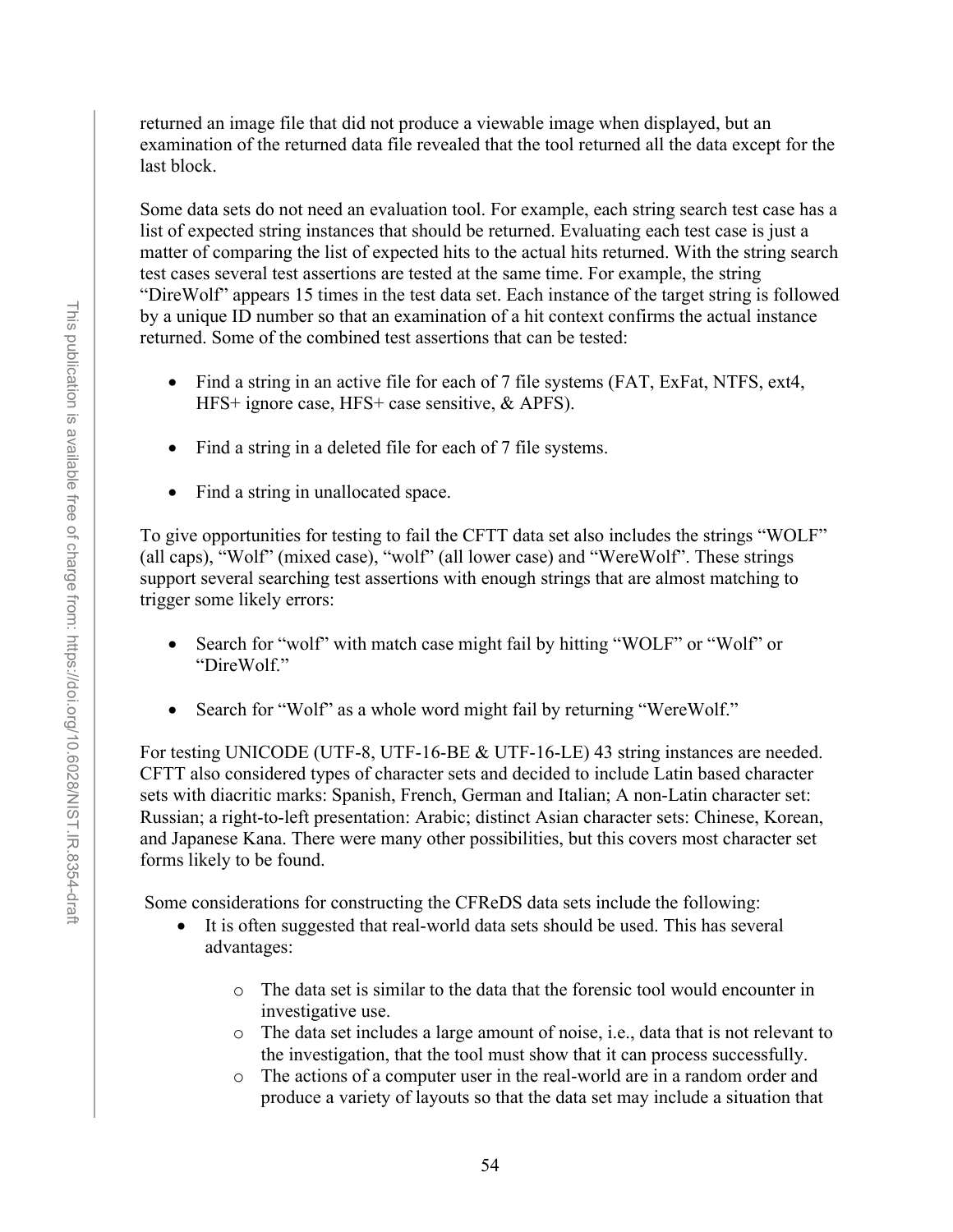returned an image file that did not produce a viewable image when displayed, but an examination of the returned data file revealed that the tool returned all the data except for the last block.

Some data sets do not need an evaluation tool. For example, each string search test case has a list of expected string instances that should be returned. Evaluating each test case is just a matter of comparing the list of expected hits to the actual hits returned. With the string search test cases several test assertions are tested at the same time. For example, the string "DireWolf" appears 15 times in the test data set. Each instance of the target string is followed by a unique ID number so that an examination of a hit context confirms the actual instance returned. Some of the combined test assertions that can be tested:

- Find a string in an active file for each of 7 file systems (FAT, ExFat, NTFS, ext4, HFS+ ignore case, HFS+ case sensitive, & APFS).
- Find a string in a deleted file for each of 7 file systems.
- Find a string in unallocated space.

To give opportunities for testing to fail the CFTT data set also includes the strings "WOLF" (all caps), "Wolf" (mixed case), "wolf" (all lower case) and "WereWolf". These strings support several searching test assertions with enough strings that are almost matching to trigger some likely errors:

- Search for "wolf" with match case might fail by hitting "WOLF" or "Wolf" or "DireWolf."
- Search for "Wolf" as a whole word might fail by returning "WereWolf."

For testing UNICODE (UTF-8, UTF-16-BE & UTF-16-LE) 43 string instances are needed. CFTT also considered types of character sets and decided to include Latin based character sets with diacritic marks: Spanish, French, German and Italian; A non-Latin character set: Russian; a right-to-left presentation: Arabic; distinct Asian character sets: Chinese, Korean, and Japanese Kana. There were many other possibilities, but this covers most character set forms likely to be found.

Some considerations for constructing the CFReDS data sets include the following:

- It is often suggested that real-world data sets should be used. This has several advantages:
	- o The data set is similar to the data that the forensic tool would encounter in investigative use.
	- o The data set includes a large amount of noise, i.e., data that is not relevant to the investigation, that the tool must show that it can process successfully.
	- o The actions of a computer user in the real-world are in a random order and produce a variety of layouts so that the data set may include a situation that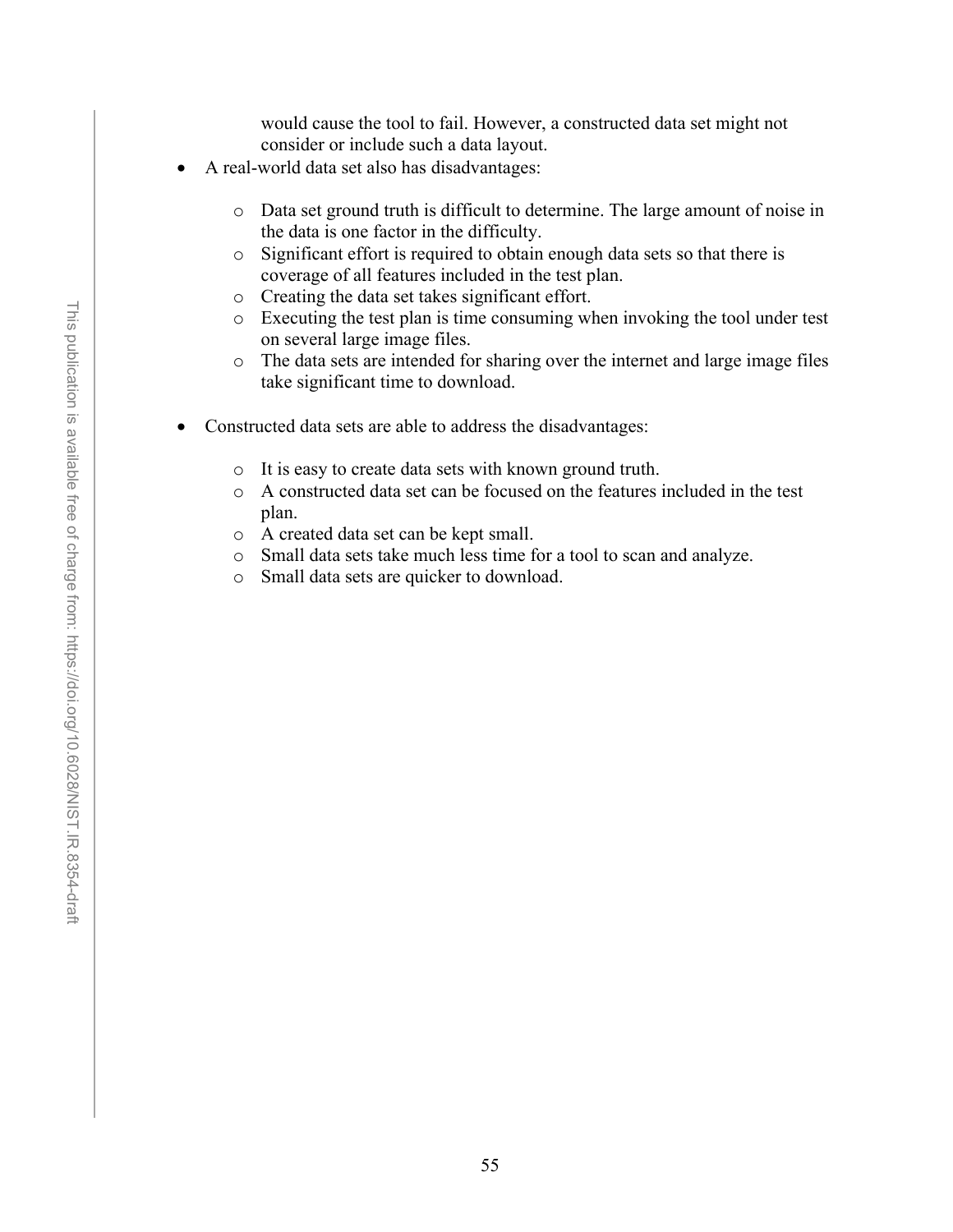would cause the tool to fail. However, a constructed data set might not consider or include such a data layout.

- A real-world data set also has disadvantages:
	- o Data set ground truth is difficult to determine. The large amount of noise in the data is one factor in the difficulty.
	- o Significant effort is required to obtain enough data sets so that there is coverage of all features included in the test plan.
	- o Creating the data set takes significant effort.
	- o Executing the test plan is time consuming when invoking the tool under test on several large image files.
	- o The data sets are intended for sharing over the internet and large image files take significant time to download.
- Constructed data sets are able to address the disadvantages:
	- o It is easy to create data sets with known ground truth.
	- o A constructed data set can be focused on the features included in the test plan.
	- o A created data set can be kept small.
	- o Small data sets take much less time for a tool to scan and analyze.
	- o Small data sets are quicker to download.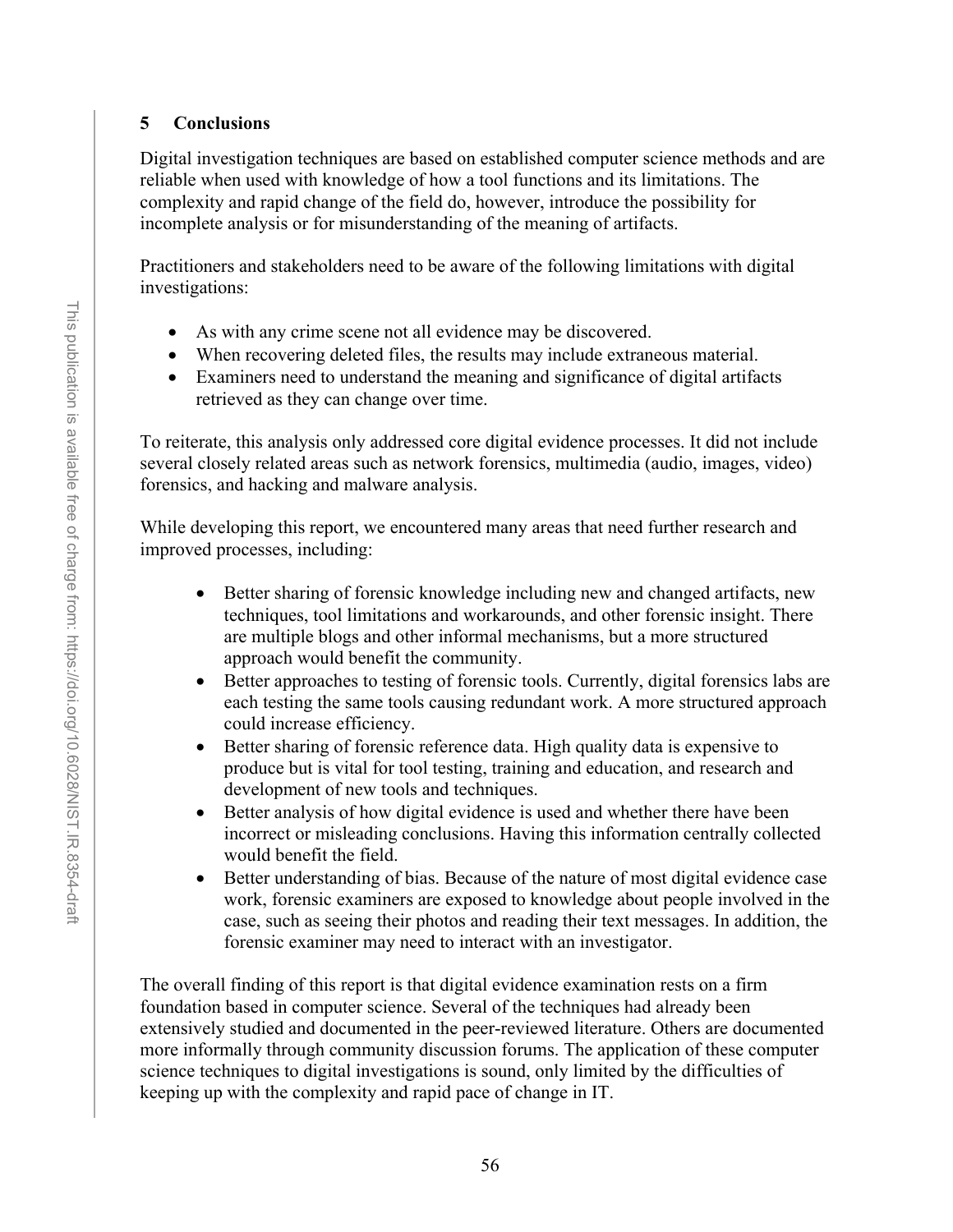## **5 Conclusions**

Digital investigation techniques are based on established computer science methods and are reliable when used with knowledge of how a tool functions and its limitations. The complexity and rapid change of the field do, however, introduce the possibility for incomplete analysis or for misunderstanding of the meaning of artifacts.

Practitioners and stakeholders need to be aware of the following limitations with digital investigations:

- As with any crime scene not all evidence may be discovered.
- When recovering deleted files, the results may include extraneous material.
- Examiners need to understand the meaning and significance of digital artifacts retrieved as they can change over time.

To reiterate, this analysis only addressed core digital evidence processes. It did not include several closely related areas such as network forensics, multimedia (audio, images, video) forensics, and hacking and malware analysis.

While developing this report, we encountered many areas that need further research and improved processes, including:

- Better sharing of forensic knowledge including new and changed artifacts, new techniques, tool limitations and workarounds, and other forensic insight. There are multiple blogs and other informal mechanisms, but a more structured approach would benefit the community.
- Better approaches to testing of forensic tools. Currently, digital forensics labs are each testing the same tools causing redundant work. A more structured approach could increase efficiency.
- Better sharing of forensic reference data. High quality data is expensive to produce but is vital for tool testing, training and education, and research and development of new tools and techniques.
- Better analysis of how digital evidence is used and whether there have been incorrect or misleading conclusions. Having this information centrally collected would benefit the field.
- Better understanding of bias. Because of the nature of most digital evidence case work, forensic examiners are exposed to knowledge about people involved in the case, such as seeing their photos and reading their text messages. In addition, the forensic examiner may need to interact with an investigator.

The overall finding of this report is that digital evidence examination rests on a firm foundation based in computer science. Several of the techniques had already been extensively studied and documented in the peer-reviewed literature. Others are documented more informally through community discussion forums. The application of these computer science techniques to digital investigations is sound, only limited by the difficulties of keeping up with the complexity and rapid pace of change in IT.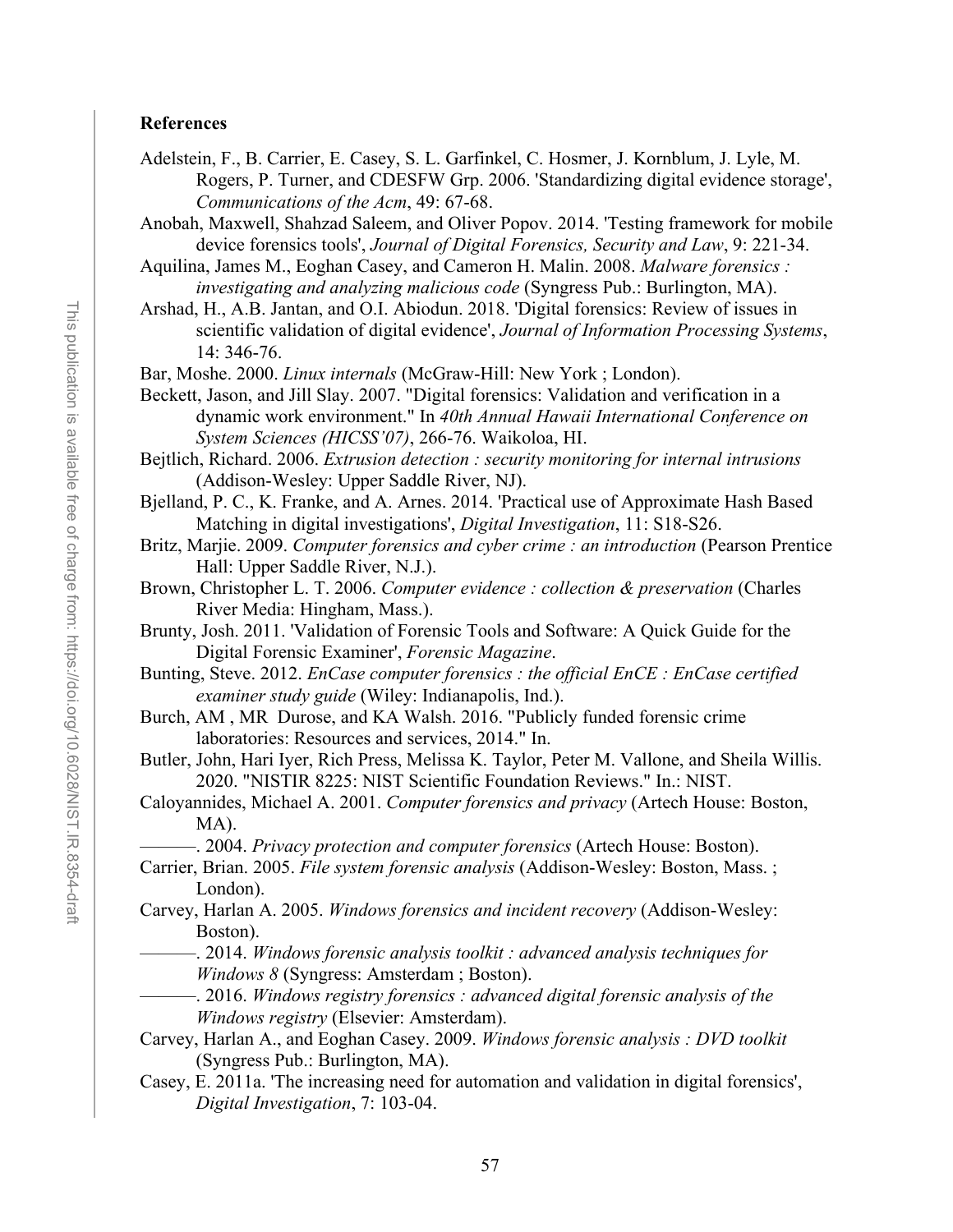#### **References**

- Adelstein, F., B. Carrier, E. Casey, S. L. Garfinkel, C. Hosmer, J. Kornblum, J. Lyle, M. Rogers, P. Turner, and CDESFW Grp. 2006. 'Standardizing digital evidence storage', *Communications of the Acm*, 49: 67-68.
- Anobah, Maxwell, Shahzad Saleem, and Oliver Popov. 2014. 'Testing framework for mobile device forensics tools', *Journal of Digital Forensics, Security and Law*, 9: 221-34.
- Aquilina, James M., Eoghan Casey, and Cameron H. Malin. 2008. *Malware forensics : investigating and analyzing malicious code* (Syngress Pub.: Burlington, MA).
- Arshad, H., A.B. Jantan, and O.I. Abiodun. 2018. 'Digital forensics: Review of issues in scientific validation of digital evidence', *Journal of Information Processing Systems*, 14: 346-76.
- Bar, Moshe. 2000. *Linux internals* (McGraw-Hill: New York ; London).
- Beckett, Jason, and Jill Slay. 2007. "Digital forensics: Validation and verification in a dynamic work environment." In *40th Annual Hawaii International Conference on System Sciences (HICSS'07)*, 266-76. Waikoloa, HI.
- Bejtlich, Richard. 2006. *Extrusion detection : security monitoring for internal intrusions* (Addison-Wesley: Upper Saddle River, NJ).
- Bjelland, P. C., K. Franke, and A. Arnes. 2014. 'Practical use of Approximate Hash Based Matching in digital investigations', *Digital Investigation*, 11: S18-S26.
- Britz, Marjie. 2009. *Computer forensics and cyber crime : an introduction* (Pearson Prentice Hall: Upper Saddle River, N.J.).
- Brown, Christopher L. T. 2006. *Computer evidence : collection & preservation* (Charles River Media: Hingham, Mass.).
- Brunty, Josh. 2011. 'Validation of Forensic Tools and Software: A Quick Guide for the Digital Forensic Examiner', *Forensic Magazine*.
- Bunting, Steve. 2012. *EnCase computer forensics : the official EnCE : EnCase certified examiner study guide* (Wiley: Indianapolis, Ind.).
- Burch, AM , MR Durose, and KA Walsh. 2016. "Publicly funded forensic crime laboratories: Resources and services, 2014." In.
- Butler, John, Hari Iyer, Rich Press, Melissa K. Taylor, Peter M. Vallone, and Sheila Willis. 2020. "NISTIR 8225: NIST Scientific Foundation Reviews." In.: NIST.
- Caloyannides, Michael A. 2001. *Computer forensics and privacy* (Artech House: Boston, MA).
	- ———. 2004. *Privacy protection and computer forensics* (Artech House: Boston).
- Carrier, Brian. 2005. *File system forensic analysis* (Addison-Wesley: Boston, Mass. ; London).
- Carvey, Harlan A. 2005. *Windows forensics and incident recovery* (Addison-Wesley: Boston).
	- ———. 2014. *Windows forensic analysis toolkit : advanced analysis techniques for Windows 8* (Syngress: Amsterdam ; Boston).
	- ———. 2016. *Windows registry forensics : advanced digital forensic analysis of the Windows registry* (Elsevier: Amsterdam).
- Carvey, Harlan A., and Eoghan Casey. 2009. *Windows forensic analysis : DVD toolkit* (Syngress Pub.: Burlington, MA).
- Casey, E. 2011a. 'The increasing need for automation and validation in digital forensics', *Digital Investigation*, 7: 103-04.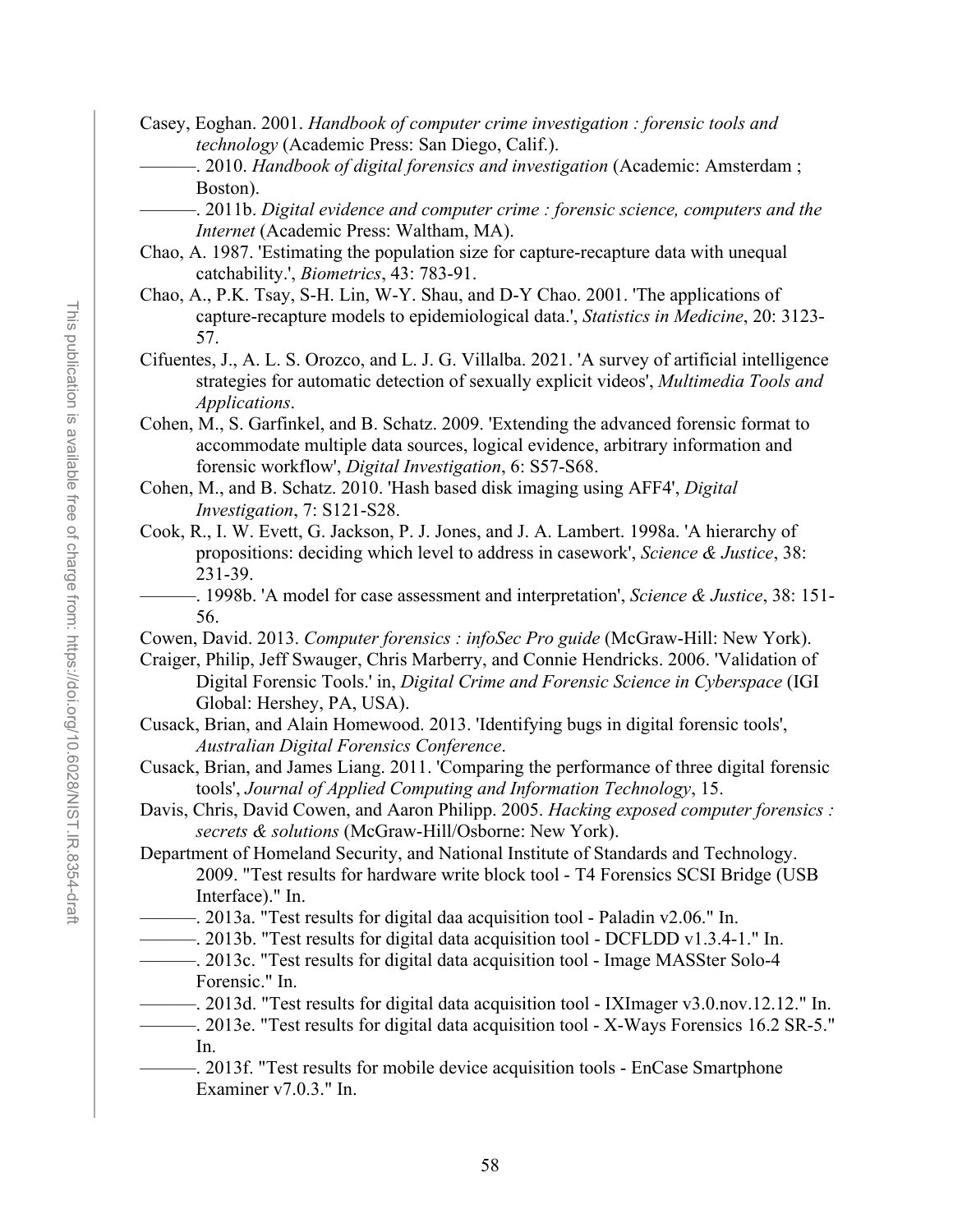- Casey, Eoghan. 2001. *Handbook of computer crime investigation : forensic tools and technology* (Academic Press: San Diego, Calif.).
	- ———. 2010. *Handbook of digital forensics and investigation* (Academic: Amsterdam ; Boston).
	- ———. 2011b. *Digital evidence and computer crime : forensic science, computers and the Internet* (Academic Press: Waltham, MA).
- Chao, A. 1987. 'Estimating the population size for capture-recapture data with unequal catchability.', *Biometrics*, 43: 783-91.
- Chao, A., P.K. Tsay, S-H. Lin, W-Y. Shau, and D-Y Chao. 2001. 'The applications of capture-recapture models to epidemiological data.', *Statistics in Medicine*, 20: 3123- 57.
- Cifuentes, J., A. L. S. Orozco, and L. J. G. Villalba. 2021. 'A survey of artificial intelligence strategies for automatic detection of sexually explicit videos', *Multimedia Tools and Applications*.
- Cohen, M., S. Garfinkel, and B. Schatz. 2009. 'Extending the advanced forensic format to accommodate multiple data sources, logical evidence, arbitrary information and forensic workflow', *Digital Investigation*, 6: S57-S68.
- Cohen, M., and B. Schatz. 2010. 'Hash based disk imaging using AFF4', *Digital Investigation*, 7: S121-S28.
- Cook, R., I. W. Evett, G. Jackson, P. J. Jones, and J. A. Lambert. 1998a. 'A hierarchy of propositions: deciding which level to address in casework', *Science & Justice*, 38: 231-39.
	- ———. 1998b. 'A model for case assessment and interpretation', *Science & Justice*, 38: 151- 56.
- Cowen, David. 2013. *Computer forensics : infoSec Pro guide* (McGraw-Hill: New York).
- Craiger, Philip, Jeff Swauger, Chris Marberry, and Connie Hendricks. 2006. 'Validation of Digital Forensic Tools.' in, *Digital Crime and Forensic Science in Cyberspace* (IGI Global: Hershey, PA, USA).
- Cusack, Brian, and Alain Homewood. 2013. 'Identifying bugs in digital forensic tools', *Australian Digital Forensics Conference*.
- Cusack, Brian, and James Liang. 2011. 'Comparing the performance of three digital forensic tools', *Journal of Applied Computing and Information Technology*, 15.
- Davis, Chris, David Cowen, and Aaron Philipp. 2005. *Hacking exposed computer forensics : secrets & solutions* (McGraw-Hill/Osborne: New York).
- Department of Homeland Security, and National Institute of Standards and Technology. 2009. "Test results for hardware write block tool - T4 Forensics SCSI Bridge (USB Interface)." In.
- ———. 2013a. "Test results for digital daa acquisition tool Paladin v2.06." In.
- ———. 2013b. "Test results for digital data acquisition tool DCFLDD v1.3.4-1." In.
- ———. 2013c. "Test results for digital data acquisition tool Image MASSter Solo-4 Forensic." In.
- ———. 2013d. "Test results for digital data acquisition tool IXImager v3.0.nov.12.12." In.
- ———. 2013e. "Test results for digital data acquisition tool X-Ways Forensics 16.2 SR-5." In.
- ———. 2013f. "Test results for mobile device acquisition tools EnCase Smartphone Examiner v7.0.3." In.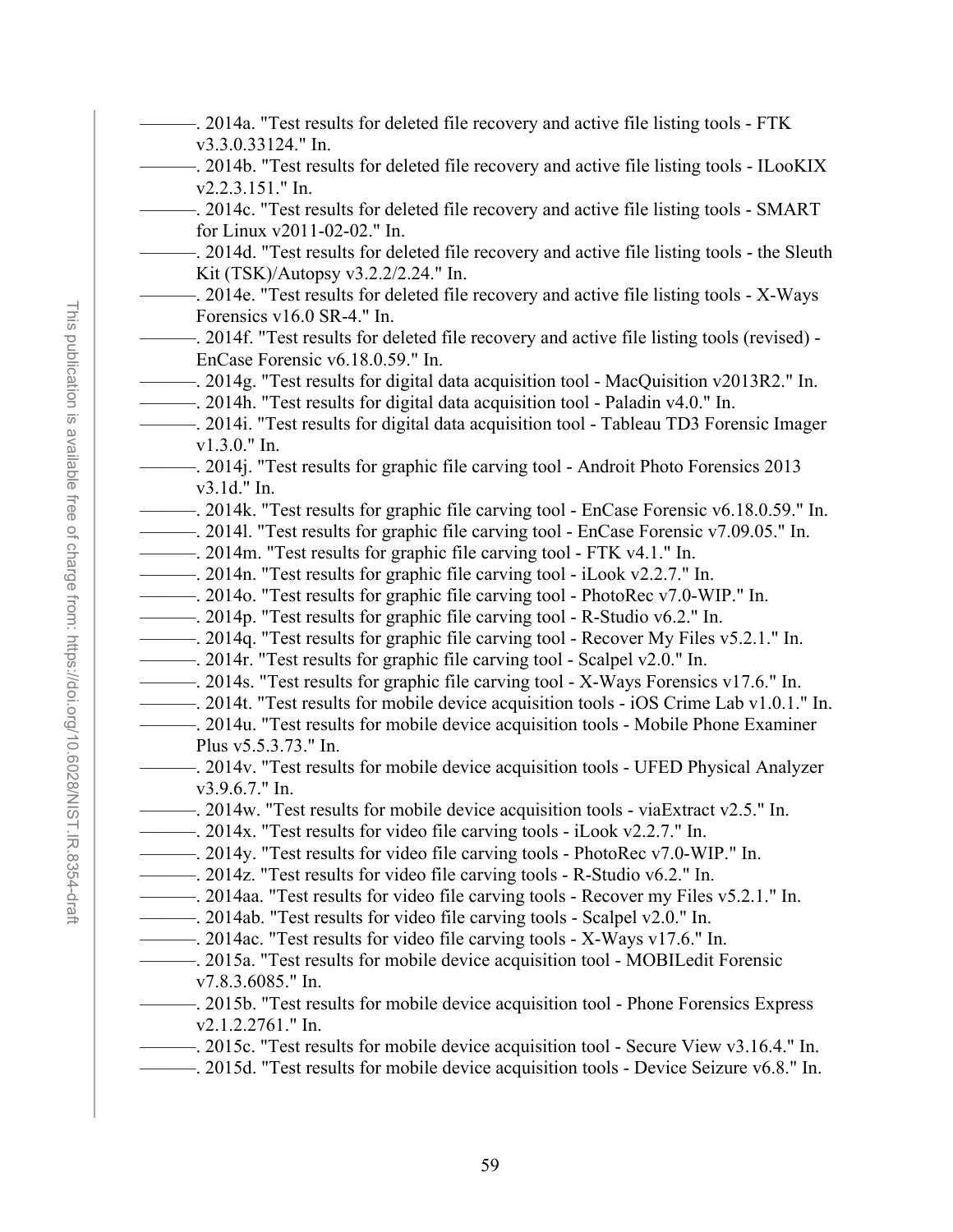- 2014a. "Test results for deleted file recovery and active file listing tools FTK v3.3.0.33124." In.
- ———. 2014b. "Test results for deleted file recovery and active file listing tools ILooKIX v2.2.3.151." In.
- ———. 2014c. "Test results for deleted file recovery and active file listing tools SMART for Linux v2011-02-02." In.
- ———. 2014d. "Test results for deleted file recovery and active file listing tools the Sleuth Kit (TSK)/Autopsy v3.2.2/2.24." In.
- $-$ . 2014e. "Test results for deleted file recovery and active file listing tools X-Ways Forensics v16.0 SR-4." In.
- ———. 2014f. "Test results for deleted file recovery and active file listing tools (revised) EnCase Forensic v6.18.0.59." In.
- ———. 2014g. "Test results for digital data acquisition tool MacQuisition v2013R2." In.
- ———. 2014h. "Test results for digital data acquisition tool Paladin v4.0." In.
- ———. 2014i. "Test results for digital data acquisition tool Tableau TD3 Forensic Imager v1.3.0." In.
- ———. 2014j. "Test results for graphic file carving tool Androit Photo Forensics 2013 v3.1d." In.
- ———. 2014k. "Test results for graphic file carving tool EnCase Forensic v6.18.0.59." In.
- ———. 2014l. "Test results for graphic file carving tool EnCase Forensic v7.09.05." In.
- ———. 2014m. "Test results for graphic file carving tool FTK v4.1." In.
- ———. 2014n. "Test results for graphic file carving tool iLook v2.2.7." In.
- ———. 2014o. "Test results for graphic file carving tool PhotoRec v7.0-WIP." In.
- ———. 2014p. "Test results for graphic file carving tool R-Studio v6.2." In.
- ———. 2014q. "Test results for graphic file carving tool Recover My Files v5.2.1." In.
- ———. 2014r. "Test results for graphic file carving tool Scalpel v2.0." In.
- ———. 2014s. "Test results for graphic file carving tool X-Ways Forensics v17.6." In.
- ———. 2014t. "Test results for mobile device acquisition tools iOS Crime Lab v1.0.1." In.
- ———. 2014u. "Test results for mobile device acquisition tools Mobile Phone Examiner
	- Plus v5.5.3.73." In.
- ———. 2014v. "Test results for mobile device acquisition tools UFED Physical Analyzer v3.9.6.7." In.
- ———. 2014w. "Test results for mobile device acquisition tools viaExtract v2.5." In.
- ———. 2014x. "Test results for video file carving tools iLook v2.2.7." In.
- ———. 2014y. "Test results for video file carving tools PhotoRec v7.0-WIP." In.
- ———. 2014z. "Test results for video file carving tools R-Studio v6.2." In.
- ———. 2014aa. "Test results for video file carving tools Recover my Files v5.2.1." In.
- ———. 2014ab. "Test results for video file carving tools Scalpel v2.0." In.
- ———. 2014ac. "Test results for video file carving tools X-Ways v17.6." In.
- ———. 2015a. "Test results for mobile device acquisition tool MOBILedit Forensic v7.8.3.6085." In.
- ———. 2015b. "Test results for mobile device acquisition tool Phone Forensics Express v2.1.2.2761." In.
- ———. 2015c. "Test results for mobile device acquisition tool Secure View v3.16.4." In.
- ———. 2015d. "Test results for mobile device acquisition tools Device Seizure v6.8." In.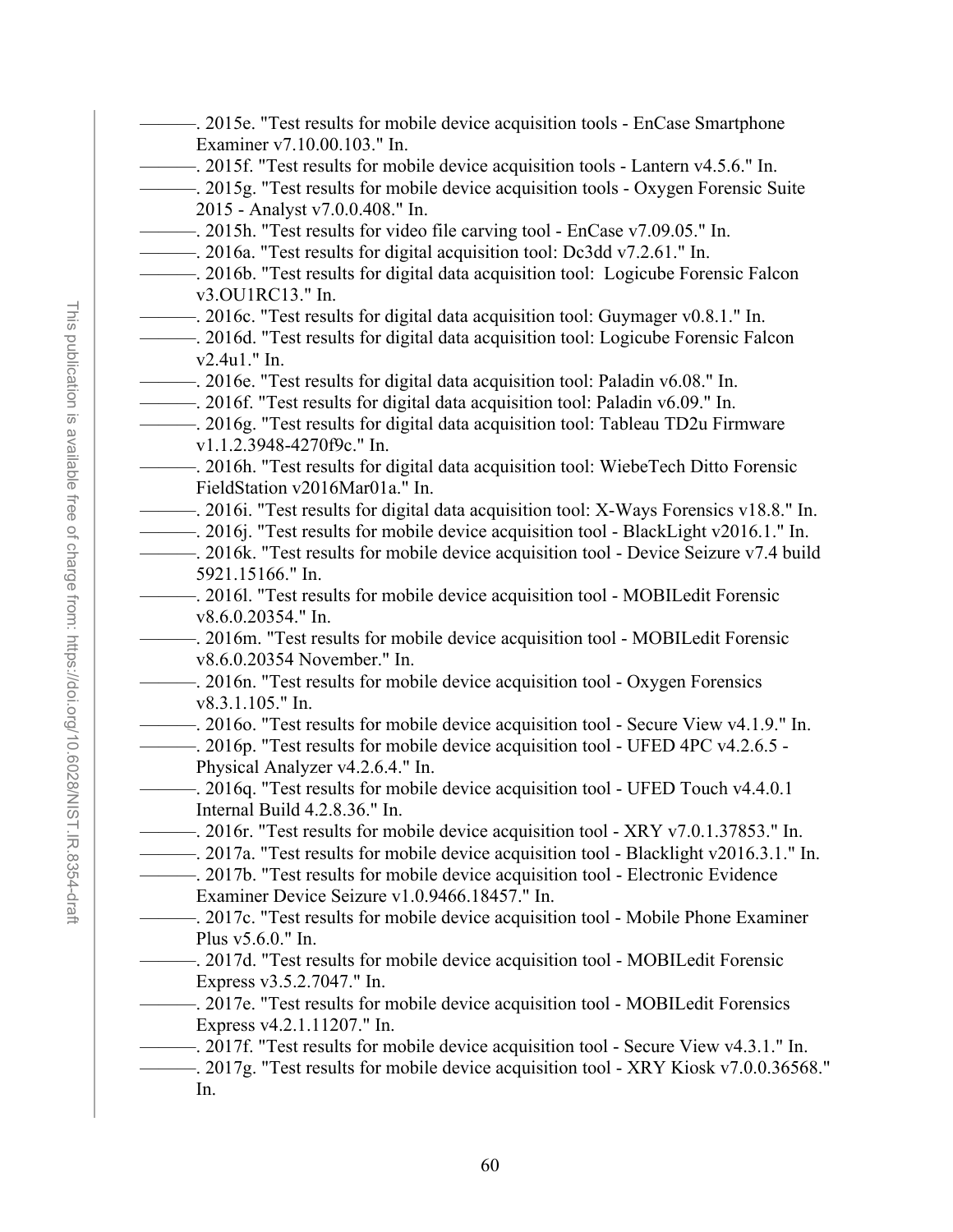- Examiner v7.10.00.103." In. 2015 - Analyst v7.0.0.408." In. v3.OU1RC13." In. v2.4u1." In. v1.1.2.3948-4270f9c." In. FieldStation v2016Mar01a." In. 5921.15166." In. v8.6.0.20354." In. v8.6.0.20354 November." In. v8.3.1.105." In. Physical Analyzer v4.2.6.4." In. Internal Build 4.2.8.36." In. Examiner Device Seizure v1.0.9466.18457." In. Plus v5.6.0." In. Express v3.5.2.7047." In. 2017e. "Test results for mobile device acquisition tool - MOBILedit Forensics Express v4.2.1.11207." In.
	- —–. 2017f. "Test results for mobile device acquisition tool Secure View v4.3.1." In.
	- ———. 2017g. "Test results for mobile device acquisition tool XRY Kiosk v7.0.0.36568." In.
- -. 2015e. "Test results for mobile device acquisition tools EnCase Smartphone ———. 2015f. "Test results for mobile device acquisition tools - Lantern v4.5.6." In. ———. 2015g. "Test results for mobile device acquisition tools - Oxygen Forensic Suite
	-
- ———. 2015h. "Test results for video file carving tool EnCase v7.09.05." In.
- ———. 2016a. "Test results for digital acquisition tool: Dc3dd v7.2.61." In.
- ———. 2016b. "Test results for digital data acquisition tool: Logicube Forensic Falcon
- ———. 2016c. "Test results for digital data acquisition tool: Guymager v0.8.1." In.
- ————. 2016d. "Test results for digital data acquisition tool: Logicube Forensic Falcon
- ———. 2016e. "Test results for digital data acquisition tool: Paladin v6.08." In.
- ———. 2016f. "Test results for digital data acquisition tool: Paladin v6.09." In.
- ———. 2016g. "Test results for digital data acquisition tool: Tableau TD2u Firmware
- ———. 2016h. "Test results for digital data acquisition tool: WiebeTech Ditto Forensic
- ———. 2016i. "Test results for digital data acquisition tool: X-Ways Forensics v18.8." In.
- ———. 2016j. "Test results for mobile device acquisition tool BlackLight v2016.1." In.
- ———. 2016k. "Test results for mobile device acquisition tool Device Seizure v7.4 build
- ———. 2016l. "Test results for mobile device acquisition tool MOBILedit Forensic
	- ———. 2016m. "Test results for mobile device acquisition tool MOBILedit Forensic
- ———. 2016n. "Test results for mobile device acquisition tool Oxygen Forensics
- ———. 2016o. "Test results for mobile device acquisition tool Secure View v4.1.9." In.
- ———. 2016p. "Test results for mobile device acquisition tool UFED 4PC v4.2.6.5 -
- ———. 2016q. "Test results for mobile device acquisition tool UFED Touch v4.4.0.1
- ———. 2016r. "Test results for mobile device acquisition tool XRY v7.0.1.37853." In.
- ———. 2017a. "Test results for mobile device acquisition tool Blacklight v2016.3.1." In.
- ———. 2017b. "Test results for mobile device acquisition tool Electronic Evidence
- ———. 2017c. "Test results for mobile device acquisition tool Mobile Phone Examiner
- ———. 2017d. "Test results for mobile device acquisition tool MOBILedit Forensic

60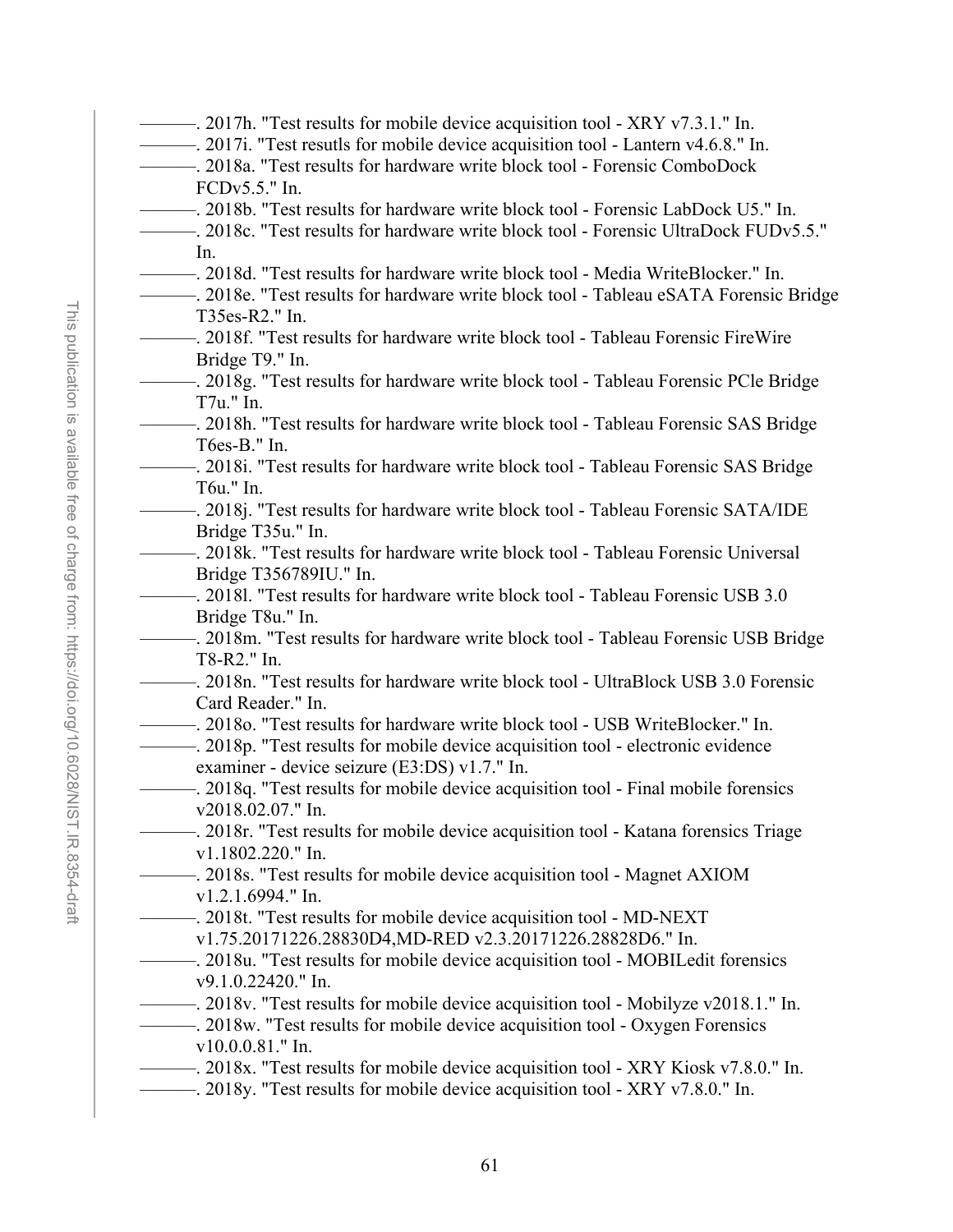- ———. 2017h. "Test results for mobile device acquisition tool XRY v7.3.1." In.
- ———. 2017i. "Test resutls for mobile device acquisition tool Lantern v4.6.8." In.
- ———. 2018a. "Test results for hardware write block tool Forensic ComboDock FCDv5.5." In.
	- ———. 2018b. "Test results for hardware write block tool Forensic LabDock U5." In.
- ———. 2018c. "Test results for hardware write block tool Forensic UltraDock FUDv5.5." In.
- ———. 2018d. "Test results for hardware write block tool Media WriteBlocker." In.
- ———. 2018e. "Test results for hardware write block tool Tableau eSATA Forensic Bridge T35es-R2." In.
- ———. 2018f. "Test results for hardware write block tool Tableau Forensic FireWire Bridge T9." In.
	- ———. 2018g. "Test results for hardware write block tool Tableau Forensic PCle Bridge T7u." In.
	- ———. 2018h. "Test results for hardware write block tool Tableau Forensic SAS Bridge T6es-B." In.
- ———. 2018i. "Test results for hardware write block tool Tableau Forensic SAS Bridge T6u." In.
- 2018j. "Test results for hardware write block tool Tableau Forensic SATA/IDE Bridge T35u." In.
- ———. 2018k. "Test results for hardware write block tool Tableau Forensic Universal Bridge T356789IU." In.
- ———. 2018l. "Test results for hardware write block tool Tableau Forensic USB 3.0 Bridge T8u." In.
	- ———. 2018m. "Test results for hardware write block tool Tableau Forensic USB Bridge T8-R2." In.
- ———. 2018n. "Test results for hardware write block tool UltraBlock USB 3.0 Forensic Card Reader." In.
- ———. 2018o. "Test results for hardware write block tool USB WriteBlocker." In.
- ———. 2018p. "Test results for mobile device acquisition tool electronic evidence examiner - device seizure (E3:DS) v1.7." In.
- ———. 2018q. "Test results for mobile device acquisition tool Final mobile forensics v2018.02.07." In.
- ———. 2018r. "Test results for mobile device acquisition tool Katana forensics Triage v1.1802.220." In.
- ———. 2018s. "Test results for mobile device acquisition tool Magnet AXIOM v1.2.1.6994." In.
- ———. 2018t. "Test results for mobile device acquisition tool MD-NEXT v1.75.20171226.28830D4,MD-RED v2.3.20171226.28828D6." In.
- ———. 2018u. "Test results for mobile device acquisition tool MOBILedit forensics v9.1.0.22420." In.
- ———. 2018v. "Test results for mobile device acquisition tool Mobilyze v2018.1." In.
- ———. 2018w. "Test results for mobile device acquisition tool Oxygen Forensics v10.0.0.81." In.
- ———. 2018x. "Test results for mobile device acquisition tool XRY Kiosk v7.8.0." In.
- ———. 2018y. "Test results for mobile device acquisition tool XRY v7.8.0." In.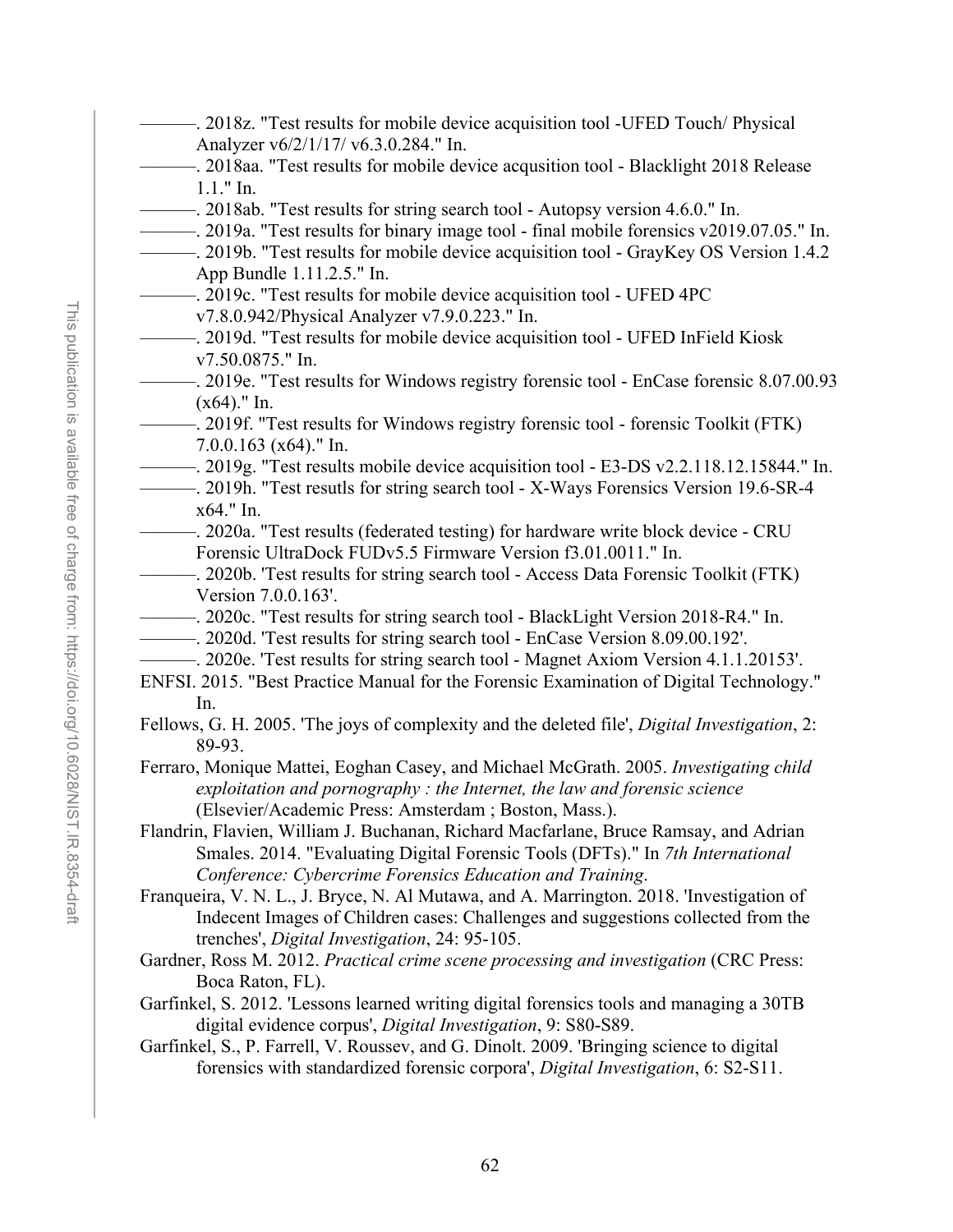- -. 2018z. "Test results for mobile device acquisition tool -UFED Touch/ Physical Analyzer v6/2/1/17/ v6.3.0.284." In.
- ———. 2018aa. "Test results for mobile device acqusition tool Blacklight 2018 Release 1.1." In.
- ———. 2018ab. "Test results for string search tool Autopsy version 4.6.0." In.
- ———. 2019a. "Test results for binary image tool final mobile forensics v2019.07.05." In.
- ———. 2019b. "Test results for mobile device acquisition tool GrayKey OS Version 1.4.2 App Bundle 1.11.2.5." In.
- ———. 2019c. "Test results for mobile device acquisition tool UFED 4PC
	- v7.8.0.942/Physical Analyzer v7.9.0.223." In.
- ———. 2019d. "Test results for mobile device acquisition tool UFED InField Kiosk v7.50.0875." In.
	- ———. 2019e. "Test results for Windows registry forensic tool EnCase forensic 8.07.00.93 (x64)." In.
	- ———. 2019f. "Test results for Windows registry forensic tool forensic Toolkit (FTK) 7.0.0.163 (x64)." In.
	- ———. 2019g. "Test results mobile device acquisition tool E3-DS v2.2.118.12.15844." In.
	- ———. 2019h. "Test resutls for string search tool X-Ways Forensics Version 19.6-SR-4 x64." In.
	- ———. 2020a. "Test results (federated testing) for hardware write block device CRU Forensic UltraDock FUDv5.5 Firmware Version f3.01.0011." In.
- ———. 2020b. 'Test results for string search tool Access Data Forensic Toolkit (FTK) Version 7.0.0.163'.
- ———. 2020c. "Test results for string search tool BlackLight Version 2018-R4." In.
- ———. 2020d. 'Test results for string search tool EnCase Version 8.09.00.192'.
- ———. 2020e. 'Test results for string search tool Magnet Axiom Version 4.1.1.20153'.
- ENFSI. 2015. "Best Practice Manual for the Forensic Examination of Digital Technology." In.
- Fellows, G. H. 2005. 'The joys of complexity and the deleted file', *Digital Investigation*, 2: 89-93.

Ferraro, Monique Mattei, Eoghan Casey, and Michael McGrath. 2005. *Investigating child exploitation and pornography : the Internet, the law and forensic science* (Elsevier/Academic Press: Amsterdam ; Boston, Mass.).

Flandrin, Flavien, William J. Buchanan, Richard Macfarlane, Bruce Ramsay, and Adrian Smales. 2014. "Evaluating Digital Forensic Tools (DFTs)." In *7th International Conference: Cybercrime Forensics Education and Training*.

Franqueira, V. N. L., J. Bryce, N. Al Mutawa, and A. Marrington. 2018. 'Investigation of Indecent Images of Children cases: Challenges and suggestions collected from the trenches', *Digital Investigation*, 24: 95-105.

Gardner, Ross M. 2012. *Practical crime scene processing and investigation* (CRC Press: Boca Raton, FL).

- Garfinkel, S. 2012. 'Lessons learned writing digital forensics tools and managing a 30TB digital evidence corpus', *Digital Investigation*, 9: S80-S89.
- Garfinkel, S., P. Farrell, V. Roussev, and G. Dinolt. 2009. 'Bringing science to digital forensics with standardized forensic corpora', *Digital Investigation*, 6: S2-S11.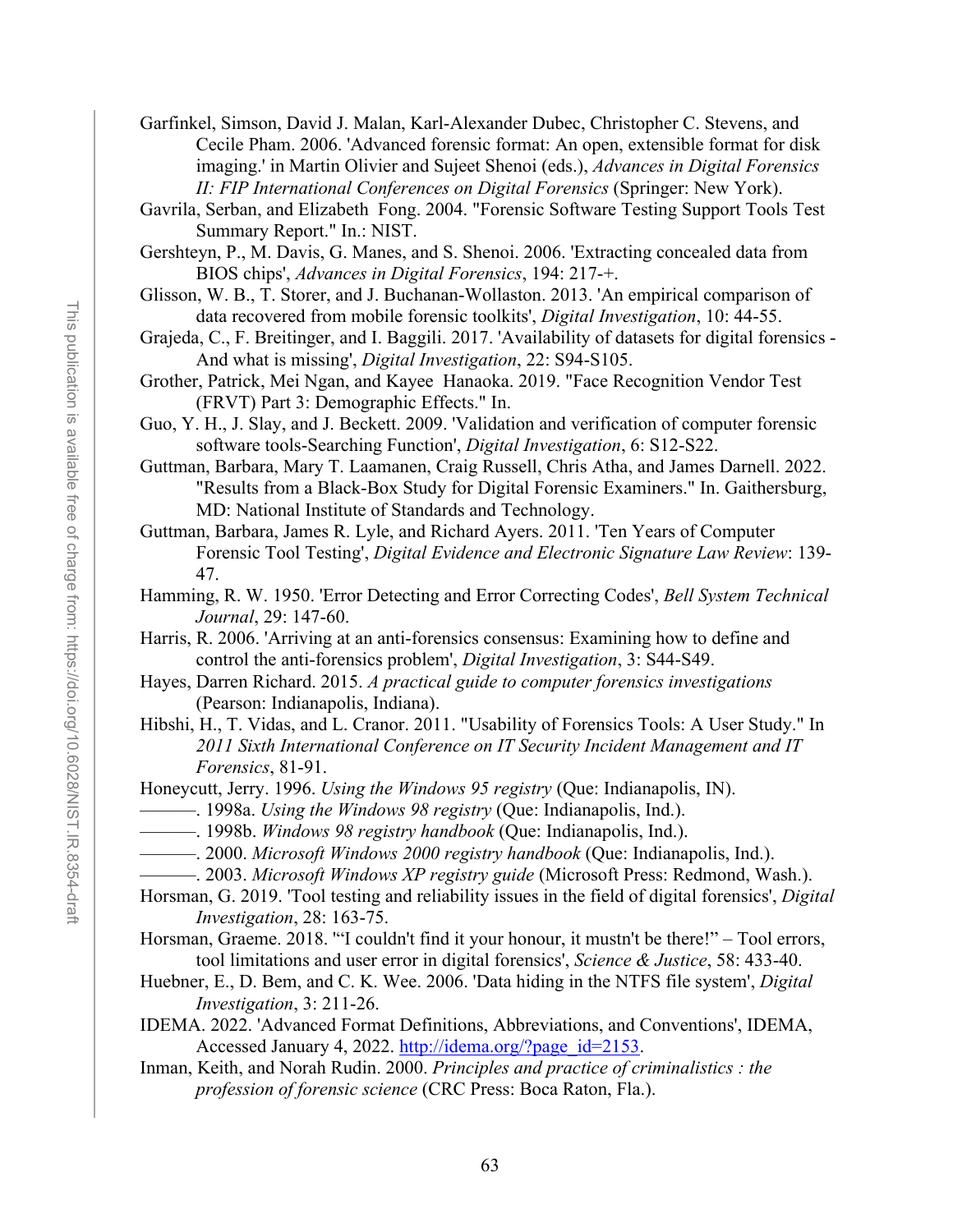- Garfinkel, Simson, David J. Malan, Karl-Alexander Dubec, Christopher C. Stevens, and Cecile Pham. 2006. 'Advanced forensic format: An open, extensible format for disk imaging.' in Martin Olivier and Sujeet Shenoi (eds.), *Advances in Digital Forensics II: FIP International Conferences on Digital Forensics* (Springer: New York).
- Gavrila, Serban, and Elizabeth Fong. 2004. "Forensic Software Testing Support Tools Test Summary Report." In.: NIST.
- Gershteyn, P., M. Davis, G. Manes, and S. Shenoi. 2006. 'Extracting concealed data from BIOS chips', *Advances in Digital Forensics*, 194: 217-+.
- Glisson, W. B., T. Storer, and J. Buchanan-Wollaston. 2013. 'An empirical comparison of data recovered from mobile forensic toolkits', *Digital Investigation*, 10: 44-55.
- Grajeda, C., F. Breitinger, and I. Baggili. 2017. 'Availability of datasets for digital forensics And what is missing', *Digital Investigation*, 22: S94-S105.
- Grother, Patrick, Mei Ngan, and Kayee Hanaoka. 2019. "Face Recognition Vendor Test (FRVT) Part 3: Demographic Effects." In.
- Guo, Y. H., J. Slay, and J. Beckett. 2009. 'Validation and verification of computer forensic software tools-Searching Function', *Digital Investigation*, 6: S12-S22.
- Guttman, Barbara, Mary T. Laamanen, Craig Russell, Chris Atha, and James Darnell. 2022. "Results from a Black-Box Study for Digital Forensic Examiners." In. Gaithersburg, MD: National Institute of Standards and Technology.

Guttman, Barbara, James R. Lyle, and Richard Ayers. 2011. 'Ten Years of Computer Forensic Tool Testing', *Digital Evidence and Electronic Signature Law Review*: 139- 47.

- Hamming, R. W. 1950. 'Error Detecting and Error Correcting Codes', *Bell System Technical Journal*, 29: 147-60.
- Harris, R. 2006. 'Arriving at an anti-forensics consensus: Examining how to define and control the anti-forensics problem', *Digital Investigation*, 3: S44-S49.
- Hayes, Darren Richard. 2015. *A practical guide to computer forensics investigations* (Pearson: Indianapolis, Indiana).
- Hibshi, H., T. Vidas, and L. Cranor. 2011. "Usability of Forensics Tools: A User Study." In *2011 Sixth International Conference on IT Security Incident Management and IT Forensics*, 81-91.

Honeycutt, Jerry. 1996. *Using the Windows 95 registry* (Que: Indianapolis, IN).

- ———. 1998a. *Using the Windows 98 registry* (Que: Indianapolis, Ind.).
- ———. 1998b. *Windows 98 registry handbook* (Que: Indianapolis, Ind.).
- ———. 2000. *Microsoft Windows 2000 registry handbook* (Que: Indianapolis, Ind.).
	- ———. 2003. *Microsoft Windows XP registry guide* (Microsoft Press: Redmond, Wash.).
- Horsman, G. 2019. 'Tool testing and reliability issues in the field of digital forensics', *Digital Investigation*, 28: 163-75.
- Horsman, Graeme. 2018. '"I couldn't find it your honour, it mustn't be there!" Tool errors, tool limitations and user error in digital forensics', *Science & Justice*, 58: 433-40.
- Huebner, E., D. Bem, and C. K. Wee. 2006. 'Data hiding in the NTFS file system', *Digital Investigation*, 3: 211-26.
- IDEMA. 2022. 'Advanced Format Definitions, Abbreviations, and Conventions', IDEMA, Accessed January 4, 2022. [http://idema.org/?page\\_id=2153.](http://idema.org/?page_id=2153)
- Inman, Keith, and Norah Rudin. 2000. *Principles and practice of criminalistics : the profession of forensic science* (CRC Press: Boca Raton, Fla.).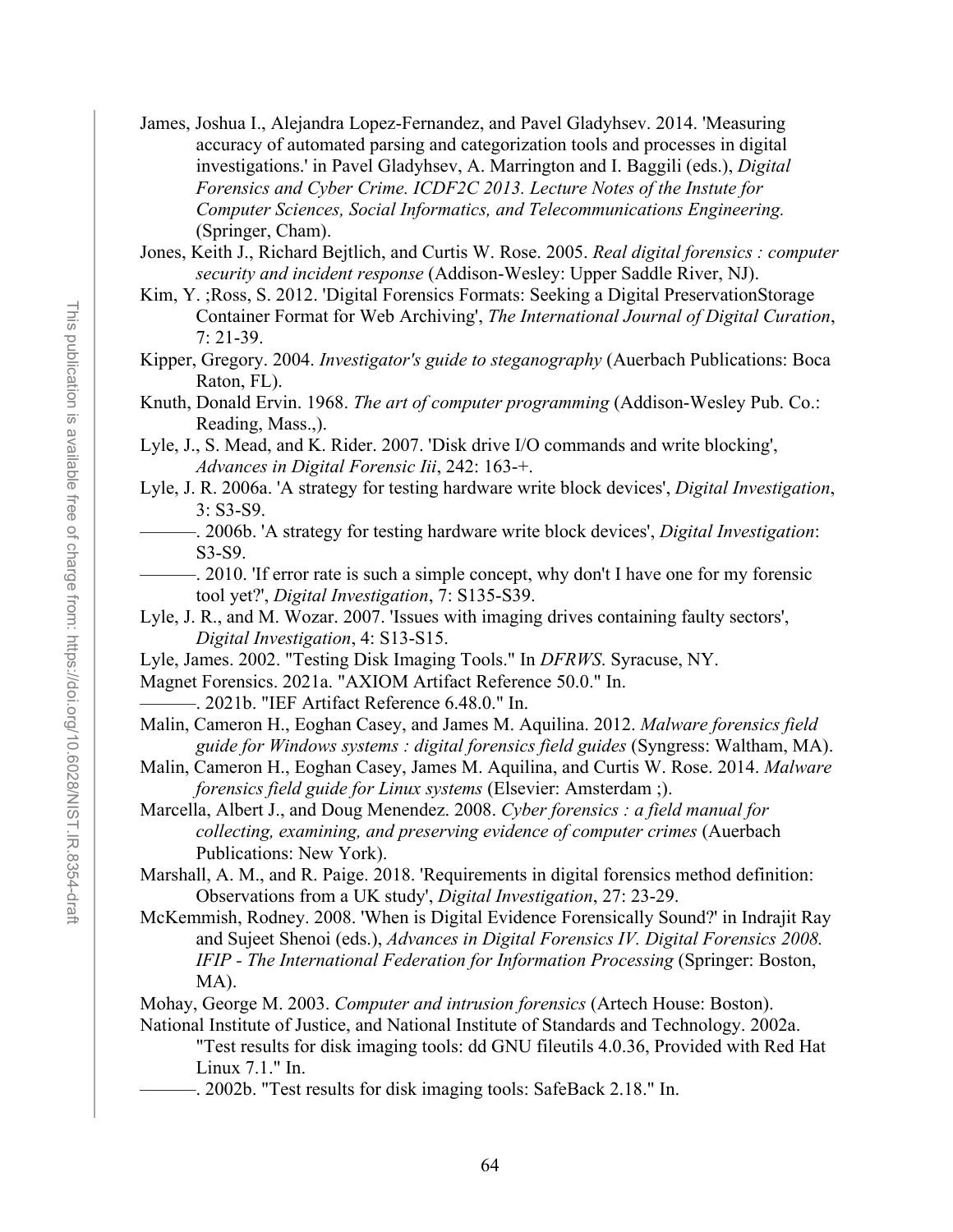- James, Joshua I., Alejandra Lopez-Fernandez, and Pavel Gladyhsev. 2014. 'Measuring accuracy of automated parsing and categorization tools and processes in digital investigations.' in Pavel Gladyhsev, A. Marrington and I. Baggili (eds.), *Digital Forensics and Cyber Crime. ICDF2C 2013. Lecture Notes of the Instute for Computer Sciences, Social Informatics, and Telecommunications Engineering.* (Springer, Cham).
- Jones, Keith J., Richard Bejtlich, and Curtis W. Rose. 2005. *Real digital forensics : computer security and incident response* (Addison-Wesley: Upper Saddle River, NJ).
- Kim, Y. ;Ross, S. 2012. 'Digital Forensics Formats: Seeking a Digital PreservationStorage Container Format for Web Archiving', *The International Journal of Digital Curation*, 7: 21-39.
- Kipper, Gregory. 2004. *Investigator's guide to steganography* (Auerbach Publications: Boca Raton, FL).
- Knuth, Donald Ervin. 1968. *The art of computer programming* (Addison-Wesley Pub. Co.: Reading, Mass.,).
- Lyle, J., S. Mead, and K. Rider. 2007. 'Disk drive I/O commands and write blocking', *Advances in Digital Forensic Iii*, 242: 163-+.
- Lyle, J. R. 2006a. 'A strategy for testing hardware write block devices', *Digital Investigation*, 3: S3-S9.
	- ———. 2006b. 'A strategy for testing hardware write block devices', *Digital Investigation*: S3-S9.
	- -. 2010. 'If error rate is such a simple concept, why don't I have one for my forensic tool yet?', *Digital Investigation*, 7: S135-S39.
- Lyle, J. R., and M. Wozar. 2007. 'Issues with imaging drives containing faulty sectors', *Digital Investigation*, 4: S13-S15.
- Lyle, James. 2002. "Testing Disk Imaging Tools." In *DFRWS*. Syracuse, NY.
- Magnet Forensics. 2021a. "AXIOM Artifact Reference 50.0." In.
	- -. 2021b. "IEF Artifact Reference 6.48.0." In.
- Malin, Cameron H., Eoghan Casey, and James M. Aquilina. 2012. *Malware forensics field guide for Windows systems : digital forensics field guides* (Syngress: Waltham, MA).
- Malin, Cameron H., Eoghan Casey, James M. Aquilina, and Curtis W. Rose. 2014. *Malware forensics field guide for Linux systems* (Elsevier: Amsterdam ;).
- Marcella, Albert J., and Doug Menendez. 2008. *Cyber forensics : a field manual for collecting, examining, and preserving evidence of computer crimes* (Auerbach Publications: New York).
- Marshall, A. M., and R. Paige. 2018. 'Requirements in digital forensics method definition: Observations from a UK study', *Digital Investigation*, 27: 23-29.
- McKemmish, Rodney. 2008. 'When is Digital Evidence Forensically Sound?' in Indrajit Ray and Sujeet Shenoi (eds.), *Advances in Digital Forensics IV. Digital Forensics 2008. IFIP - The International Federation for Information Processing* (Springer: Boston, MA).
- Mohay, George M. 2003. *Computer and intrusion forensics* (Artech House: Boston).
- National Institute of Justice, and National Institute of Standards and Technology. 2002a. "Test results for disk imaging tools: dd GNU fileutils 4.0.36, Provided with Red Hat Linux 7.1." In.
	- -. 2002b. "Test results for disk imaging tools: SafeBack 2.18." In.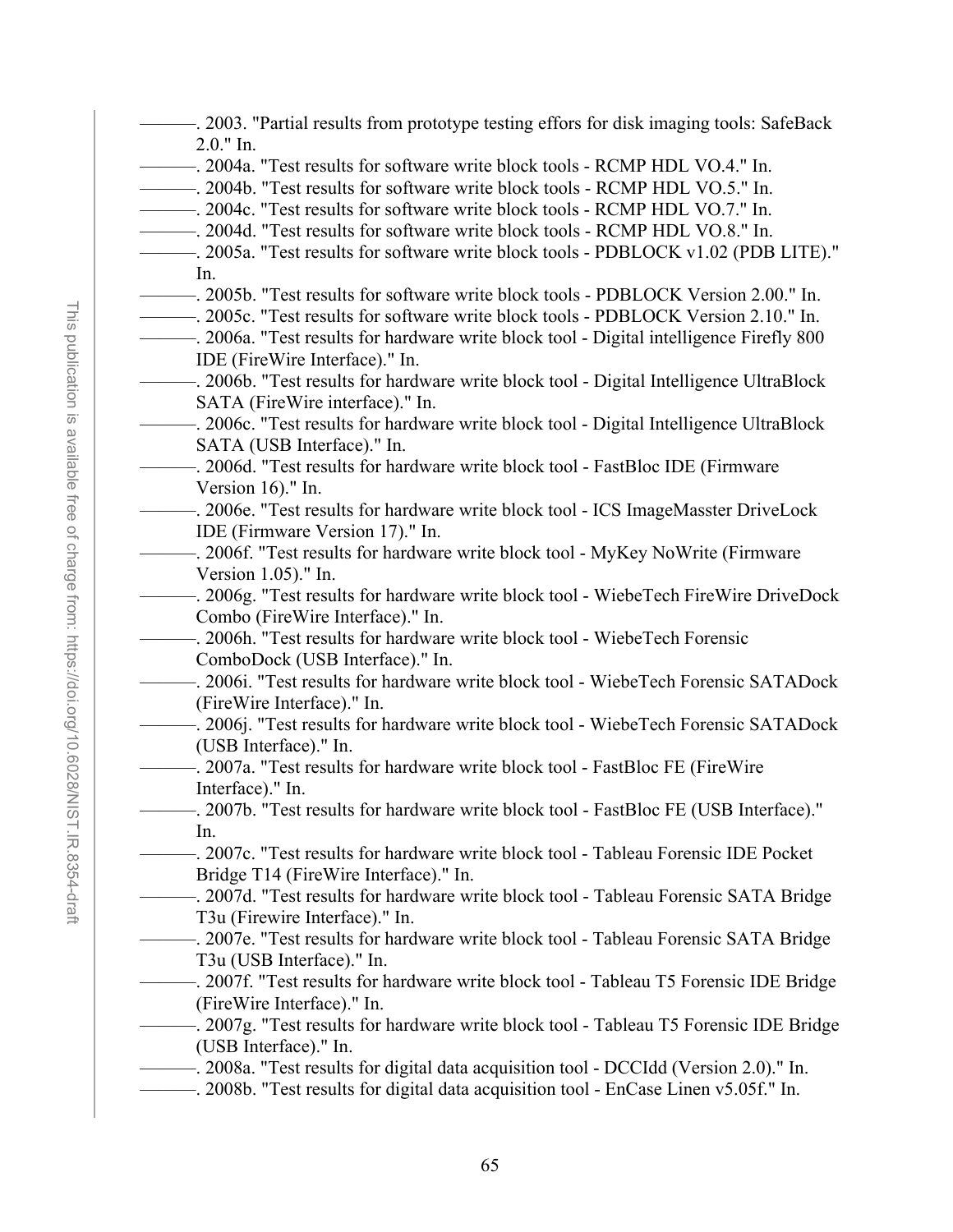- ———. 2003. "Partial results from prototype testing effors for disk imaging tools: SafeBack 2.0." In.
- ———. 2004a. "Test results for software write block tools RCMP HDL VO.4." In.
- ———. 2004b. "Test results for software write block tools RCMP HDL VO.5." In.
- ———. 2004c. "Test results for software write block tools RCMP HDL VO.7." In.
- ———. 2004d. "Test results for software write block tools RCMP HDL VO.8." In.
- ———. 2005a. "Test results for software write block tools PDBLOCK v1.02 (PDB LITE)." In.
- ———. 2005b. "Test results for software write block tools PDBLOCK Version 2.00." In.
- ———. 2005c. "Test results for software write block tools PDBLOCK Version 2.10." In.
- ———. 2006a. "Test results for hardware write block tool Digital intelligence Firefly 800 IDE (FireWire Interface)." In.
- ———. 2006b. "Test results for hardware write block tool Digital Intelligence UltraBlock SATA (FireWire interface)." In.
- ———. 2006c. "Test results for hardware write block tool Digital Intelligence UltraBlock SATA (USB Interface)." In.
- ———. 2006d. "Test results for hardware write block tool FastBloc IDE (Firmware Version 16)." In.
- ———. 2006e. "Test results for hardware write block tool ICS ImageMasster DriveLock IDE (Firmware Version 17)." In.
- ———. 2006f. "Test results for hardware write block tool MyKey NoWrite (Firmware Version 1.05)." In.
- ———. 2006g. "Test results for hardware write block tool WiebeTech FireWire DriveDock Combo (FireWire Interface)." In.
- ———. 2006h. "Test results for hardware write block tool WiebeTech Forensic ComboDock (USB Interface)." In.
- ———. 2006i. "Test results for hardware write block tool WiebeTech Forensic SATADock (FireWire Interface)." In.
- ———. 2006j. "Test results for hardware write block tool WiebeTech Forensic SATADock (USB Interface)." In.
	- ———. 2007a. "Test results for hardware write block tool FastBloc FE (FireWire Interface)." In.
- ———. 2007b. "Test results for hardware write block tool FastBloc FE (USB Interface)." In.
- ———. 2007c. "Test results for hardware write block tool Tableau Forensic IDE Pocket Bridge T14 (FireWire Interface)." In.
	- ———. 2007d. "Test results for hardware write block tool Tableau Forensic SATA Bridge T3u (Firewire Interface)." In.
	- ———. 2007e. "Test results for hardware write block tool Tableau Forensic SATA Bridge T3u (USB Interface)." In.
- ———. 2007f. "Test results for hardware write block tool Tableau T5 Forensic IDE Bridge (FireWire Interface)." In.
- ———. 2007g. "Test results for hardware write block tool Tableau T5 Forensic IDE Bridge (USB Interface)." In.
- ———. 2008a. "Test results for digital data acquisition tool DCCIdd (Version 2.0)." In.
- ———. 2008b. "Test results for digital data acquisition tool EnCase Linen v5.05f." In.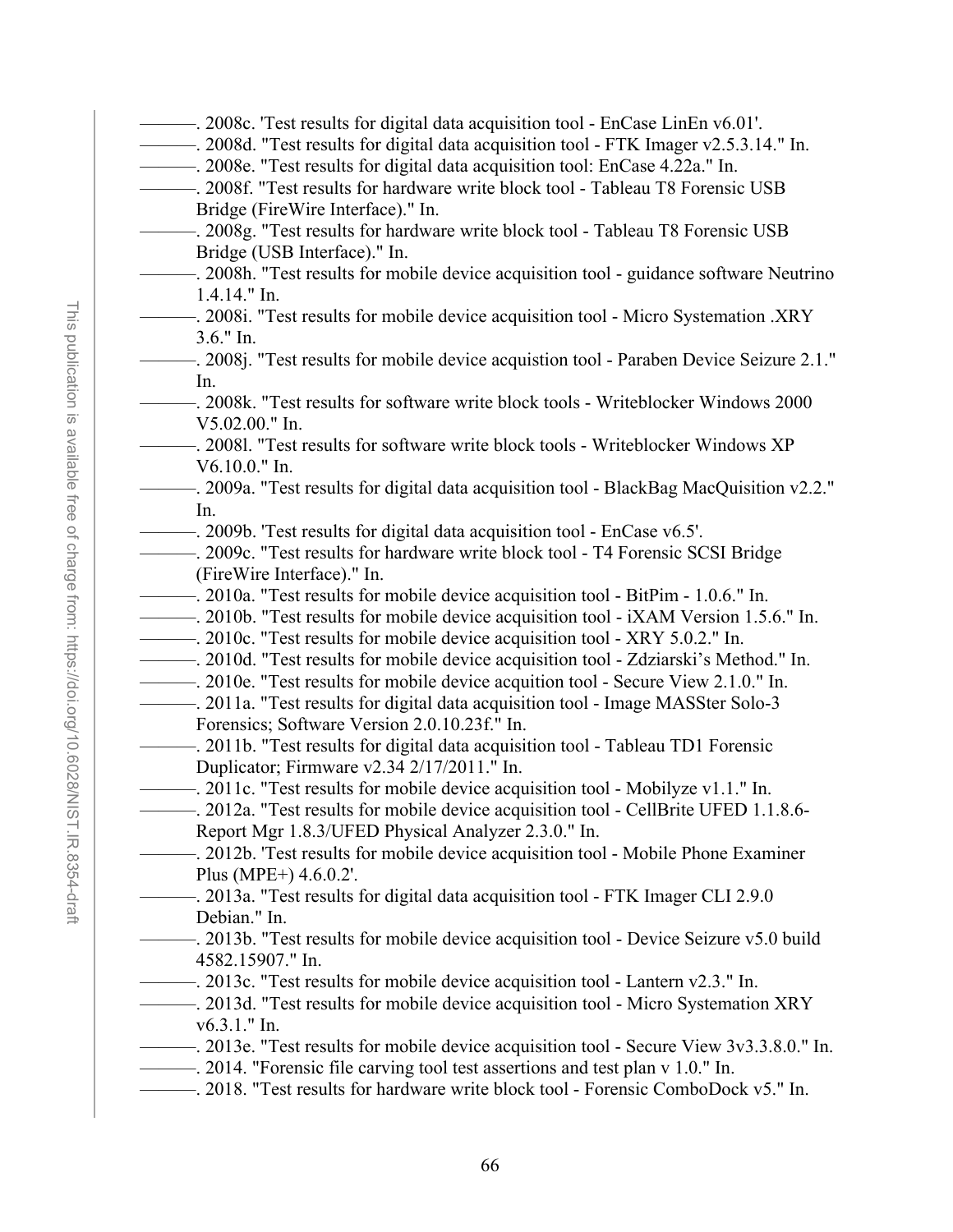- ———. 2008d. "Test results for digital data acquisition tool FTK Imager v2.5.3.14." In. ———. 2008e. "Test results for digital data acquisition tool: EnCase 4.22a." In. ———. 2008f. "Test results for hardware write block tool - Tableau T8 Forensic USB Bridge (FireWire Interface)." In. ———. 2008g. "Test results for hardware write block tool - Tableau T8 Forensic USB Bridge (USB Interface)." In. ———. 2008h. "Test results for mobile device acquisition tool - guidance software Neutrino 1.4.14." In. ———. 2008i. "Test results for mobile device acquisition tool - Micro Systemation .XRY 3.6." In. ———. 2008j. "Test results for mobile device acquistion tool - Paraben Device Seizure 2.1." In. ———. 2008k. "Test results for software write block tools - Writeblocker Windows 2000 V5.02.00." In. ———. 2008l. "Test results for software write block tools - Writeblocker Windows XP V6.10.0." In. ———. 2009a. "Test results for digital data acquisition tool - BlackBag MacQuisition v2.2." In. ———. 2009b. 'Test results for digital data acquisition tool - EnCase v6.5'. ———. 2009c. "Test results for hardware write block tool - T4 Forensic SCSI Bridge (FireWire Interface)." In. ———. 2010a. "Test results for mobile device acquisition tool - BitPim - 1.0.6." In. ———. 2010b. "Test results for mobile device acquisition tool - iXAM Version 1.5.6." In. ———. 2010c. "Test results for mobile device acquisition tool - XRY 5.0.2." In. ———. 2010d. "Test results for mobile device acquisition tool - Zdziarski's Method." In. ———. 2010e. "Test results for mobile device acquition tool - Secure View 2.1.0." In. ———. 2011a. "Test results for digital data acquisition tool - Image MASSter Solo-3 Forensics; Software Version 2.0.10.23f." In. ———. 2011b. "Test results for digital data acquisition tool - Tableau TD1 Forensic Duplicator; Firmware v2.34 2/17/2011." In. ———. 2011c. "Test results for mobile device acquisition tool - Mobilyze v1.1." In. ———. 2012a. "Test results for mobile device acquisition tool - CellBrite UFED 1.1.8.6- Report Mgr 1.8.3/UFED Physical Analyzer 2.3.0." In. ———. 2012b. 'Test results for mobile device acquisition tool - Mobile Phone Examiner Plus (MPE+) 4.6.0.2'. ———. 2013a. "Test results for digital data acquisition tool - FTK Imager CLI 2.9.0 Debian." In. ———. 2013b. "Test results for mobile device acquisition tool - Device Seizure v5.0 build 4582.15907." In. ———. 2013c. "Test results for mobile device acquisition tool - Lantern v2.3." In. ———. 2013d. "Test results for mobile device acquisition tool - Micro Systemation XRY v6.3.1." In. ———. 2013e. "Test results for mobile device acquisition tool - Secure View 3v3.3.8.0." In.
	- ———. 2014. "Forensic file carving tool test assertions and test plan v 1.0." In.
	- ———. 2018. "Test results for hardware write block tool Forensic ComboDock v5." In.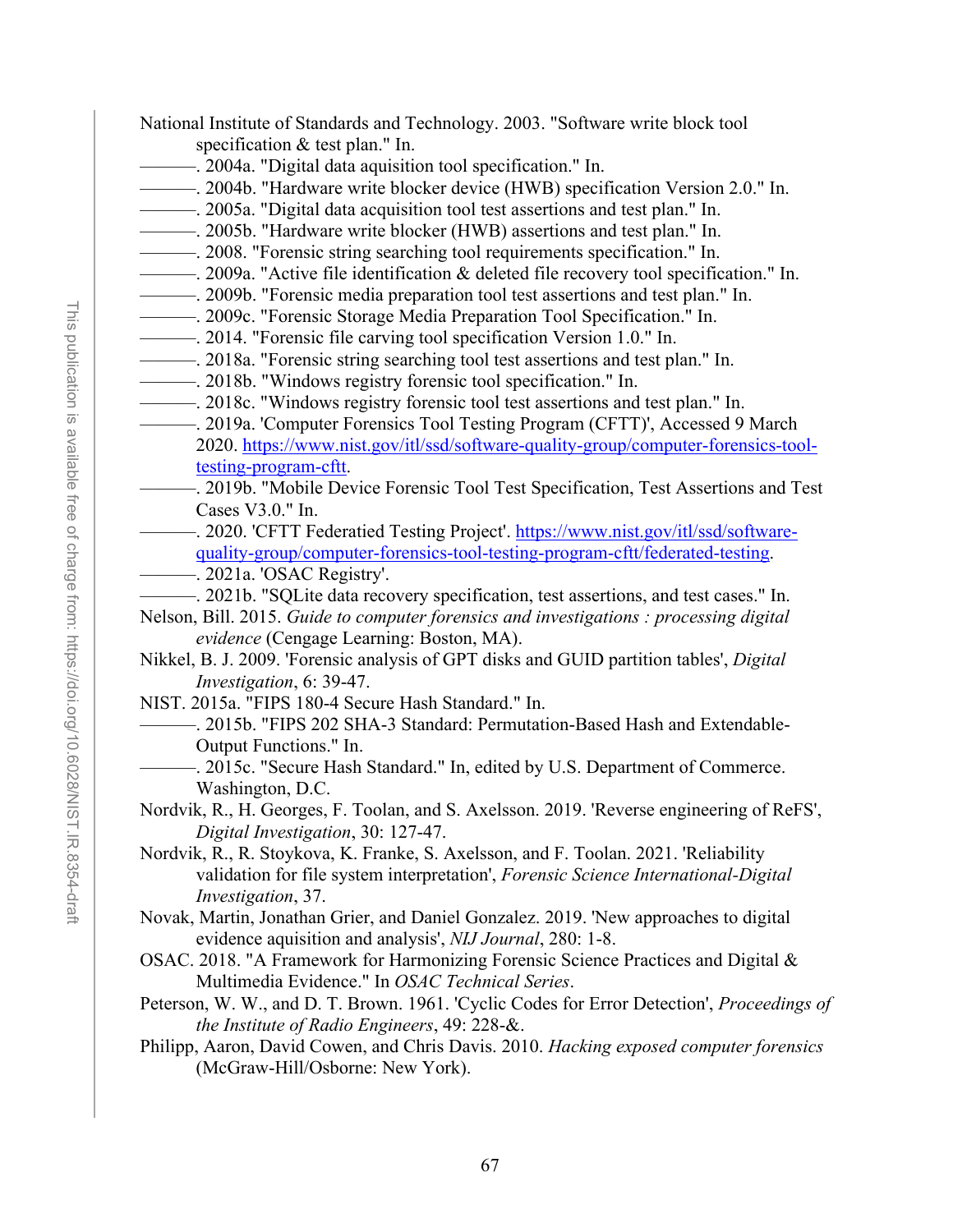- National Institute of Standards and Technology. 2003. "Software write block tool specification & test plan." In.
- ———. 2004a. "Digital data aquisition tool specification." In.
- ———. 2004b. "Hardware write blocker device (HWB) specification Version 2.0." In.
- ———. 2005a. "Digital data acquisition tool test assertions and test plan." In.
- ———. 2005b. "Hardware write blocker (HWB) assertions and test plan." In.
- ———. 2008. "Forensic string searching tool requirements specification." In.
- ———. 2009a. "Active file identification & deleted file recovery tool specification." In.
- ———. 2009b. "Forensic media preparation tool test assertions and test plan." In.
- ———. 2009c. "Forensic Storage Media Preparation Tool Specification." In.
- ———. 2014. "Forensic file carving tool specification Version 1.0." In.
- ———. 2018a. "Forensic string searching tool test assertions and test plan." In.
- ———. 2018b. "Windows registry forensic tool specification." In.
- ———. 2018c. "Windows registry forensic tool test assertions and test plan." In.
- ———. 2019a. 'Computer Forensics Tool Testing Program (CFTT)', Accessed 9 March 2020. [https://www.nist.gov/itl/ssd/software-quality-group/computer-forensics-tool](https://www.nist.gov/itl/ssd/software-quality-group/computer-forensics-tool-testing-program-cftt)[testing-program-cftt.](https://www.nist.gov/itl/ssd/software-quality-group/computer-forensics-tool-testing-program-cftt)
	- ———. 2019b. "Mobile Device Forensic Tool Test Specification, Test Assertions and Test Cases V3.0." In.
- ———. 2020. 'CFTT Federatied Testing Project'. [https://www.nist.gov/itl/ssd/software](https://www.nist.gov/itl/ssd/software-quality-group/computer-forensics-tool-testing-program-cftt/federated-testing)[quality-group/computer-forensics-tool-testing-program-cftt/federated-testing.](https://www.nist.gov/itl/ssd/software-quality-group/computer-forensics-tool-testing-program-cftt/federated-testing)
- ————. 2021a. 'OSAC Registry'.
- ———. 2021b. "SQLite data recovery specification, test assertions, and test cases." In.
- Nelson, Bill. 2015. *Guide to computer forensics and investigations : processing digital evidence* (Cengage Learning: Boston, MA).
- Nikkel, B. J. 2009. 'Forensic analysis of GPT disks and GUID partition tables', *Digital Investigation*, 6: 39-47.
- NIST. 2015a. "FIPS 180-4 Secure Hash Standard." In.
	- ———. 2015b. "FIPS 202 SHA-3 Standard: Permutation-Based Hash and Extendable-Output Functions." In.
		- -. 2015c. "Secure Hash Standard." In, edited by U.S. Department of Commerce. Washington, D.C.
- Nordvik, R., H. Georges, F. Toolan, and S. Axelsson. 2019. 'Reverse engineering of ReFS', *Digital Investigation*, 30: 127-47.
- Nordvik, R., R. Stoykova, K. Franke, S. Axelsson, and F. Toolan. 2021. 'Reliability validation for file system interpretation', *Forensic Science International-Digital Investigation*, 37.
- Novak, Martin, Jonathan Grier, and Daniel Gonzalez. 2019. 'New approaches to digital evidence aquisition and analysis', *NIJ Journal*, 280: 1-8.
- OSAC. 2018. "A Framework for Harmonizing Forensic Science Practices and Digital & Multimedia Evidence." In *OSAC Technical Series*.
- Peterson, W. W., and D. T. Brown. 1961. 'Cyclic Codes for Error Detection', *Proceedings of the Institute of Radio Engineers*, 49: 228-&.
- Philipp, Aaron, David Cowen, and Chris Davis. 2010. *Hacking exposed computer forensics* (McGraw-Hill/Osborne: New York).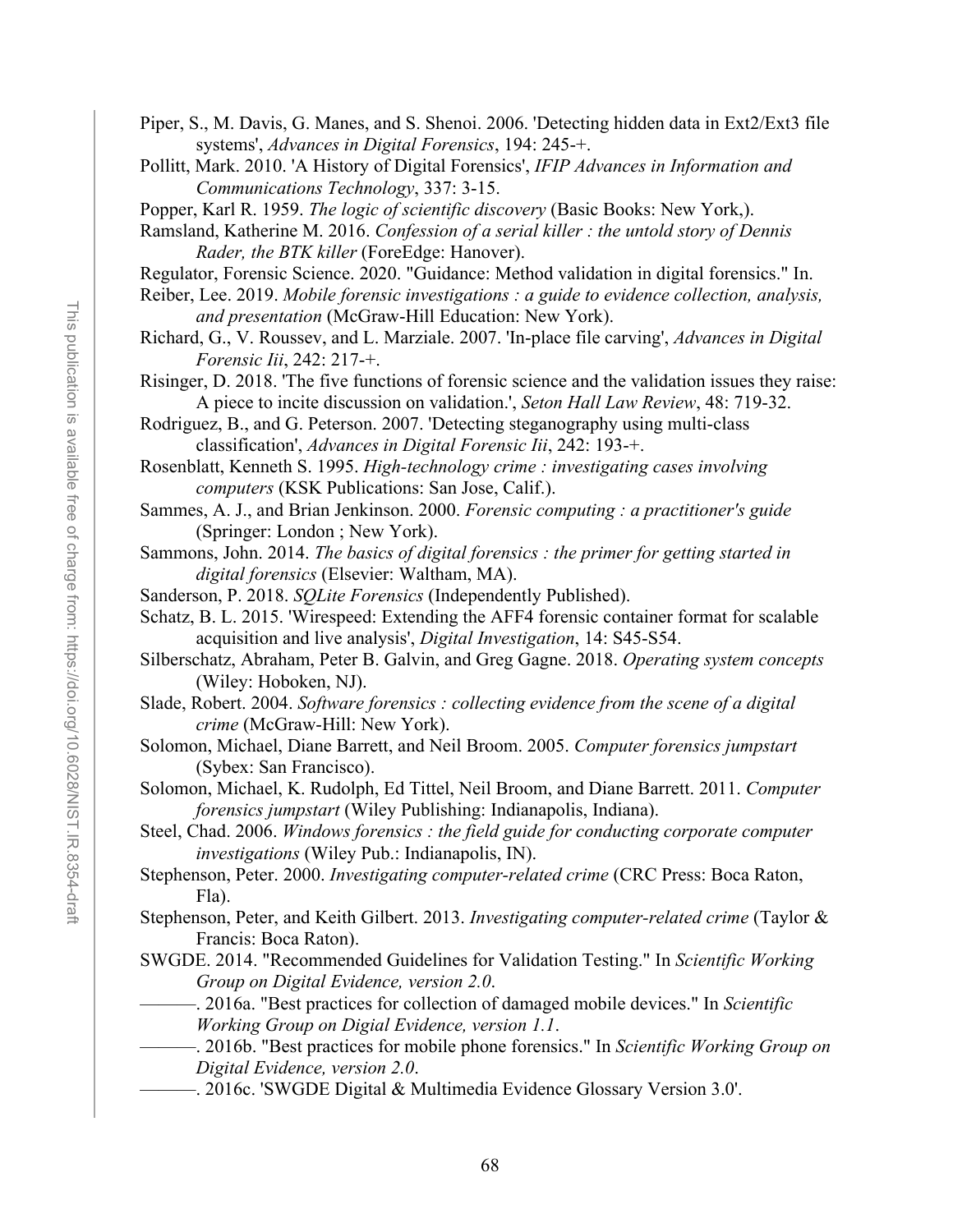- Piper, S., M. Davis, G. Manes, and S. Shenoi. 2006. 'Detecting hidden data in Ext2/Ext3 file systems', *Advances in Digital Forensics*, 194: 245-+.
- Pollitt, Mark. 2010. 'A History of Digital Forensics', *IFIP Advances in Information and Communications Technology*, 337: 3-15.
- Popper, Karl R. 1959. *The logic of scientific discovery* (Basic Books: New York,).
- Ramsland, Katherine M. 2016. *Confession of a serial killer : the untold story of Dennis Rader, the BTK killer* (ForeEdge: Hanover).
- Regulator, Forensic Science. 2020. "Guidance: Method validation in digital forensics." In.
- Reiber, Lee. 2019. *Mobile forensic investigations : a guide to evidence collection, analysis, and presentation* (McGraw-Hill Education: New York).
- Richard, G., V. Roussev, and L. Marziale. 2007. 'In-place file carving', *Advances in Digital Forensic Iii*, 242: 217-+.
- Risinger, D. 2018. 'The five functions of forensic science and the validation issues they raise: A piece to incite discussion on validation.', *Seton Hall Law Review*, 48: 719-32.
- Rodriguez, B., and G. Peterson. 2007. 'Detecting steganography using multi-class classification', *Advances in Digital Forensic Iii*, 242: 193-+.
- Rosenblatt, Kenneth S. 1995. *High-technology crime : investigating cases involving computers* (KSK Publications: San Jose, Calif.).
- Sammes, A. J., and Brian Jenkinson. 2000. *Forensic computing : a practitioner's guide* (Springer: London ; New York).
- Sammons, John. 2014. *The basics of digital forensics : the primer for getting started in digital forensics* (Elsevier: Waltham, MA).
- Sanderson, P. 2018. *SQLite Forensics* (Independently Published).
- Schatz, B. L. 2015. 'Wirespeed: Extending the AFF4 forensic container format for scalable acquisition and live analysis', *Digital Investigation*, 14: S45-S54.
- Silberschatz, Abraham, Peter B. Galvin, and Greg Gagne. 2018. *Operating system concepts* (Wiley: Hoboken, NJ).
- Slade, Robert. 2004. *Software forensics : collecting evidence from the scene of a digital crime* (McGraw-Hill: New York).
- Solomon, Michael, Diane Barrett, and Neil Broom. 2005. *Computer forensics jumpstart* (Sybex: San Francisco).
- Solomon, Michael, K. Rudolph, Ed Tittel, Neil Broom, and Diane Barrett. 2011. *Computer forensics jumpstart* (Wiley Publishing: Indianapolis, Indiana).
- Steel, Chad. 2006. *Windows forensics : the field guide for conducting corporate computer investigations* (Wiley Pub.: Indianapolis, IN).
- Stephenson, Peter. 2000. *Investigating computer-related crime* (CRC Press: Boca Raton, Fla).
- Stephenson, Peter, and Keith Gilbert. 2013. *Investigating computer-related crime* (Taylor & Francis: Boca Raton).
- SWGDE. 2014. "Recommended Guidelines for Validation Testing." In *Scientific Working Group on Digital Evidence, version 2.0*.
	- ———. 2016a. "Best practices for collection of damaged mobile devices." In *Scientific*
	- *Working Group on Digial Evidence, version 1.1*.
	- ———. 2016b. "Best practices for mobile phone forensics." In *Scientific Working Group on Digital Evidence, version 2.0*.
- ———. 2016c. 'SWGDE Digital & Multimedia Evidence Glossary Version 3.0'.